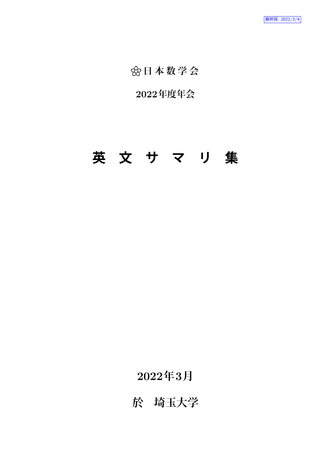**念日本数学会** 

**2022年度年会**

# **英 文 サ マ リ 集**

**2022年3月**

**於 埼玉大学**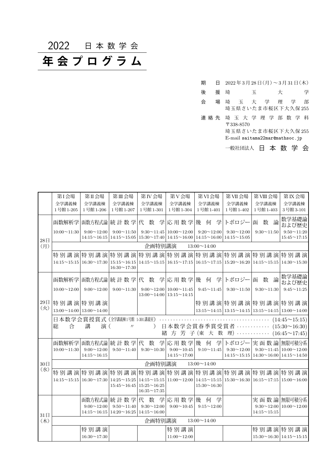2022 日 本 数 学 会

# **年 会 プ ロ グ ラ ム**

| 期     | A |           |   | 2022年3月28日(月)~3月31日(木)                                                     |   |   |
|-------|---|-----------|---|----------------------------------------------------------------------------|---|---|
| 後     | 援 | 埼         | 玉 |                                                                            | 仧 | 学 |
| 会     | 場 |           |   | 埼玉大学理学<br>埼玉県さいたま市桜区下大久保255                                                |   | 部 |
| 連 絡 先 |   | 〒338-8570 |   | 埼 玉 大 学 理 学 部 数 学 科<br>埼玉県さいたま市桜区下大久保255<br>E-mail saitama22mar@mathsoc.jp |   |   |

一般社団法人 日 本 数 学 会

|                  | 第I会場                                  | 第Ⅱ会場                                     | 第Ⅲ会場                                                                                                                        | 第IV会場              | 第V会場                                                           | 第VI会場                                                                                     | 第VII会場                                                                                                                           | 第VIII 会場                                                       | 第IX会場                                    |
|------------------|---------------------------------------|------------------------------------------|-----------------------------------------------------------------------------------------------------------------------------|--------------------|----------------------------------------------------------------|-------------------------------------------------------------------------------------------|----------------------------------------------------------------------------------------------------------------------------------|----------------------------------------------------------------|------------------------------------------|
|                  | 全学講義棟<br>1号館1-205                     | 全学講義棟<br>1号館1-206                        | 全学講義棟<br>1号館1-207                                                                                                           | 全学講義棟<br>1号館1-301  | 全学講義棟<br>1号館1-304                                              | 全学講義棟<br>1号館1-401                                                                         | 全学講義棟<br>1号館1-402                                                                                                                | 全学講義棟<br>1号館1-403                                              | 全学講義棟<br>3号館3-101                        |
|                  |                                       |                                          |                                                                                                                             |                    |                                                                |                                                                                           |                                                                                                                                  |                                                                |                                          |
|                  | 函数解析学                                 | 函数方程式論                                   | 統計数学代 数 学                                                                                                                   |                    | 応用数学                                                           | 幾<br>何<br>学                                                                               | トポロジー                                                                                                                            | 論<br>数<br>函                                                    | 数学基礎論<br>および歴史                           |
| 28日              | $10:00 \sim 11:30$                    | $9:00 \sim 12:00$                        | $9:00 \sim 11:50$<br>$14:15 \sim 16:15$   $14:15 \sim 15:05$   $15:30 \sim 17:40$   $14:15 \sim 16:00$   $14:15 \sim 16:00$ |                    | $9:30 \sim 11:45 \mid 10:00 \sim 12:00$                        | $9:20 \sim 12:00$                                                                         | $9:30 \sim 12:00$<br>$14:15 \sim 15:05$                                                                                          | $9:30 \sim 11:50$                                              | $9:50 \sim 11:20$<br>$15:45 \sim 17:15$  |
| (月)              |                                       |                                          |                                                                                                                             | 企画特別講演             |                                                                | $13:00 \sim 14:00$                                                                        |                                                                                                                                  |                                                                |                                          |
|                  |                                       | 特 別 講 演  特 別 講 演                         |                                                                                                                             |                    |                                                                |                                                                                           | 特別講演特別講演特別講演特別講演特別講演特別講演特別講演                                                                                                     |                                                                |                                          |
|                  | $14:15 \sim 15:15$                    | $16:30 \sim 17:30$                       | $15:15 \sim 16:15$<br>$16:30 \sim 17:30$                                                                                    |                    |                                                                |                                                                                           | $14:15 \sim 15:15 \mid 16:15 \sim 17:15 \mid 16:15 \sim 17:15 \mid 15:20 \sim 16:20 \mid 14:15 \sim 15:15 \mid 14:30 \sim 15:30$ |                                                                |                                          |
|                  | 函数解析学                                 |                                          | 函数方程式論 統 計 数 学  代 数 学  応 用 数 学  幾 何                                                                                         |                    |                                                                | 学                                                                                         | トポロジー                                                                                                                            | 論<br>函<br>数                                                    | 数学基礎論<br>および歴史                           |
|                  | $10:00 \sim 12:00$                    | $9:00 \sim 12:00$                        | $9:00 \sim 11:30$                                                                                                           | $9:00 \sim 12:00$  | $10:00 \sim 11:45$<br>$13:00 \sim 14:00 \mid 13:15 \sim 14:15$ | $9:45 \sim 11:45$                                                                         | $9:30 \sim 11:50$                                                                                                                | $9:30 \sim 11:30$                                              | $9:45 \sim 11:25$                        |
| $29\,\mathrm{H}$ | 特別講演特別講演                              |                                          |                                                                                                                             |                    |                                                                |                                                                                           | 特別講演特別講演特別講演特別講演                                                                                                                 |                                                                |                                          |
| (x)              | $13:00 \sim 14:00$ 13:00 $\sim 14:00$ |                                          |                                                                                                                             |                    |                                                                |                                                                                           | $13:15 \sim 14:15$ 13:15 $\sim$ 14:15 13:15 $\sim$ 14:15 13:00 $\sim$ 14:00                                                      |                                                                |                                          |
|                  |                                       |                                          | 日本数学会賞授賞式 (丝講練1号館 1-301講義室)                                                                                                 |                    | .                                                              |                                                                                           |                                                                                                                                  |                                                                | $(14:45\sim15:15)$                       |
|                  | 総<br>合                                | 講<br>演(                                  | $^{\prime\prime}$                                                                                                           | $\lambda$          |                                                                |                                                                                           | 日本数学会賞春季賞受賞者 ……………                                                                                                               |                                                                | $(15:30 \sim 16:30)$                     |
|                  |                                       |                                          |                                                                                                                             |                    |                                                                |                                                                                           | 緒方芳子(東大数理) ………… (16:45~17:45)                                                                                                    |                                                                |                                          |
|                  | 函数解析学                                 | 函数方程式論                                   | 統計数学代                                                                                                                       | 数                  | 学応用数学                                                          | 幾<br>学<br>何                                                                               |                                                                                                                                  | トポロジー 実 函数論                                                    | 無限可積分系                                   |
|                  | $10:00 \sim 11:30$                    | $9:00 \sim 12:00$                        | $9:50 \sim 11:40$                                                                                                           | $9:30 \sim 10:30$  | $9:00 \sim 10:45$                                              | $9:10 \sim 11:45$                                                                         | $9:30 \sim 12:00$                                                                                                                |                                                                | $9:30 \sim 11:45 \mid 10:00 \sim 12:00$  |
|                  |                                       | $14:15 \sim 16:15$                       |                                                                                                                             |                    | $14:15 \sim 17:00$                                             |                                                                                           | $14:15 \sim 15:15$                                                                                                               |                                                                | $14:30 \sim 16:00 \mid 14:15 \sim 14:50$ |
| 30日              |                                       |                                          |                                                                                                                             | 企画特別講演             |                                                                | $13:00 \sim 14:00$                                                                        |                                                                                                                                  |                                                                |                                          |
| (x k)            |                                       |                                          | 特 別 講 演 特 別 講 演  特 別 講 演 特 別 講 演 特 別 講 演 特 別 講 演 特 別 講 演 特 別 講 演 特 別 講 演                                                    |                    |                                                                |                                                                                           |                                                                                                                                  |                                                                |                                          |
|                  |                                       | $14:15 \sim 15:15 \mid 16:30 \sim 17:30$ | $14:25 \sim 15:25$                                                                                                          | $15:25 \sim 16:25$ |                                                                | $14:15 \sim 15:15 \mid 11:00 \sim 12:00 \mid 14:15 \sim 15:15 \mid$<br>$15:30 \sim 16:30$ |                                                                                                                                  | $15:30 \sim 16:30 \mid 16:15 \sim 17:15 \mid 15:00 \sim 16:00$ |                                          |
|                  |                                       |                                          | $15:45 \sim 16:45$                                                                                                          | $16:35 \sim 17:35$ |                                                                |                                                                                           |                                                                                                                                  |                                                                |                                          |
|                  |                                       | 函数方程式論                                   | 統計数学                                                                                                                        | 代 数 学              | 応用数学                                                           | 学<br>幾<br>何                                                                               |                                                                                                                                  | 実 函 数 論 無限可積分系                                                 |                                          |
|                  |                                       | $9:00 \sim 12:00$                        | $9:50 \sim 11:40$                                                                                                           | $9:30 \sim 12:00$  | $9:00 \sim 10:45$                                              | $9:15 \sim 12:00$                                                                         |                                                                                                                                  |                                                                | $9:30 \sim 12:00$   $10:00 \sim 12:00$   |
| 31日              |                                       | $14:15 \sim 16:15$                       | $14:20 \sim 16:25$                                                                                                          | $14:15 \sim 16:00$ |                                                                |                                                                                           |                                                                                                                                  | $14:15 \sim 15:15$                                             |                                          |
| (木)              |                                       |                                          |                                                                                                                             | 企画特別講演             |                                                                | $13:00 \sim 14:00$                                                                        |                                                                                                                                  |                                                                |                                          |
|                  |                                       | 特別講演                                     |                                                                                                                             |                    | 特別講演                                                           |                                                                                           |                                                                                                                                  |                                                                | 特別講演特別講演                                 |
|                  |                                       | $16:30 \sim 17:30$                       |                                                                                                                             |                    | $11:00 \sim 12:00$                                             |                                                                                           |                                                                                                                                  |                                                                | $15:30 \sim 16:30 \mid 14:15 \sim 15:15$ |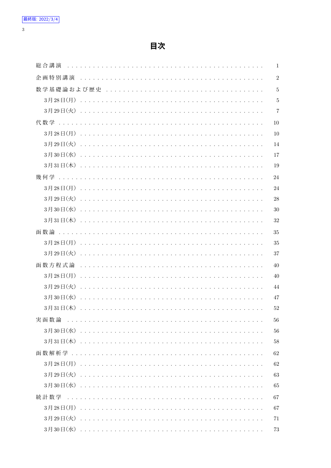$\overline{3}$ 

| 総合講演   | $\mathbf{1}$   |
|--------|----------------|
| 企画特別講演 | $\sqrt{2}$     |
|        | $\overline{5}$ |
|        | 5              |
|        | $\overline{7}$ |
|        | 10             |
|        | 10             |
|        | 14             |
|        | 17             |
|        | 19             |
|        | 24             |
|        | 24             |
|        | 28             |
|        | 30             |
|        | 32             |
|        | 35             |
|        | 35             |
|        | 37             |
|        | 40             |
|        | 40             |
|        | 44             |
|        | 47             |
|        | 52             |
| 実函数論   | 56             |
|        | 56             |
|        | 58             |
|        | 62             |
|        | 62             |
|        | 63             |
|        | 65             |
| 統計数学   | 67             |
|        | 67             |
|        | 71             |
|        | 73             |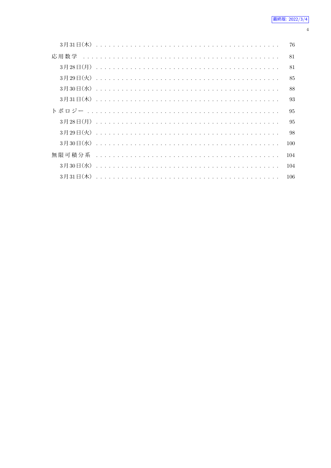| 76  |  |
|-----|--|
| 81  |  |
| 81  |  |
| 85  |  |
| 88  |  |
| 93  |  |
| 95  |  |
| 95  |  |
| 98  |  |
| 100 |  |
| 104 |  |
| 104 |  |
| 106 |  |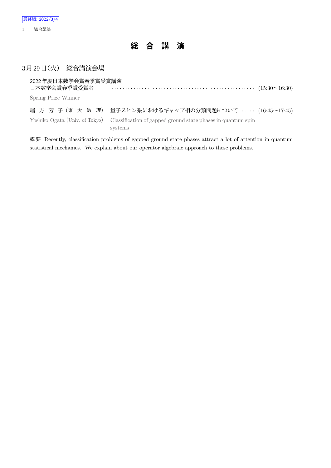

# 3月29日 (火) 総合講演会場

| 2022年度日本数学会賞春季賞受賞講演<br>日本数学会賞春季賞受賞者 |                                                                                                                                                                        |  |
|-------------------------------------|------------------------------------------------------------------------------------------------------------------------------------------------------------------------|--|
| Spring Prize Winner                 |                                                                                                                                                                        |  |
|                                     | 緒 方 芳 子 (東 大 数 理) 量子スピン系におけるギャップ相の分類問題について ‥‥‥ (16:45~17:45)<br>Yoshiko Ogata (Univ. of Tokyo) Classification of gapped ground state phases in quantum spin<br>systems |  |

概 要 Recently, classification problems of gapped ground state phases attract a lot of attention in quantum statistical mechanics. We explain about our operator algebraic approach to these problems.

1 総合講演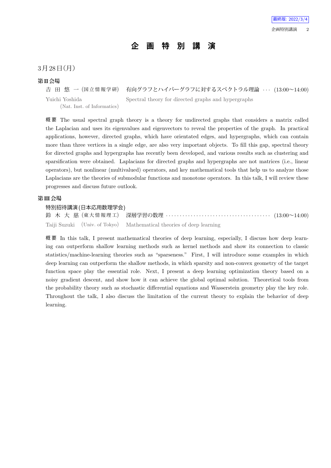# **企 画 特 別 講 演**

## $3$ 月 $28$ 日 $(H)$

#### **第II会場**

吉 田 悠 一 (国立情報学研) 有向グラフとハイパーグラフに対するスペクトラル理論 · · · (13:00~14:00) Yuichi Yoshida (Nat. Inst. of Informatics) Spectral theory for directed graphs and hypergraphs

概 要 The usual spectral graph theory is a theory for undirected graphs that considers a matrix called the Laplacian and uses its eigenvalues and eigenvectors to reveal the properties of the graph. In practical applications, however, directed graphs, which have orientated edges, and hypergraphs, which can contain more than three vertices in a single edge, are also very important objects. To fill this gap, spectral theory for directed graphs and hypergraphs has recently been developed, and various results such as clustering and sparsification were obtained. Laplacians for directed graphs and hypergraphs are not matrices (i.e., linear operators), but nonlinear (multivalued) operators, and key mathematical tools that help us to analyze those Laplacians are the theories of submodular functions and monotone operators. In this talk, I will review these progresses and discuss future outlook.

## **第III会場**

#### 特別招待講演(日本応用数理学会)

鈴 木 大 慈 (東 大 情 報 理 工) 深層学習の数理 *· · · · · · · · · · · · · · · · · · · · · · · · · · · · · · · · · · · · · ·* (13:00~14:00) Taiji Suzuki (Univ. of Tokyo) Mathematical theories of deep learning

概要 In this talk, I present mathematical theories of deep learning, especially, I discuss how deep learning can outperform shallow learning methods such as kernel methods and show its connection to classic statistics/machine-learning theories such as "sparseness." First, I will introduce some examples in which deep learning can outperform the shallow methods, in which sparsity and non-convex geometry of the target function space play the essential role. Next, I present a deep learning optimization theory based on a noisy gradient descent, and show how it can achieve the global optimal solution. Theoretical tools from the probability theory such as stochastic differential equations and Wasserstein geometry play the key role. Throughout the talk, I also discuss the limitation of the current theory to explain the behavior of deep learning.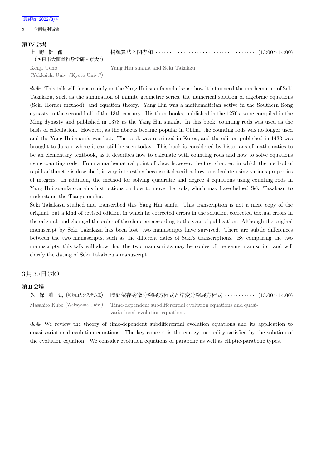#### 3 企画特別講演

#### **第IV会場**

| 上野健爾       |  |                                |  |  |
|------------|--|--------------------------------|--|--|
|            |  | (四日市大関孝和数学研·京大*)               |  |  |
| Kenji Ueno |  |                                |  |  |
|            |  | (Yokkaichi Univ./Kyoto Univ.*) |  |  |

楊輝算法と関孝和 *· · · · · · · · · · · · · · · · · · · · · · · · · · · · · · · · · · · ·* (13:00~14:00)

Yang Hui suanfa and Seki Takakzu

概 要 This talk will focus mainly on the Yang Hui suanfa and discuss how it influenced the mathematics of Seki Takakazu, such as the summation of infinite geometric series, the numerical solution of algebraic equations (Seki–Horner method), and equation theory. Yang Hui was a mathematician active in the Southern Song dynasty in the second half of the 13th century. His three books, published in the 1270s, were compiled in the Ming dynasty and published in 1378 as the Yang Hui suanfa. In this book, counting rods was used as the basis of calculation. However, as the abacus became popular in China, the counting rods was no longer used and the Yang Hui suanfa was lost. The book was reprinted in Korea, and the edition published in 1433 was brought to Japan, where it can still be seen today. This book is considered by historians of mathematics to be an elementary textbook, as it describes how to calculate with counting rods and how to solve equations using counting rods. From a mathematical point of view, however, the first chapter, in which the method of rapid arithmetic is described, is very interesting because it describes how to calculate using various properties of integers. In addition, the method for solving quadratic and degree 4 equations using counting rods in Yang Hui suanfa contains instructions on how to move the rods, which may have helped Seki Takakazu to understand the Tianyuan shu.

Seki Takakazu studied and transcribed this Yang Hui snafu. This transcription is not a mere copy of the original, but a kind of revised edition, in which he corrected errors in the solution, corrected textual errors in the original, and changed the order of the chapters according to the year of publication. Although the original manuscript by Seki Takakazu has been lost, two manuscripts have survived. There are subtle differences between the two manuscripts, such as the different dates of Seki's transcriptions. By comparing the two manuscripts, this talk will show that the two manuscripts may be copies of the same manuscript, and will clarify the dating of Seki Takakazu's manuscript.

## $3 \frac{1}{30}$  日 (水)

#### **第II会場**

久 保 雅 弘 (和歌山大システム工) 時間依存劣微分発展方程式と準変分発展方程式 *· · · · · · · · · · ·* (13:00~14:00) Masahiro Kubo (Wakayama Univ.) Time-dependent subdifferential evolution equations and quasivariational evolution equations

概 要 We review the theory of time-dependent subdifferential evolution equations and its application to quasi-variational evolution equations. The key concept is the energy inequality satisfied by the solution of the evolution equation. We consider evolution equations of parabolic as well as elliptic-parabolic types.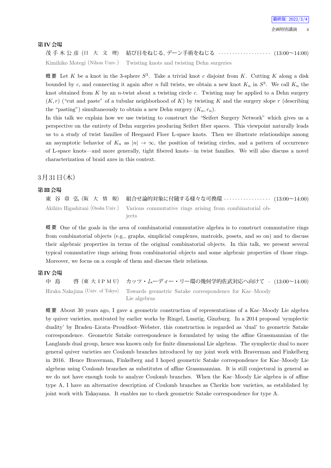#### **第IV会場**

茂 手 木 公 彦 (日 大 文 理) 結び目をねじる, デーン手術をねじる *· · · · · · · · · · · · · · · · · · ·* (13:00~14:00) Kimihiko Motegi (Nihon Univ.) Twisting knots and twisting Dehn surgeries

概 要 Let *K* be a knot in the 3-sphere *S* 3 . Take a trivial knot *c* disjoint from *K*. Cutting *K* along a disk bounded by *c*, and connecting it again after *n* full twists, we obtain a new knot  $K_n$  in  $S^3$ . We call  $K_n$  the knot obtained from *K* by an *n*-twist about a twisting circle *c*. Twisting may be applied to a Dehn surgery  $(K, r)$  ("cut and paste" of a tubular neighborhood of *K*) by twisting *K* and the surgery slope *r* (describing the "pasting") simultaneously to obtain a new Dehn surgery  $(K_n, r_n)$ .

In this talk we explain how we use twisting to construct the "Seifert Surgery Network" which gives us a perspective on the entirety of Dehn surgeries producing Seifert fiber spaces. This viewpoint naturally leads us to a study of twist families of Heegaard Floer L-space knots. Then we illustrate relationships among an asymptotic behavior of  $K_n$  as  $|n| \to \infty$ , the position of twisting circles, and a pattern of occurrence of L-space knots—and more generally, tight fibered knots—in twist families. We will also discuss a novel characterization of braid axes in this context.

### $3$ 月 $31$ 日 $($ 木 $)$

#### **第III会場**

東 谷 章 弘 (阪 大 情 報) 組合せ論的対象に付随する様々な可換環 *· · · · · · · · · · · · · · · · ·* (13:00~14:00) Akihiro Higashitani (Osaka Univ.) Various commutative rings arising from combinatorial objects

概 要 One of the goals in the area of combinatorial commutative algebra is to construct commutative rings from combinatorial objects (e.g., graphs, simplicial complexes, matroids, posets, and so on) and to discuss their algebraic properties in terms of the original combinatorial objects. In this talk, we present several typical commutative rings arising from combinatorial objects and some algebraic properties of those rings. Moreover, we focus on a couple of them and discuss their relations.

#### **第IV会場**

中 島 啓 (東 大 I P M U) カッツ・ムーディー・リー環の幾何学的佐武対応へ向けて *·* (13:00~14:00) Hiraku Nakajima (Univ. of Tokyo) Towards geometric Satake correspondence for Kac–Moody Lie algebras

概 要 About 30 years ago, I gave a geometric construction of representations of a Kac–Moody Lie algebra by quiver varieties, motivated by earlier works by Ringel, Lusztig, Ginzburg. In a 2014 proposal 'symplectic duality' by Braden–Licata–Proudfoot–Webster, this construction is regarded as 'dual' to geometric Satake correspondence. Geometric Satake correspondence is formulated by using the affine Grassmannian of the Langlands dual group, hence was known only for finite dimensional Lie algebras. The symplectic dual to more general quiver varieties are Coulomb branches introduced by my joint work with Braverman and Finkelberg in 2016. Hence Braverman, Finkelberg and I hoped geometric Satake correspondence for Kac–Moody Lie algebras using Coulomb branches as substitutes of affine Grassmannian. It is still conjectural in general as we do not have enough tools to analyze Coulomb branches. When the Kac–Moody Lie algebra is of affine type A, I have an alternative description of Coulomb branches as Cherkis bow varieties, as established by joint work with Takayama. It enables me to check geometric Satake correspondence for type A.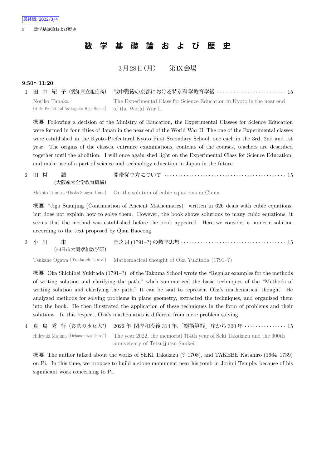# **数 学 基 礎 論 お よ び 歴 史**

## $3 \overline{H} 28 \overline{H} (\overline{H})$  第K会場

#### **9:50~11:20**

|                                                                | - 1 田 中 紀 子(愛知県立旭丘高) 戦中戦後の京都における特別科学教育学級 ・・・・・・・・・・・・・・・・・・・・・・・・15   |
|----------------------------------------------------------------|-----------------------------------------------------------------------|
| Noriko Tanaka                                                  | The Experimental Class for Science Education in Kyoto in the near end |
| (Aichi Prefectural Asahigaoka High School) of the World War II |                                                                       |

概 要 Following a decision of the Ministry of Education, the Experimental Classes for Science Education were formed in four cities of Japan in the near end of the World War II. The one of the Experimental classes were established in the Kyoto-Prefectural Kyoto First Secondary School, one each in the 3rd, 2nd and 1st year. The origins of the classes, entrance examinations, contents of the courses, teachers are described together until the abolition. I will once again shed light on the Experimental Class for Science Education, and make use of a part of science and technology education in Japan in the future.

|  | 2 田村 誠       |                                                                                |  |
|--|--------------|--------------------------------------------------------------------------------|--|
|  | (大阪産大全学教育機構) |                                                                                |  |
|  |              | Makoto Tamura (Osaka Sangyo Univ.) On the solution of cubic equations in China |  |

概 要 "Jigu Suanjing (Continuation of Ancient Mathematics)" written in 626 deals with cubic equations, but does not explain how to solve them. However, the book shows solutions to many cubic equations, it seems that the method was established before the book appeared. Here we consider a numeric solution according to the text proposed by Qian Baocong.

3 小 川 東 (四日市大関孝和数学研) 岡之只 (1791–?) の数学思想 *· · · · · · · · · · · · · · · · · · · · · · · · · · · · · · · · · · · · · ·* 15

Tsukane Ogawa (Yokkaichi Univ.) Mathemacical thought of Oka Yukitada (1791–?)

概 要 Oka Shichibei Yukitada (1791–?) of the Takuma School wrote the "Regular examples for the methods of writing solution and clarifying the path," whch summarized the basic techniques of the "Methods of writing solution and clarifying the path." It can be said to represent Oka's mathematical thought. He analyzed methods for solving problems in plane geometry, extracted the techniques, and organized them into the book. He then illustrated the application of these techniques in the form of problems and their solutions. In this respect, Oka's mathematics is different from mere problem solving.

4 真 島 秀 行 (お茶の水女大*<sup>⋆</sup>* ) 2022 年, 関孝和没後 314 年,「綴術算経」序から 300 年 *· · · · · · · · · · · · · · ·* 15 Hideyuki Majima (Ochanomizu Univ.*<sup>⋆</sup>* ) The year 2022, the memorial 314th year of Seki Takakazu and the 300th anniversary of Tetsujjutsu-Sankei

概 要 The author talked about the works of SEKI Takakazu (?–1708), and TAKEBE Katahiro (1664–1739) on Pi. In this time, we propose to build a stone monument near his tomb in Jorinji Temple, because of his significant work concerning to Pi.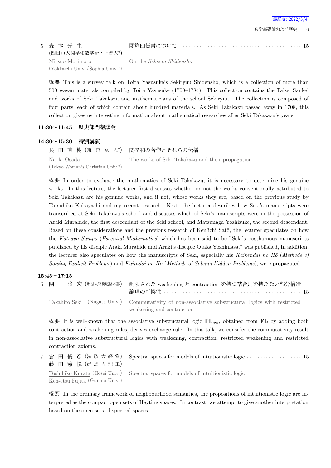## 5 森 本 光 生 (四日市大関孝和数学研・上智大*<sup>⋆</sup>* ) Mitsuo Morimoto (Yokkaichi Univ. /Sophia Univ.*<sup>⋆</sup>* )

On the *Sekisan Shidensho*

概 要 This is a survey talk on Toita Yasusuke's Sekiryuu Shidensho, which is a collection of more than 500 wasan materials compiled by Toita Yasusuke (1708–1784). This collection contains the Taisei Sankei and works of Seki Takakazu and mathematicians of the school Sekiryuu. The collection is composed of four parts, each of which contain about hundred materials. As Seki Takakazu passed away in 1708, this collection gives us interesting information about mathematical researches after Seki Takakazu's years.

関算四伝書について *· · · · · · · · · · · · · · · · · · · · · · · · · · · · · · · · · · · · · · · · · · · ·* 15

#### **11:30~11:45 歴史部門懇談会**

#### **14:30~15:30 特別講演**

長 田 直 樹 (東 京 女 大*<sup>⋆</sup>* ) 関孝和の著作とそれらの伝播 Naoki Osada (Tokyo Woman's Christian Univ.*<sup>⋆</sup>* ) The works of Seki Takakazu and their propagation

概 要 In order to evaluate the mathematics of Seki Takakazu, it is necessary to determine his genuine works. In this lecture, the lecturer first discusses whether or not the works conventionally attributed to Seki Takakazu are his genuine works, and if not, whose works they are, based on the previous study by Tatsuhiko Kobayashi and my recent research. Next, the lecturer describes how Seki's manuscripts were transcribed at Seki Takakazu's school and discusses which of Seki's manuscripts were in the possession of Araki Murahide, the first descendant of the Seki school, and Matsunaga Yoshisuke, the second descendant. Based on these considerations and the previous research of Ken'ichi Satō, the lecturer speculates on how the *Katsuy¯o Samp¯o* (*Essential Mathematics*) which has been said to be "Seki's posthumous manuscripts published by his disciple Araki Murahide and Araki's disciple  $\bar{O}$ taka Yoshimasa," was published, In addition, the lecturer also speculates on how the manuscripts of Seki, especially his *Kaikendai no H¯o* (*Methods of Solving Explicit Problems*) and *Kaiindai no H¯o* (*Methods of Solving Hidden Problems*), were propagated.

#### **15:45~17:15**

| 6 関 | 隆 宏 (新潟大経営戦略本部) | 制限された weakening と contraction を持つ結合則を持たない部分構造                                                       |
|-----|-----------------|-----------------------------------------------------------------------------------------------------|
|     |                 | Takahiro Seki (Niigata Univ.) Commutativity of non-associative substructural logics with restricted |
|     |                 | weakening and contraction                                                                           |

概 要 It is well-known that the associative substructural logic **FLcw**, obtained from **FL** by adding both contraction and weakening rules, derives exchange rule. In this talk, we consider the commutativity result in non-associative substructural logics with weakening, contraction, restricted weakening and restricted contraction axioms.

7 倉 田 俊 彦 (法 政 大 経 営) 藤 田 憲 悦 (群 馬 大 理 工) Spectral spaces for models of intuitionistic logic *· · · · · · · · · · · · · · · · · · · ·* 15 Toshihiko Kurata (Hosei Univ.) Ken-etsu Fujita (Gunma Univ.) Spectral spaces for models of intuitionistic logic

概 要 In the ordinary framework of neighbourhood semantics, the propositions of intuitionistic logic are interpreted as the compact open sets of Heyting spaces. In contrast, we attempt to give another interpretation based on the open sets of spectral spaces.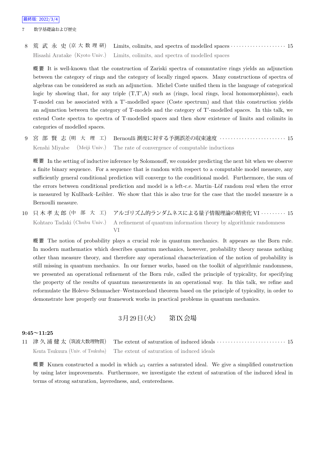7 数学基礎論および歴史

8 荒 武 永 史 (京 大 数 理 研) Limits, colimits, and spectra of modelled spaces *· · · · · · · · · · · · · · · · · · · ·* 15 Hisashi Aratake (Kyoto Univ.) Limits, colimits, and spectra of modelled spaces

概 要 It is well-known that the construction of Zariski spectra of commutative rings yields an adjunction between the category of rings and the category of locally ringed spaces. Many constructions of spectra of algebras can be considered as such an adjunction. Michel Coste unified them in the language of categorical logic by showing that, for any triple  $(T,T',A)$  such as (rings, local rings, local homomorphisms), each T-model can be associated with a T'-modelled space (Coste spectrum) and that this construction yields an adjunction between the category of T-models and the category of T'-modelled spaces. In this talk, we extend Coste spectra to spectra of T-modelled spaces and then show existence of limits and colimits in categories of modelled spaces.

9 宮 部 賢 志 (明 大 理 工) Bernoulli 測度に対する予測誤差の収束速度 *· · · · · · · · · · · · · · · · · · · · · · · ·* 15 Kenshi Miyabe (Meiji Univ.) The rate of convergence of computable inductions

概 要 In the setting of inductive inference by Solomonoff, we consider predicting the next bit when we observe a finite binary sequence. For a sequence that is random with respect to a computable model measure, any sufficiently general conditional prediction will converge to the conditional model. Furthermore, the sum of the errors between conditional prediction and model is a left-c.e. Martin–Löf random real when the error is measured by Kullback–Leibler. We show that this is also true for the case that the model measure is a Bernoulli measure.

10 只 木 孝 太 郎 (中 部 大 工) アルゴリズム的ランダムネスによる量子情報理論の精密化 VI *· · · · · · · · ·* 15 Kohtaro Tadaki (Chubu Univ.) A refinement of quantum information theory by algorithmic randomness VI

概 要 The notion of probability plays a crucial role in quantum mechanics. It appears as the Born rule. In modern mathematics which describes quantum mechanics, however, probability theory means nothing other than measure theory, and therefore any operational characterization of the notion of probability is still missing in quantum mechanics. In our former works, based on the toolkit of algorithmic randomness, we presented an operational refinement of the Born rule, called the principle of typicality, for specifying the property of the results of quantum measurements in an operational way. In this talk, we refine and reformulate the Holevo–Schumacher–Westmoreland theorem based on the principle of typicality, in order to demonstrate how properly our framework works in practical problems in quantum mechanics.

3月29日 (火) 第IX会場

#### **9:45~11:25**

11 津 久 浦 健 太 (筑波大数理物質) The extent of saturation of induced ideals *· · · · · · · · · · · · · · · · · · · · · · · · ·* 15 Kenta Tsukuura (Univ. of Tsukuba) The extent of saturation of induced ideals

概 要 Kunen constructed a model in which *ω*<sup>1</sup> carries a saturated ideal. We give a simplified construction by using later improvements. Furthermore, we investigate the extent of saturation of the induced ideal in terms of strong saturation, layeredness, and, centeredness.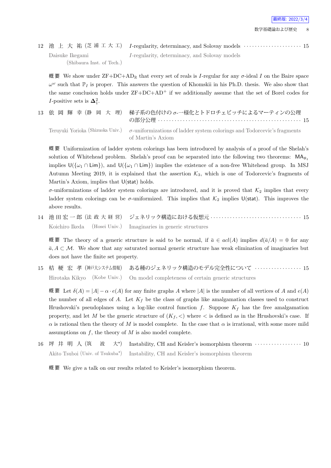12 池 上 大 祐 (芝 浦 工 大 工) *I*-regularity, determinacy, and Solovay models *· · · · · · · · · · · · · · · · · · · · ·* 15 Daisuke Ikegami (Shibaura Inst. of Tech.) *I*-regularity, determinacy, and Solovay models

概要 We show under  $ZF+DC+AD_R$  that every set of reals is *I*-regular for any *σ*-ideal *I* on the Baire space  $\omega^{\omega}$  such that  $\mathbb{P}_I$  is proper. This answers the question of Khomskii in his Ph.D. thesis. We also show that the same conclusion holds under  $\text{ZF}+\text{DC}+\text{AD}^+$  if we additionally assume that the set of Borel codes for *I*-positive sets is  $\Delta_1^2$ .

13 依 岡 輝 幸 (静 岡 大 理) 梯子系の色付けの *σ*-一様化とトドロチェビッチによるマーティンの公理 の部分公理 *· · · · · · · · · · · · · · · · · · · · · · · · · · · · · · · · · · · · · · · · · · · · · · · · · · · ·* 15 Teruyuki Yorioka (Shizuoka Univ.) *σ*-uniformizations of ladder system colorings and Todorcevic's fragments of Martin's Axiom

概 要 Uniformization of ladder system colorings has been introduced by analysis of a proof of the Shelah's solution of Whitehead problem. Shelah's proof can be separated into the following two theorems: MA*ℵ*<sup>1</sup> implies  $U(\{\omega_1 \cap \text{Lim}\})$ , and  $U(\{\omega_1 \cap \text{Lim}\})$  implies the existence of a non-free Whitehead group. In MSJ Autumn Meeting 2019, it is explained that the assertion  $K_3$ , which is one of Todorcevic's fragments of Martin's Axiom, implies that U(stat) holds.

 $\sigma$ -uniformizations of ladder system colorings are introduced, and it is proved that  $K_2$  implies that every ladder system colorings can be  $\sigma$ -uniformized. This implies that  $K_2$  implies U(stat). This improves the above results.

14 池 田 宏 一 郎 (法 政 大 経 営) ジェネリック構造における仮想元 *· · · · · · · · · · · · · · · · · · · · · · · · · · · · · · · · ·* 15 Koichiro Ikeda (Hosei Univ.) Imaginaries in generic structures

概要 The theory of a generic structure is said to be normal, if  $\bar{a} \in \text{acl}(A)$  implies  $d(\bar{a}/A) = 0$  for any *a, A* ⊂ *M*. We show that any saturated normal generic structure has weak elimination of imaginaries but does not have the finite set property.

15 桔 梗 宏 孝 (神戸大システム情報) ある種のジェネリック構造のモデル完全性について *· · · · · · · · · · · · · · · · ·* 15 Hirotaka Kikyo (Kobe Univ.) On model completeness of certain generic structures

概 要 Let *δ*(*A*) = *|A| − α · e*(*A*) for any finite graphs *A* where *|A|* is the number of all vertices of *A* and *e*(*A*) the number of all edges of  $A$ . Let  $K_f$  be the class of graphs like amalgamation classes used to construct Hrushovski's pseudoplanes using a log-like control function  $f$ . Suppose  $K_f$  has the free amalgamation property, and let *M* be the generic structure of  $(K_f, \langle \rangle)$  where  $\langle \rangle$  is defined as in the Hrushovski's case. If *α* is rational then the theory of *M* is model complete. In the case that *α* is irrational, with some more mild assumptions on *f*, the theory of *M* is also model complete.

16 坪 井 明 人 (筑 波 大*<sup>⋆</sup>* ) Instability, CH and Keisler's isomorphism theorem *· · · · · · · · · · · · · · · · ·* 10 Akito Tsuboi (Univ. of Tsukuba*<sup>⋆</sup>* ) Instability, CH and Keisler's isomorphism theorem

概 要 We give a talk on our results related to Keisler's isomorphism theorem.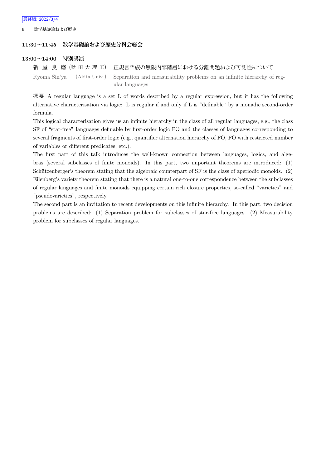数学基礎論および歴史

#### **11:30~11:45 数学基礎論および歴史分科会総会**

#### **13:00~14:00 特別講演**

```
新 屋 良 磨 (秋 田 大 理 工) 正規言語族の無限内部階層における分離問題および可測性について
Ryoma Sin'ya (Akita Univ.) Separation and measurability problems on an infinite hierarchy of reg-
                        ular languages
```
概 要 A regular language is a set L of words described by a regular expression, but it has the following alternative characterisation via logic: L is regular if and only if L is "definable" by a monadic second-order formula.

This logical characterisation gives us an infinite hierarchy in the class of all regular languages, e.g., the class SF of "star-free" languages definable by first-order logic FO and the classes of languages corresponding to several fragments of first-order logic (e.g., quantifier alternation hierarchy of FO, FO with restricted number of variables or different predicates, etc.).

The first part of this talk introduces the well-known connection between languages, logics, and algebras (several subclasses of finite monoids). In this part, two important theorems are introduced: (1) Schützenberger's theorem stating that the algebraic counterpart of SF is the class of aperiodic monoids. (2) Eilenberg's variety theorem stating that there is a natural one-to-one correspondence between the subclasses of regular languages and finite monoids equipping certain rich closure properties, so-called "varieties" and "pseudovarieties", respectively.

The second part is an invitation to recent developments on this infinite hierarchy. In this part, two decision problems are described: (1) Separation problem for subclasses of star-free languages. (2) Measurability problem for subclasses of regular languages.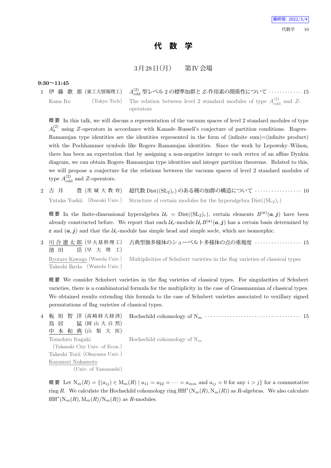# **代 数 学**

## $3 \cancel{\text{F} 128}$   $\text{H}$  (月) 第IV会場

#### **9:30~11:45**

1 伊 藤 歌 那 (東工大情報理工) *A* (2) odd 型レベル 2 の標準加群と *Z*-作用素の関係性について *· · · · · · · · · · · ·* 15 Kana Ito (Tokyo Tech) The relation between level 2 standard modules of type  $A_{\text{odd}}^{(2)}$  and Zoperators

概 要 In this talk, we will discuss a representation of the vacuum spaces of level 2 standard modules of type  $A_9<sup>(2)</sup>$  using *Z*-operators in accordance with Kanade–Russell's conjecture of partition conditions. Rogers– Ramanujan type identities are the identities represented in the form of (infinite sum)=(infinite product) with the Pochhammer symbols like Rogers–Ramanujan identities. Since the work by Lepowsky–Wilson, there has been an expectation that by assigning a non-negative integer to each vertex of an affine Dynkin diagram, we can obtain Rogers–Ramanujan type identities and integer partition theorems. Related to this, we will propose a conjecture for the relations between the vacuum spaces of level 2 standard modules of type  $A_{\text{odd}}^{(2)}$  and *Z*-operators.

2 吉 井 豊 (茨 城 大 教 育) 超代数 Dist((SL2)*r*) のある種の加群の構造について *· · · · · · · · · · · · · · · · ·* 10 Yutaka Yoshii (Ibaraki Univ.) Structure of certain modules for the hyperalgebra  $Dist((SL_2)_r)$ 

概要 In the finite-dimensional hyperalgebra  $U_r = \text{Dist}((SL_2)_r)$ , certain elements  $B^{(\varepsilon)}(a, j)$  have been already constructed before. We report that each  $\mathcal{U}_r$ -module  $\mathcal{U}_r B^{(\varepsilon)}(a, j)$  has a certain basis determined by  $\varepsilon$  and  $(a, j)$  and that the  $U_r$ -module has simple head and simple socle, which are isomorphic.

3 川 合 遼 太 郎 (早 大 基 幹 理 工) 池 田 岳 (早 大 理 工) 古典型旗多様体のシューベルト多様体の点の重複度 *· · · · · · · · · · · · · · · · ·* 15 Ryotaro Kawago (Waseda Univ.) Takeshi Ikeda (Waseda Univ.) Multiplicities of Schubert varieties in the flag varieties of classical types

概 要 We consider Schubert varieties in the flag varieties of classical types. For singularities of Schubert varieties, there is a combinatorial formula for the multiplicity in the case of Grassmannian of classical types. We obtained results extending this formula to the case of Schubert varieties associated to vexillary signed permutations of flag varieties of classical types.

| 4 板 垣 智 洋 (高崎経大経済)                                              |  |
|-----------------------------------------------------------------|--|
| 鳥 居 猛 (岡山大自然)                                                   |  |
| 中本和典(山梨大医)                                                      |  |
| Tomohiro Itagaki $\qquad \qquad$ Hochschild cohomology of $N_m$ |  |
| (Takasaki City Univ. of Econ.)                                  |  |
| Takeshi Torii (Okayama Univ.)                                   |  |
| Kazunori Nakamoto                                               |  |
| (Univ. of Yamanashi)                                            |  |
|                                                                 |  |

概要 Let  $N_m(R) = \{(a_{ij}) \in M_m(R) \mid a_{11} = a_{22} = \cdots = a_{mm} \text{ and } a_{ij} = 0 \text{ for any } i > j\}$  for a commutative ring *R*. We calculate the Hochschild cohomology ring HH*<sup>∗</sup>* (N*m*(*R*)*,* N*m*(*R*)) as *R*-algebras. We also calculate  $HH^*(N_m(R), M_m(R)/N_m(R))$  as *R*-modules.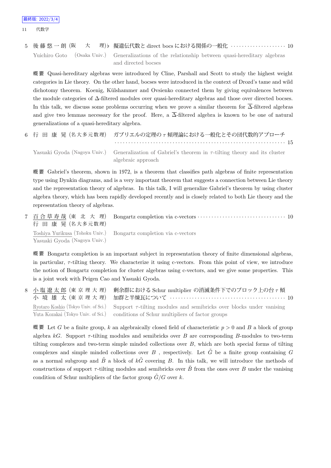5 後 藤 悠 一 朗 (阪 大 理)*♭* 擬遺伝代数と direct bocs における関係の一般化 *· · · · · · · · · · · · · · · · · · · ·* 10 Yuichiro Goto (Osaka Univ.) Generalizations of the relationship between quasi-hereditary algebras and directed bocses

概 要 Quasi-hereditary algebras were introduced by Cline, Parshall and Scott to study the highest weight categories in Lie theory. On the other hand, bocses were introduced in the context of Drozd's tame and wild dichotomy theorem. Koenig, Külshammer and Ovsienko connected them by giving equivalences between the module categories of ∆-filtered modules over quasi-hereditary algebras and those over directed bocses. In this talk, we discuss some problems occurring when we prove a similar theorem for  $\overline{\Delta}$ -filtered algebras and give two lemmas necessary for the proof. Here, a  $\overline{\Delta}$ -filtered algebra is known to be one of natural generalizations of a quasi-hereditary algebra.

|  | 6 行 田 康 晃 (名大多元数理) ガブリエルの定理のァ傾理論における一般化とその団代数的アプローチ                                                        |
|--|------------------------------------------------------------------------------------------------------------|
|  |                                                                                                            |
|  | Yasuaki Gvoda (Nagoya Univ.) Generalization of Gabriel's theorem in $\tau$ -tilting theory and its cluster |
|  | algebraic approach                                                                                         |

概 要 Gabriel's theorem, shown in 1972, is a theorem that classifies path algebras of finite representation type using Dynkin diagrams, and is a very important theorem that suggests a connection between Lie theory and the representation theory of algebras. In this talk, I will generalize Gabriel's theorem by using cluster algebra theory, which has been rapidly developed recently and is closely related to both Lie theory and the representation theory of algebras.

7 百 合 草 寿 哉 (東 北 大 理) 行 田 康 晃 (名大多元数理) Bongartz completion via c-vectors *· · · · · · · · · · · · · · · · · · · · · · · · · · · · · · · ·* 10 Toshiya Yurikusa (Tohoku Univ.) Yasuaki Gyoda (Nagoya Univ.) Bongartz completion via c-vectors

概 要 Bongartz completion is an important subject in representation theory of finite dimensional algebras, in particular, *τ* -tilting theory. We characterize it using c-vectors. From this point of view, we introduce the notion of Bongartz completion for cluster algebras using c-vectors, and we give some properties. This is a joint work with Peigen Cao and Yasuaki Gyoda.

8 小 塩 遼 太 郎 (東 京 理 大 理) 小 境 雄 太 (東 京 理 大 理) 剰余群における Schur multiplier の消滅条件下でのブロック上の台 *τ* 傾 加群と半煉瓦について *· · · · · · · · · · · · · · · · · · · · · · · · · · · · · · · · · · · · · · · · · ·* 10 Ryotaro Koshio (Tokyo Univ. of Sci.) Yuta Kozakai (Tokyo Univ. of Sci.) Support  $\tau$ -tilting modules and semibricks over blocks under vanising conditions of Schur multipliers of factor groups

概 要 Let *G* be a finite group, k an algebraically closed field of characteristic  $p > 0$  and B a block of group algebra *kG*. Support *τ* -tilting modules and semibricks over *B* are corresponding *B*-modules to two-term tilting complexes and two-term simple minded collections over *B*, which are both special forms of tilting complexes and simple minded collections over *B*, respectively. Let  $\tilde{G}$  be a finite group containing *G* as a normal subgroup and  $\tilde{B}$  a block of  $k\tilde{G}$  covering *B*. In this talk, we will introduce the methods of constructions of support  $\tau$ -tilting modules and semibricks over  $\tilde{B}$  from the ones over *B* under the vanising condition of Schur multipliers of the factor group  $\tilde{G}/G$  over k.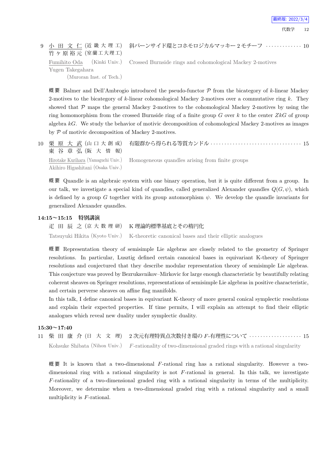# 9 小 田 文 仁 (近 畿 大 理 工) 竹ヶ原裕元 (室蘭工大理工) Fumihito Oda (Kinki Univ.) Yugen Takegahara

Crossed Burnside rings and cohomological Mackey 2-motives

斜バーンサイド環とコホモロジカルマッキー 2 モチーフ *· · · · · · · · · · · · ·* 10

(Muroran Inst. of Tech.)

概 要 Balmer and Dell'Ambrogio introduced the pseudo-functor *P* from the bicategory of *k*-linear Mackey 2-motives to the bicategory of *k*-linear cohomological Mackey 2-motives over a commutative ring *k*. They showed that  $P$  maps the general Mackey 2-motives to the cohomological Mackey 2-motives by using the ring homomorphism from the crossed Burnside ring of a finite group *G* over *k* to the center *ZkG* of group algebra *kG*. We study the behavior of motivic decomposition of cohomological Mackey 2-motives as images by *P* of motivic decomposition of Mackey 2-motives.

| 東谷章弘(阪大情報)                        |                                                                                     |
|-----------------------------------|-------------------------------------------------------------------------------------|
|                                   | Hirotake Kurihara (Yamaguchi Univ.) Homogeneous quandles arising from finite groups |
| Akihiro Higashitani (Osaka Univ.) |                                                                                     |

概 要 Quandle is an algebraic system with one binary operation, but it is quite different from a group. In our talk, we investigate a special kind of quandles, called generalized Alexander quandles  $Q(G, \psi)$ , which is defined by a group *G* together with its group automorphism  $\psi$ . We develop the quandle invariants for generalized Alexander quandles.

#### **14:15~15:15 特別講演**

疋 田 辰 之 (京 大 数 理 研) K 理論的標準基底とその楕円化 Tatsuyuki Hikita (Kyoto Univ.) K-theoretic canonical bases and their elliptic analogues

概 要 Representation theory of semisimple Lie algebras are closely related to the geometry of Springer resolutions. In particular, Lusztig defined certain canonical bases in equivariant K-theory of Springer resolutions and conjectured that they describe modular representation theory of semisimple Lie algebras. This conjecture was proved by Bezrukavnikov–Mirkovic for large enough characteristic by beautifully relating coherent sheaves on Springer resolutions, representations of semisimple Lie algebras in positive characteristic, and certain perverse sheaves on affine flag manifolds.

In this talk, I define canonical bases in equivariant K-theory of more general conical symplectic resolutions and explain their expected properties. If time permits, I will explain an attempt to find their elliptic analogues which reveal new duality under symplectic duality.

#### **15:30~17:40**

11 柴 田 康 介 (日 大 文 理) 2 次元有理特異点次数付き環の *F*-有理性について *· · · · · · · · · · · · · · · · · · ·* 15 Kohsuke Shibata (Nihon Univ.) *F*-rationality of two-dimensional graded rings with a rational singularity

概 要 It is known that a two-dimensional *F*-rational ring has a rational singularity. However a twodimensional ring with a rational singularity is not *F*-rational in general. In this talk, we investigate *F*-rationality of a two-dimensional graded ring with a rational singularity in terms of the multiplicity. Moreover, we determine when a two-dimensional graded ring with a rational singularity and a small multiplicity is *F*-rational.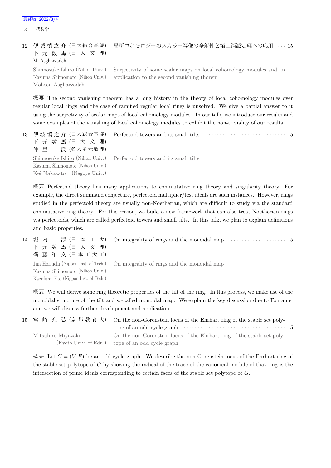13 代数学

#### 12 伊 城 慎 之 介 (日 大 総 合 基 礎) 下 元 数 馬 (日 大 文 理) M. Asgharzadeh 局所コホモロジーのスカラー写像の全射性と第二消滅定理への応用 *· · · ·* 15

Shinnosuke Ishiro (Nihon Univ.) Kazuma Shimomoto (Nihon Univ.) Mohsen Asgharzadeh Surjectivity of some scalar maps on local cohomology modules and an application to the second vanishing thorem

概 要 The second vanishing theorem has a long history in the theory of local cohomology modules over regular local rings and the case of ramified regular local rings is unsolved. We give a partial answer to it using the surjectivity of scalar maps of local cohomology modules. In our talk, we introduce our results and some examples of the vanishing of local cohomology modules to exhibit the non-triviality of our results.

13 伊 城 慎 之 介 (日 大 総 合 基 礎) 下 元 数 馬 (日 大 文 理) 仲 里 渓 (名大多元数理) Perfectoid towers and its small tilts *· · · · · · · · · · · · · · · · · · · · · · · · · · · · · ·* 15 Shinnosuke Ishiro (Nihon Univ.) Kazuma Shimomoto (Nihon Univ.) Kei Nakazato (Nagoya Univ.) Perfectoid towers and its small tilts

概 要 Perfectoid theory has many applications to commutative ring theory and singularity theory. For example, the direct summand conjecture, perfectoid multiplier/test ideals are such instances. However, rings studied in the perfectoid theory are usually non-Noetherian, which are difficult to study via the standard commutative ring theory. For this reason, we build a new framework that can also treat Noetherian rings via perfectoids, which are called perfectoid towers and small tilts. In this talk, we plan to explain definitions and basic properties.

14 堀 内 淳 (日 本 工 大) 下 元 数 馬 (日 大 文 理) 衛 藤 和 文 (日本工大工) On integrality of rings and the monoidal map  $\cdots$  · · · · · · · · · · · · · · · · · 15 Jun Horiuchi (Nippon Inst. of Tech.)

Kazuma Shimomoto (Nihon Univ.) Kazufumi Eto (Nippon Inst. of Tech.) On integrality of rings and the monoidal map

概 要 We will derive some ring theoretic properties of the tilt of the ring. In this process, we make use of the monoidal structure of the tilt and so-called monoidal map. We explain the key discussion due to Fontaine, and we will discuss further development and application.

|                    | 15 宮 崎 充 弘 (京 都 教 育 大) On the non-Gorenstein locus of the Ehrhart ring of the stable set poly- |  |
|--------------------|------------------------------------------------------------------------------------------------|--|
|                    |                                                                                                |  |
| Mitsuhiro Miyazaki | On the non-Gorenstein locus of the Ehrhart ring of the stable set poly-                        |  |
|                    | (Kyoto Univ. of Edu.) tope of an odd cycle graph                                               |  |

概 要 Let  $G = (V, E)$  be an odd cycle graph. We describe the non-Gorenstein locus of the Ehrhart ring of the stable set polytope of *G* by showing the radical of the trace of the canonical module of that ring is the intersection of prime ideals corresponding to certain faces of the stable set polytope of *G*.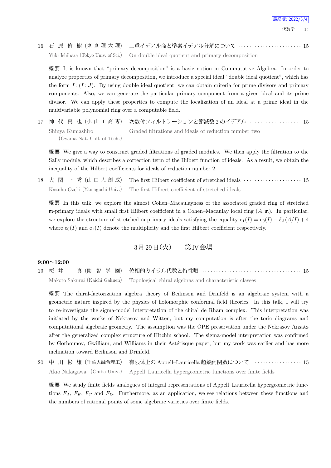16 石 原 侑 樹 (東 京 理 大 理) 二重イデアル商と準素イデアル分解について *· · · · · · · · · · · · · · · · · · · · · · ·* 15 Yuki Ishihara (Tokyo Univ. of Sci.) On double ideal quotient and primary decomposition

概 要 It is known that "primary decomposition" is a basic notion in Commutative Algebra. In order to analyze properties of primary decomposition, we introduce a special ideal "double ideal quotient", which has the form *I* : (*I* : *J*). By using double ideal quotient, we can obtain criteria for prime divisors and primary components. Also, we can generate the particular primary component from a given ideal and its prime divisor. We can apply these properties to compute the localization of an ideal at a prime ideal in the multivariable polynomial ring over a computable field.

17 神 代 真 也 (小 山 工 高 専) 次数付フィルトレーションと節減数 2 のイデアル *· · · · · · · · · · · · · · · · · · ·* 15 Shinya Kumashiro (Oyama Nat. Coll. of Tech.) Graded filtrations and ideals of reduction number two

概 要 We give a way to construct graded filtrations of graded modules. We then apply the filtration to the Sally module, which describes a correction term of the Hilbert function of ideals. As a result, we obtain the inequality of the Hilbert coefficients for ideals of reduction number 2.

18 大 関 一 秀 (山 口 大 創 成) The first Hilbert coefficient of stretched ideals *· · · · · · · · · · · · · · · · · · · · ·* 15 Kazuho Ozeki (Yamaguchi Univ.) The first Hilbert coefficient of stretched ideals

概 要 In this talk, we explore the almost Cohen–Macaulayness of the associated graded ring of stretched m-primary ideals with small first Hilbert coefficient in a Cohen–Macaulay local ring (*A,* m). In particular, we explore the structure of stretched m-primary ideals satisfying the equality  $e_1(I) = e_0(I) - \ell_A(A/I) + 4$ where  $e_0(I)$  and  $e_1(I)$  denote the multiplicity and the first Hilbert coefficient respectively.

## 3月29日 (火) 第IV会場

#### **9:00~12:00**

19 桜 井 真 (開 智 学 園) 位相的カイラル代数と特性類 *· · · · · · · · · · · · · · · · · · · · · · · · · · · · · · · · · · · ·* 15 Makoto Sakurai (Kaichi Gakuen) Topological chiral algebras and characteristic classes

概 要 The chiral-factorization algebra theory of Beilinson and Drinfeld is an algebraic system with a geometric nature inspired by the physics of holomorphic conformal field theories. In this talk, I will try to re-investigate the sigma-model interpretation of the chiral de Rham complex. This interpretation was initiated by the works of Nekrasov and Witten, but my computation is after the toric diagrams and computational algebraic geometry. The assumption was the OPE preservation under the Nekrasov Ansatz after the generalized complex structure of Hitchin school. The sigma-model interpretation was confirmed by Gorbounov, Gwilliam, and Williams in their Astérisque paper, but my work was earlier and has more inclination toward Beilinson and Drinfeld.

20 中 川 彬 雄 (千葉大融合理工) 有限体上の Appell–Lauricella 超幾何関数について *· · · · · · · · · · · · · · · · · ·* 15 Akio Nakagawa (Chiba Univ.) Appell–Lauricella hypergeometric functions over finite fields

概要 We study finite fields analogues of integral representations of Appell–Lauricella hypergeometric functions  $F_A$ ,  $F_B$ ,  $F_C$  and  $F_D$ . Furthermore, as an application, we see relations between these functions and the numbers of rational points of some algebraic varieties over finite fields.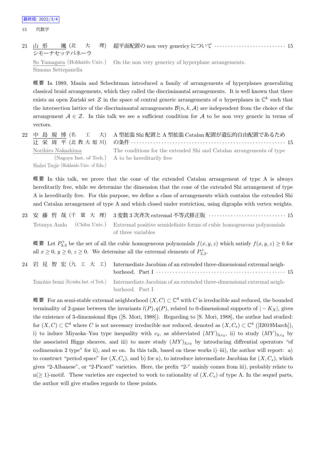21 山 形 颯 (北 大 理) シモーナセッテパネーラ 超平面配置の non very genericy について *· · · · · · · · · · · · · · · · · · · · · · · · · ·* 15 So Yamagata (Hokkaido Univ.) Simona Settepanella On the non very genericy of hyperplane arrangements.

概 要 In 1989, Manin and Schechtman introduced a family of arrangements of hyperplanes generalizing classical braid arrangements, which they called the discriminantal arrangements. It is well known that there exists an open Zariski set  $\mathcal Z$  in the space of central generic arrangements of *n* hyperplanes in  $\mathbb C^k$  such that the intersection lattice of the discriminantal arrangements  $\mathcal{B}(n, k, \mathcal{A})$  are independent from the choice of the arrangement  $A \in \mathcal{Z}$ . In this talk we see a sufficient condition for *A* to be non very generic in terms of vectors.

|                                        | 22 中 島 規 博 (名 エ 大) A型拡張 Shi 配置と A 型拡張 Catalan 配置が遺伝的自由配置であるため        |
|----------------------------------------|----------------------------------------------------------------------|
|                                        |                                                                      |
| Norihiro Nakashima                     | The conditions for the extended Shi and Catalan arrangements of type |
|                                        | (Nagoya Inst. of Tech.) A to be hereditarily free                    |
| Shuhei Tsujie (Hokkaido Univ. of Edu.) |                                                                      |

概 要 In this talk, we prove that the cone of the extended Catalan arrangement of type A is always hereditarily free, while we determine the dimension that the cone of the extended Shi arrangement of type A is hereditarily free. For this purpose, we define a class of arrangements which contains the extended Shi and Catalan arrangement of type A and which closed under restriction, using digraphs with vertex weights.

23 安 藤 哲 哉 (千 葉 大 理) 3 変数 3 次斉次 extremal 不等式修正版 *· · · · · · · · · · · · · · · · · · · · · · · · · · · ·* 15 Tetsuya Ando (Chiba Univ.) Extremal positive semidefinite forms of cubic homogeneous polynomials of three variables

概要 Let  $P_{3,3}^+$  be the set of all the cubic homogeneous polynomials  $f(x, y, z)$  which satisfy  $f(x, y, z) \geq 0$  for all  $x \geq 0$ ,  $y \geq 0$ ,  $z \geq 0$ . We determine all the extremal elements of  $P_{3,3}^+$ .

| 24 岩 見 智 宏 (九 工 大 工) Intermediate Jacobian of an extended three-dimensional extremal neigh-<br>borhood. Part I $\cdots$ $\cdots$ $\cdots$ $\cdots$ $\cdots$ $\cdots$ $\cdots$ $\cdots$ $\cdots$ $\cdots$ $\cdots$ $\cdots$ $\cdots$ 15 |
|----------------------------------------------------------------------------------------------------------------------------------------------------------------------------------------------------------------------------------------|
| Tomohiro Iwami (Kyushu Inst. of Tech.) Intermediate Jacobian of an extended three-dimensional extremal neigh-<br>borhood. Part I                                                                                                       |

概 要 For an semi-stable extremal neighborhood  $(X, C) \subset \mathbb{C}^4$  with  $C$  is irreducible and reduced, the bounded terminality of 2-game between the invariants  $l(P)$ ,  $q(P)$ , related to 0-dimensional supports of  $|-K_X|$ , gives the existence of 3-dimensional flips ([S. Mori, 1988]). Regarding to [S. Mori, 1988], the author had studied: for  $(X, C) \subset \mathbb{C}^4$  where *C* is not necessary irreducible nor reduced, denoted as  $(X, C_s) \subset \mathbb{C}^4$  ([I2019March]), i) to induce Miyaoka–Yau type inequality with  $c_3$ , as abbreviated  $(MY)_{3,c_3}$ , ii) to study  $(MY)_{3,c_3}$  by the associated Higgs sheaves, and iii) to more study  $(MY)_{3,c_3}$  by introducing diffrential operators "of codimension 2 type" for ii), and so on. In this talk, based on these works i)–iii), the author will report: a) to construct "period space" for  $(X, C_s)$ , and b) for a), to introduce intermediate Jacobian for  $(X, C_s)$ , which gives "2-Albanese", or "2-Picard" varieties. Here, the prefix "2-" mainly comes from iii), probably relate to n( $\geq$  1)-motif. These varieties are expected to work to rationality of  $(X, C_s)$  of type A. In the sequel parts, the author will give studies regards to these points.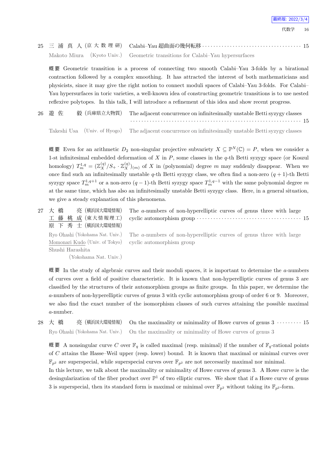25 三 浦 真 人 (京 大 数 理 研) Calabi–Yau 超曲面の幾何転移 *· · · · · · · · · · · · · · · · · · · · · · · · · · · · · · · · · · · ·* 15 Makoto Miura (Kyoto Univ.) Geometric transitions for Calabi–Yau hypersurfaces

概 要 Geometric transition is a process of connecting two smooth Calabi–Yau 3-folds by a birational contraction followed by a complex smoothing. It has attracted the interest of both mathematicians and physicists, since it may give the right notion to connect moduli spaces of Calabi–Yau 3-folds. For Calabi– Yau hypersurfaces in toric varieties, a well-known idea of constructing geometric transitions is to use nested reflexive polytopes. In this talk, I will introduce a refinement of this idea and show recent progress.

26 遊 佐 毅 (兵庫県立大物質) The adjacent concurrence on infinitesimally unstable Betti syzygy classes *· · · · · · · · · · · · · · · · · · · · · · · · · · · · · · · · · · · · · · · · · · · · · · · · · · · · · · · · · · · · · ·* 15

Takeshi Usa (Univ. of Hyogo) The adjacent concurrence on infinitesimally unstable Betti syzygy classes

概要 Even for an arithmetic  $D_2$  non-singular projective subvariety  $X \subseteq \mathbb{P}^N(\mathbb{C}) = P$ , when we consider a 1-st infinitesimal embedded deformation of *X* in *P*, some classes in the *q*-th Betti syzygy space (or Koszul homology)  $T_m^{1,q} = (\mathbb{Z}_X^{(q)}/S_+ \cdot \mathbb{Z}_X^{(q)})_{(m)}$  of X in (polynomial) degree m may suddenly disappear. When we once find such an infinitesimally unstable *q*-th Betti syzygy class, we often find a non-zero  $(q + 1)$ -th Betti syzygy space  $T_m^{1,q+1}$  or a non-zero  $(q-1)$ -th Betti syzygy space  $T_m^{1,q-1}$  with the same polynomial degree m at the same time, which has also an infinitesimally unstable Betti syzygy class. Here, in a general situation, we give a steady explanation of this phenomena.

27 大 橋 亮 (横浜国大環境情報) 工 藤 桃 成 (東大情報理工) 原 下 秀 士 (横浜国大環境情報) Ryo Ohashi (Yokohama Nat. Univ.) Momonari Kudo (Univ. of Tokyo) Shushi Harashita

(Yokohama Nat. Univ.)

The *a*-numbers of non-hyperelliptic curves of genus three with large cyclic automorphism group *· · · · · · · · · · · · · · · · · · · · · · · · · · · · · · · · · · · · · ·* 15

The *a*-numbers of non-hyperelliptic curves of genus three with large cyclic automorphism group

概 要 In the study of algebraic curves and their moduli spaces, it is important to determine the *a*-numbers of curves over a field of positive characteristic. It is known that non-hyperelliptic curves of genus 3 are classified by the structures of their automorphism groups as finite groups. In this paper, we determine the *a*-numbers of non-hyperelliptic curves of genus 3 with cyclic automorphism group of order 6 or 9. Moreover, we also find the exact number of the isomorphism classes of such curves attaining the possible maximal *a*-number.

28 大 橋 亮 (横浜国大環境情報) On the maximality or minimality of Howe curves of genus 3 · · · · · · · · · 15 Ryo Ohashi (Yokohama Nat. Univ.) On the maximality or minimality of Howe curves of genus 3

概 要 A nonsingular curve C over  $\mathbb{F}_q$  is called maximal (resp. minimal) if the number of  $\mathbb{F}_q$ -rational points of *C* attains the Hasse–Weil upper (resp. lower) bound. It is known that maximal or minimal curves over  $\mathbb{F}_{p^2}$  are superspecial, while superspecial curves over  $\mathbb{F}_{p^2}$  are not neccesarily maximal nor minimal.

In this lecture, we talk about the maximality or minimality of Howe curves of genus 3. A Howe curve is the desingularization of the fiber product over  $\mathbb{P}^1$  of two elliptic curves. We show that if a Howe curve of genus 3 is superspecial, then its standard form is maximal or minimal over  $\mathbb{F}_{p^2}$  without taking its  $\mathbb{F}_{p^2}$ -form.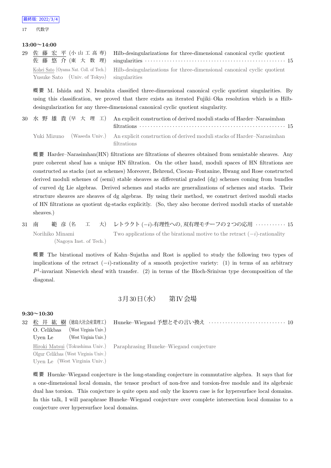17 代数学

#### **13:00~14:00**

|                                            | 29 佐藤宏平(小山工高専) Hilb-desingularizations for three-dimensional canonical cyclic quotient<br>佐藤 悠 介 (東 大 数 理) singularities …………………………………………………… 15 |
|--------------------------------------------|--------------------------------------------------------------------------------------------------------------------------------------------------|
| Yusuke Sato (Univ. of Tokyo) singularities | Kohei Sato (Oyama Nat. Coll. of Tech.) Hilb-desingularizations for three-dimensional canonical cyclic quotient                                   |

概 要 M. Ishida and N. Iwashita classified three-dimensional canonical cyclic quotient singularities. By using this classification, we proved that there exists an iterated Fujiki–Oka resolution which is a Hilbdesingularization for any three-dimensional canonical cyclic quotient singularity.

30 水 野 雄 貴 (早 大 理 工) An explicit construction of derived moduli stacks of Harder–Narasimhan filtrations *· · · · · · · · · · · · · · · · · · · · · · · · · · · · · · · · · · · · · · · · · · · · · · · · · · · · ·* 15 Yuki Mizuno (Waseda Univ.) An explicit construction of derived moduli stacks of Harder–Narasimhan filtrations

概 要 Harder–Narasimhan(HN) filtrations are filtrations of sheaves obtained from semistable sheaves. Any pure coherent sheaf has a unique HN filtration. On the other hand, moduli spaces of HN filtrations are constructed as stacks (not as schemes) Moreover, Behrend, Ciocan–Fontanine, Hwang and Rose constructed derived moduli schemes of (semi) stable sheaves as differential graded (dg) schemes coming from bundles of curved dg Lie algebras. Derived schemes and stacks are generalizations of schemes and stacks. Their structure sheaves are sheaves of dg algebras. By using their method, we construct derived moduli stacks of HN filtrations as quotient dg-stacks explicitly. (So, they also become derived moduli stacks of unstable sheaves.)

31 南 範 彦 (名 工 大) レトラクト (*−i*)-有理性への, 双有理モチーフの 2 つの応用 *· · · · · · · · · · ·* 15 Norihiko Minami (Nagoya Inst. of Tech.) Two applications of the birational motive to the retract (*−i*)-rationality

概 要 The birational motives of Kahn–Sujatha and Rost is applied to study the following two types of implications of the retract (*−i*)-rationality of a smooth projective variety: (1) in terms of an arbitrary  $P<sup>1</sup>$ -invariant Nisnevich sheaf with transfer. (2) in terms of the Bloch-Srinivas type decomposition of the diagonal.

## 3月30日 (水) 第IV会場

#### **9:30~10:30**

| 32 | 松 井 紘 樹(徳島大社会産業理工)<br>(West Virginia Univ.)<br>O. Celikbas<br>(West Virginia Univ.)<br>Uven Le |                                                                        |
|----|------------------------------------------------------------------------------------------------|------------------------------------------------------------------------|
|    | Olgur Celikbas (West Virginia Univ.)<br>Uyen Le (West Virginia Univ.)                          | Hiroki Matsui (Tokushima Univ.) Paraphrasing Huneke–Wiegand conjecture |

概 要 Huenke–Wiegand conjecture is the long-standing conjecture in commutative algebra. It says that for a one-dimensional local domain, the tensor product of non-free and torsion-free module and its algebraic dual has torsion. This conjecture is quite open and only the known case is for hypersurface local domains. In this talk, I will paraphrase Huneke–Wiegand conjecture over complete intersection local domains to a conjecture over hypersurface local domains.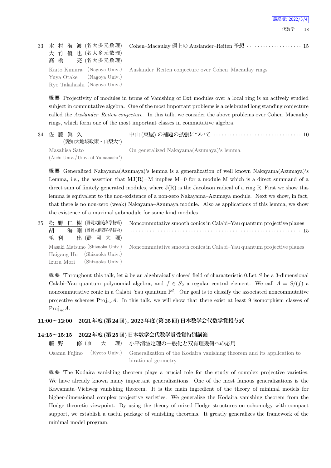| 大 竹 優 也 (名大多元数理)<br>高橋 亮 (名大多元数理)                         | 33 木 村 海 渡 (名大多元数理) Cohen-Macaulay 環上の Auslander-Reiten 予想 …………………… 15            |
|-----------------------------------------------------------|-----------------------------------------------------------------------------------|
| Yuya Otake (Nagoya Univ.)<br>Ryo Takahashi (Nagoya Univ.) | Kaito Kimura (Nagoya Univ.) Auslander-Reiten conjecture over Cohen-Macaulay rings |

概 要 Projectivity of modules in terms of Vanishing of Ext modules over a local ring is an actively studied subject in commutative algebra. One of the most important problems is a celebrated long standing conjecture called the *Auslander–Reiten conjecture*. In this talk, we consider the above problems over Cohen–Macaulay rings, which form one of the most important classes in commutative algebra.

| 34 佐藤真久<br>(愛知大地域政策・山梨大*)                          |                                          |
|----------------------------------------------------|------------------------------------------|
| Masahisa Sato<br>(Aichi Univ./Univ. of Yamanashi*) | On generalized Nakayama(Azumaya)'s lemma |

概 要 Generalized Nakayama(Azumaya)'s lemma is a generalization of well known Nakayama(Azumaya)'s Lemma, i.e., the assertion that  $MJ(R)=M$  implies  $M=0$  for a module M which is a direct summand of a direct sum of finitely generated modules, where  $J(R)$  is the Jacobson radical of a ring R. First we show this lemma is equivalent to the non-existence of a non-zero Nakayama–Azumaya module. Next we show, in fact, that there is no non-zero (weak) Nakayama–Azumaya module. Also as applications of this lemma, we show the existence of a maximal submodule for some kind modules.

| Masaki Matsuno (Shizuoka Univ.) Noncommutative smooth conics in Calabi-Yau quantum projective planes |
|------------------------------------------------------------------------------------------------------|
|                                                                                                      |
|                                                                                                      |
|                                                                                                      |

概 要 Throughout this talk, let *k* be an algebraically closed field of characteristic 0.Let *S* be a 3-dimensional Calabi–Yau quantum polynomial algebra, and  $f \in S_2$  a regular central element. We call  $A = S/(f)$  a noncommutative conic in a Calabi–Yau quantum  $\mathbb{P}^2$ . Our goal is to classify the associated noncommutative projective schemes  $Proj_{nc}A$ . In this talk, we will show that there exist at least 9 isomorphism classes of Proj*ncA*.

### **11:00~12:00 2021年度(第24回), 2022年度(第25回)日本数学会代数学賞授与式**

#### **14:15~15:15 2022年度(第25回)日本数学会代数学賞受賞特別講演**

藤 野 修 (京 大 理) 小平消滅定理の一般化と双有理幾何への応用

Osamu Fujino (Kyoto Univ.) Generalization of the Kodaira vanishing theorem and its application to birational geometry

概 要 The Kodaira vanishing theorem plays a crucial role for the study of complex projective varieties. We have already known many important generalizations. One of the most famous generalizations is the Kawamata–Viehweg vanishing theorem. It is the main ingredient of the theory of minimal models for higher-dimensional complex projective varieties. We generalize the Kodaira vanishing theorem from the Hodge theoretic viewpoint. By using the theory of mixed Hodge structures on cohomolgy with compact support, we establish a useful package of vanishing theorems. It greatly generalizes the framework of the minimal model program.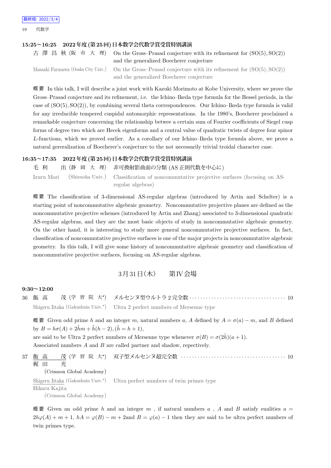19 代数学

#### **15:25~16:25 2022年度(第25回)日本数学会代数学賞受賞特別講演**

| 古澤昌秋(阪市大理) On the Gross-Prasad conjecture with its refinement for $(SO(5), SO(2))$                          |
|-------------------------------------------------------------------------------------------------------------|
| and the generalized Boecherer conjecture                                                                    |
| Masaaki Furusawa (Osaka City Univ.) On the Gross-Prasad conjecture with its refinement for $(SO(5), SO(2))$ |
| and the generalized Boecherer conjecture                                                                    |

概 要 In this talk, I will describe a joint work with Kazuki Morimoto at Kobe University, where we prove the Gross–Prasad conjecture and its refinement, i.e. the Ichino–Ikeda type formula for the Bessel periods, in the case of (SO(5)*,* SO(2)), by combining several theta correspondences. Our Ichino–Ikeda type formula is valid for any irreducible tempered cuspidal automorphic representations. In the 1980's, Boecherer proclaimed a remarkable conjecture concerning the relationship betwee a certain sum of Fourier coefficients of Siegel cusp forms of degree two which are Hecek eigenforms and a central value of quadratic twists of degree four spinor *L*-functions, which we proved earlier. As a corollary of our Ichino–Ikeda type formula above, we prove a natural gereralization of Boecherer's conjecture to the not necessarily trivial troidal character case.

#### **16:35~17:35 2022年度(第25回)日本数学会代数学賞受賞特別講演**

毛 利 出 (静 岡 大 理) 非可換射影曲面の分類 (AS 正則代数を中心に) Izuru Mori (Shizuoka Univ.) Classification of noncommutative projective surfaces (focusing on AS-

regular algebras)

概 要 The classification of 3-dimensional AS-regular algebras (introduced by Artin and Schelter) is a starting point of noncommutative algebraic geometry. Noncommutative projective planes are defined as the noncommutative projective schemes (introduced by Artin and Zhang) associated to 3-dimensional quadratic AS-regular algebras, and they are the most basic objects of study in noncommutative algebraic geometry. On the other hand, it is interesting to study more general noncommutative projective surfaces. In fact, classification of noncommutative projective surfaces is one of the major projects in noncommutative algebraic geometry. In this talk, I will give some history of noncommutative algebraic geometry and classification of noncommutative projective surfaces, focusing on AS-regular algebras.

## $3\overline{)31}$ 日(木) 第IV会場

#### **9:30~12:00**

36 飯 高 茂 (学 習 院 大*<sup>⋆</sup>* ) メルセンヌ型ウルトラ 2 完全数 *· · · · · · · · · · · · · · · · · · · · · · · · · · · · · · · · · · ·* 10 Shigeru Iitaka (Gakushuin Univ.<sup>\*</sup>) Ultra 2 perfect numbers of Mersenne type

概 要 Given odd prime *h* and an integer *m*, natural numbers *a*, *A* defined by *A* = *σ*(*a*) *− m*, and *B* defined  $\frac{1}{2}$  by  $B = h\sigma(A) + 2\tilde{h}m + \tilde{h}(h-2), (\tilde{h} = h+1),$ 

are said to be Ultra 2 perfect numbers of Mersenne type whenever  $\sigma(B) = \sigma(2\tilde{h})(a+1)$ . Associated nnmbers *A* and *B* are called partner and shadow, repectively.

37 飯 高 茂 (学 習 院 大*<sup>⋆</sup>* ) 双子型メルセンヌ超完全数 *· · · · · · · · · · · · · · · · · · · · · · · · · · · · · · · · · · · · · ·* 10 梶 田 光 (Crimson Global Academy) Shigeru Iitaka (Gakushuin Univ.*<sup>⋆</sup>* ) Hikaru Kajita Ultra perfect numbers of twin primes type

(Crimson Global Academy)

概要 Given an odd prime *h* and an integer  $m$ , if natural numbers  $a$ ,  $A$  and  $B$  satisfy eualities  $a =$  $2h\varphi(A) + m + 1$ ,  $hA = \varphi(B) - m + 2$  and  $B = \varphi(a) - 1$  then they are said to be ultra perfect numbers of twin primes type.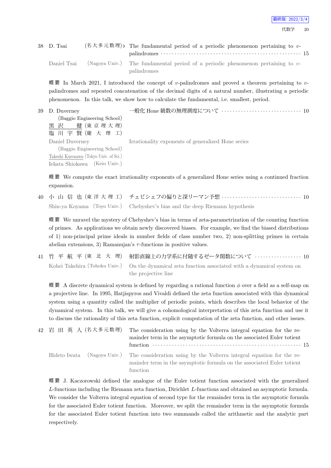| 38 D. Tsai  | $(4\overline{\times})$ $\overline{\times}$ $\overline{\times}$ $\overline{\times}$ $\overline{\times}$ a fundamental period of a periodic phenomenon pertaining to v- |
|-------------|-----------------------------------------------------------------------------------------------------------------------------------------------------------------------|
| Daniel Tsai | (Nagoya Univ.) The fundamental period of a periodic phenomenon pertaining to v-<br>palindromes                                                                        |

概 要 In March 2021, I introduced the concept of *v*-palindromes and proved a theorem pertaining to *v*palindromes and repeated concatenation of the decimal digits of a natural number, illustrating a periodic phenomenon. In this talk, we show how to calculate the fundamental, i.e. smallest, period.

| 39 D. Duverney                         | 一般化 Hone 級数の無理測度について ‥‥‥‥‥‥‥‥‥‥‥‥‥‥‥‥ 10           |
|----------------------------------------|----------------------------------------------------|
| (Baggio Engineering School)            |                                                    |
| 黒 沢 健 (東 京 理 大 理)                      |                                                    |
| 塩川宇賢(慶大理工)                             |                                                    |
| Daniel Duverney                        | Irrationality exponents of generalized Hone series |
| (Baggio Engineering School)            |                                                    |
| Takeshi Kurosawa (Tokyo Univ. of Sci.) |                                                    |
| Iekata Shiokawa (Keio Univ.)           |                                                    |

概 要 We compute the exact irrationality exponents of a generalized Hone series using a continued fraction expansion.

40 小 山 信 也 (東 洋 大 理 工) チェビシェフの偏りと深リーマン予想 *· · · · · · · · · · · · · · · · · · · · · · · · · · · · ·* 10 Shin-ya Koyama (Toyo Univ.) Chebyshev's bias and the deep Riemann hypothesis

概 要 We unravel the mystery of Chebyshev's bias in terms of zeta-parametrization of the counting function of primes. As applications we obtain newly discovered biases. For example, we find the biased distributions of 1) non-principal prime ideals in number fields of class number two, 2) non-splitting primes in certain abelian extensions, 3) Ramanujan's  $\tau$ -functions in positive values.

41 竹 平 航 平 (東 北 大 理) 射影直線上の力学系に付随するゼータ関数について *· · · · · · · · · · · · · · · · ·* 10 Kohei Takehira (Tohoku Univ.) On the dynamical zeta function associated with a dynamical system on the projective line

概 要 A discrete dynamical system is defined by regarding a rational function *ϕ* over a field as a self-map on a projective line. In 1995, Hatjispyros and Vivaldi defined the zeta function associated with this dynamical system using a quantity called the multiplier of periodic points, which describes the local behavior of the dynamical system. In this talk, we will give a cohomological interpretation of this zeta function and use it to discuss the rationality of this zeta function, explicit computation of the zeta function, and other issues.

| 42 岩 田 英 人(名大多元数理) | The consideration using by the Volterra integral equation for the re-<br>mainder term in the asymptotic formula on the associated Euler totient                                         |
|--------------------|-----------------------------------------------------------------------------------------------------------------------------------------------------------------------------------------|
|                    | Hideto Iwata (Nagoya Univ.) The consideration using by the Volterra integral equation for the re-<br>mainder term in the asymptotic formula on the associated Euler totient<br>function |

概 要 J. Kaczorowski defined the analogue of the Euler totient function associated with the generalized *L*-functions including the Riemann zeta function, Dirichlet *L*-functions and obtained an asymptotic formula. We consider the Volterra integral equation of second type for the remainder term in the asymptotic formula for the associated Euler totient function. Moreover, we split the remainder term in the asymptotic formula for the associated Euler totient function into two summands called the arithmetic and the analytic part respectively.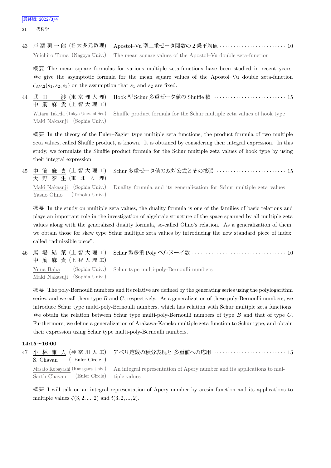21 代数学

43 戸 澗 勇 一 郎 (名 大 多 元 数 理) Apostol–Vu 型二重ゼータ関数の 2 乗平均値 *· · · · · · · · · · · · · · · · · · · · · · · ·* 10 Yuichiro Toma (Nagoya Univ.) The mean square values of the Apostol–Vu double zeta-function

概 要 The mean square formulas for various multiple zeta-functions have been studied in recent years. We give the asymptotic formula for the mean square values of the Apostol–Vu double zeta-function  $\zeta_{AV,2}(s_1, s_2, s_3)$  on the assumption that  $s_1$  and  $s_2$  are fixed.

44 武 田 渉 (東 京 理 大 理) 中 筋 麻 貴 (上 智 大 理 工) Hook 型 Schur 多重ゼータ値の Shuffle 積 *· · · · · · · · · · · · · · · · · · · · · · · · · ·* 15 Wataru Takeda (Tokyo Univ. of Sci.) Maki Nakasuji (Sophia Univ.) Shuffle product formula for the Schur multiple zeta values of hook type

概 要 In the theory of the Euler–Zagier type multiple zeta functions, the product formula of two multiple zeta values, called Shuffle product, is known. It is obtained by considering their integral expression. In this study, we formulate the Shuffle product formula for the Schur multiple zeta values of hook type by using their integral expression.

45 中 筋 麻 貴 (上 智 大 理 工) 大 野 泰 生 (東 北 大 理) Schur 多重ゼータ値の双対公式とその拡張 *· · · · · · · · · · · · · · · · · · · · · · · · ·* 15 Maki Nakasuji (Sophia Univ.) Yasuo Ohno (Tohoku Univ.) Duality formula and its generalization for Schur multiple zeta values

概 要 In the study on multiple zeta values, the duality formula is one of the families of basic relations and plays an important role in the investigation of algebraic structure of the space spanned by all multiple zeta values along with the generalized duality formula, so-called Ohno's relation. As a generalization of them, we obtain those for skew type Schur multiple zeta values by introducing the new standard piece of index, called "admissible piece".

46 馬 場 結 菜 (上 智 大 理 工) 中 筋 麻 貴 (上 智 大 理 工) Schur 型多重 Poly ベルヌーイ数 *· · · · · · · · · · · · · · · · · · · · · · · · · · · · · · · · · ·* 10 Yuna Baba (Sophia Univ.) Maki Nakasuji (Sophia Univ.) Schur type multi-poly-Bernoulli numbers

概 要 The poly-Bernoulli numbers and its relative are defined by the generating series using the polylogarithm series, and we call them type *B* and *C*, respectively. As a generalization of these poly-Bernoulli numbers, we introduce Schur type multi-poly-Bernoulli numbers, which has relation with Schur multiple zeta functions. We obtain the relation between Schur type multi-poly-Bernoulli numbers of type *B* and that of type *C*. Furthermore, we define a generalization of Arakawa-Kaneko multiple zeta function to Schur type, and obtain their expression using Schur type multi-poly-Bernoulli numbers.

#### **14:15~16:00**

| S. Chavan (Euler Circle)                 | 47 小 林 雅 人(神 奈 川 大 工) アペリ定数の積分表現と 多重値への応用 ‥‥‥‥‥‥‥‥‥‥‥‥‥‥‥ 15                                              |
|------------------------------------------|-----------------------------------------------------------------------------------------------------------|
|                                          | Masato Kobayashi (Kanagawa Univ.) An integral representation of Apery number and its applications to mul- |
| Sarth Chavan (Euler Circle) tiple values |                                                                                                           |

概 要 I will talk on an integral representation of Apery number by arcsin function and its applications to multiple values *ζ*(3*,* 2*, ...,* 2) and *t*(3*,* 2*, ...,* 2).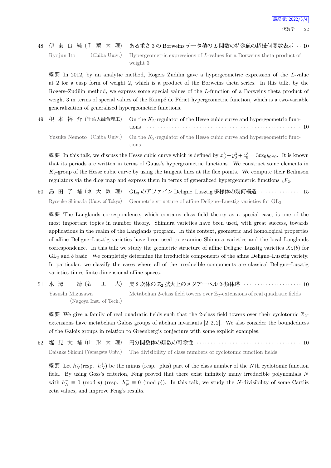48 伊 東 良 純 (千 葉 大 理) ある重さ 3 の Borweins テータ積の *L* 関数の特殊値の超幾何関数表示 *· ·* 10 Ryojun Ito (Chiba Univ.) Hypergeometric expressions of *L*-values for a Borweins theta product of weight 3

概 要 In 2012, by an analytic method, Rogers–Zudilin gave a hypergeometric expression of the *L*-value at 2 for a cusp form of weight 2, which is a product of the Borweins theta series. In this talk, by the Rogers–Zudilin method, we express some special values of the *L*-function of a Borweins theta product of weight 3 in terms of special values of the Kampé de Fériet hypergeometric function, which is a two-variable generalization of generalized hypergeometric functions.

|  | 49 根本 裕介 (千葉大融合理工) On the $K_2$ -regulator of the Hesse cubic curve and hypergeometric func-                   |
|--|----------------------------------------------------------------------------------------------------------------|
|  | Yusuke Nemoto (Chiba Univ.) On the $K_2$ -regulator of the Hesse cubic curve and hypergeometric func-<br>tions |

概要 In this talk, we discuss the Hesse cubic curve which is defined by  $x_0^3 + y_0^3 + z_0^3 = 3tx_0y_0z_0$ . It is known that its periods are written in terms of Gauss's hypergeometric functions. We construct some elements in *K*2-group of the Hesse cubic curve by using the tangent lines at the flex points. We compute their Beilinson regulators via the dlog map and express them in terms of generalized hypergeometric functions <sup>3</sup>*F*2.

50 島 田 了 輔 (東 大 数 理) GL<sup>3</sup> のアファイン Deligne–Lusztig 多様体の幾何構造 *· · · · · · · · · · · · · · ·* 15 Ryosuke Shimada (Univ. of Tokyo) Geometric structure of affine Deligne–Lusztig varieties for GL<sup>3</sup>

概 要 The Langlands correspondence, which contains class field theory as a special case, is one of the most important topics in number theory. Shimura varieties have been used, with great success, towards applications in the realm of the Langlands program. In this context, geometric and homological properties of affine Deligne–Lusztig varieties have been used to examine Shimura varieties and the local Langlands correspondence. In this talk we study the geometric structure of affine Deligne–Lusztig varieties  $X_{\lambda}(b)$  for GL<sup>3</sup> and *b* basic. We completely determine the irreducible components of the affine Deligne–Lusztig variety. In particular, we classify the cases where all of the irreducible components are classical Deligne–Lusztig varieties times finite-dimensional affine spaces.

51 水 澤 靖 (名 エ 大) 実2次体の Z<sub>2</sub> 拡大上のメタアーベル 2-類体塔 · · · · · · · · · · · · · · · · · · 10 Yasushi Mizusawa (Nagoya Inst. of Tech.) Metabelian 2-class field towers over  $\mathbb{Z}_2$ -extensions of real quadratic fields

概要 We give a family of real quadratic fields such that the 2-class field towers over their cyclotomic  $\mathbb{Z}_2$ extensions have metabelian Galois groups of abelian invariants [2, 2, 2]. We also consider the boundedness of the Galois groups in relation to Greenberg's conjecture with some explicit examples.

52 塩 見 大 輔 (山 形 大 理) 円分関数体の類数の可除性 *· · · · · · · · · · · · · · · · · · · · · · · · · · · · · · · · · · · · · ·* 10 Daisuke Shiomi (Yamagata Univ.) The divisibility of class numbers of cyclotomic function fields

概要 Let  $h_N^-(\text{resp. } h_N^+)$  be the minus (resp. plus) part of the class number of the *N*th cyclotomic function field. By using Goss's criterion, Feng proved that there exist infinitely many irreducible polynomials *N* with  $h_N^- \equiv 0 \pmod{p}$  (resp.  $h_N^+ \equiv 0 \pmod{p}$ ). In this talk, we study the *N*-divisibility of some Cartliz zeta values, and improve Feng's results.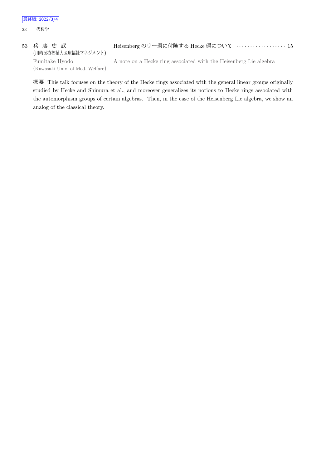23 代数学

53 兵 藤 史 武 (川崎医療福祉大医療福祉マネジメント) Heisenberg のリー環に付随する Hecke 環について *· · · · · · · · · · · · · · · · · ·* 15 Fumitake Hyodo (Kawasaki Univ. of Med. Welfare) A note on a Hecke ring associated with the Heisenberg Lie algebra

概 要 This talk focuses on the theory of the Hecke rings associated with the general linear groups originally studied by Hecke and Shimura et al., and moreover generalizes its notions to Hecke rings associated with the automorphism groups of certain algebras. Then, in the case of the Heisenberg Lie algebra, we show an analog of the classical theory.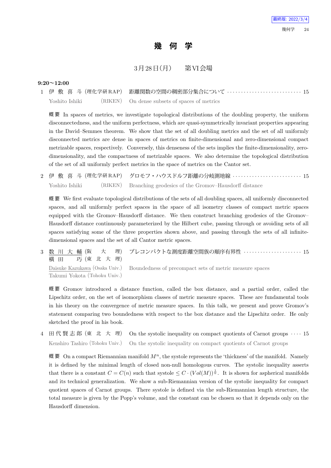# **幾 何 学**

## 3月28日 (月) 第VI会場

#### **9:20~12:00**

1 伊 敷 喜 斗 (理化学研 RAP) 距離関数の空間の稠密部分集合について *· · · · · · · · · · · · · · · · · · · · · · · · · · ·* 15 Yoshito Ishiki (RIKEN) On dense subsets of spaces of metrics

概 要 In spaces of metrics, we investigate topological distributions of the doubling property, the uniform disconnectedness, and the uniform perfectness, which are quasi-symmetrically invariant properties appearing in the David–Semmes theorem. We show that the set of all doubling metrics and the set of all uniformly disconnected metrics are dense in spaces of metrics on finite-dimensional and zero-dimensional compact metrizable spaces, respectively. Conversely, this denseness of the sets implies the finite-dimensionality, zerodimensionality, and the compactness of metrizable spaces. We also determine the topological distribution of the set of all uniformly perfect metrics in the space of metrics on the Cantor set.

2 伊 敷 喜 斗 (理化学研 RAP) グロモフ・ハウスドルフ距離の分岐測地線 *· · · · · · · · · · · · · · · · · · · · · · · · ·* 15 Yoshito Ishiki (RIKEN) Branching geodesics of the Gromov–Hausdorff distance

概 要 We first evaluate topological distributions of the sets of all doubling spaces, all uniformly disconnected spaces, and all uniformly perfect spaces in the space of all isometry classes of compact metric spaces equipped with the Gromov–Hausdorff distance. We then construct branching geodesics of the Gromov– Hausdorff distance continuously parameterized by the Hilbert cube, passing through or avoiding sets of all spaces satisfying some of the three properties shown above, and passing through the sets of all infinitedimensional spaces and the set of all Cantor metric spaces.

3 数 川 大 輔 (阪 大 理) 横 田 巧 (東 北 大 理) プレコンパクトな測度距離空間族の順序有界性 *· · · · · · · · · · · · · · · · · · · · ·* 15

Daisuke Kazukawa (Osaka Univ.) Takumi Yokota (Tohoku Univ.)

Boundedness of precompact sets of metric measure spaces

概 要 Gromov introduced a distance function, called the box distance, and a partial order, called the Lipschitz order, on the set of isomorphism classes of metric measure spaces. These are fundamental tools in his theory on the convergence of metric measure spaces. In this talk, we present and prove Gromov's statement comparing two boundedness with respect to the box distance and the Lipschitz order. He only sketched the proof in his book.

4 田 代 賢 志 郎 (東 北 大 理) On the systolic inequality on compact quotients of Carnot groups *· · · ·* 15 Kenshiro Tashiro (Tohoku Univ.) On the systolic inequality on compact quotients of Carnot groups

概 要 On a compact Riemannian manifold  $M^n$ , the systole represents the 'thickness' of the manifold. Namely it is defined by the minimal length of closed non-null homologous curves. The systolic inequality asserts that there is a constant  $C = C(n)$  such that systole  $\leq C \cdot (Vol(M))^{\frac{1}{n}}$ . It is shown for aspherical manifolds and its technical generalization. We show a sub-Riemannian version of the systolic inequality for compact quotient spaces of Carnot groups. There systole is defined via the sub-Riemannian length structure, the total measure is given by the Popp's volume, and the constant can be chosen so that it depends only on the Hausdorff dimension.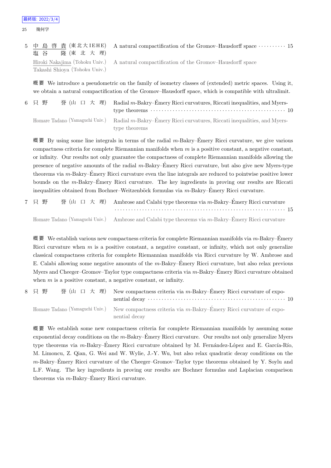| 塩谷 隆(東北大理)                    | 5 中 島 啓 貴 (東北大IEHE) A natural compactification of the Gromov-Hausdorff space ………… 15    |
|-------------------------------|-----------------------------------------------------------------------------------------|
| Takashi Shioya (Tohoku Univ.) | Hiroki Nakajima (Tohoku Univ.) A natural compactification of the Gromov-Hausdorff space |

概 要 We introduce a pseudometric on the family of isometry classes of (extended) metric spaces. Using it, we obtain a natural compactification of the Gromov–Hausdorff space, which is compatible with ultralimit.

| 6 只 野 | 誉 (山 口 大 理) Radial m-Bakry-Émery Ricci curvatures, Riccati inequalities, and Myers-                        |
|-------|------------------------------------------------------------------------------------------------------------|
|       |                                                                                                            |
|       | Homare Tadano (Yamaguchi Univ.) Radial $m$ -Bakry-Émery Ricci curvatures, Riccati inequalities, and Myers- |
|       | type theorems                                                                                              |

概 要 By using some line integrals in terms of the radial *m*-Bakry–Emery Ricci curvature, we give various ´ compactness criteria for complete Riemannian manifolds when *m* is a positive constant, a negative constant, or infinity. Our results not only guarantee the compactness of complete Riemannian manifolds allowing the presence of negative amounts of the radial *m*-Bakry–Emery Ricci curvature, but also give new Myers-type ´ theorems via *m*-Bakry–Emery Ricci curvature even the line integrals are reduced to pointwise positive lower ´ bounds on the *m*-Bakry–Emery Ricci curvature. The key ingredients in proving our results are Riccati ´ inequalities obtained from Bochner–Weitzenböck formulas via  $m$ -Bakry–Émery Ricci curvature.

|  |  | 7 只野 誉(山口大理) Ambrose and Calabi type theorems via m-Bakry-Émery Ricci curvature                       |  |
|--|--|-------------------------------------------------------------------------------------------------------|--|
|  |  |                                                                                                       |  |
|  |  | Homare Tadano (Yamaguchi Univ.) Ambrose and Calabi type theorems via $m$ -Bakry-Émery Ricci curvature |  |

概 要 We establish various new compactness criteria for complete Riemannian manifolds via *m*-Bakry–Emery ´ Ricci curvature when *m* is a positive constant, a negative constant, or infinity, which not only generalize classical compactness criteria for complete Riemannian manifolds via Ricci curvature by W. Ambrose and E. Calabi allowing some negative amounts of the *m*-Bakry–Emery Ricci curvature, but also relax previous ´ Myers and Cheeger–Gromov–Taylor type compactness criteria via *m*-Bakry–Emery Ricci curvature obtained ´ when *m* is a positive constant, a negative constant, or infinity.

| 8 只 野 |  | 誉 (山 口 大 理) New compactness criteria via m-Bakry–Émery Ricci curvature of expo-                                      |  |
|-------|--|----------------------------------------------------------------------------------------------------------------------|--|
|       |  | Homare Tadano (Yamaguchi Univ.) New compactness criteria via m-Bakry-Émery Ricci curvature of expo-<br>nential decay |  |

概 要 We establish some new compactness criteria for complete Riemannian manifolds by assuming some exponential decay conditions on the *m*-Bakry–Emery Ricci curvature. Our results not only generalize Myers ´ type theorems via *m*-Bakry–Émery Ricci curvature obtained by M. Fernández-López and E. García-Río, M. Limoncu, Z. Qian, G. Wei and W. Wylie, J.-Y. Wu, but also relax quadratic decay conditions on the *m*-Bakry–Emery Ricci curvature of the Cheeger–Gromov–Taylor type theorems obtained by Y. Soylu and ´ L.F. Wang. The key ingredients in proving our results are Bochner formulas and Laplacian comparison theorems via *m*-Bakry–Emery Ricci curvature. ´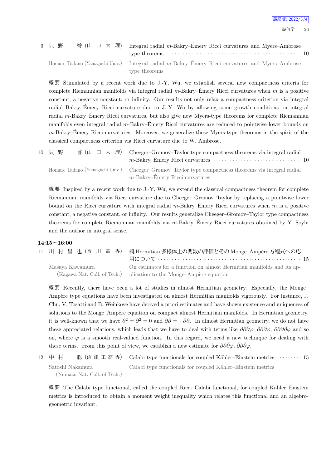## 9 只 野 誉 (山 口 大 理) Integral radial m-Bakry–Émery Ricci curvatures and Myers–Ambrose type theorems *· · · · · · · · · · · · · · · · · · · · · · · · · · · · · · · · · · · · · · · · · · · · · · · · ·* 10 Homare Tadano (Yamaguchi Univ.) Integral radial *m*-Bakry–Emery Ricci curvatures and Myers–Ambrose ´

type theorems

概 要 Stimulated by a recent work due to J.-Y. Wu, we establish several new compactness criteria for complete Riemannian manifolds via integral radial  $m$ -Bakry–Émery Ricci curvatures when  $m$  is a positive constant, a negative constant, or infinity. Our results not only relax a compactness criterion via integral radial Bakry–Emery Ricci curvature due to J.-Y. Wu by allowing some growth conditions on integral ´ radial *m*-Bakry–Emery Ricci curvatures, but also give new Myers-type theorems for complete Riemannian ´ manifolds even integral radial *m*-Bakry–Emery Ricci curvatures are reduced to pointwise lower bounds on ´ *m*-Bakry–Emery Ricci curvatures. Moreover, we generalize these Myers-type theorems in the spirit of the ´ classical compactness criterion via Ricci curvature due to W. Ambrose.

| 10 只野 |  | 誉 (山 口 大 理) Cheeger-Gromov-Taylor type compactness theorems via integral radial<br>$m$ -Bakry–Émery Ricci curvatures $\cdots \cdots \cdots \cdots \cdots \cdots \cdots \cdots \cdots 10$ |
|-------|--|------------------------------------------------------------------------------------------------------------------------------------------------------------------------------------------|
|       |  | Homare Tadano (Yamaguchi Univ.) Cheeger-Gromov-Taylor type compactness theorems via integral radial                                                                                      |

*m*-Bakry–Emery Ricci curvatures ´

概 要 Inspired by a recent work due to J.-Y. Wu, we extend the classical compactness theorem for complete Riemannian manifolds via Ricci curvature due to Cheeger–Gromov–Taylor by replacing a pointwise lower bound on the Ricci curvature with integral radial  $m$ -Bakry–Émery Ricci curvatures when  $m$  is a positive constant, a negative constant, or infinity. Our results generalize Cheeger–Gromov–Taylor type compactness theorems for complete Riemannian manifolds via *m*-Bakry–Emery Ricci curvatures obtained by Y. Soylu ´ and the author in integral sense.

#### **14:15~16:00**

| 11 川村昌也(香川高専)   | 概 Hermitian 多様体上の関数の評価とその Monge–Ampère 方程式への応                                                                                                |
|-----------------|----------------------------------------------------------------------------------------------------------------------------------------------|
| Masaya Kawamura | On estimates for a function on almost Hermitian manifolds and its ap-<br>(Kagawa Nat. Coll. of Tech.) plication to the Monge-Ampère equation |

概 要 Recently, there have been a lot of studies in almost Hermitian geometry. Especially, the Monge– Ampère type equations have been investigated on almost Hermitian manifolds vigorously. For instance, J. Chu, V. Tosatti and B. Weinkove have derived a priori estimates and have shown existence and uniqueness of solutions to the Monge–Ampère equation on compact almost Hermitian manifolds. In Hermitian geometry, it is well-known that we have  $\partial^2 = \bar{\partial}^2 = 0$  and  $\partial \bar{\partial} = -\bar{\partial} \partial$ . In almost Hermitian geometry, we do not have these appreciated relations, which leads that we have to deal with terms like  $\partial\partial\bar{\partial\varphi}$ ,  $\bar{\partial}\partial\bar{\partial\varphi}$ ,  $\partial\partial\partial\bar{\partial\varphi}$  and so on, where  $\varphi$  is a smooth real-valued function. In this regard, we need a new technique for dealing with these terms. From this point of view, we establish a new estimate for  $\partial \partial \bar{\partial} \varphi$ ,  $\bar{\partial} \partial \bar{\partial} \varphi$ .

```
12 中 村   聡 (沼 津 工 高 専) Calabi type functionals for coupled K¨ahler–Einstein metrics · · · · · · · · · 15
    Satoshi Nakamura
       (Numazu Nat. Coll. of Tech.)
                                    Calabi type functionals for coupled Kähler–Einstein metrics
```
概要 The Calabi type functional, called the coupled Ricci–Calabi functional, for coupled Kähler–Einstein metrics is introduced to obtain a moment weight inequality which relates this functional and an algebrogeometric invariant.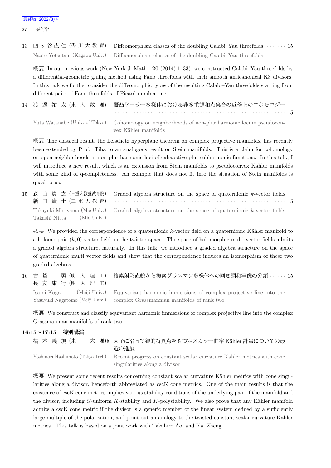27 幾何学

13 四ッ谷直仁 (香川大教育) Diffeomorphism classes of the doubling Calabi–Yau threefolds ······· 15 Naoto Yotsutani (Kagawa Univ.) Diffeomorphism classes of the doubling Calabi–Yau threefolds

概 要 In our previous work (New York J. Math. **20** (2014) 1–33), we constructed Calabi–Yau threefolds by a differential-geometric gluing method using Fano threefolds with their smooth anticanonical K3 divisors. In this talk we further consider the diffeomorphic types of the resulting Calabi–Yau threefolds starting from different pairs of Fano threefolds of Picard number one.

|  | 14 渡 邊 祐 太(東 大 数 理) 擬凸ケーラー多様体における非多重調和点集合の近傍上のコホモロジー                                               |  |
|--|----------------------------------------------------------------------------------------------------|--|
|  |                                                                                                    |  |
|  | Yuta Watanabe (Univ. of Tokyo) Cohomology on neighborhoods of non-pluriharmonic loci in pseudocon- |  |
|  | vex Kähler manifolds                                                                               |  |

概 要 The classical result, the Lefschetz hyperplane theorem on complex projective manifolds, has recently been extended by Prof. Tiba to an analogous result on Stein manifolds. This is a claim for cohomology on open neighborhoods in non-pluriharmonic loci of exhaustive plurisubharmonic functions. In this talk, I will introduce a new result, which is an extension from Stein manifolds to pseudoconvex Kähler manifolds with some kind of q-completeness. An example that does not fit into the situation of Stein manifolds is quasi-torus.

15 森 山 貴 之 (三重大教養教育院) 新 田 貴 士 (三 重 大 教 育) Graded algebra structure on the space of quaternionic *k*-vector fields *· · · · · · · · · · · · · · · · · · · · · · · · · · · · · · · · · · · · · · · · · · · · · · · · · · · · · · · · · · · · · ·* 15 Takayuki Moriyama (Mie Univ.) Takashi Nitta (Mie Univ.) Graded algebra structure on the space of quaternionic *k*-vector fields

概要 We provided the correspondence of a quaternionic *k*-vector field on a quaternionic Kähler manifold to a holomorphic  $(k, 0)$ -vector field on the twistor space. The space of holomorphic multi vector fields admits a graded algebra structure, naturally. In this talk, we introduce a graded algebra structure on the space of quaternionic multi vector fields and show that the correspondence induces an isomorphism of these two graded algebras.

16 古 賀 勇 (明 大 理 工) 長 友 康 行 (明 大 理 工) 複素射影直線から複素グラスマン多様体への同変調和写像の分類 *· · · · · ·* 15 Isami Koga (Meiji Univ.) Yasuyuki Nagatomo (Meiji Univ.) Equivariant harmonic immersions of complex projective line into the complex Grassmannian manifolds of rank two

概 要 We construct and classify equivariant harmonic immersions of complex projective line into the complex Grassmannian manifolds of rank two.

#### **16:15~17:15 特別講演**

橋 本 義 規 (東 工 大 理)*♭* 因子に沿って錐的特異点をもつ定スカラー曲率 K¨ahler 計量についての最 近の進展 Yoshinori Hashimoto (Tokyo Tech) Recent progress on constant scalar curvature Kähler metrics with cone singularities along a divisor

概要 We present some recent results concerning constant scalar curvature Kähler metrics with cone singularities along a divisor, henceforth abbreviated as cscK cone metrics. One of the main results is that the existence of cscK cone metrics implies various stability conditions of the underlying pair of the manifold and the divisor, including *G*-uniform *K*-stability and *K*-polystability. We also prove that any Kähler manifold admits a cscK cone metric if the divisor is a generic member of the linear system defined by a sufficiently large multiple of the polarisation, and point out an analogy to the twisted constant scalar curvature Kähler metrics. This talk is based on a joint work with Takahiro Aoi and Kai Zheng.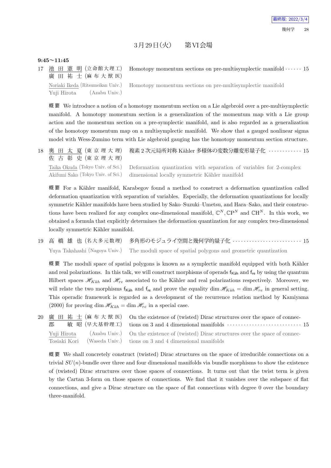## $3 \frac{1}{29}$ 日 $(\frac{\mathcal{X}}{\mathcal{X}})$  第 VI会場

#### **9:45~11:45**

17 池 田 憲 明 (立命館大理工) 廣 田祐士 (麻布大獣医) Homotopy momentum sections on pre-multisymplectic manifold *· · · · · ·* 15 Noriaki Ikeda (Ritsumeikan Univ.) Yuji Hirota (Azabu Univ.) Homotopy momentum sections on pre-multisymplectic manifold

概 要 We introduce a notion of a homotopy momentum section on a Lie algebroid over a pre-multisymplectic manifold. A homotopy momentum section is a generalization of the momentum map with a Lie group action and the momentum section on a pre-symplectic manifold, and is also regarded as a generalization of the homotopy momentum map on a multisymplectic manifold. We show that a gauged nonlinear sigma model with Wess-Zumino term with Lie algebroid gauging has the homotopy momentum section structure.

18 奥 田 太 夏 (東 京 理 大 理) 佐 古 彰 史 (東 京 理 大 理) 複素 2 次元局所対称 Kähler 多様体の変数分離変形量子化 ············ 15 Taika Okuda (Tokyo Univ. of Sci.) Akifumi Sako (Tokyo Univ. of Sci.) Deformation quantization with separation of variables for 2-complex dimensional locally symmetric Kähler manifold

概要 For a Kähler manifold, Karabegov found a method to construct a deformation quantization called deformation quantization with separation of variables. Especially, the deformation quantizations for locally symmetric Kähler manifolds have been studied by Sako–Suzuki–Umetsu, and Hara–Sako, and their constructions have been realized for any complex one-dimensional manifold,  $\mathbb{C}^N$ ,  $\mathbb{C}P^N$  and  $\mathbb{C}H^N$ . In this work, we obtained a formula that explicitly determines the deformation quantization for any complex two-dimensional locally symmetric Kähler manifold.

19 高 橋 雄 也 (名 大 多 元 数 理) 多角形のモジュライ空間と幾何学的量子化 *· · · · · · · · · · · · · · · · · · · · · · · · ·* 15 Yuya Takahashi (Nagoya Univ.) The moduli space of spatial polygons and geometric quantization

概要 The moduli space of spatial polygons is known as a symplectic manifold equipped with both Kähler and real polarizations. In this talk, we will construct morphisms of operads  $f_{Käh}$  and  $f_{re}$  by using the quantum Hilbert spaces  $\mathscr{H}_{Kah}$  and  $\mathscr{H}_{re}$  associated to the Kähler and real polarizations respectively. Moreover, we will relate the two morphisms  $f_{\text{Käh}}$  and  $f_{\text{re}}$  and prove the equality dim  $\mathscr{H}_{Käh} = \dim \mathscr{H}_{re}$  in general setting. This operadic framework is regarded as a development of the recurrence relation method by Kamiyama (2000) for proving dim  $\mathcal{H}_{K\ddot{a}h} = \dim \mathcal{H}_{re}$  in a special case.

20 廣 田 祐 士 (麻 布 大 獣 医) 郡 敏昭 (早大基幹理工) On the existence of (twisted) Dirac structures over the space of connections on 3 and 4 dimensional manifolds *· · · · · · · · · · · · · · · · · · · · · · · · · · ·* 15 Yuji Hirota (Azabu Univ.) Tosiaki Kori (Waseda Univ.) On the existence of (twisted) Dirac structures over the space of connections on 3 and 4 dimensional manifolds

概 要 We shall concretely construct (twisted) Dirac structures on the space of irreducible connections on a trivial *SU*(*n*)-bundle over three and four dimensional manifolds via bundle morphisms to show the existence of (twisted) Dirac structures over those spaces of connections. It turns out that the twist term is given by the Cartan 3-form on those spaces of connections. We find that it vanishes over the subspace of flat connections, and give a Dirac structure on the space of flat connections with degree 0 over the boundary three-manifold.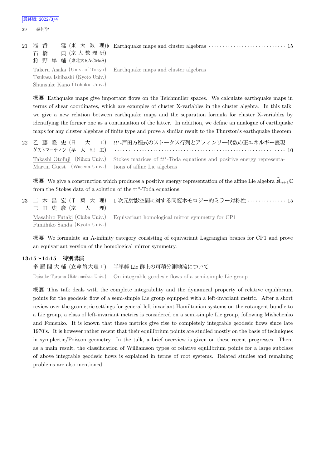| 21 | 浅 香<br>典 (京大数理研)<br>石 橋<br>狩 野 隼 輔 (東北大RACMaS) | 猛 (東 大 数 理) Earthquake maps and cluster algebras $\cdots \cdots \cdots \cdots \cdots \cdots \cdots \cdots$ 15 |
|----|------------------------------------------------|---------------------------------------------------------------------------------------------------------------|
|    | Tsukasa Ishibashi (Kyoto Univ.)                | Takeru Asaka (Univ. of Tokyo) Earthquake maps and cluster algebras                                            |
|    | Shunsuke Kano (Tohoku Univ.)                   |                                                                                                               |

概 要 Eathquake maps give important flows on the Teichmuller spaces. We calculate earthquake maps in terms of shear coordinates, which are examples of cluster X-variables in the cluster algebra. In this talk, we give a new relation between earthquake maps and the separation formula for cluster X-variables by identifying the former one as a continuation of the latter. In addition, we define an analogue of earthquake maps for any cluster algebras of finite type and prove a similar result to the Thurston's earthquake theorem.

22 乙 藤 隆 史 (日 大 工) ゲストマーティン (早 大 理 工) *tt∗* -戸田方程式のストークス行列とアフィンリー代数の正エネルギー表現 *· · · · · · · · · · · · · · · · · · · · · · · · · · · · · · · · · · · · · · · · · · · · · · · · · · · · · · · · · · · · · ·* 10 Takashi Otofuji (Nihon Univ.) Martin Guest (Waseda Univ.) Stokes matrices of  $tt^*$ -Toda equations and positive energy representations of affine Lie algebras

概 要 We give a construction which produces a positive energy representation of the affine Lie algebra  $\widehat{\mathfrak{sl}}_{n+1}\mathbb{C}$ from the Stokes data of a solution of the tt\*-Toda equations.

23 二 木 昌 宏 (千 葉 大 理) 三 田 史 彦 (京 大 理) 1 次元射影空間に対する同変ホモロジー的ミラー対称性 *· · · · · · · · · · · · · ·* 15 Masahiro Futaki (Chiba Univ.) Fumihiko Sanda (Kyoto Univ.) Equivariant homological mirror symmetry for CP1

概 要 We formulate an A-infinity category consisting of equivariant Lagrangian branes for CP1 and prove an equivariant version of the homological mirror symmetry.

#### **13:15~14:15 特別講演**

多 羅 間 大 輔 (立 命 館 大 理 工) 半単純 Lie 群上の可積分測地流について Daisuke Tarama (Ritsumeikan Univ.) On integrable geodesic flows of a semi-simple Lie group

概 要 This talk deals with the complete integrability and the dynamical property of relative equilibrium points for the geodesic flow of a semi-simple Lie group equipped with a left-invariant metric. After a short review over the geometric settings for general left-invariant Hamiltonian systems on the cotangent bundle to a Lie group, a class of left-invariant metrics is considered on a semi-simple Lie group, following Mishchenko and Fomenko. It is known that these metrics give rise to completely integrable geodesic flows since late 1970's. It is however rather recent that their equilibrium points are studied mostly on the basis of techniques in symplectic/Poisson geometry. In the talk, a brief overview is given on these recent progresses. Then, as a main result, the classification of Williamson types of relative equilibrium points for a large subclass of above integrable geodesic flows is explained in terms of root systems. Related studies and remaining problems are also mentioned.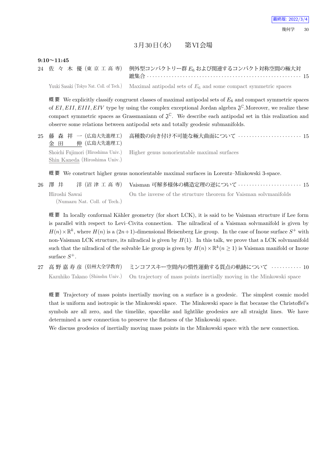## $3\bar{H}$  $30\,$   $\rm H$  $($ 水)  $\ddot{H}$   $\rm W$   $\hat{\otimes}$   $\ddot{\otimes}$

#### **9:10~11:45**

|  |  |  | 24 佐 々 木 優 (東 京 工 高 専) 例外型コンパクトリー群 E6 および関連するコンパクト対称空間の極大対 |  |
|--|--|--|------------------------------------------------------------|--|
|  |  |  |                                                            |  |

Yuuki Sasaki (Tokyo Nat. Coll. of Tech.) Maximal antipodal sets of  $E_6$  and some compact symmetric spaces

概 要 We explicitly classify congruent classes of maximal antipodal sets of  $E_6$  and compact symmetric spaces of  $EI, EII, EIII, EIV$  type by using the complex exceptional Jordan algebra  $\mathfrak{J}^{\mathbb{C}}$ . Moreover, we realize these compact symmetric spaces as Grassmaniann of  $\mathfrak{J}^{\mathbb{C}}$ . We describe each antipodal set in this realization and observe some relations between antipodal sets and totally geodesic submanifolds.

25 藤 森 祥 一 (広島大先進理工) 金 田 伸 (広島大先進理工) 高種数の向き付け不可能な極大曲面について *· · · · · · · · · · · · · · · · · · · · · · ·* 15 Shoichi Fujimori (Hiroshima Univ.) Shin Kaneda (Hiroshima Univ.) Higher genus nonorientable maximal surfaces

概 要 We construct higher genus nonorientable maximal surfaces in Lorentz–Minkowski 3-space.

| 26 澤 井                       |  |                                                                   |
|------------------------------|--|-------------------------------------------------------------------|
| Hiroshi Sawai                |  | On the inverse of the structure theorem for Vaisman solvmanifolds |
| (Numazu Nat. Coll. of Tech.) |  |                                                                   |

概要 In locally conformal Kähler geometry (for short LCK), it is said to be Vaisman structure if Lee form is parallel with respect to Levi–Civita connection. The nilradical of a Vaisman solvmanifold is given by  $H(n) \times \mathbb{R}^k$ , where  $H(n)$  is a  $(2n+1)$ -dimensional Heisenberg Lie group. In the case of Inoue surface  $S^+$  with non-Vaisman LCK structure, its nilradical is given by *H*(1). In this talk, we prove that a LCK solvmanifold such that the nilradical of the solvable Lie group is given by  $H(n) \times \mathbb{R}^k$  ( $n \geq 1$ ) is Vaisman manifold or Inoue surface *S* +.

27 高 野 嘉 寿 彦 (信州大全学教育) ミンコフスキー空間内の慣性運動する質点の軌跡について *· · · · · · · · · · ·* 10 Kazuhiko Takano (Shinshu Univ.) On trajectory of mass points inertially moving in the Minkowski space

概 要 Trajectory of mass points inertially moving on a surface is a geodesic. The simplest cosmic model that is uniform and isotropic is the Minkowski space. The Minkowski space is flat because the Christoffel's symbols are all zero, and the timelike, spacelike and lightlike geodesics are all straight lines. We have determined a new connection to preserve the flatness of the Minkowski space.

We discuss geodesics of inertially moving mass points in the Minkowski space with the new connection.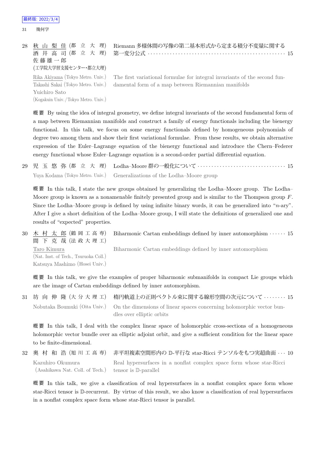31 幾何学

#### 28 秋 山 梨 佳 (都 立 大 理) 酒 井 高 司 (都 立 大 理) 佐 藤 雄 一 郎 Riemann 多様体間の写像の第二基本形式から定まる積分不変量に関する 第一変分公式 *· · · · · · · · · · · · · · · · · · · · · · · · · · · · · · · · · · · · · · · · · · · · · · · · · ·* 15

(工学院大学習支援センター・都立大理)

Rika Akiyama (Tokyo Metro. Univ.) Takashi Sakai (Tokyo Metro. Univ.) Yuichiro Sato (Kogakuin Univ. /Tokyo Metro. Univ.) The first variational formulae for integral invariants of the second fundamental form of a map between Riemannian manifolds

概 要 By using the idea of integral geometry, we define integral invariants of the second fundamental form of a map between Riemannian manifolds and construct a family of energy functionals including the bienergy functional. In this talk, we focus on some energy functionals defined by homogeneous polynomials of degree two among them and show their first variational formulae. From these results, we obtain alternative expression of the Euler–Lagrange equation of the bienergy functional and introduce the Chern–Federer energy functional whose Euler–Lagrange equation is a second-order partial differential equation.

29 児 玉 悠 弥 (都 立 大 理) Lodha–Moore 群の一般化について *· · · · · · · · · · · · · · · · · · · · · · · · · · · · · · · ·* 15 Yuya Kodama (Tokyo Metro. Univ.) Generalizations of the Lodha–Moore group

概 要 In this talk, I state the new groups obtained by generalizing the Lodha–Moore group. The Lodha– Moore group is known as a nonamenable finitely presented group and is similar to the Thompson group *F*. Since the Lodha–Moore group is defined by using infinite binary words, it can be generalized into "*n*-ary". After I give a short definition of the Lodha–Moore group, I will state the definitions of generalized one and results of "expected" properties.

30 木 村 太 郎 (鶴 岡 工 高 専) 間 下 克 哉 (法 政 大 理 工) Biharmonic Cartan embeddings defined by inner automorphism *· · · · · ·* 15 Taro Kimura (Nat. Inst. of Tech., Tsuruoka Coll.) Katsuya Mashimo (Hosei Univ.) Biharmonic Cartan embeddings defined by inner automorphism

概 要 In this talk, we give the examples of proper biharmonic submanifolds in compact Lie groups which are the image of Cartan embeddings defined by inner automorphism.

31 坊 向 伸 隆 (大 分 大 理 工) 楕円軌道上の正則ベクトル束に関する線形空間の次元について *· · · · · · · ·* 15 Nobutaka Boumuki (Oita Univ.) On the dimensions of linear spaces concerning holomorphic vector bundles over elliptic orbits

概 要 In this talk, I deal with the complex linear space of holomorphic cross-sections of a homogeneous holomorphic vector bundle over an elliptic adjoint orbit, and give a sufficient condition for the linear space to be finite-dimensional.

32 奥 村 和 浩 (旭 川 工 高 専) 非平坦複素空間形内の D-平行な star-Ricci テンソルをもつ実超曲面 *· · ·* 10 Kazuhiro Okumura (Asahikawa Nat. Coll. of Tech.) Real hypersurfaces in a nonflat complex space form whose star-Ricci tensor is D-parallel

概要 In this talk, we give a classification of real hypersurfaces in a nonflat complex space form whose star-Ricci tensor is D-recurrent. By virtue of this result, we also know a classification of real hypersurfaces in a nonflat complex space form whose star-Ricci tensor is parallel.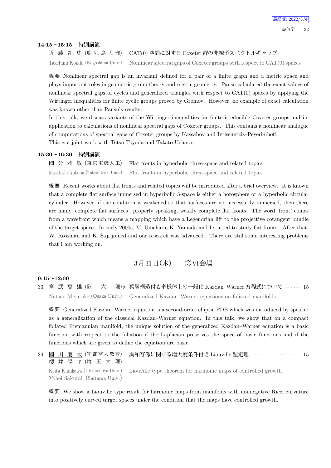#### **14:15~15:15 特別講演**

近 藤 剛 史 (鹿 児 島 大 理) CAT(0) 空間に対する Coxeter 群の非線形スペクトルギャップ

Takefumi Kondo (Kagoshima Univ.) Nonlinear spectral gaps of Coxeter groups with respect to CAT(0) spaces

概 要 Nonlinear spectral gap is an invariant defined for a pair of a finite graph and a metric space and plays important roles in geometric group theory and metric geometry. Pansu calculated the exact values of nonlinear spectral gaps of cycles and generalized triangles with respect to CAT(0) spaces by applying the Wirtinger inequalities for finite cyclic groups proved by Gromov. However, no example of exact calculation was known other than Pansu's results.

In this talk, we discuss variants of the Wirtinger inequalities for finite irreducible Coveter groups and its application to calculations of nonlinear spectral gaps of Coxeter groups. This contains a nonlinear analogue of computations of spectral gaps of Coxeter groups by Kassabov and Ivrissimtzis–Peyerimhoff. This is a joint work with Tetsu Toyoda and Takato Uehara.

#### **15:30~16:30 特別講演**

| 國 分 雅 敏 (東京電機大工) Flat fronts in hyperbolic three-space and related topics                     |
|-----------------------------------------------------------------------------------------------|
| Masatoshi Kokubu (Tokyo Denki Univ.) Flat fronts in hyperbolic three-space and related topics |

概 要 Recent works about flat fronts and related topics will be introduced after a brief overview. It is known that a complete flat surface immersed in hyperbolic 3-space is either a horosphere or a hyperbolic circular cylinder. However, if the condition is weakened so that surfaces are not necessarily immersed, then there are many 'complete flat surfaces', properly speaking, weakly complete flat fronts. The word 'front' comes from a wavefront which means a mapping which have a Legendrian lift to the projective cotangent bundle of the target space. In early 2000s, M. Umehara, K. Yamada and I started to study flat fronts. After that, W. Rossman and K. Saji joined and our research was advanced. There are still some interesting problems that I am working on.

### $3\overline{H}31\overline{H}$  (木) 第VI会場

#### **9:15~12:00**

33 宮 武 夏 雄 (阪 大 理)*♭* 葉層構造付き多様体上の一般化 Kazdan–Warner 方程式について *· · · · · ·* 15 Natsuo Miyatake (Osaka Univ.) Generalized Kazdan–Warner equations on foliated manifolds

概 要 Generalized Kazdan–Warner equation is a second-order elliptic PDE which was introduced by speaker as a generalization of the classical Kazdan–Warner equation. In this talk, we show that on a compact foliated Riemannian manifold, the unique solution of the generalized Kazdan–Warner equation is a basic function with respect to the foliation if the Laplacian preserves the space of basic functions and if the functions which are given to define the equation are basic.

34 國 川 慶 太 (宇都宮大教育) 櫻 井 陽 平 (埼 玉 大 理) 調和写像に関する増大度条件付き Liouville 型定理 *· · · · · · · · · · · · · · · · · ·* 15 Keita Kunikawa (Utsunomiya Univ.) Yohei Sakurai (Saitama Univ.) Liouville type theorem for harmonic maps of controlled growth

概 要 We show a Liouville type result for harmonic maps from manifolds with nonnegative Ricci curvature into positively curved target spaces under the condition that the maps have controlled growth.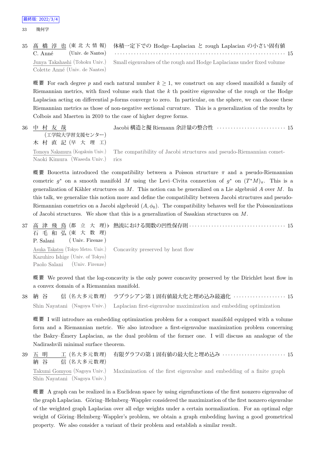33 幾何学

|                                | 35 髙 橋 淳 也 (東 北 大 情 報) 体積一定下での Hodge-Laplacian と rough Laplacian の小さい固有値                                                                                    |
|--------------------------------|-------------------------------------------------------------------------------------------------------------------------------------------------------------|
| C. Anné                        | (Univ. de Nantes) $\cdots$ $\cdots$ $\cdots$ $\cdots$ $\cdots$ $\cdots$ $\cdots$ $\cdots$ $\cdots$ $\cdots$ $\cdots$ $\cdots$ $\cdots$ $\cdots$ $\cdots$ 15 |
|                                | Junya Takahashi (Tohoku Univ.) Small eigenvalues of the rough and Hodge Laplacians under fixed volume                                                       |
| Colette Anné (Univ. de Nantes) |                                                                                                                                                             |

概要 For each degree p and each natural number  $k \geq 1$ , we construct on any closed manifold a family of Riemannian metrics, with fixed volume such that the *k* th positive eigenvalue of the rough or the Hodge Laplacian acting on differential *p*-forms converge to zero. In particular, on the sphere, we can choose these Riemannian metrics as those of non-negative sectional curvature. This is a generalization of the results by Colbois and Maerten in 2010 to the case of higher degree forms.

36 中 村 友 哉 (工学院大学習支援センター) 木 村 直 記 (早 大 理 工) Jacobi 構造と擬 Riemann 余計量の整合性 *· · · · · · · · · · · · · · · · · · · · · · · · ·* 15 Tomoya Nakamura (Kogakuin Univ.) Naoki Kimura (Waseda Univ.) The compatibility of Jacobi structures and pseudo-Riemannian cometrics

概 要 Boucetta introduced the compatibility between a Poisson structure *π* and a pseudo-Riemannian cometric  $g^*$  on a smooth manifold M using the Levi–Civita connection of  $g^*$  on  $(T^*M)_{\pi}$ . This is a generalization of Kähler structures on *M*. This notion can be generalized on a Lie algebroid *A* over *M*. In this talk, we generalize this notion more and define the compatibility between Jacobi structures and pseudo-Riemannian cometrics on a Jacobi algebroid  $(A, \phi_0)$ . The compatibility behaves well for the Poissonizations of Jacobi structures. We show that this is a generalization of Sasakian structures on *M*.

37 高 津 飛 鳥 (都 立 大 理) *♭* 熱流における関数の凹性保存則 *· · · · · · · · · · · · · · · · · · · · · · · · · · · · · · · · · · ·* 15 石 毛 和 弘 (東 大 数 理) P. Salani ( Univ. Firenze ) Asuka Takatsu (Tokyo Metro. Univ.) Kazuhiro Ishige (Univ. of Tokyo) Paolo Salani (Univ. Firenze) Concavity preserved by heat flow

概要 We proved that the log-concavity is the only power concavity preserved by the Dirichlet heat flow in a convex domain of a Riemannian manifold.

| 38 納 谷 | 信(名大多元数理) ラプラシアン第1固有値最大化と埋め込み最適化 ・・・・・・・・・・・・・・・・15                                             |
|--------|-------------------------------------------------------------------------------------------------|
|        | Shin Nayatani (Nagoya Univ.) Laplacian first-eigenvalue maximization and embedding optimization |

概 要 I will introduce an embedding optimization problem for a compact manifold equipped with a volume form and a Riemannian metric. We also introduce a first-eigenvalue maximization problem concerning the Bakry–Emery Laplacian, as the dual problem of the former one. I will discuss an analogue of the ´ Nadirashvili minimal surface theorem.

39 五 明 工 (名大多元数理) 納 谷 信 (名大多元数理) 有限グラフの第 1 固有値の最大化と埋め込み *· · · · · · · · · · · · · · · · · · · · · · ·* 15 Takumi Gomyou (Nagoya Univ.) Shin Nayatani (Nagoya Univ.) Maximization of the first eigenvalue and embedding of a finite graph

概 要 A graph can be realized in a Euclidean space by using eigenfunctions of the first nonzero eigenvalue of the graph Laplacian. Göring–Helmberg–Wappler considered the maximization of the first nonzero eigenvalue of the weighted graph Laplacian over all edge weights under a certain normalization. For an optimal edge weight of Göring–Helmberg–Wappler's problem, we obtain a graph embedding having a good geometrical property. We also consider a variant of their problem and establish a similar result.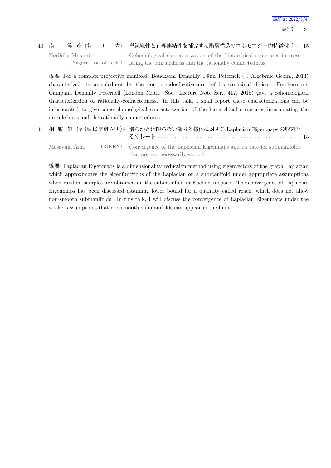## 40 南 範 彦 (名 工 大) 単線織性と有理連結性を補完する階層構造のコホモロジー的特徴付け *· ·* 15 Norihiko Minami

(Nagoya Inst. of Tech.)

Cohomological characterization of the hierarchical structures interpolating the uniruledness and the rationally connectedness

概要 For a complex projective manifold, Boucksom–Demailly–Păun–Peternell (J. Algebraic Geom., 2013) characterized its uniruledness by the non pseudoeffectivesness of its canocinal divisor. Furthermore, Campana–Demailly–Peternell (London Math. Soc. Lecture Note Ser., 417, 2015) gave a cohomological characterization of rationally-connectedness. In this talk, I shall report these characterizations can be interporated to give some chomological characterization of the hierarchical structures interpolating the uniruledness and the rationally connectedness.

|               | 41 相 野 眞 行 (理化学研AIP)b 滑らかとは限らない部分多様体に対する Laplacian Eigenmaps の収束と            |  |
|---------------|------------------------------------------------------------------------------|--|
| Masayuki Aino | (RIKEN) Convergence of the Laplacian Eigenmaps and its rate for submanifolds |  |
|               | that are not necessarily smooth                                              |  |

概 要 Laplacian Eigenmaps is a dimensionality reduction method using eigenvectors of the graph Laplacian which approximates the eigenfunctions of the Laplacian on a submanifold under appropriate assumptions when random samples are obtained on the submanifold in Euclidean space. The convergence of Laplacian Eigenmaps has been discussed assuming lower bound for a quantity called reach, which does not allow non-smooth submanifolds. In this talk, I will discuss the convergence of Laplacian Eigenmaps under the weaker assumptions that non-smooth submanifolds can appear in the limit.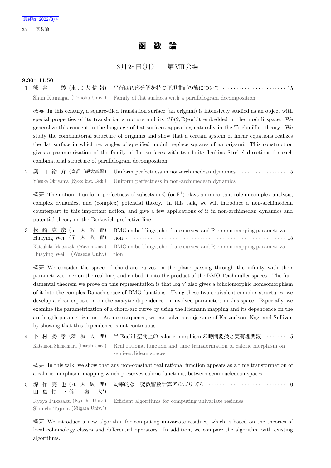## **函 数 論**

## $3\overline{H}$  $28\overline{H}$  $(\overline{H})$  第VIII会場

#### **9:30~11:50**

1 熊 谷 駿 (東 北 大 情 報) 平行四辺形分解を持つ平坦曲面の族について *· · · · · · · · · · · · · · · · · · · · · · ·* 15 Shun Kumagai (Tohoku Univ.) Family of flat surfaces with a parallelogram decomposition

概 要 In this century, a square-tiled translation surface (an origami) is intensively studied as an object with special properties of its translation structure and its *SL*(2*,* R)-orbit embedded in the moduli space. We generalize this concept in the language of flat surfaces appearing naturally in the Teichmüller theory. We study the combinatorial structure of origamis and show that a certain system of linear equations realizes the flat surface in which rectangles of specified moduli replace squares of an origami. This construction gives a parametrization of the family of flat surfaces with two finite Jenkins–Strebel directions for each combinatorial structure of parallelogram decomposition.

2 奥 山 裕 介 (京都工繊大基盤) Uniform perfectness in non-archimedean dynamics *· · · · · · · · · · · · · · · · ·* 15 Yûsuke Okuyama (Kyoto Inst. Tech.) Uniform perfectness in non-archimedean dynamics

概要 The notion of uniform perfectness of subsets in  $\mathbb C$  (or  $\mathbb P^1$ ) plays an important role in complex analysis, complex dynamics, and (complex) potential theory. In this talk, we will introduce a non-archimedean counterpart to this important notion, and give a few applications of it in non-archimedan dynamics and potential theory on the Berkovich projective line.

3 松 崎 克 彦 (早 大 教 育) Huaying Wei (早 大 教 育) BMO embeddings, chord-arc curves, and Riemann mapping parametrization *· · · · · · · · · · · · · · · · · · · · · · · · · · · · · · · · · · · · · · · · · · · · · · · · · · · · · · · · · ·* 15 Katsuhiko Matsuzaki (Waseda Univ.) Huaying Wei (Waseda Univ.) BMO embeddings, chord-arc curves, and Riemann mapping parametrization

概 要 We consider the space of chord-arc curves on the plane passing through the infinity with their parametrization  $\gamma$  on the real line, and embed it into the product of the BMO Teichmüller spaces. The fundamental theorem we prove on this representation is that log *γ ′* also gives a biholomorphic homeomorphism of it into the complex Banach space of BMO functions. Using these two equivalent complex structures, we develop a clear exposition on the analytic dependence on involved parameters in this space. Especially, we examine the parametrization of a chord-arc curve by using the Riemann mapping and its dependence on the arc-length parametrization. As a consequence, we can solve a conjecture of Katznelson, Nag, and Sullivan by showing that this dependence is not continuous.

4 下 村 勝 孝 (茨 城 大 理) 半 Euclid 空間上の caloric morphism の時間変換と実有理関数 *· · · · · · · ·* 15 Katsunori Shimomura (Ibaraki Univ.) Real rational function and time transformation of caloric morphism on semi-euclidean spaces

概 要 In this talk, we show that any non-constant real rational function appears as a time transformation of a caloric morphism, mapping which preserves caloric functions, between semi-eucledean spaces.

| 田島慎一(新 潟 大*)                     | 5 深 作 亮 也 (九 大 数 理) 効率的な一変数留数計算アルゴリズム ・・・・・・・・・・・・・・・・・・・・・・・・・・10                   |
|----------------------------------|--------------------------------------------------------------------------------------|
| Shinichi Tajima (Niigata Univ.*) | Ryoya Fukasaku (Kyushu Univ.) Efficient algorithms for computing univariate residues |

概 要 We introduce a new algorithm for computing univariate residues, which is based on the theories of local cohomology classes and differential operators. In addition, we compare the algorithm with existing algorithms.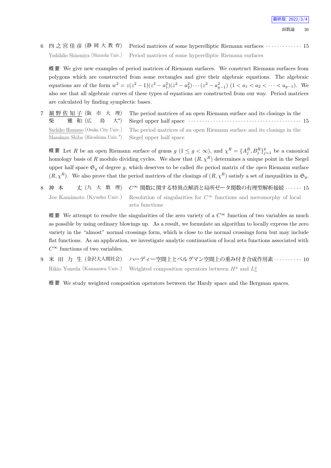6 四 之 宮 佳 彦 (静 岡 大 教 育) Period matrices of some hyperelliptic Riemann surfaces *· · · · · · · · · · · · ·* 15 Yoshihiko Shinomiya (Shizuoka Univ.) Period matrices of some hyperelliptic Riemann surfaces

概 要 We give new examples of period matrices of Riemann surfaces. We construct Riemann surfaces from polygons which are constructed from some rectangles and give their algebraic equations. The algebraic equations are of the form  $w^2 = z(z^2 - 1)(z^2 - a_1^2)(z^2 - a_2^2) \cdots (z^2 - a_{g-1}^2)$   $(1 < a_1 < a_2 < \cdots < a_{g-1})$ . We also see that all algebraic curves of these types of equations are constructed from our way. Period matrices are calculated by finding symplectic bases.

7 濵 野 佐 知 子 (阪 市 大 理) 柴 雅 和 (広 島 大*<sup>⋆</sup>* 大\*) The period matrices of an open Riemann surface and its closings in the Siegel upper half space *· · · · · · · · · · · · · · · · · · · · · · · · · · · · · · · · · · · · · · · · ·* 15 Sachiko Hamano (Osaka City Univ.) Masakazu Shiba (Hiroshima Univ.*<sup>⋆</sup>* ) The period matrices of an open Riemann surface and its closings in the Siegel upper half space

概要 Let R be an open Riemann surface of genus  $g(1 \leq g < \infty)$ , and  $\chi^R = \{A_j^R, B_j^R\}_{j=1}^g$  be a canonical homology basis of *R* modulo dividing cycles. We show that  $(R, \chi^R)$  determines a unique point in the Siegel upper half space  $\mathfrak{S}_q$  of degree g, which deserves to be called *the* period matrix of the *open* Riemann surface  $(R, \chi^R)$ . We also prove that the period matrices of the closings of  $(R, \chi^R)$  satisfy a set of inequalities in  $\mathfrak{S}_q$ .

8 神 本 丈 (九 大 数 理) *C<sup>∞</sup>* 関数に関する特異点解消と局所ゼータ関数の有理型解析接続 *· · · · · ·* 15 Joe Kamimoto (Kyushu Univ.) Resolution of singularities for  $C^{\infty}$  functions and meromorphy of local zeta functions

概 要 We attempt to resolve the singularities of the zero variety of a *C<sup>∞</sup>* function of two variables as much as possible by using ordinary blowings up. As a result, we formulate an algorithm to locally express the zero variety in the "almost" normal crossings form, which is close to the normal crossings form but may include flat functions. As an application, we investigate analytic continuation of local zeta functions associated with  $C^{\infty}$  functions of two variables.

9 米 田 力 生 (金沢大人間社会) ハーディー空間上とベルグマン空間上の重み付き合成作用素 *· · · · · · · · · ·* 10 Rikio Yoneda (Kanazawa Univ.) Weighted composition operators between  $H^p$  and  $L^q_a$ 

概 要 We study weighted composition operators between the Hardy space and the Bergman spaces.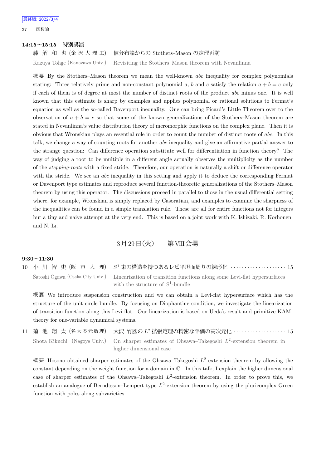37 函数論

#### **14:15~15:15 特別講演**

藤 解 和 也 (金 沢 大 理 工) 値分布論からの Stothers–Mason の定理再訪

Kazuya Tohge (Kanazawa Univ.) Revisiting the Stothers–Mason theorem with Nevanlinna

概 要 By the Stothers–Mason theorem we mean the well-known *abc* inequality for complex polynomials stating: Three relatively prime and non-constant polynomial a, b and c satisfy the relation  $a + b = c$  only if each of them is of degree at most the number of distinct roots of the product *abc* minus one. It is well known that this estimate is sharp by examples and applies polynomial or rational solutions to Fermat's equation as well as the so-called Davenport inequality. One can bring Picard's Little Theorem over to the observation of  $a + b = c$  so that some of the known generalizations of the Stothers–Mason theorem are stated in Nevanlinna's value distribution theory of meromorphic functions on the complex plane. Then it is obvious that Wronskian plays an essential role in order to count the number of distinct roots of *abc*. In this talk, we change a way of counting roots for another *abc* inequality and give an affirmative partial answer to the strange question: Can difference operation substitute well for differentiation in function theory? The way of judging a root to be multiple in a different angle actually observes the multiplicity as the number of the *stepping-roots* with a fixed stride. Therefore, our operation is naturally a shift or difference operator with the stride. We see an *abc* inequality in this setting and apply it to deduce the corresponding Fermat or Davenport type estimates and reproduce several function-theoretic generalizations of the Stothers–Mason theorem by using this operator. The discussions proceed in parallel to those in the usual differential setting where, for example, Wronskian is simply replaced by Casoratian, and examples to examine the sharpness of the inequalities can be found in a simple translation rule. These are all for entire functions not for integers but a tiny and naive attempt at the very end. This is based on a joint work with K. Ishizaki, R. Korhonen, and N. Li.

### 3月29日 (火) 第VIII会場

#### **9:30~11:30**

10 小 川 智 史 (阪 市 大 理) *S*  $S<sup>1</sup>$  束の構造を持つあるレビ平坦面周りの線形化 ···················· 15 Satoshi Ogawa (Osaka City Univ.) Linearization of transition functions along some Levi-flat hypersurfaces with the structure of  $S^1$ -bundle

概 要 We introduce suspension construction and we can obtain a Levi-flat hypersurface which has the structure of the unit circle bundle. By focusing on Diophantine condition, we investigate the linearization of transition function along this Levi-flat. Our linearization is based on Ueda's result and primitive KAMtheory for one-variable dynamical systems.

11 菊 池 翔 太 (名大多元数理) <sup>2</sup> 拡張定理の精密な評価の高次元化 *· · · · · · · · · · · · · · · · · · ·* 15 Shota Kikuchi (Nagoya Univ.) On sharper estimates of Ohsawa–Takegoshi  $L^2$ -extension theorem in higher dimensional case

概要 Hosono obtained sharper estimates of the Ohsawa–Takegoshi  $L^2$ -extension theorem by allowing the constant depending on the weight function for a domain in C. In this talk, I explain the higher dimensional case of sharper estimates of the Ohsawa–Takegoshi  $L^2$ -extension theorem. In order to prove this, we establish an analogue of Berndtsson–Lempert type *L* 2 -extension theorem by using the pluricomplex Green function with poles along subvarieties.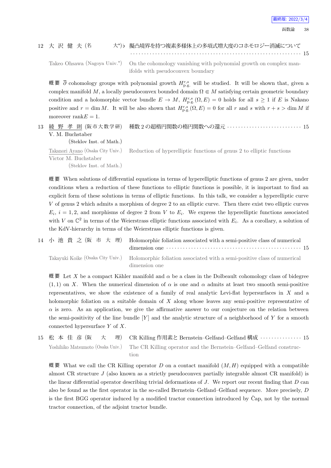#### 12 大 沢 健 夫 (名 大*<sup>⋆</sup>* )*♭* 擬凸境界を持つ複素多様体上の多項式増大度のコホモロジー消滅について

*· · · · · · · · · · · · · · · · · · · · · · · · · · · · · · · · · · · · · · · · · · · · · · · · · · · · · · · · · · · · · ·* 15 Takeo Ohsawa (Nagoya Univ.*<sup>⋆</sup>*

) On the cohomology vanishing with polynomial growth on complex manifolds with pseudoconvex boundary

概要 ∂ cohomology groups with polynomial growth  $H_{p,g}^{r,s}$  will be studied. It will be shown that, given a complex manifold *M*, a locally pseudoconvex bounded domain  $\Omega \subseteq M$  satisfying certain geometric boundary condition and a holomorphic vector bundle  $E \to M$ ,  $H_{p,g}^{r,s}(\Omega,E) = 0$  holds for all  $s \ge 1$  if *E* is Nakano positive and  $r = \dim M$ . It will be also shown that  $H_{p,g}^{r,s}(\Omega, E) = 0$  for all *r* and *s* with  $r + s > \dim M$  if moreover rank $E = 1$ .

13 綾 野 孝 則 (阪市大数学研) V. M. Buchstaber

(Steklov Inst. of Math.)

種数 2 の超楕円関数の楕円関数への還元 *· · · · · · · · · · · · · · · · · · · · · · · · · · ·* 15

Takanori Ayano (Osaka City Univ.) Reduction of hyperelliptic functions of genus 2 to elliptic functions

Victor M. Buchstaber

(Steklov Inst. of Math.)

概 要 When solutions of differential equations in terms of hyperelliptic functions of genus 2 are given, under conditions when a reduction of these functions to elliptic functions is possible, it is important to find an explicit form of these solutions in terms of elliptic functions. In this talk, we consider a hyperelliptic curve *V* of genus 2 which admits a morphism of degree 2 to an elliptic curve. Then there exist two elliptic curves  $E_i$ ,  $i = 1, 2$ , and morphisms of degree 2 from *V* to  $E_i$ . We express the hyperelliptic functions associated with *V* on  $\mathbb{C}^2$  in terms of the Weierstrass elliptic functions associated with  $E_i$ . As a corollary, a solution of the KdV-hierarchy in terms of the Weierstrass elliptic functions is given.

|  | 14 小池貴之(阪市大理) Holomorphic foliation associated with a semi-positive class of numerical<br>dimension one $\cdots$ $\cdots$ $\cdots$ $\cdots$ $\cdots$ $\cdots$ $\cdots$ $\cdots$ $\cdots$ $\cdots$ $\cdots$ $\cdots$ $\cdots$ 15 |  |
|--|---------------------------------------------------------------------------------------------------------------------------------------------------------------------------------------------------------------------------------|--|
|  | Takavuki Koike (Osaka City Univ.) Holomorphic foliation associated with a semi-positive class of numerical<br>dimension one                                                                                                     |  |

 $\mathbb{H}$ 要 Let *X* be a compact Kähler manifold and *α* be a class in the Dolbeault cohomology class of bidegree  $(1,1)$  on *X*. When the numerical dimension of  $\alpha$  is one and  $\alpha$  admits at least two smooth semi-positive representatives, we show the existence of a family of real analytic Levi-flat hypersurfaces in *X* and a holomorphic foliation on a suitable domain of *X* along whose leaves any semi-positive representative of  $\alpha$  is zero. As an application, we give the affirmative answer to our conjecture on the relation between the semi-positivity of the line bundle [*Y* ] and the analytic structure of a neighborhood of *Y* for a smooth connected hypersurface *Y* of *X*.

15 松 本 佳 彦 (阪 大 理) CR Killing 作用素と Bernstein–Gelfand–Gelfand 構成 · · · · · · · · · · · · · · 15 Yoshihiko Matsumoto (Osaka Univ.) The CR Killing operator and the Bernstein–Gelfand–Gelfand construction

概 要 What we call the CR Killing operator *D* on a contact manifold (*M, H*) equipped with a compatible almost CR structure *J* (also known as a strictly pseudoconvex partially integrable almost CR manifold) is the linear differential operator describing trivial deformations of *J*. We report our recent finding that *D* can also be found as the first operator in the so-called Bernstein–Gelfand–Gelfand sequence. More precisely, *D* is the first BGG operator induced by a modified tractor connection introduced by Cap, not by the normal tractor connection, of the adjoint tractor bundle.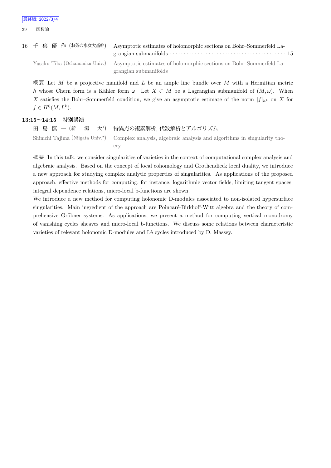| 16 千 葉 優 作 (お茶の水女大基幹) Asymptotic estimates of holomorphic sections on Bohr-Sommerfeld La-<br>grangian submanifolds $\cdots$ $\cdots$ $\cdots$ $\cdots$ $\cdots$ $\cdots$ $\cdots$ $\cdots$ $\cdots$ $\cdots$ $\cdots$ $\cdots$ $\cdots$ $\cdots$ $\cdots$ $\cdots$ $\cdots$ $\cdots$ $\cdots$ $\cdots$ $\cdots$ $\cdots$ $\cdots$ |
|-----------------------------------------------------------------------------------------------------------------------------------------------------------------------------------------------------------------------------------------------------------------------------------------------------------------------------------|
| Yusaku Tiba (Ochanomizu Univ.) Asymptotic estimates of holomorphic sections on Bohr–Sommerfeld La-                                                                                                                                                                                                                                |
| grangian submanifolds                                                                                                                                                                                                                                                                                                             |

概 要 Let *M* be a projective manifold and *L* be an ample line bundle over *M* with a Hermitian metric *h* whose Chern form is a Kähler form  $\omega$ . Let  $X \subset M$  be a Lagrangian submanifold of  $(M, \omega)$ . When *X* satisfies the Bohr–Sommerfeld condition, we give an asymptotic estimate of the norm  $|f|_{h^k}$  on *X* for  $f \in H^0(M, L^k)$ .

#### **13:15~14:15 特別講演**

田 島 慎 一 (新 潟 大*<sup>⋆</sup>* 特異点の複素解析, 代数解析とアルゴリズム Shinichi Tajima (Niigata Univ.*<sup>⋆</sup>* ) Complex analysis, algebraic analysis and algorithms in singularity thoery

概 要 In this talk, we consider singularities of varieties in the context of computational complex analysis and algebraic analysis. Based on the concept of local cohomology and Grothendieck local duality, we introduce a new approach for studying complex analytic properties of singularities. As applications of the proposed approach, effective methods for computing, for instance, logarithmic vector fields, limiting tangent spaces, integral dependence relations, micro-local b-functions are shown.

We introduce a new method for computing holonomic D-modules associated to non-isolated hypersurface singularities. Main ingredient of the approach are Poincaré-Birkhoff-Witt algebra and the theory of comprehensive Gröbner systems. As applications, we present a method for computing vertical monodromy of vanishing cycles sheaves and micro-local b-functions. We discuss some relations between characteristic varieties of relevant holonomic D-modules and Lê cycles introduced by D. Massey.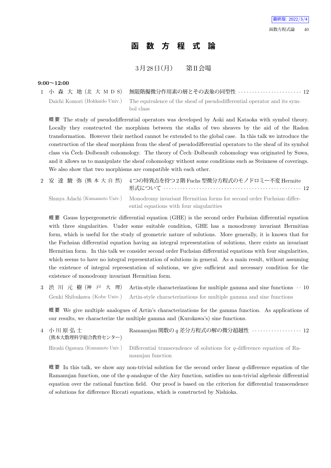## **函 数 方 程 式 論**

 $3 \overline{H} 28 \overline{H}$ (月) 第II会場

#### **9:00~12:00**

1 小 森 大 地 (北 大 M D S) 無限階擬微分作用素の層とその表象の同型性 *· · · · · · · · · · · · · · · · · · · · · · ·* 12 Daichi Komori (Hokkaido Univ.) The equivalence of the sheaf of pseudodifferential operator and its symbol class

概 要 The study of pseudodifferential operators was developed by Aoki and Kataoka with symbol theory. Locally they constructed the morphism between the stalks of two sheaves by the aid of the Radon transformation. However their method cannot be extended to the global case. In this talk we introduce the construction of the sheaf morphism from the sheaf of pseudodifferential operators to the sheaf of its symbol class via Čech–Dolbeault cohomology. The theory of Čech–Dolbeault cohomology was originated by Suwa, and it allows us to manipulate the sheaf cohomology without some conditions such as Steinness of coverings. We also show that two morphisms are compatible with each other.

|  | 2 安 達 駿 弥(熊 本 大 自 然) 4つの特異点を持つ2階 Fuchs 型微分方程式のモノドロミー不変 Hermite                                                                                   |
|--|--------------------------------------------------------------------------------------------------------------------------------------------------|
|  | Shunya Adachi (Kumamoto Univ.) Monodromy invariant Hermitian forms for second order Fuchsian differ-<br>ential equations with four singularities |

概 要 Gauss hypergeometric differential equation (GHE) is the second order Fuchsian differential equation with three singularities. Under some suitable condition, GHE has a monodromy invariant Hermitian form, which is useful for the study of geometric nature of solutions. More generally, it is known that for the Fuchsian differential equation having an integral representation of solutions, there exists an invariant Hermitian form. In this talk we consider second order Fuchsian differential equations with four singularities, which seems to have no integral representation of solutions in general. As a main result, without assuming the existence of integral representation of solutions, we give sufficient and necessary condition for the existence of monodromy invariant Hermitian form.

3 渋 川 元 樹 (神 戸 大 理) Artin-style characterizations for multiple gamma and sine functions *· ·* 10 Genki Shibukawa (Kobe Univ.) Artin-style characterizations for multiple gamma and sine functions

概 要 We give multiple analogues of Artin's characterizations for the gamma function. As applications of our results, we characterize the multiple gamma and (Kurokawa's) sine functions.

4 小 川 原 弘 士 (熊本大数理科学総合教育センター) Ramanujan 関数の *q* 差分方程式の解の微分超越性 *· · · · · · · · · · · · · · · · · ·* 12 Hiroshi Ogawara (Kumamoto Univ.) Differential transcendence of solutions for *q*-difference equation of Ramanujan function

概 要 In this talk, we show any non-trivial solution for the second order linear *q*-difference equation of the Ramanujan function, one of the *q*-analogue of the Airy function, satisfies no non-trivial algebraic differential equation over the rational function field. Our proof is based on the criterion for differential transcendence of solutions for difference Riccati equations, which is constructed by Nishioka.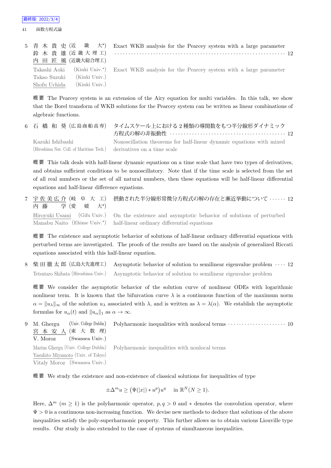41 函数方程式論

|                               | 5 青木貴史(近 畿 大*) Exact WKB analysis for the Pearcey system with a large parameter              |
|-------------------------------|----------------------------------------------------------------------------------------------|
|                               | 鈴木貴雄(近畿大理工) ………………………………………………………………… 12                                                     |
| 内 田 匠 風 (近畿大総合理工)             |                                                                                              |
|                               | Takashi Aoki (Kinki Univ.*) Exact WKB analysis for the Pearcey system with a large parameter |
| (Kinki Univ.)<br>Takao Suzuki |                                                                                              |
| (Kinki Univ.)<br>Shofu Uchida |                                                                                              |

概 要 The Pearcey system is an extension of the Airy equation for multi variables. In this talk, we show that the Borel transform of WKB solutions for the Pearcey system can be written as linear combinations of algebraic functions.

6 石 橋 和 葵 (広島商船高専) タイムスケール上における2種類の導関数をもつ半分線形ダイナミック 方程式の解の非振動性 *· · · · · · · · · · · · · · · · · · · · · · · · · · · · · · · · · · · · · · · · · ·* 12 Kazuki Ishibashi (Hiroshima Nat. Coll. of Maritime Tech.) Nonoscillation theorems for half-linear dynamic equations with mixed derivatives on a time scale

概 要 This talk deals with half-linear dynamic equations on a time scale that have two types of derivatives, and obtains sufficient conditions to be nonoscillatory. Note that if the time scale is selected from the set of all real numbers or the set of all natural numbers, then these equations will be half-linear differential equations and half-linear difference equations.

7 宇 佐 美 広 介 (岐 阜 大 工) 内 藤 学 (愛 媛 大*<sup>⋆</sup>*  $\pm^{\star}$ 摂動された半分線形常微分方程式の解の存在と漸近挙動について *· · · · · ·* 12 Hiroyuki Usami (Gifu Univ.) Manabu Naito (Ehime Univ.*<sup>⋆</sup>* ) On the existence and asymptotic behavior of solutions of perturbed half-linear ordinary differential equations

概 要 The existence and asymptotic behavior of solutions of half-linear ordinary differential equations with perturbed terms are investigated. The proofs of the results are based on the analysis of generalized Riccati equations associated with this half-linear equation.

8 柴 田 徹 太 郎 (広島大先進理工) Asymptotic behavior of solution to semilinear eigenvalue problem *· · · ·* 12 Tetsutaro Shibata (Hiroshima Univ.) Asymptotic behavior of solution to semilinear eigenvalue problem

概 要 We consider the asymptotic behavior of the solution curve of nonlinear ODEs with logarithmic nonlinear term. It is known that the bifurcation curve  $\lambda$  is a continuous function of the maximum norm  $\alpha = ||u_\lambda||_\infty$  of the solution  $u_\lambda$  associated with  $\lambda$ , and is written as  $\lambda = \lambda(\alpha)$ . We establish the asymptotic formulas for  $u_{\alpha}(t)$  and  $||u_{\alpha}||_1$  as  $\alpha \to \infty$ .

9 M. Ghergu (Univ. College Dublin) 宮 本 安 人 (東 大 数 理) V. Moroz (Swansea Univ.) Polyharmonic inequalities with nonlocal terms  $\cdots$  · · · · · · · · · · · · · · · · 10 Marius Ghergu (Univ. College Dublin) Yasuhito Miyamoto (Univ. of Tokyo) Vitaly Moroz (Swansea Univ.) Polyharmonic inequalities with nonlocal terms

概 要 We study the existence and non-existence of classical solutions for inequalities of type

$$
\pm \Delta^m u \ge (\Psi(|x|) * u^p) u^q \quad \text{in } \mathbb{R}^N (N \ge 1).
$$

Here,  $\Delta^m$  ( $m \geq 1$ ) is the polyharmonic operator,  $p, q > 0$  and  $*$  denotes the convolution operator, where Ψ *>* 0 is a continuous non-increasing function. We devise new methods to deduce that solutions of the above inequalities satisfy the poly-superharmonic property. This further allows us to obtain various Liouville type results. Our study is also extended to the case of systems of simultaneous inequalities.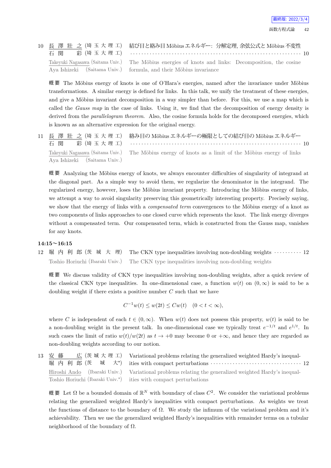最終版: 2022/3/4

10 長 澤 壯 之 (埼 玉 大 理 工) 石 関 彩 (埼玉大理工) 結び目と絡み目 Möbius エネルギー: 分解定理, 余弦公式と Möbius 不変性 *· · · · · · · · · · · · · · · · · · · · · · · · · · · · · · · · · · · · · · · · · · · · · · · · · · · · · · · · · · · · · ·* 10 Takeyuki Nagasawa (Saitama Univ.) Aya Ishizeki (Saitama Univ.) The Möbius energies of knots and links: Decomposition, the cosine formula, and their Möbius invariance

概要 The Möbius energy of knots is one of O'Hara's energies, named after the invariance under Möbius transformations. A similar energy is defined for links. In this talk, we unify the treatment of these energies, and give a Möbius invariant decomposition in a way simpler than before. For this, we use a map which is called the *Gauss map* in the case of links. Using it, we find that the decomposition of energy density is derived from the *parallelogram theorem*. Also, the cosine formula holds for the decomposed energies, which is known as an alternative expression for the original energy.

11 長 澤 壯 之 (埼 玉 大 理 工) 石 関 彩 (埼玉大理工) 絡み目の Möbius エネルギーの極限としての結び目の Möbius エネルギー *· · · · · · · · · · · · · · · · · · · · · · · · · · · · · · · · · · · · · · · · · · · · · · · · · · · · · · · · · · · · · ·* 10 Takeyuki Nagasawa (Saitama Univ.) Aya Ishizeki (Saitama Univ.) The Möbius energy of knots as a limit of the Möbius energy of links

概要 Analyzing the Möbius energy of knots, we always encounter difficulties of singularity of integrand at the diagonal part. As a simple way to avoid them, we regularize the denominator in the integrand. The regularized energy, however, loses the Möbius invariant property. Introducing the Möbius energy of links, we attempt a way to avoid singularity preserving this geometrically interesting property. Precisely saying, we show that the energy of links with a *compensated term* convergences to the Möbius energy of a knot as two components of links approaches to one closed curve which represents the knot. The link energy diverges without a compensated term. Our compensated term, which is constructed from the Gauss map, vanishes for any knots.

#### **14:15~16:15**

12 堀 内 利 郎 (茨 城 大 理) The CKN type inequalities involving non-doubling weights *· · · · · · · · · ·* 12 Toshio Horiuchi (Ibaraki Univ.) The CKN type inequalities involving non-doubling weights

概 要 We discuss validity of CKN type inequalities involving non-doubling weights, after a quick review of the classical CKN type inequalities. In one-dimensional case, a function  $w(t)$  on  $(0,\infty)$  is said to be a doubling weight if there exists a positive number *C* such that we have

$$
C^{-1}w(t) \le w(2t) \le Cw(t) \quad (0 < t < \infty),
$$

where *C* is independent of each  $t \in (0, \infty)$ . When  $w(t)$  does not possess this property,  $w(t)$  is said to be a non-doubling weight in the present talk. In one-dimensional case we typically treat  $e^{-1/t}$  and  $e^{1/t}$ . In such cases the limit of ratio  $w(t)/w(2t)$  as  $t \to +0$  may become 0 or  $+\infty$ , and hence they are regarded as non-doubling weights according to our notion.

13 安 藤 広 (茨 城 大 理 工) 堀 内 利 郎 (茨 城 大*<sup>⋆</sup>*  $\ket{+}$ Variational problems relating the generalized weighted Hardy's inequalities with compact perturbations  $\cdots \cdots \cdots \cdots \cdots \cdots \cdots \cdots \cdots \cdots 12$ Hiroshi Ando (Ibaraki Univ.) Toshio Horiuchi (Ibaraki Univ.*<sup>⋆</sup>* ) Variational problems relating the generalized weighted Hardy's inequalities with compact perturbations

概要 Let Ω be a bounded domain of  $\mathbb{R}^N$  with boundary of class  $C^2$ . We consider the variational problems relating the generalized weighted Hardy's inequalities with compact perturbations. As weights we treat the functions of distance to the boundary of  $\Omega$ . We study the infimum of the variational problem and it's achievability. Then we use the generalized weighted Hardy's inequalities with remainder terms on a tubular neighborhood of the boundary of  $\Omega$ .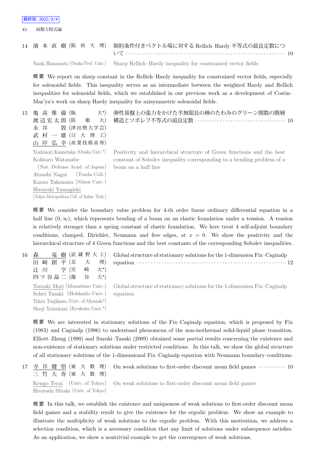43 函数方程式論

# 14 濱 本 直 樹 (阪 府 大 理) 制約条件付きベクトル場に対する Rellich–Hardy 不等式の最良定数につ いて *· · · · · · · · · · · · · · · · · · · · · · · · · · · · · · · · · · · · · · · · · · · · · · · · · · · · · · · · · ·* 10

Naoki Hamamoto (Osaka Pref. Univ.) Sharp Rellich–Hardy inequality for constrained vector fields

概 要 We report on sharp constant in the Rellich–Hardy inequality for constrained vector fields, especially for solenoidal fields. This inequality serves as an intermediate between the weighted Hardy and Rellich inequalities for solenoidal fields, which we established in our previous work as a development of Costin– Maz'ya's work on sharp Hardy inequality for axisymmetric solenoidal fields.

15 亀 高 惟 倫 (阪 大*<sup>⋆</sup>* 大\*) 渡 辺 宏 太 郎 (防 衛 大) 永 井 敦 (津田塾大学芸) 武 村 一 雄 (日 大 理 工) 山 岸 弘 幸 (産業技術高専) 弾性基盤上の張力をかけた半無限長の棒のたわみのグリーン関数の階層 構造とソボレフ不等式の最良定数 *· · · · · · · · · · · · · · · · · · · · · · · · · · · · · · · · ·* 10 Yoshinori Kametaka (Osaka Univ.*<sup>⋆</sup>* ) Kohtaro Watanabe (Nat. Defense Acad. of Japan) Atsushi Nagai (Tsuda Coll.) Kazuo Takemura (Nihon Univ.) Hiroyuki Yamagishi (Tokyo Metropolitan Coll. of Indus. Tech.) Positivity and hierarchical structure of Green functions and the best constant of Sobolev inequality corresponding to a bending problem of a beam on a half line

概 要 We consider the boundary value problem for 4-th order linear ordinary differential equation in a half line  $(0, \infty)$ , which represents bending of a beam on an elastic foundation under a tension. A tension is relatively stronger than a spring constant of elastic foundation. We here treat 4 self-adjoint boundary conditions, clamped, Dirichlet, Neumann and free edges, at  $x = 0$ . We show the positivity and the hierarchical structure of 4 Green functions and the best constants of the corresponding Sobolev inequalities.

| 16 | 森                                      | 竜 樹 (武 蔵 野 大 工) Global structure of stationary solutions for the 1-dimension Fix-Caginalp                                                                |
|----|----------------------------------------|----------------------------------------------------------------------------------------------------------------------------------------------------------|
|    | 田 崎 創 平 (北 大 理)                        | equation $\cdots$ $\cdots$ $\cdots$ $\cdots$ $\cdots$ $\cdots$ $\cdots$ $\cdots$ $\cdots$ $\cdots$ $\cdots$ $\cdots$ $\cdots$ $\cdots$ $\cdots$ $\cdots$ |
|    | 辻川 亨(宮崎大*)                             |                                                                                                                                                          |
|    | 四ツ谷晶二 (龍 谷 大*)                         |                                                                                                                                                          |
|    |                                        | Tatsuki Mori (Musashino Univ.) Global structure of stationary solutions for the 1-dimension Fix-Caginalp                                                 |
|    | Sohei Tasaki (Hokkaido Univ.) equation |                                                                                                                                                          |
|    | Tohru Tsujikawa (Univ. of Miyazaki*)   |                                                                                                                                                          |
|    | Shoji Yotsutani (Ryukoku Univ.*)       |                                                                                                                                                          |

概 要 We are interested in stationary solutions of the Fix–Caginalp equation, which is proposed by Fix (1983) and Caginalp (1986) to understand phenomena of the non-isothermal solid-liquid phase transition. Elliott–Zheng (1990) and Suzuki–Tasaki (2009) obtained some partial results concerning the existence and non-existence of stationary solutions under restricted conditions. In this talk, we show the global structure of all stationary solutions of the 1-dimensional Fix–Caginalp equation with Neumann boundary conditions.

17 寺 井 健 悟 (東 大 数 理) 三 竹 大 寿 (東 大 数 理) On weak solutions to first-order discount mean field games  $\cdots \cdots \cdots$  10 Kengo Terai (Univ. of Tokyo) Hiroyoshi Mitake (Univ. of Tokyo) On weak solutions to first-order discount mean field games

概 要 In this talk, we establish the existence and uniqueness of weak solutions to first-order discount mean field games and a stability result to give the existence for the ergodic problem. We show an example to illustrate the multiplicity of weak solutions to the ergodic problem. With this motivation, we address a selection condition, which is a necessary condition that any limit of solutions under subsequence satisfies. As an application, we show a nontrivial example to get the convergence of weak solutions.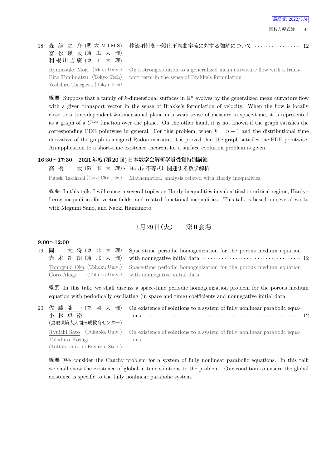18 森 龍 之 介 (明大 M I M S) 富 松 瑛 太 (東 工 大 理) 利根川吉廣 (東 工 大 理) Ryunosuke Mori (Meiji Univ.) Eita Tomimatsu (Tokyo Tech) Yoshihiro Tonegawa (Tokyo Tech)

移流項付き一般化平均曲率流に対する強解について *· · · · · · · · · · · · · · · · ·* 12

On a strong solution to a generalized mean curvature flow with a transport term in the sense of Brakke's formulation

概 要 Suppose that a family of *k*-dimensional surfaces in R *<sup>n</sup>* evolves by the generalized mean curvature flow with a given transport vector in the sense of Brakke's formulation of velocity. When the flow is locally close to a time-dependent *k*-dimensional plane in a weak sense of measure in space-time, it is represented as a graph of a  $C^{1,\alpha}$  function over the plane. On the other hand, it is not known if the graph satisfies the corresponding PDE pointwise in general. For this problem, when  $k = n - 1$  and the distributional time derivative of the graph is a signed Radon measure, it is proved that the graph satisfies the PDE pointwise. An application to a short-time existence theorem for a surface evolution problem is given.

#### **16:30~17:30 2021年度(第20回)日本数学会解析学賞受賞特別講演**

高 橋 太 (阪 市 大 理)*♭* Hardy 不等式に関連する数学解析 Futoshi Takahashi (Osaka City Univ.) Mathematical analysis related with Hardy inequalities

概要 In this talk, I will concern several topics on Hardy inequalities in subcritical or critical regime, Hardy– Leray inequalities for vector fields, and related functional inequalities. This talk is based on several works with Megumi Sano, and Naoki Hamamoto.

3月29日 (火) 第II会場

#### **9:00~12:00**

|                                                         | 19 岡 大将(東北大理) Space-time periodic homogenization for the porous medium equation<br>赤木剛朗(東北大理) with nonnegative initial data ……………………………………… 12 |
|---------------------------------------------------------|------------------------------------------------------------------------------------------------------------------------------------------------|
| Goro Akagi (Tohoku Univ.) with nonnegative initial data | Tomoyuki Oka (Tohoku Univ.) Space-time periodic homogenization for the porous medium equation                                                  |

概 要 In this talk, we shall discuss a space-time periodic homogenization problem for the porous medium equation with periodically oscillating (in space and time) coefficients and nonnegative initial data.

| 小杉卓裕                                                 | 20 佐藤龍一(福岡大理) On existence of solutions to a system of fully nonlinear parabolic equa-                |
|------------------------------------------------------|-------------------------------------------------------------------------------------------------------|
| (鳥取環境大人間形成教育センター)                                    | Ryuichi Sato (Fukuoka Univ.) On existence of solutions to a system of fully nonlinear parabolic equa- |
| Takahiro Kosugi<br>(Tottori Univ. of Environ. Stud.) | tions                                                                                                 |

概 要 We consider the Cauchy problem for a system of fully nonlinear parabolic equations. In this talk we shall show the existence of global-in-time solutions to the problem. Our condition to ensure the global existence is specific to the fully nonlinear parabolic system.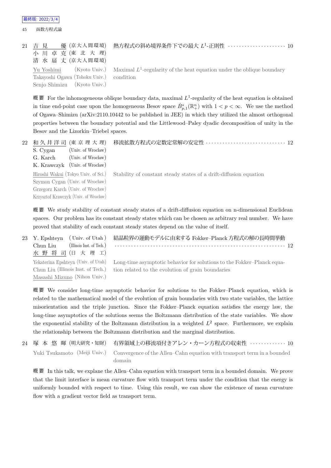45 函数方程式論

| 21 吉 見<br>小川卓克(東北大理)<br>清 水 扇 丈 (京大人間環境)                                | 優(京大人間環境) 熱方程式の斜め境界条件下での最大 <i>L</i> ユ-正則性 ‥‥‥‥‥‥‥‥‥‥‥ 10                                           |
|-------------------------------------------------------------------------|----------------------------------------------------------------------------------------------------|
| Takayoshi Ogawa (Tohoku Univ.) condition<br>Senjo Shimizu (Kyoto Univ.) | Yu Yoshimi (Kyoto Univ.) Maximal $L^1$ -regularity of the heat equation under the oblique boundary |

概要 For the inhomogeneous oblique boundary data, maximal  $L^1$ -regularity of the heat equation is obtained in time end-point case upon the homogeneous Besov space  $\dot{B}_{p,1}^s(\mathbb{R}^n_+)$  with  $1 < p < \infty$ . We use the method of Ogawa–Shimizu (arXiv:2110.10442 to be published in JEE) in which they utilized the almost orthogonal properties between the boundary potential and the Littlewood–Paley dyadic decomposition of unity in the Besov and the Lizorkin–Triebel spaces.

| 22 | 和久井洋司 (東京理大理)<br>(Univ. of Wrocław)<br>S. Cygan<br>(Univ. of Wrocław)<br>G. Karch<br>K. Krawczyk (Univ. of Wrocław)                                  | 移流拡散方程式の定数定常解の安定性  12                                             |
|----|------------------------------------------------------------------------------------------------------------------------------------------------------|-------------------------------------------------------------------|
|    | Hiroshi Wakui (Tokyo Univ. of Sci.)<br>Szymon Cygan (Univ. of Wrocław)<br>Grzegorz Karch (Univ. of Wrocław)<br>Krzysztof Krawczyk (Univ. of Wrocław) | Stability of constant steady states of a drift-diffusion equation |

概要 We study stability of constant steady states of a drift-diffusion equation on n-dimensional Euclidean spaces. Our problem has its constant steady states which can be chosen as arbitrary real number. We have proved that stability of each constant steady states depend on the value of itself.

| 23 Y. Epshteyn (Univ. of Utah)        | 結晶粒界の運動モデルに由来する Fokker-Planck 方程式の解の長時間挙動                                                                  |
|---------------------------------------|------------------------------------------------------------------------------------------------------------|
| (Illinois Inst. of Tech.)<br>Chun Liu |                                                                                                            |
| 水野将司(日大理工)                            |                                                                                                            |
|                                       | Yekaterina Epshteyn (Univ. of Utah) Long-time asymptotic behavior for solutions to the Fokker-Planck equa- |
| Chun Liu (Illinois Inst. of Tech.)    | tion related to the evolution of grain boundaries                                                          |
| Masashi Mizuno (Nihon Univ.)          |                                                                                                            |

概 要 We consider long-time asymptotic behavior for solutions to the Fokker–Planck equation, which is related to the mathematical model of the evolution of grain boundaries with two state variables, the lattice misorientation and the triple junction. Since the Fokker–Planck equation satisfies the energy law, the long-time asymptotics of the solutions seems the Boltzmann distribution of the state variables. We show the exponential stability of the Boltzmann distribution in a weighted *L* 2 space. Furthermore, we explain the relationship between the Boltzmann distribution and the marginal distribution.

|        | 24 塚 本 悠 暉 (明大研究・知財) 有界領域上の移流項付きアレン・カーン方程式の収束性 ・・・・・・・・・・・10                                         |
|--------|------------------------------------------------------------------------------------------------------|
| domain | Yuki Tsukamoto (Meiji Univ.) Convergence of the Allen–Cahn equation with transport term in a bounded |

概 要 In this talk, we explane the Allen–Cahn equation with transport term in a bounded domain. We prove that the limit interface is mean curvature flow with transport term under the condition that the energy is uniformly bounded with respect to time. Using this result, we can show the existence of mean curvature flow with a gradient vector field as transport term.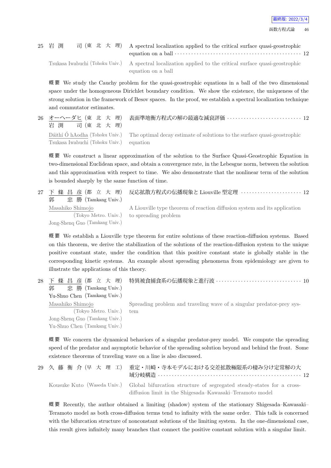

| 25 岩 渕 | 司 (東 北 大 理) A spectral localization applied to the critical surface quasi-geostrophic<br>equation on a ball $\cdots$ $\cdots$ $\cdots$ $\cdots$ $\cdots$ $\cdots$ $\cdots$ $\cdots$ $\cdots$ $\cdots$ $\cdots$ $\cdots$ $\cdots$ $\cdots$ $\cdots$ |  |
|--------|----------------------------------------------------------------------------------------------------------------------------------------------------------------------------------------------------------------------------------------------------|--|
|        | Tsukasa Iwabuchi (Tohoku Univ.) A spectral localization applied to the critical surface quasi-geostrophic<br>equation on a ball                                                                                                                    |  |

概 要 We study the Cauchy problem for the quasi-geostrophic equations in a ball of the two dimensional space under the homogeneous Dirichlet boundary condition. We show the existence, the uniqueness of the strong solution in the framework of Besov spaces. In the proof, we establish a spectral localization technique and commutator estimates.

| 岩 渕 司 (東 北 大 理)                          | 26 オーヘーダヒ(東 北 大 理) 表面準地衡方程式の解の最適な減衰評価 ‥‥‥‥‥‥‥‥‥‥‥‥‥‥‥ 12                                                |
|------------------------------------------|---------------------------------------------------------------------------------------------------------|
| Tsukasa Iwabuchi (Tohoku Univ.) equation | Dáithí Ó hAodha (Tohoku Univ.) The optimal decay estimate of solutions to the surface quasi-geostrophic |

概 要 We construct a linear approximation of the solution to the Surface Quasi-Geostrophic Equation in two-dimensional Euclidean space, and obtain a convergence rate, in the Lebesgue norm, between the solution and this approximation with respect to time. We also demonstrate that the nonlinear term of the solution is bounded sharply by the same function of time.

| 忠 勝 (Tamkang Univ.)<br>郭       | 27 下 條 昌 彦(都 立 大 理) 反応拡散方程式の伝播現象と Liouville 型定理 ・・・・・・・・・・・・・・・・・・・12                                                  |
|--------------------------------|------------------------------------------------------------------------------------------------------------------------|
| Masahiko Shimojo               | A Liouville type theorem of reaction diffusion system and its application<br>(Tokyo Metro. Univ.) to spreading problem |
| Jong-Sheng Guo (Tamkang Univ.) |                                                                                                                        |

概 要 We establish a Liouville type theorem for entire solutions of these reaction-diffusion systems. Based on this theorem, we derive the stabilization of the solutions of the reaction-diffusion system to the unique positive constant state, under the condition that this positive constant state is globally stable in the corresponding kinetic systems. An example about spreading phenomena from epidemiology are given to illustrate the applications of this theory.

| 28 | 條 昌 彦 (都 立 大 理)<br>郭<br>忠 勝 (Tamkang Univ.)                                                                | - 特異被食捕食系の伝播現象と進行波 ・・・・・・・・・・・・・・・・・・・・・・・・・・・・・・・・・ 10                      |
|----|------------------------------------------------------------------------------------------------------------|------------------------------------------------------------------------------|
|    | Yu-Shuo Chen (Tamkang Univ.)                                                                               |                                                                              |
|    | Masahiko Shimojo<br>(Tokyo Metro. Univ.)<br>Jong-Shenq Guo (Tamkang Univ.)<br>Yu-Shuo Chen (Tamkang Univ.) | Spreading problem and traveling wave of a singular predator-prey sys-<br>tem |
|    |                                                                                                            |                                                                              |

概 要 We concern the dynamical behaviors of a singular predator-prey model. We compute the spreading speed of the predator and asymptotic behavior of the spreading solution beyond and behind the front. Some existence theorems of traveling wave on a line is also discussed.

| 29 久 藤 衡 介(早 大 理 工) 重定・川崎・寺本モデルにおける交差拡散極限系の棲み分け定常解の大                                                                                                          |
|---------------------------------------------------------------------------------------------------------------------------------------------------------------|
| Kousuke Kuto (Waseda Univ.) Global bifurcation structure of segregated steady-states for a cross-<br>diffusion limit in the Shigesada-Kawasaki-Teramoto model |

概 要 Recently, the author obtained a limiting (shadow) system of the stationary Shigesada–Kawasaki– Teramoto model as both cross-diffusion terms tend to infinity with the same order. This talk is concerned with the bifurcation structure of nonconstant solutions of the limiting system. In the one-dimensional case, this result gives infinitely many branches that connect the positive constant solution with a singular limit.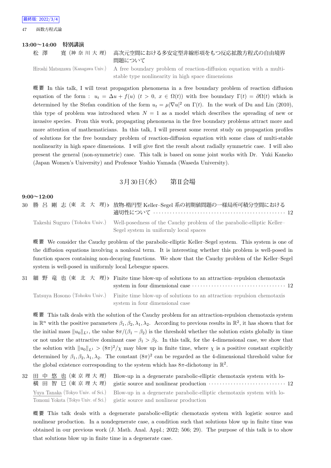47 函数方程式論

#### **13:00~14:00 特別講演**

## 松 澤 寛 (神奈川大理) 高次元空間における多安定型非線形項をもつ反応拡散方程式の自由境界 問題について

Hiroshi Matsuzawa (Kanagawa Univ.) A free boundary problem of reaction-diffusion equation with a multistable type nonlinearity in high space dimensions

概 要 In this talk, I will treat propagation phenomena in a free boundary problem of reaction diffusion equation of the form :  $u_t = \Delta u + f(u)$  ( $t > 0$ ,  $x \in \Omega(t)$ ) with free boundary  $\Gamma(t) = \partial \Omega(t)$  which is determined by the Stefan condition of the form  $u_t = \mu |\nabla u|^2$  on  $\Gamma(t)$ . In the work of Du and Lin (2010), this type of problem was introduced when  $N = 1$  as a model which describes the spreading of new or invasive species. From this work, propagating phenomena in the free boundary problems attract more and more attention of mathematicians. In this talk, I will present some recent study on propagation profiles of solutions for the free boundary problem of reaction-diffusion equation with some class of multi-stable nonlinearity in high space dimensions. I will give first the result about radially symmetric case. I will also present the general (non-symmetric) case. This talk is based on some joint works with Dr. Yuki Kaneko (Japan Women's University) and Professor Yoshio Yamada (Waseda University).

## $3 \cancel{\text{F}} 30 \cancel{\text{F}} (\textit{7k})$  第II会場

#### **9:00~12:00**

30 勝 呂 剛 志 (東 北 大 理)*♭* 放物-楕円型 Keller–Segel 系の初期値問題の一様局所可積分空間における 適切性について *· · · · · · · · · · · · · · · · · · · · · · · · · · · · · · · · · · · · · · · · · · · · · · · ·* 12 Takeshi Suguro (Tohoku Univ.) Well-posedness of the Cauchy problem of the parabolic-elliptic Keller– Segel system in uniformly local spaces

概 要 We consider the Cauchy problem of the parabolic-elliptic Keller–Segel system. This system is one of the diffusion equations involving a nonlocal term. It is interesting whether this problem is well-posed in function spaces containing non-decaying functions. We show that the Cauchy problem of the Keller–Segel system is well-posed in uniformly local Lebesgue spaces.

31 細 野 竜 也 (東 北 大 理)*♭* Finite time blow-up of solutions to an attraction–repulsion chemotaxis system in four dimensional case *· · · · · · · · · · · · · · · · · · · · · · · · · · · · · · · · · ·* 12 Tatsuya Hosono (Tohoku Univ.) Finite time blow-up of solutions to an attraction–repulsion chemotaxis

system in four dimensional case

概 要 This talk deals with the solution of the Cauchy problem for an attraction-repulsion chemotaxis system in  $\mathbb{R}^n$  with the positive parameters  $\beta_1, \beta_2, \lambda_1, \lambda_2$ . According to previous results in  $\mathbb{R}^2$ , it has shown that for the initial mass  $||u_0||_{L^1}$ , the value  $8\pi/(\beta_1 - \beta_2)$  is the threshold whether the solution exists globally in time or not under the attractive dominant case  $\beta_1 > \beta_2$ . In this talk, for the 4-dimensional case, we show that the solution with  $||u_0||_{L^1} > (8\pi)^2/\chi$  may blow up in finite time, where  $\chi$  is a positive constant explicitly determined by  $\beta_1, \beta_2, \lambda_1, \lambda_2$ . The constant  $(8\pi)^2$  can be regarded as the 4-dimensional threshold value for the global existence corresponding to the system which has  $8\pi$ -dichotomy in  $\mathbb{R}^2$ .

32 田 中 悠 也 (東 京 理 大 理) 横 田 智 巳 (東 京 理 大 理) Blow-up in a degenerate parabolic-elliptic chemotaxis system with logistic source and nonlinear production  $\cdots \cdots \cdots \cdots \cdots \cdots \cdots \cdots \cdots$  12 Yuya Tanaka (Tokyo Univ. of Sci.) Tomomi Yokota (Tokyo Univ. of Sci.) Blow-up in a degenerate parabolic-elliptic chemotaxis system with logistic source and nonlinear production

概 要 This talk deals with a degenerate parabolic-elliptic chemotaxis system with logistic source and nonlinear production. In a nondegenerate case, a condition such that solutions blow up in finite time was obtained in our previous work (J. Math. Anal. Appl.; 2022; 506; 29). The purpose of this talk is to show that solutions blow up in finite time in a degenerate case.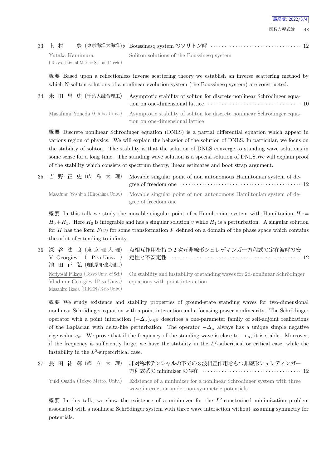|  |  |  |  | 33 上 村 豊 (東京海洋大海洋) b Boussinesq system のソリトン解 ·································· 12 |
|--|--|--|--|-------------------------------------------------------------------------------------|
|--|--|--|--|-------------------------------------------------------------------------------------|

Yutaka Kamimura (Tokyo Univ. of Marine Sci. and Tech.)

Soliton solutions of the Boussinesq system

概 要 Based upon a reflectionless inverse scattering theory we establish an inverse scattering method by which N-soliton solutions of a nonlinear evolution system (the Boussinesq system) are constructed.

34 米 田 昌 史 (千葉大融合理工) Asymptotic stability of soliton for discrete nonlinear Schrödinger equation on one-dimensional lattice *· · · · · · · · · · · · · · · · · · · · · · · · · · · · · · · · · ·* 10 Masafumi Yoneda (Chiba Univ.) Asymptotic stability of soliton for discrete nonlinear Schrödinger equation on one-dimensional lattice

概要 Discrete nonlinear Schrödinger equation (DNLS) is a partial differential equation which appear in various region of physics. We will explain the behavior of the solution of DNLS. In particular, we focus on the stability of soliton. The stability is that the solution of DNLS converge to standing wave solutions in some sense for a long time. The standing wave solution is a special solution of DNLS.We will explain proof of the stability which consists of spectrum theory, linear estimates and boot strap argument.

|  | 35 吉野正史(広島大理) Movable singular point of non autonomous Hamiltonian system of de-                      |
|--|-------------------------------------------------------------------------------------------------------|
|  | Masafumi Yoshino (Hiroshima Univ.) Movable singular point of non autonomous Hamiltonian system of de- |
|  | gree of freedom one                                                                                   |

概要 In this talk we study the movable singular point of a Hamiltonian system with Hamiltonian  $H :=$  $H_0 + H_1$ . Here  $H_0$  is integrable and has a singular solution *v* while  $H_1$  is a perturbation. A singular solution for *H* has the form  $F(v)$  for some transformation *F* defined on a domain of the phase space which contains the orbit of *v* tending to infinity.

36 深 谷 法 良 (東 京 理 大 理) V. Georgiev ( Pisa Univ. ) 池 田 正 弘 (理化学研・慶大理工) 点相互作用を持つ 2 次元非線形シュレディンガー方程式の定在波解の安 定性と不安定性 *· · · · · · · · · · · · · · · · · · · · · · · · · · · · · · · · · · · · · · · · · · · · · · · ·* 12 Noriyoshi Fukaya (Tokyo Univ. of Sci.) Vladimir Georgiev (Pisa Univ.) Masahiro Ikeda (RIKEN/Keio Univ.) On stability and instability of standing waves for 2d-nonlinear Schrödinger equations with point interaction

概 要 We study existence and stability properties of ground-state standing waves for two-dimensional nonlinear Schrödinger equation with a point interaction and a focusing power nonlinearity. The Schrödinger operator with a point interaction  $(-\Delta_{\alpha})_{\alpha\in\mathbb{R}}$  describes a one-parameter family of self-adjoint realizations of the Laplacian with delta-like perturbation. The operator  $-\Delta_{\alpha}$  always has a unique simple negative eigenvalue  $e_{\alpha}$ . We prove that if the frequency of the standing wave is close to  $-e_{\alpha}$ , it is stable. Moreover, if the frequency is sufficiently large, we have the stability in the  $L^2$ -subcritical or critical case, while the instability in the  $L^2$ -supercritical case.

| 37 長 田 祐 輝 (都 立 大 理) | 非対称ポテンシャルの下での3波相互作用をもつ非線形シュレディンガー                                                                                                                         |
|----------------------|-----------------------------------------------------------------------------------------------------------------------------------------------------------|
|                      | Yuki Osada (Tokyo Metro. Univ.) Existence of a minimizer for a nonlinear Schrödinger system with three<br>wave interaction under non-symmetric potentials |

概要 In this talk, we show the existence of a minimizer for the  $L^2$ -constrained minimization problem associated with a nonlinear Schrödinger system with three wave interaction without assuming symmetry for potentials.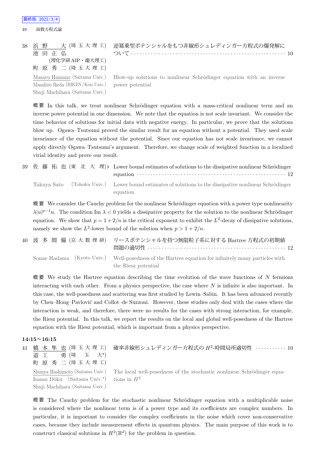#### 最終版: 2022/3/4

49 函数方程式論

```
38 浜 野   大 (埼 玉 大 理 工)
池 田 正 弘
     (理化学研 AIP・慶大理工)
町 原 秀 二 (埼 玉 大 理 工)
Masaru Hamano (Saitama Univ.)
```
Masahiro Ikeda (RIKEN/Keio Univ.) Shuji Machihara (Saitama Univ.)

逆冪乗型ポテンシャルをもつ非線形シュレディンガー方程式の爆発解に ついて *· · · · · · · · · · · · · · · · · · · · · · · · · · · · · · · · · · · · · · · · · · · · · · · · · · · · · · · ·* 10

Blow-up solutions to nonlinear Schrödinger equation with an inverse power potential

概要 In this talk, we treat nonlinear Schrödinger equation with a mass-critical nonlinear term and an inverse power potential in one dimension. We note that the equation is not scale invariant. We consider the time behavior of solutions for initial data with negative energy. In particular, we prove that the solutions blow up. Ogawa–Tsutsumi proved the similar result for an equation without a potential. They used scale invariance of the equation without the potential. Since our equation has not scale invariance, we cannot apply directly Ogawa–Tsutsumi's argument. Therefore, we change scale of weighted function in a localized virial identity and prove our result.

39 佐藤拓也(東北大理)♭ Lower bound estimates of solutions to the dissipative nonlinear Schrödinger equation *· · · · · · · · · · · · · · · · · · · · · · · · · · · · · · · · · · · · · · · · · · · · · · · · · · · · · ·* 12 Takuya Sato (Tohoku Univ.) Lower bound estimates of solutions to the dissipative nonlinear Schrödinger equation

概要 We consider the Cauchy problem for the nonlinear Schrödinger equation with a power type nonlinearity  $\lambda |u|^{p-1}u$ . The condition Im  $\lambda < 0$  yields a dissipative property for the solution to the nonlinear Schrödinger equation. We show that  $p = 1 + 2/n$  is the critical exponent to exhibit the  $L^2$ -decay of dissipative solutions, namely we show the  $L^2$ -lower bound of the solution when  $p > 1 + 2/n$ .

|  | 40 波 多 間 備 (京 大 数 理 研) リースポテンシャルを持つ無限粒子系に対する Hartree 方程式の初期値                                                                |
|--|-----------------------------------------------------------------------------------------------------------------------------|
|  | Sonae Hadama (Kyoto Univ.) Well-posedness of the Hartree equation for infinitely many particles with<br>the Riesz potential |

概 要 We study the Hartree equation describing the time evolution of the wave functions of *N* fermions interacting with each other. From a physics perspective, the case where *N* is infinite is also important. In this case, the well-posedness and scattering was first studied by Lewin–Sabin. It has been advanced recently by Chen–Hong–Pavlovi´c and Collot–de Suzzoni. However, these studies only deal with the cases where the interaction is weak, and therefore, there were no results for the cases with strong interaction, for example, the Riesz potential. In this talk, we report the results on the local and global well-posedness of the Hartree equation with the Riesz potential, which is important from a physics perspective.

#### **14:15~16:15**

| 41 | 橋 本 隼 也 (埼玉大理工)<br>勇 (埼 玉 大*)<br>道 工<br>町 原 秀 二 (埼玉大理工)                                    | 確率非線形シュレディンガー方程式の $H^2$ -時間局所適切性 ··········· 10                                                         |
|----|--------------------------------------------------------------------------------------------|---------------------------------------------------------------------------------------------------------|
|    | Isamu Dôku (Saitama Univ. <sup>*</sup> ) tions in $H^2$<br>Shuji Machihara (Saitama Univ.) | Shunya Hashimoto (Saitama Univ.) The local well-posedness of the stochastic nonlinear Schrödinger equa- |

概要 The Cauchy problem for the stochastic nonlinear Schrödinger equation with a multiplicable noise is considered where the nonlinear term is of a power type and its coefficients are complex numbers. In particular, it is important to consider the complex coefficients in the noise which cover non-conservative cases, because they include measurement effects in quantum physics. The main purpose of this work is to construct classical solutions in  $H^2(\mathbb{R}^d)$  for the problem in question.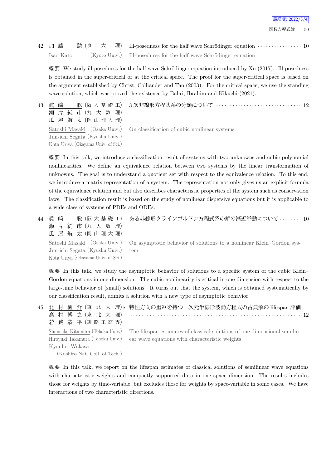42 加 藤 勲 (京 大 理) Ill-posedness for the half wave Schr¨odinger equation *· · · · · · · · · · · · · · · ·* 10 Isao Kato (Kyoto Univ.) Ill-posedness for the half wave Schrödinger equation

概 要 We study ill-posedness for the half wave Schrödinger equation introduced by Xu  $(2017)$ . Ill-posedness is obtained in the super-critical or at the critical space. The proof for the super-critical space is based on the argument established by Christ, Colliander and Tao (2003). For the critical space, we use the standing wave solution, which was proved the existence by Bahri, Ibrahim and Kikuchi (2021).

43 眞 﨑 聡 (阪 大 基 礎 工) 瀬 片 純 市 (九 大 数 理) 瓜 屋 航 太 (岡 山 理 大 理) Satoshi Masaki (Osaka Univ.) Jun-ichi Segata (Kyushu Univ.)

Kota Uriya (Okayama Univ. of Sci.)

On classification of cubic nonlinear systems

概 要 In this talk, we introduce a classification result of systems with two unknowns and cubic polynomial nonlinearities. We define an equivalence relation between two systems by the linear transformation of unknowns. The goal is to understand a quotient set with respect to the equivalence relation. To this end, we introduce a matrix representation of a system. The representation not only gives us an explicit formula of the equivalence relation and but also describes characteristic properties of the system such as conservation laws. The classification result is based on the study of nonlinear dispersive equations but it is applicable to a wide class of systems of PDEs and ODEs.

44 眞 崎 聡 (阪 大 基 礎 工) 瀬 片 純 市 (九 大 数 理) 瓜 屋 航 太 (岡山理大理) ある非線形クラインゴルドン方程式系の解の漸近挙動について *· · · · · · · ·* 10 Satoshi Masaki (Osaka Univ.) Jun-ichi Segata (Kyushu Univ.) Kota Uriya (Okayama Univ. of Sci.)

On asymptotic behavior of solutions to a nonlinear Klein–Gordon system

3 次非線形方程式系の分類について *· · · · · · · · · · · · · · · · · · · · · · · · · · · · · · ·* 12

概要 In this talk, we study the asymptotic behavior of solutions to a specific system of the cubic Klein– Gordon equations in one dimension. The cubic nonlinearity is critical in one dimension with respect to the large-time behavior of (small) solutions. It turns out that the system, which is obtained systematically by our classification result, admits a solution with a new type of asymptotic behavior.

|                                  | 45 北 村 駿 介 (東 北 大 理)b 特性方向の重みを持つ一次元半線形波動方程式の古典解の lifespan 評価              |
|----------------------------------|---------------------------------------------------------------------------|
| 高村博之(東北大理)                       |                                                                           |
| 若狭恭平(釧路工高専)                      |                                                                           |
| Shunsuke Kitamura (Tohoku Univ.) | The lifespan estimates of classical solutions of one dimensional semilin- |
| Hiroyuki Takamura (Tohoku Univ.) | ear wave equations with characteristic weights                            |
| Kyouhei Wakasa                   |                                                                           |
| (Kushiro Nat. Coll. of Tech.)    |                                                                           |

概 要 In this talk, we report on the lifespan estimates of classical solutions of semilinear wave equations with characteristic weights and compactly supported data in one space dimension. The results includes those for weights by time-variable, but excludes those for weights by space-variable in some cases. We have interactions of two characteristic directions.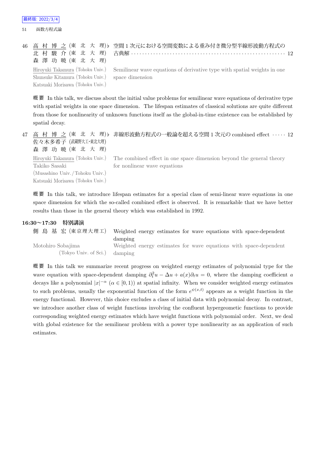51 函数方程式論

|                                                  | 46 高 村 博 之 (東 北 大 理)b 空間1次元における空間変数による重み付き微分型半線形波動方程式の                                                    |
|--------------------------------------------------|-----------------------------------------------------------------------------------------------------------|
|                                                  | 北村 駿 介 (東 北 大 理) 古典解 ………………………………………………………… 12                                                            |
| 森澤功暁(東北大理)                                       |                                                                                                           |
|                                                  | Hiroyuki Takamura (Tohoku Univ.) Semilinear wave equations of derivative type with spatial weights in one |
| Shunsuke Kitamura (Tohoku Univ.) space dimension |                                                                                                           |
| Katsuaki Morisawa (Tohoku Univ.)                 |                                                                                                           |

概 要 In this talk, we discuss about the initial value problems for semilinear wave equations of derivative type with spatial weights in one space dimension. The lifespan estimates of classical solutions are quite different from those for nonlinearity of unknown functions itself as the global-in-time existence can be established by spatial decay.

47 高 村 博 之 (東 北 大 理) *♭* 非線形波動方程式の一般論を超える空間 1 次元の combined effect *· · · · ·* 12 佐々木多希子 (武蔵野大工・東北大理) 森澤 功 暁 (東 北 大 理) Hiroyuki Takamura (Tohoku Univ.) Takiko Sasaki (Musashino Univ. /Tohoku Univ.) Katsuaki Morisawa (Tohoku Univ.) The combined effect in one space dimension beyond the general theory for nonlinear wave equations

概 要 In this talk, we introduce lifespan estimates for a special class of semi-linear wave equations in one space dimension for which the so-called combined effect is observed. It is remarkable that we have better results than those in the general theory which was established in 1992.

#### **16:30~17:30 特別講演**

| 側 島 基 宏 (東京理大理工)              |         |  |  | Weighted energy estimates for wave equations with space-dependent |
|-------------------------------|---------|--|--|-------------------------------------------------------------------|
|                               | damping |  |  |                                                                   |
| Motohiro Sobajima             |         |  |  | Weighted energy estimates for wave equations with space-dependent |
| (Tokyo Univ. of Sci.) damping |         |  |  |                                                                   |

概 要 In this talk we summarize recent progress on weighted energy estimates of polynomial type for the wave equation with space-dependent damping  $\partial_t^2 u - \Delta u + a(x)\partial_t u = 0$ , where the damping coefficient *a* decays like a polynomial  $|x|^{-\alpha}$  ( $\alpha \in [0,1)$ ) at spatial infinity. When we consider weighted energy estimates to such problems, usually the exponential function of the form  $e^{\psi(x,t)}$  appears as a weight function in the energy functional. However, this choice excludes a class of initial data with polynomial decay. In contrast, we introduce another class of weight functions involving the confluent hypergeometic functions to provide corresponding weighted energy estimates which have weight functions with polynomial order. Next, we deal with global existence for the semilinear problem with a power type nonlinearity as an application of such estimates.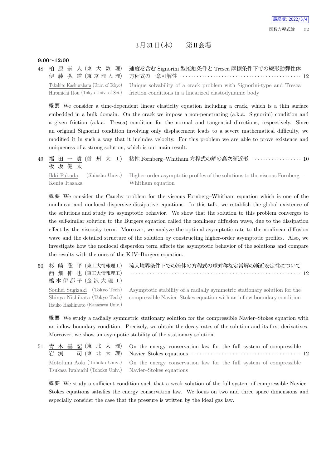## $3\bar{H}$  $31\bar{H}$  $(\pi)$  第II会場

#### **9:00~12:00**

Itsuko Hashimoto (Kanazawa Univ.)

48 柏 原 崇 人 (東 大 数 理) 伊 藤 弘 道 (東 京 理 大 理) 速度を含む Signorini 型接触条件と Tresca 摩擦条件下での線形動弾性体 方程式の一意可解性 *· · · · · · · · · · · · · · · · · · · · · · · · · · · · · · · · · · · · · · · · · · · ·* 12 Takahito Kashiwabara (Univ. of Tokyo) Hiromichi Itou (Tokyo Univ. of Sci.) Unique solvability of a crack problem with Signorini-type and Tresca friction conditions in a linearized elastodynamic body

概 要 We consider a time-dependent linear elasticity equation including a crack, which is a thin surface embedded in a bulk domain. On the crack we impose a non-penetrating (a.k.a. Signorini) condition and a given friction (a.k.a. Tresca) condition for the normal and tangential directions, respectively. Since an original Signorini condition involving only displacement leads to a severe mathematical difficulty, we modified it in such a way that it includes velocity. For this problem we are able to prove existence and uniqueness of a strong solution, which is our main result.

49 福 田 一 貴 (信 州 大 工) 板 坂 健 太 粘性 Fornberg–Whitham 方程式の解の高次漸近形 *· · · · · · · · · · · · · · · · · ·* 10 Ikki Fukuda (Shinshu Univ.) Kenta Itasaka Higher-order asymptotic profiles of the solutions to the viscous Fornberg– Whitham equation

概 要 We consider the Cauchy problem for the viscous Fornberg–Whitham equation which is one of the nonlinear and nonlocal dispersive-dissipative equations. In this talk, we establish the global existence of the solutions and study its asymptotic behavior. We show that the solution to this problem converges to the self-similar solution to the Burgers equation called the nonlinear diffusion wave, due to the dissipation effect by the viscosity term. Moreover, we analyze the optimal asymptotic rate to the nonlinear diffusion wave and the detailed structure of the solution by constructing higher-order asymptotic profiles. Also, we investigate how the nonlocal dispersion term affects the asymptotic behavior of the solutions and compare the results with the ones of the KdV–Burgers equation.

50 杉 崎 聡 平 (東工大情報理工) 西 畑 伸 也 (東工大情報理工) 橋本伊都子 (金沢大理工) 流入境界条件下での流体の方程式の球対称な定常解の漸近安定性について *· · · · · · · · · · · · · · · · · · · · · · · · · · · · · · · · · · · · · · · · · · · · · · · · · · · · · · · · · · · · · ·* 12 Souhei Sugizaki (Tokyo Tech) Shinya Nishibata (Tokyo Tech) Asymptotic stability of a radially symmetric stationary solution for the compressible Navier–Stokes equation with an inflow boundary condition

概 要 We study a radially symmetric stationary solution for the compressible Navier–Stokes equation with an inflow boundary condition. Precisely, we obtain the decay rates of the solution and its first derivatives. Moreover, we show an asympotic stability of the stationary solution.

51 青 木 基 記 (東 北 大 理) 岩 渕 司 (東 北 大 理) On the energy conservation law for the full system of compressible Navier–Stokes equations *· · · · · · · · · · · · · · · · · · · · · · · · · · · · · · · · · · · · · · · ·* 12 Motofumi Aoki (Tohoku Univ.) Tsukasa Iwabuchi (Tohoku Univ.) On the energy conservation law for the full system of compressible Navier–Stokes equations

概要 We study a sufficient condition such that a weak solution of the full system of compressible Navier– Stokes equations satisfies the energy conservation law. We focus on two and three space dimensions and especially consider the case that the pressure is written by the ideal gas law.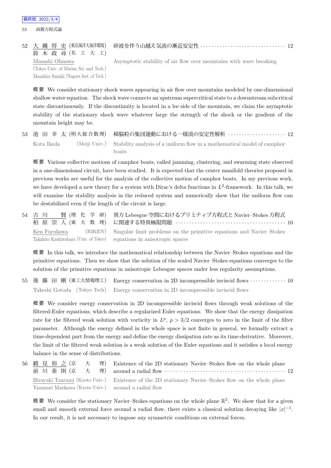53 函数方程式論

52 大 縄 将 史 (東京海洋大海洋環境) 鈴 木 政 尋 (名 工 大 工) Masashi Ohnawa (Tokyo Univ. of Marine Sci. and Tech.) Masahiro Suzuki (Nagoya Inst. of Tech.)

Asymptotic stability of air flow over mountains with wave breaking

概 要 We consider stationary shock waves appearing in air flow over mountains modeled by one-dimensional shallow water equation. The shock wave connects an upstream supercritical state to a downstream subcritical state discontinuously. If the discontinuity is located in a lee side of the mountain, we claim the asymptotic stability of the stationary shock wave whatever large the strength of the shock or the gradient of the mountain height may be.

|            | 53 池 田 幸 太(明大総合数理) 樟脳粒の集団運動における一様流の安定性解析 ‥‥‥‥‥‥‥‥‥‥‥‥12                               |
|------------|---------------------------------------------------------------------------------------|
| Kota Ikeda | (Meiji Univ.) Stability analysis of a uniform flow in a mathematical model of camphor |
|            | boats.                                                                                |

概 要 Various collective motions of camphor boats, called jamming, clustering, and swarming state observed in a one-dimensional circuit, have been studied. It is expected that the center manifold theories proposed in previous works are useful for the analysis of the collective motion of camphor boats. In my previous work, we have developed a new theory for a system with Dirac's delta functions in  $L^2$ -framework. In this talk, we will examine the stability analysis in the reduced system and numerically show that the uniform flow can be destabilized even if the length of the circuit is large.

|  | 54 古 川 賢 (理 化 学 研) 異方 Lebesgue 空間におけるプリミティブ方程式と Navier-Stokes 方程式                         |
|--|-------------------------------------------------------------------------------------------|
|  | Ken Furukawa (RIKEN) Singular limit problems on the primitive equations and Navier-Stokes |
|  | Takahito Kashiwabara (Univ. of Tokyo) equations in anisotropic spaces                     |

概 要 In this talk, we introduce the mathematical relationship between the Navier–Stokes equations and the primitive equations. Then we show that the solution of the scaled Navier–Stokes equations converges to the solution of the primitive equations in anisotropic Lebesgue spaces under less regularity assumptions.

55 後 藤 田 剛 (東工大情報理工) Energy conservation in 2D incompressible inviscid flows *· · · · · · · · · · · · ·* 10 Takeshi Gotoda (Tokyo Tech) Energy conservation in 2D incompressible inviscid flows

概 要 We consider energy conservation in 2D incompressible inviscid flows through weak solutions of the filtered-Euler equations, which describe a regularized Euler equations. We show that the energy dissipation rate for the filtered weak solution with vorticity in  $L^p$ ,  $p > 3/2$  converges to zero in the limit of the filter parameter. Although the energy defined in the whole space is not finite in general, we formally extract a time-dependent part from the energy and define the energy dissipation rate as its time-derivative. Moreover, the limit of the filtered weak solution is a weak solution of the Euler equations and it satisfies a local energy balance in the sense of distributions.

|                                                     | 56 鶴 見 裕 之 (京 大 理) Existence of the 2D stationary Navier-Stokes flow on the whole plane             |
|-----------------------------------------------------|-----------------------------------------------------------------------------------------------------|
|                                                     | 前 川 泰 則 (京 大 理) around a radial flow …………………………………………… 12                                           |
|                                                     | Hiroyuki Tsurumi (Kyoto Univ.) Existence of the 2D stationary Navier-Stokes flow on the whole plane |
| Yasunori Maekawa (Kyoto Univ.) around a radial flow |                                                                                                     |

概要 We consider the stationary Navier–Stokes equations on the whole plane  $\mathbb{R}^2$ . We show that for a given small and smooth external force around a radial flow, there exists a classical solution decaying like  $|x|^{-1}$ . In our result, it is not necessary to impose any symmetric conditions on external forces.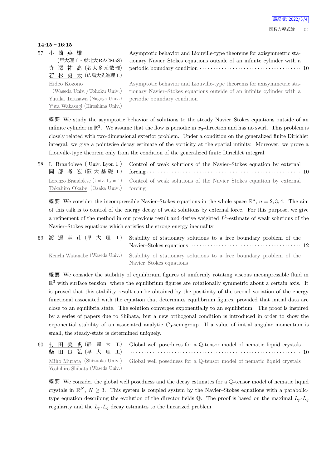### **14:15~16:15**

57 小 薗 英 雄

(早大理工・東北大 RACMaS) 寺 澤 祐 高 (名大多元数理) 若 杉 勇 太 (広島大先進理工) Hideo Kozono

Asymptotic behavior and Liouville-type theorems for axisymmetric stationary Navier–Stokes equations outside of an infinite cylinder with a periodic boundary condition *· · · · · · · · · · · · · · · · · · · · · · · · · · · · · · · · · · · · ·* 10

(Waseda Univ. /Tohoku Univ.) Yutaka Terasawa (Nagoya Univ.) Yuta Wakasugi (Hiroshima Univ.) Asymptotic behavior and Liouville-type theorems for axisymmetric stationary Navier–Stokes equations outside of an infinite cylinder with a periodic boundary condition

概 要 We study the asymptotic behavior of solutions to the steady Navier–Stokes equations outside of an infinite cylinder in  $\mathbb{R}^3$ . We assume that the flow is periodic in  $x_3$ -direction and has no swirl. This problem is closely related with two-dimensional exterior problem. Under a condition on the generalized finite Dirichlet integral, we give a pointwise decay estimate of the vorticity at the spatial infinity. Moreover, we prove a Liouville-type theorem only from the condition of the generalized finite Dirichlet integral.

58 L. Brandolese ( Univ. Lyon 1 ) 岡 部 考 宏 (阪 大 基 礎 工) Control of weak solutions of the Navier–Stokes equation by external forcing *· · · · · · · · · · · · · · · · · · · · · · · · · · · · · · · · · · · · · · · · · · · · · · · · · · · · · · · ·* 10 Lorenzo Brandolese (Univ. Lyon 1) Takahiro Okabe (Osaka Univ.) Control of weak solutions of the Navier–Stokes equation by external forcing

概要 We consider the incompressible Navier–Stokes equations in the whole space  $\mathbb{R}^n$ ,  $n = 2, 3, 4$ . The aim of this talk is to control of the energy decay of weak solutions by external force. For this purpose, we give a refinement of the method in our previous result and derive weighted *L* 1 -estimate of weak solutions of the Navier–Stokes equations which satisfies the strong energy inequality.

| 59 渡 邊 圭 市 (早 大 理 工) Stability of stationary solutions to a free boundary problem of the                                       |
|--------------------------------------------------------------------------------------------------------------------------------|
| Keiichi Watanabe (Waseda Univ.) Stability of stationary solutions to a free boundary problem of the<br>Navier-Stokes equations |

概 要 We consider the stability of equilibrium figures of uniformly rotating viscous incompressible fluid in  $\mathbb{R}^3$  with surface tension, where the equilibrium figures are rotationally symmetric about a certain axis. It is proved that this stability result can be obtained by the positivity of the second variation of the energy functional associated with the equation that determines equilibrium figures, provided that initial data are close to an equilibria state. The solution converges exponentially to an equilibrium. The proof is inspired by a series of papers due to Shibata, but a new orthogonal condition is introduced in order to show the exponential stability of an associated analytic  $C_0$ -semigroup. If a value of initial angular momentum is small, the steady-state is determined uniquely.

|                                  | 60 村 田 美 帆 (静 岡 大 工) Global well posedness for a Q-tensor model of nematic liquid crystals         |
|----------------------------------|----------------------------------------------------------------------------------------------------|
|                                  | 柴 田 良 弘 (早 大 理 工) ……………………………………………………………… 10                                                      |
|                                  | Miho Murata (Shizuoka Univ.) Global well posedness for a Q-tensor model of nematic liquid crystals |
| Yoshihiro Shibata (Waseda Univ.) |                                                                                                    |

概要 We consider the global well posedness and the decay estimates for a Q-tensor model of nematic liquid crystals in  $\mathbb{R}^N$ ,  $N \geq 3$ . This system is coupled system by the Navier–Stokes equations with a parabolictype equation describing the evolution of the director fields  $\mathbb{Q}$ . The proof is based on the maximal  $L_p$ - $L_q$ regularity and the  $L_p$ - $L_q$  decay estimates to the linearized problem.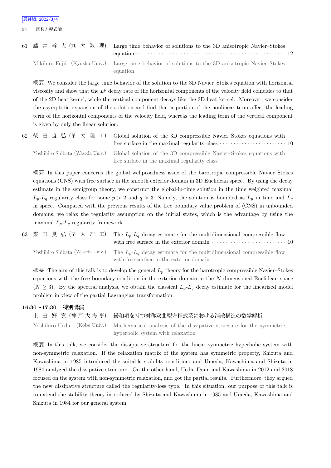55 函数方程式論

| 61 藤井 幹 大 (九 大 数 理) Large time behavior of solutions to the 3D anisotropic Navier-Stokes                       |
|----------------------------------------------------------------------------------------------------------------|
| Mikihiro Fujii (Kyushu Univ.) Large time behavior of solutions to the 3D anisotropic Navier-Stokes<br>equation |

概 要 We consider the large time behavior of the solution to the 3D Navier–Stokes equation with horizontal viscosity and show that the  $L^p$  decay rate of the horizontal components of the velocity field coincides to that of the 2D heat kernel, while the vertical component decays like the 3D heat kernel. Moreover, we consider the asymptotic expansion of the solution and find that a portion of the nonlinear term affect the leading term of the horizontal components of the velocity field, whereas the leading term of the vertical component is given by only the linear solution.

| 62 柴田良弘(早大理工) Global solution of the 3D compressible Navier-Stokes equations with<br>free surface in the maximal regularity class $\cdots \cdots \cdots \cdots \cdots \cdots 10$ |  |
|----------------------------------------------------------------------------------------------------------------------------------------------------------------------------------|--|
| Yoshihiro Shibata (Waseda Univ.) Global solution of the 3D compressible Navier-Stokes equations with                                                                             |  |
| free surface in the maximal regularity class                                                                                                                                     |  |

概 要 In this paper concerns the global wellposedness issue of the barotropic compressible Navier–Stokes equations (CNS) with free surface in the smooth exterior domain in 3D Euclidean space. By using the decay estimate in the semigroup theory, we construct the global-in-time solution in the time weighted maximal  $L_p$ -*L*<sub>q</sub> regularity class for some  $p > 2$  and  $q > 3$ . Namely, the solution is bounded as  $L_p$  in time and  $L_q$ in space. Compared with the previous results of the free boundary value problem of (CNS) in unbounded domains, we relax the regularity assumption on the initial states, which is the advantage by using the maximal  $L_p$ - $L_q$  regularity framework.

63 柴 田 良 弘 (早 大 理 工) The  $L_p$ - $L_q$  decay estimate for the multidimensional compressible flow with free surface in the exterior domain *· · · · · · · · · · · · · · · · · · · · · · · · · · ·* 10

Yoshihiro Shibata (Waseda Univ.) The  $L_p$ - $L_q$  decay estimate for the multidimensional compressible flow with free surface in the exterior domain

概 要 The aim of this talk is to develop the general  $L_p$  theory for the barotropic compressible Navier–Stokes equations with the free boundary condition in the exterior domain in the *N* dimensional Euclidean space  $(N \geq 3)$ . By the spectral analysis, we obtain the classical  $L_p$ - $L_q$  decay estimate for the linearized model problem in view of the partial Lagrangian transformation.

#### **16:30~17:30 特別講演**

上 田 好 寛 (神 戸 大 海 事) 緩和項を持つ対称双曲型方程式系における消散構造の数学解析 Yoshihiro Ueda (Kobe Univ.) Mathematical analysis of the dissipative structure for the symmetric hyperbolic system with relaxation

概 要 In this talk, we consider the dissipative structure for the linear symmetric hyperbolic system with non-symmetric relaxation. If the relaxation matrix of the system has symmetric property, Shizuta and Kawashima in 1985 introduced the suitable stability condition, and Umeda, Kawashima and Shizuta in 1984 analyzed the dissipative structure. On the other hand, Ueda, Duan and Kawashima in 2012 and 2018 focused on the system with non-symmetric relaxation, and got the partial results. Furthermore, they argued the new dissipative structure called the regularity-loss type. In this situation, our purpose of this talk is to extend the stability theory introduced by Shizuta and Kawashima in 1985 and Umeda, Kawashima and Shizuta in 1984 for our general system.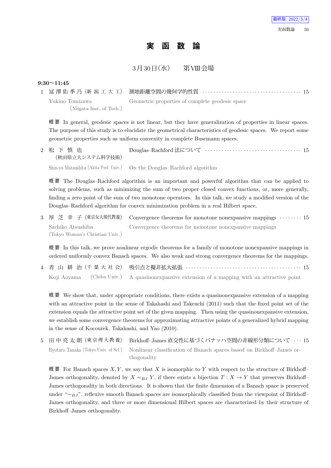## **実 函 数 論**

3月30日 (水) 第VIII会場

#### **9:30~11:45**

| Yukino Tomizawa          | Geometric properties of complete geodesic space |
|--------------------------|-------------------------------------------------|
| (Niigata Inst. of Tech.) |                                                 |

概 要 In general, geodesic spaces is not linear, but they have generalization of properties in linear spaces. The purpose of this study is to elucidate the geometrical characteristics of geodesic spaces. We report some geometric properties such as uniform convexity in complete Busemann spaces.

| 2 松下慎也<br>(秋田県立大システム科学技術) | Douglas-Rachford 法について ……………………………………… 15                                |
|---------------------------|--------------------------------------------------------------------------|
|                           | Shin-ya Matsushita (Akita Pref. Univ.) On the Douglas-Rachford algorithm |

概 要 The Douglas–Rachford algorithm is an important and powerful algorithm that can be applied to solving problems, such as minimizing the sum of two proper closed convex functions, or, more generally, finding a zero point of the sum of two monotone operators. In this talk, we study a modified version of the Douglas–Rachford algorithm for convex minimization problem in a real Hilbert space.

3 厚 芝 幸 子 (東京女大現代教養) Convergence theorems for monotone nonexpansive mappings *· · · · · · · ·* 15 Sachiko Atsushiba (Tokyo Woman's Christian Univ.) Convergence theorems for monotone nonexpansive mappings

概 要 In this talk, we prove nonlinear ergodic theorems for a family of monotone nonexpansive mappings in ordered uniformly convex Banach spaces. We also weak and strong convergence theorems for the mappings.

|  | 4 青 山 耕 治(千 葉 大 社 会) 吸引点と擬非拡大拡張 ‥‥‥‥‥‥‥‥‥‥‥‥‥‥‥‥‥‥‥‥‥‥‥ 15                                    |  |
|--|-----------------------------------------------------------------------------------------------|--|
|  | Koji Aoyama (Chiba Univ.) A quasinonexpansive extension of a mapping with an attractive point |  |

概 要 We show that, under appropriate conditions, there exists a quasinonexpansive extension of a mapping with an attractive point in the sense of Takahashi and Takeuchi (2011) such that the fixed point set of the extension equals the attractive point set of the given mapping. Then using the quasinonexpansive extension, we establish some convergence theorems for approximating attractive points of a generalized hybrid mapping in the sense of Kocourek, Takahashi, and Yao (2010).

5 田 中 亮 太 朗 (東 京 理 大 教 養) Birkhoff–James 直交性に基づくバナッハ空間の非線形分類について *· · ·* 15 Ryotaro Tanaka (Tokyo Univ. of Sci.) Nonlinear classification of Banach spaces based on Birkhoff–James orthogonality

概 要 For Banach spaces  $X, Y$ , we say that  $X$  is isomorphic to  $Y$  with respect to the structure of Birkhoff– James orthogonality, denoted by  $X \sim_{B} Y$ , if there exists a bijection  $T : X \to Y$  that preserves Birkhoff– James orthogonality in both directions. It is shown that the finite dimension of a Banach space is preserved under "<sup></sup>∼*BJ*", reflexive smooth Banach spaces are isomorphically classified from the viewpoint of Birkhoff– James orthogonality, and three or more dimensional Hilbert spaces are characterized by their structure of Birkhoff–James orthogonality.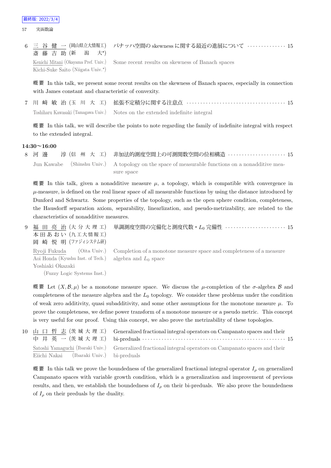6 三 谷 健 一 (岡山県立大情報工) 斎 藤 吉 助 (新 潟 大*<sup>⋆</sup>*  $\pm$ \*) バナッハ空間の skewness に関する最近の進展について *· · · · · · · · · · · · · ·* 15 Kenichi Mitani (Okayama Pref. Univ.) Kichi-Suke Saito (Niigata Univ.*<sup>⋆</sup>* ) Some recent results on skewness of Banach spaces

概 要 In this talk, we present some recent results on the skewness of Banach spaces, especially in connection with James constant and characteristic of convexity.

7 川 﨑 敏 治 (玉 川 大 工) 拡張不定積分に関する注意点 *· · · · · · · · · · · · · · · · · · · · · · · · · · · · · · · · · · · ·* 15 Toshiharu Kawasaki (Tamagawa Univ.) Notes on the extended indefinite integral

概 要 In this talk, we will describe the points to note regarding the family of indefinite integral with respect to the extended integral.

#### **14:30~16:00**

8 河 邊 淳 (信 州 大 工) 非加法的測度空間上の可測関数空間の位相構造 *· · · · · · · · · · · · · · · · · · · · ·* 15 Jun Kawabe (Shinshu Univ.) A topology on the space of measurable functions on a nonadditive measure space

概要 In this talk, given a nonadditive measure  $\mu$ , a topology, which is compatible with convergence in  $\mu$ -measure, is defined on the real linear space of all measurable functions by using the distance introduced by Dunford and Schwartz. Some properties of the topology, such as the open sphere condition, completeness, the Hausdorff separation axiom, separability, linearlization, and pseudo-metrizability, are related to the characteristics of nonadditive measures.

9 福 田 亮 治 (大 分 大 理 工) 本田あおい (九工大情報工) 岡 崎 悦 明 (ファジィシステム研) 単調測度空間の完備化と測度代数・*L*<sup>0</sup> 完備性 *· · · · · · · · · · · · · · · · · · · · · ·* 15 Ryoji Fukuda (Oita Univ.) Aoi Honda (Kyushu Inst. of Tech.) Yoshiaki Okazaki (Fuzzy Logic Systems Inst.) Completion of a monotone measure space and completeness of a measure algebra and  $L_0$  space

概要 Let  $(X, \mathcal{B}, \mu)$  be a monotone measure space. We discuss the *μ*-completion of the *σ*-algebra *B* and completeness of the measure algebra and the *L*<sup>0</sup> topology. We consider these problems under the condition of weak zero additivity, quasi subadditivity, and some other assumptions for the monotone measure  $\mu$ . To prove the completeness, we define power transform of a monotone measure or a pseudo metric. This concept is very useful for our proof. Using this concept, we also prove the metrizability of these topologies.

10 山 口 哲 志 (茨 城 大 理 工) 中 井 英 一 (茨 城 大 理 工) Generalized fractional integral operators on Campanato spaces and their bi-preduals *· · · · · · · · · · · · · · · · · · · · · · · · · · · · · · · · · · · · · · · · · · · · · · · · · · · ·* 15 Satoshi Yamaguchi (Ibaraki Univ.) Eiichi Nakai (Ibaraki Univ.) Generalized fractional integral operators on Campanato spaces and their bi-preduals

概 要 In this talk we prove the boundedness of the generalized fractional integral operator  $I_\rho$  on generalized Campanato spaces with variable growth condition, which is a generalization and improvement of previous results, and then, we establish the boundedness of  $I_\rho$  on their bi-preduals. We also prove the boundedness of  $I_\rho$  on their preduals by the duality.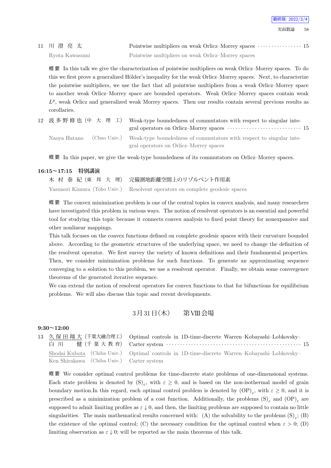11 川 澄 亮 太 Pointwise multipliers on weak Orlicz–Morrey spaces  $\cdots$  *interminism* in the Pointwise multipliers on weak Orlicz–Morrey spaces  $\cdots$  *interminism* Ryota Kawasumi Pointwise multipliers on weak Orlicz–Morrey spaces

概 要 In this talk we give the characterization of pointwise multipliers on weak Orlicz–Morrey spaces. To do this we first prove a generalized Hölder's inequality for the weak Orlicz–Morrey spaces. Next, to characterize the pointwise multipliers, we use the fact that all pointwise multipliers from a weak Orlicz–Morrey space to another weak Orlicz–Morrey space are bounded operators. Weak Orlicz–Morrey spaces contain weak  $L^p$ , weak Orlicz and generalized weak Morrey spaces. Then our results contain several previous results as corollaries.

| 12 波多野修也 (中 大 理 工) | Weak-type boundedness of commutators with respect to singular inte-<br>gral operators on Orlicz–Morrey spaces $\dots\dots\dots\dots\dots\dots\dots\dots\dots\dots\dots\dots$ |
|--------------------|------------------------------------------------------------------------------------------------------------------------------------------------------------------------------|
|                    | Naoya Hatano (Chuo Univ.) Weak-type boundedness of commutators with respect to singular inte-                                                                                |
|                    | gral operators on Orlicz-Morrey spaces                                                                                                                                       |

概 要 In this paper, we give the weak-type boundedness of its commutators on Orlicz–Morrey spaces.

#### **16:15~17:15 特別講演**

| 木 村 泰 紀 (東 邦 大 理) 完備測地距離空間上のリゾルベント作用素                                        |
|------------------------------------------------------------------------------|
| Yasunori Kimura (Toho Univ.) Resolvent operators on complete geodesic spaces |

概 要 The convex minimization problem is one of the central topics in convex analysis, and many researchers have investigated this problem in various ways. The notion of resolvent operators is an essential and powerful tool for studying this topic because it connects convex analysis to fixed point theory for nonexpansive and other nonlinear mappings.

This talk focuses on the convex functions defined on complete geodesic spaces with their curvature bounded above. According to the geometric structures of the underlying space, we need to change the definition of the resolvent operator. We first survey the variety of known definitions and their fundamental properties. Then, we consider minimization problems for such functions. To generate an approximating sequence converging to a solution to this problem, we use a resolvent operator. Finally, we obtain some convergence theorems of the generated iterative sequence.

We can extend the notion of resolvent operators for convex functions to that for bifunctions for equilibrium problems. We will also discuss this topic and recent developments.

### 3月31日 (木) 第VIII会場

#### **9:30~12:00**

|                                           | 13 久保田翔大 (千葉大融合理工) Optimal controls in 1D-time-discrete Warren-Kobayashi-Lobkovsky-          |
|-------------------------------------------|----------------------------------------------------------------------------------------------|
| 白 川                                       | 健 (千 葉 大 教 育) Carter system ………………………………………………… 15                                           |
|                                           | Shodai Kubota (Chiba Univ.) Optimal controls in 1D-time-discrete Warren-Kobayashi-Lobkovsky- |
| Ken Shirakawa (Chiba Univ.) Carter system |                                                                                              |

概 要 We consider optimal control problems for time-discrete state problems of one-dimensional systems. Each state problem is denoted by  $(S)_{\varepsilon}$ , with  $\varepsilon \geq 0$ , and is based on the non-isothermal model of grain boundary motion.In this regard, each optimal control problem is denoted by  $\text{OP}|_{\varepsilon}$ , with  $\varepsilon \geq 0$ , and it is prescribed as a minimization problem of a cost function. Additionally, the problems  $(S)_{\varepsilon}$  and  $(OP)_{\varepsilon}$  are supposed to admit limiting profiles as  $\varepsilon \downarrow 0$ , and then, the limiting problems are supposed to contain no little singularities. The main mathematical results concerned with: (A) the solvability to the problems  $(S)_{\varepsilon}$ ; (B) the existence of the optimal control; (C) the necessary condition for the optimal control when  $\varepsilon > 0$ ; (D) limiting observation as  $\varepsilon \downarrow 0$ ; will be reported as the main theorems of this talk.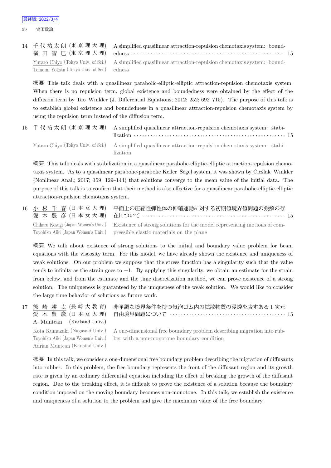|                                            | 14 千代祐太朗 (東京理大理) A simplified quasilinear attraction-repulsion chemotaxis system: bound-                   |  |
|--------------------------------------------|------------------------------------------------------------------------------------------------------------|--|
|                                            | 横 田 智 巳 (東 京 理 大 理) edness ………………………………………………………… 15                                                       |  |
|                                            | Yutaro Chiyo (Tokyo Univ. of Sci.) A simplified quasilinear attraction-repulsion chemotaxis system: bound- |  |
| Tomomi Yokota (Tokyo Univ. of Sci.) edness |                                                                                                            |  |

概 要 This talk deals with a quasilinear parabolic-elliptic-elliptic attraction-repulsion chemotaxis system. When there is no repulsion term, global existence and boundedness were obtained by the effect of the diffusion term by Tao–Winkler (J. Differential Equations; 2012; 252; 692–715). The purpose of this talk is to establish global existence and boundedness in a quasilinear attraction-repulsion chemotaxis system by using the repulsion term instead of the diffusion term.

15 千 代 祐 太 朗 (東 京 理 大 理) A simplified quasilinear attraction-repulsion chemotaxis system: stabilization *· · · · · · · · · · · · · · · · · · · · · · · · · · · · · · · · · · · · · · · · · · · · · · · · · · · · · · ·* 15 Yutaro Chiyo (Tokyo Univ. of Sci.) A simplified quasilinear attraction-repulsion chemotaxis system: stabilization

概 要 This talk deals with stabilization in a quasilinear parabolic-elliptic-elliptic attraction-repulsion chemotaxis system. As to a quasilinear parabolic-parabolic Keller–Segel system, it was shown by Ciestak–Winkler (Nonlinear Anal.; 2017; 159; 129–144) that solutions converge to the mean value of the initial data. The purpose of this talk is to confirm that their method is also effective for a quasilinear parabolic-elliptic-elliptic attraction-repulsion chemotaxis system.

16 小 杉 千 春 (日 本 女 大 理) 愛 木 豊 彦 (日本女大理) 平面上の圧縮性弾性体の伸縮運動に対する初期値境界値問題の強解の存 在について *· · · · · · · · · · · · · · · · · · · · · · · · · · · · · · · · · · · · · · · · · · · · · · · · · · · ·* 15 Chiharu Kosugi (Japan Women's Univ.) Toyohiko Aiki (Japan Women's Univ.) Existence of strong solutions for the model representing motions of compressible elastic materials on the plane

概 要 We talk about existence of strong solutions to the initial and boundary value problem for beam equations with the viscosity term. For this model, we have already shown the existence and uniqueness of weak solutions. On our problem we suppose that the stress function has a singularity such that the value tends to infinity as the strain goes to *−*1. By applying this singularity, we obtain an estimate for the strain from below, and from the estimate and the time discretization method, we can prove existence of a strong solution. The uniqueness is guaranteed by the uniqueness of the weak solution. We would like to consider the large time behavior of solutions as future work.

17 熊 崎 耕 太 (長 崎 大 教 育) 愛 木 豊 彦 (日本女大理) A. Muntean (Karlstad Univ.) 非単調な境界条件を持つ気泡ゴム内の拡散物質の浸透を表すある 1 次元 自由境界問題について *· · · · · · · · · · · · · · · · · · · · · · · · · · · · · · · · · · · · · · · · · ·* 15

Kota Kumazaki (Nagasaki Univ.) Toyohiko Aiki (Japan Women's Univ.) Adrian Muntean (Karlstad Univ.)

A one-dimensional free boundary problem describing migration into rubber with a non-monotone boundary condition

概 要 In this talk, we consider a one-dimensional free boundary problem describing the migration of diffusants into rubber. In this problem, the free boundary represents the front of the diffusant region and its growth rate is given by an ordinary differential equation including the effect of breaking the growth of the diffusant region. Due to the breaking effect, it is difficult to prove the existence of a solution because the boundary condition imposed on the moving boundary becomes non-monotone. In this talk, we establish the existence and uniqueness of a solution to the problem and give the maximum value of the free boundary.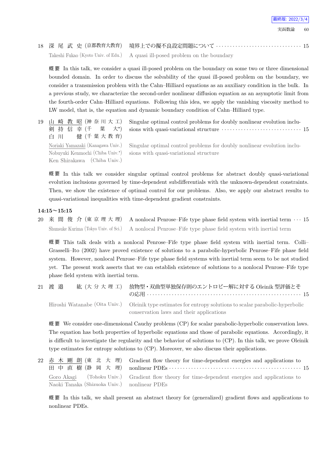実函数論 60

18 深 尾 武 史 (京都教育大教育) 境界上での擬不良設定問題について *· · · · · · · · · · · · · · · · · · · · · · · · · · · · · · ·* 15 Takeshi Fukao (Kyoto Univ. of Edu.) A quasi ill-posed problem on the boundary

概 要 In this talk, we consider a quasi ill-posed problem on the boundary on some two or three dimensional bounded domain. In order to discuss the solvability of the quasi ill-posed problem on the boundary, we consider a transmission problem with the Cahn–Hilliard equations as an auxiliary condition in the bulk. In a previous study, we characterize the second-order nonlinear diffusion equation as an asymptotic limit from the fourth-order Cahn–Hilliard equations. Following this idea, we apply the vanishing viscosity method to LW model, that is, the equation and dynamic boundary condition of Cahn–Hilliard type.

19 山 崎 教 昭 (神 奈 川 大 工) 剣 持 信 幸 (千 葉 大*<sup>⋆</sup>*  $\pm$ \*) 白 川 健 (千 葉 大 教 育) Noriaki Yamazaki (Kanagawa Univ.) Nobuyuki Kenmochi (Chiba Univ.*<sup>⋆</sup>* ) Ken Shirakawa (Chiba Univ.)

Singular optimal control problems for doubly nonlinear evolution inclusions with quasi-variational structure *· · · · · · · · · · · · · · · · · · · · · · · · · · · · ·* 15

Singular optimal control problems for doubly nonlinear evolution inclusions with quasi-variational structure

概 要 In this talk we consider singular optimal control problems for abstract doubly quasi-variational evolution inclusions governed by time-dependent subdifferentials with the unknown-dependent constraints. Then, we show the existence of optimal control for our problems. Also, we apply our abstract results to quasi-variational inequalities with time-dependent gradient constraints.

#### **14:15~15:15**

20 来 間 俊 介 (東 京 理 大 理) A nonlocal Penrose–Fife type phase field system with inertial term *· · ·* 15 Shunsuke Kurima (Tokyo Univ. of Sci.) A nonlocal Penrose–Fife type phase field system with inertial term

概要 This talk deals with a nonlocal Penrose–Fife type phase field system with inertial term. Colli– Grasselli–Ito (2002) have proved existence of solutions to a parabolic-hyperbolic Penrose–Fife phase field system. However, nonlocal Penrose–Fife type phase field systems with inertial term seem to be not studied yet. The present work asserts that we can establish existence of solutions to a nonlocal Penrose–Fife type phase field system with inertial term.

| 21 渡 邉 | 紘 (大分大理工) | 放物型・双曲型単独保存則のエントロピー解に対する Oleinik 型評価とそ                                                                                                                |
|--------|-----------|-------------------------------------------------------------------------------------------------------------------------------------------------------|
|        |           | Hiroshi Watanabe (Oita Univ.) Oleinik type estimates for entropy solutions to scalar parabolic-hyperbolic<br>conservation laws and their applications |

概 要 We consider one-dimensional Cauchy problems (CP) for scalar parabolic-hyperbolic conservation laws. The equation has both properties of hyperbolic equations and those of parabolic equations. Accordingly, it is difficult to investigate the regularity and the behavior of solutions to (CP). In this talk, we prove Oleinik type estimates for entropy solutions to (CP). Moreover, we also discuss their applications.

22 赤 木 剛 朗 (東 北 大 理) 田 中 直 樹 (静 岡 大 理) Gradient flow theory for time-dependent energies and applications to nonlinear PDEs *· · · · · · · · · · · · · · · · · · · · · · · · · · · · · · · · · · · · · · · · · · · · · · · ·* 15 Goro Akagi (Tohoku Univ.) Naoki Tanaka (Shizuoka Univ.) Gradient flow theory for time-dependent energies and applications to nonlinear PDEs

概 要 In this talk, we shall present an abstract theory for (generalized) gradient flows and applications to nonlinear PDEs.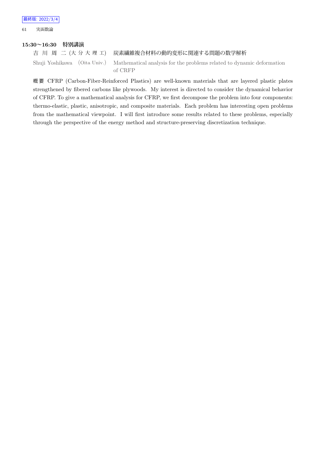61 実函数論

#### **15:30~16:30 特別講演**

吉 川 周 二 (大 分 大 理 工) 炭素繊維複合材料の動的変形に関連する問題の数学解析 Shuji Yoshikawa (Oita Univ.) Mathematical analysis for the problems related to dynamic deformation of CRFP

概 要 CFRP (Carbon-Fiber-Reinforced Plastics) are well-known materials that are layered plastic plates strengthened by fibered carbons like plywoods. My interest is directed to consider the dynamical behavior of CFRP. To give a mathematical analysis for CFRP, we first decompose the problem into four components: thermo-elastic, plastic, anisotropic, and composite materials. Each problem has interesting open problems from the mathematical viewpoint. I will first introduce some results related to these problems, especially through the perspective of the energy method and structure-preserving discretization technique.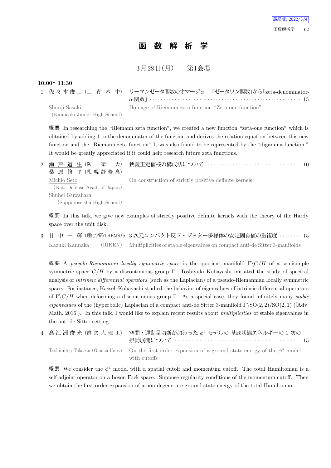## **函 数 解 析 学**

 $3 \overline{H} 28 \overline{H} (\overline{H})$  第I会場

```
10:00~11:30
```

|                               | 1 佐々木俊二(上 青 木 中) リーマンゼータ関数のオマージュ–「ゼータワン関数」から「zeta-denominator- |
|-------------------------------|----------------------------------------------------------------|
|                               |                                                                |
| Shunji Sasaki                 | Homage of Riemann zeta function "Zeta one function"            |
| (Kamiaoki Junior High School) |                                                                |

概 要 In researching the "Riemann zeta function", we created a new function "zeta-one function" which is obtained by adding 1 to the denominator of the function and derives the relation equation between this new function and the "Riemann zeta function" It was also found to be represented by the "digamma function." It would be greatly appreciated if it could help research future zeta functions.

2 瀬 戸 道 生 (防 衛 大) 桑 原 修 平 (札 幌 静 修 高) 狭義正定値核の構成法について *· · · · · · · · · · · · · · · · · · · · · · · · · · · · · · · · · · ·* 10 Michio Seto (Nat. Defense Acad. of Japan) Shuhei Kuwahara (Sapporoseishu High School) On construction of strictly positive definite kernels

概 要 In this talk, we give new examples of strictly positive definite kernels with the theory of the Hardy space over the unit disk.

3 甘 中 一 輝 (理化学研iTHEMS)*♭* 3 次元コンパクト反ド・ジッター多様体の安定固有値の重複度 *· · · · · · · ·* 15 Kazuki Kannaka (RIKEN) Multiplicities of stable eigenvalues on compact anti-de Sitter 3-manifolds

概 要 A *pseudo-Riemannian locally symmetric space* is the quotient manifold Γ*\G/H* of a semisimple symmetric space *G/H* by a discontinuous group Γ. Toshiyuki Kobayashi initiated the study of spectral analysis of *intrinsic differential operators* (such as the Laplacian) of a pseudo-Riemannian locally symmetric space. For instance, Kassel–Kobayashi studied the behavior of eigenvalues of intrinsic differential operators of Γ*\G/H* when deforming a discontinuous group Γ. As a special case, they found infinitely many *stable eigenvalues* of the (hyperbolic) Laplacian of a compact anti-de Sitter 3-manifold Γ*\*SO(2*,* 2)*/*SO(2*,* 1) ([Adv. Math. 2016]). In this talk, I would like to explain recent results about *multiplicities* of stable eigenvalues in the anti-de Sitter setting.

|  | 4 髙 江 洲 俊 光 (群 馬 大 理 工) 空間・運動量切断が加わった φ <sup>4</sup> モデルの 基底状態エネルギーの 1 次の                                                    |  |
|--|------------------------------------------------------------------------------------------------------------------------------|--|
|  | Toshimitsu Takaesu (Gunma Univ.) On the first order expansion of a ground state energy of the $\phi^4$ model<br>with cutoffs |  |

概 要 We consider the *ϕ* <sup>4</sup> model with a spatial cutoff and momentum cutoff. The total Hamiltonian is a self-adjoint operator on a boson Fock space. Suppose regularity conditions of the momentum cutoff. Then we obtain the first order expansion of a non-degenerate ground state energy of the total Hamiltonian.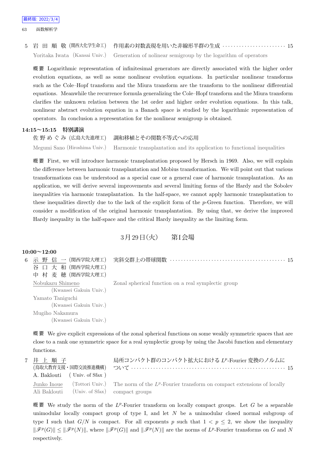63 函数解析学

5 岩 田 順 敬 (関西大化学生命工) 作用素の対数表現を用いた非線形半群の生成 *· · · · · · · · · · · · · · · · · · · · · · ·* 15 Yoritaka Iwata (Kansai Univ.) Generation of nolinear semigroup by the logarithm of operators

概 要 Logarithmic representation of infinitesimal generators are directly associated with the higher order evolution equations, as well as some nonlinear evolution equations. In particular nonlinear transforms such as the Cole–Hopf transform and the Miura transform are the transform to the nonlinear differential equations. Meanwhile the recurrence formula generalizing the Cole–Hopf transform and the Miura transform clarifies the unknown relation between the 1st order and higher order evolution equations. In this talk, nonlinear abstract evolution equation in a Banach space is studied by the logarithmic representation of operators. In conclusion a representation for the nonlinear semigroup is obtained.

## **14:15~15:15 特別講演**

佐 野 め ぐ み (広島大先進理工) 調和移植とその関数不等式への応用 Megumi Sano (Hiroshima Univ.) Harmonic transplantation and its application to functional inequalities

概 要 First, we will introduce harmonic transplantation proposed by Hersch in 1969. Also, we will explain

the difference between harmonic transplantation and Mobius transformation. We will point out that various transformations can be understood as a special case or a general case of harmonic transplantation. As an application, we will derive several improvements and several limiting forms of the Hardy and the Sobolev inequalities via harmonic transplantation. In the half-space, we cannot apply harmonic transplantation to these inequalities directly due to the lack of the explicit form of the *p*-Green function. Therefore, we will consider a modification of the original harmonic transplantation. By using that, we derive the improved Hardy inequality in the half-space and the critical Hardy inequality as the limiting form.

3月29日 (火) 第I会場

|   | $10:00 \sim 12:00$     |                                                     |
|---|------------------------|-----------------------------------------------------|
| 6 | 谷 口 大 和 (関西学院大理工)      |                                                     |
|   | 中 村 麦 穂 (関西学院大理工)      |                                                     |
|   | Nobukazu Shimeno       | Zonal spherical function on a real symplectic group |
|   | (Kwansei Gakuin Univ.) |                                                     |
|   | Yamato Taniguchi       |                                                     |
|   | (Kwansei Gakuin Univ.) |                                                     |
|   | Mugiho Nakamura        |                                                     |
|   | (Kwansei Gakuin Univ.) |                                                     |
|   |                        |                                                     |

概 要 We give explicit expressions of the zonal spherical functions on some weakly symmetric spaces that are close to a rank one symmetric space for a real symplectic group by using the Jacobi function and elementary functions.

| 7 井上順子<br>A. Baklouti (Univ. of Sfax)       | 局所コンパクト群のコンパクト拡大における LP-Fourier 変換のノルムに<br>(鳥取大教育支援・国際交流推進機構)  ついて ‥‥‥‥‥‥‥‥‥‥‥‥‥‥‥‥‥‥‥‥‥‥‥‥‥‥‥‥‥‥ 15  |
|---------------------------------------------|-------------------------------------------------------------------------------------------------------|
| Ali Baklouti (Univ. of Sfax) compact groups | Junko Inoue (Tottori Univ.) The norm of the $L^p$ -Fourier transform on compact extensions of locally |

概要 We study the norm of the L<sup>p</sup>-Fourier transform on locally compact groups. Let G be a separable unimodular locally compact group of type I, and let *N* be a unimodular closed normal subgroup of type I such that  $G/N$  is compact. For all exponents p such that  $1 < p \le 2$ , we show the inequality  $\|\mathscr{F}^p(G)\| \leq \|\mathscr{F}^p(N)\|$ , where  $\|\mathscr{F}^p(G)\|$  and  $\|\mathscr{F}^p(N)\|$  are the norms of  $L^p$ -Fourier transforms on G and N respectively.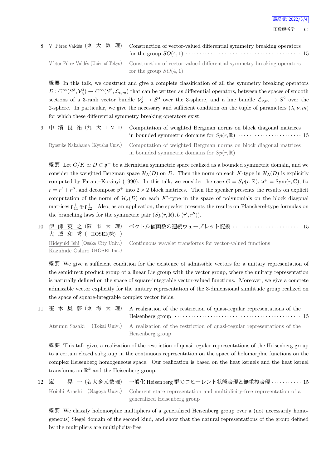# 8 V. Pérez Valdés (東 大 数 理) Construction of vector-valued differential symmetry breaking operators for the group  $SO(4,1)$   $\cdots$   $\cdots$   $\cdots$   $\cdots$   $\cdots$   $\cdots$   $\cdots$   $\cdots$   $\cdots$   $\cdots$   $\cdots$   $\cdots$   $\cdots$   $\cdots$   $\cdots$   $\cdots$

Víctor Pérez Valdés (Univ. of Tokyo) Construction of vector-valued differential symmetry breaking operators for the group  $SO(4,1)$ 

概 要 In this talk, we construct and give a complete classification of all the symmetry breaking operators  $D: C^{\infty}(S^3, V^3_{\lambda}) \to C^{\infty}(S^2, \mathcal{L}_{\nu,m})$  that can be written as differential operators, between the spaces of smooth sections of a 3-rank vector bundle  $V^3_\lambda \to S^3$  over the 3-sphere, and a line bundle  $\mathcal{L}_{\nu,m} \to S^2$  over the 2-sphere. In particular, we give the necessary and sufficient condition on the tuple of parameters  $(\lambda, \nu, m)$ for which these differential symmetry breaking operators exist.

9 中 濱 良 祐 (九 大 I M I) Computation of weighted Bergman norms on block diagonal matrices in bounded symmetric domains for  $Sp(r, \mathbb{R})$   $\cdots$   $\cdots$   $\cdots$   $\cdots$   $\cdots$   $\cdots$   $\cdots$  15 Ryosuke Nakahama (Kyushu Univ.) Computation of weighted Bergman norms on block diagonal matrices

in bounded symmetric domains for  $Sp(r, \mathbb{R})$ 

概 要 Let  $G/K \simeq D \subset \mathfrak{p}^+$  be a Hermitian symmetric space realized as a bounded symmetric domain, and we consider the weighted Bergman space  $\mathcal{H}_{\lambda}(D)$  on *D*. Then the norm on each *K*-type in  $\mathcal{H}_{\lambda}(D)$  is explicitly computed by Faraut–Korányi (1990). In this talk, we consider the case  $G = Sp(r, \mathbb{R})$ ,  $\mathfrak{p}^+ = Sym(r, \mathbb{C})$ , fix  $r = r' + r''$ , and decompose  $\mathfrak{p}^+$  into  $2 \times 2$  block matrices. Then the speaker presents the results on explicit computation of the norm of  $\mathcal{H}_{\lambda}(D)$  on each  $K'$ -type in the space of polynomials on the block diagonal matrices  $\mathfrak{p}_{11}^+ \oplus \mathfrak{p}_{22}^+$ . Also, as an application, the speaker presents the results on Plancherel-type formulas on the branching laws for the symmetric pair  $(Sp(r, \mathbb{R}), U(r', r''))$ .

10 伊 師 英 之 (阪 市 大 理) 大 城 和 秀 ( HOSEI(株) ) ベクトル値函数の連続ウェーブレット変換 *· · · · · · · · · · · · · · · · · · · · · · · · ·* 15 Hideyuki Ishi (Osaka City Univ.) Kazuhide Oshiro (HOSEI Inc.) Continuous wavelet transforms for vector-valued functions

概 要 We give a sufficient condition for the existence of admissible vectors for a unitary representation of the semidirect product group of a linear Lie group with the vector group, where the unitary representation is naturally defined on the space of square-integrable vector-valued functions. Moreover, we give a concrete admissible vector explicitly for the unitary representation of the 3-dimensional similitude group realized on the space of square-integrable complex vector fields.

| 11 笹木集夢(東海大理) A realization of the restriction of quasi-regular representations of the<br>Heisenberg group $\cdots \cdots \cdots \cdots \cdots \cdots \cdots \cdots \cdots \cdots \cdots \cdots 15$ |
|-----------------------------------------------------------------------------------------------------------------------------------------------------------------------------------------------------|
| Atsumu Sasaki (Tokai Univ.) A realization of the restriction of quasi-regular representations of the<br>Heisenberg group                                                                            |

概 要 This talk gives a realization of the restriction of quasi-regular representations of the Heisenberg group to a certain closed subgroup in the continuous representation on the space of holomorphic functions on the complex Heisenberg homogeneous space. Our realization is based on the heat kernels and the heat kernel transforms on  $\mathbb{R}^k$  and the Heisenberg group.

12 嵐 昊 一 (名大多元数理) 一般化 Heisenberg 群のコヒーレント状態表現と無重複表現 · · · · · · · · · · 15 Koichi Arashi (Nagoya Univ.) Coherent state representation and multiplicity-free representation of a generalized Heisenberg group

概 要 We classify holomorphic multipliers of a generalized Heisenberg group over a (not necessarily homogeneous) Siegel domain of the second kind, and show that the natural representations of the group defined by the multipliers are multiplicity-free.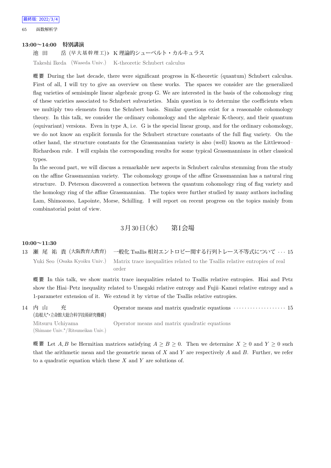65 函数解析学

#### **13:00~14:00 特別講演**

池 田 岳 (早 大 基 幹 理 工)*♭* K 理論的シューベルト・カルキュラス

Takeshi Ikeda (Waseda Univ.) K-theoretic Schubert calculus

概 要 During the last decade, there were significant progress in K-theoretic (quantum) Schubert calculus. First of all, I will try to give an overview on these works. The spaces we consider are the generalized flag varieties of semisimple linear algebraic group G. We are interested in the basis of the cohomology ring of these varieties associated to Schubert subvarieties. Main question is to determine the coefficients when we multiply two elements from the Schubert basis. Similar questions exist for a reasonable cohomology theory. In this talk, we consider the ordinary cohomology and the algebraic K-theory, and their quantum (equivariant) versions. Even in type A, i.e. G is the special linear group, and for the ordinary cohomology, we do not know an explicit formula for the Schubert structure constants of the full flag variety. On the other hand, the structure constants for the Grassmannian variety is also (well) known as the Littlewood– Richardson rule. I will explain the corresponding results for some typical Grassmannians in other classical types.

In the second part, we will discuss a remarkable new aspects in Schubert calculus stemming from the study on the affine Grassmannian variety. The cohomology groups of the affine Grassmannian has a natural ring structure. D. Peterson discovered a connection between the quantum cohomology ring of flag variety and the homology ring of the affine Grassmannian. The topics were further studied by many authors including Lam, Shimozono, Lapointe, Morse, Schilling. I will report on recent progress on the topics mainly from combinatorial point of view.

### 3月30日 (水) 第I会場

#### **10:00~11:30**

|  | 13 瀬 尾 祐 貴 (大阪教育大教育) 一般化 Tsallis 相対エントロピー関する行列トレース不等式について  15                                             |
|--|-----------------------------------------------------------------------------------------------------------|
|  | Yuki Seo (Osaka Kyoiku Univ.) Matrix trace inequalities related to the Tsallis relative entropies of real |
|  | order                                                                                                     |

概 要 In this talk, we show matrix trace inequalities related to Tsallis relative entropies. Hiai and Petz show the Hiai–Petz inequality related to Umegaki relative entropy and Fujii–Kamei relative entropy and a 1-parameter extension of it. We extend it by virtue of the Tsallis relative entropies.

14 内 山 充 (島根大*⋆*・立命館大総合科学技術研究機構) Operator means and matrix quadratic equations  $\cdots$  · · · · · · · · · · · · · · 15 Mitsuru Uchiyama (Shimane Univ.*<sup>⋆</sup>*/Ritsumeikan Univ.) Operator means and matrix quadratic equations

概 要 Let  $A, B$  be Hermitian matrices satisfying  $A \geq B \geq 0$ . Then we determine  $X \geq 0$  and  $Y \geq 0$  such that the arithmetic mean and the geometric mean of *X* and *Y* are respectively *A* and *B*. Further, we refer to a quadratic equation which these *X* and *Y* are solutions of.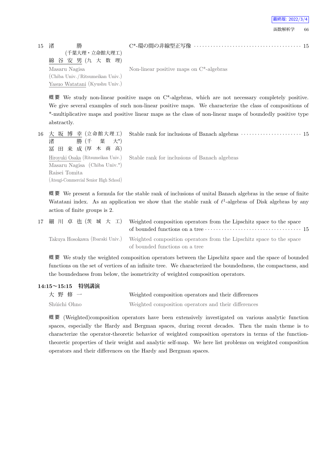| 最終版: 2022/3/4 |  |
|---------------|--|
| 函数解析学         |  |

15 渚 勝 (千葉大理・立命館大理工) 綿 谷 安 男 (九 大 数 理) Masaru Nagisa (Chiba Univ. /Ritsumeikan Univ.) Yasuo Watatani (Kyushu Univ.)

C\*-環の間の非線型正写像 *· · · · · · · · · · · · · · · · · · · · · · · · · · · · · · · · · · · · · · ·* 15

Non-linear positive maps on C\*-algebras

概要 We study non-linear positive maps on  $C^*$ -algebras, which are not necessary completely positive. We give several examples of such non-linear positive maps. We characterize the class of compositions of \*-multiplicative maps and positive linear maps as the class of non-linear maps of boundedly positive type abstractly.

| 16 大 坂 博 幸 (立命館大理工)<br>勝 (千 葉 大*)<br>渚<br>冨田来成(厚木商高)    | Stable rank for inclusions of Banach algebras $\cdots \cdots \cdots \cdots \cdots 15$ |
|---------------------------------------------------------|---------------------------------------------------------------------------------------|
| Masaru Nagisa (Chiba Univ. $\star$ )                    | Hiroyuki Osaka (Ritsumeikan Univ.) Stable rank for inclusions of Banach algebras      |
| Raisei Tomita<br>(Atsugi-Commercial Senior High School) |                                                                                       |

概 要 We present a formula for the stable rank of inclusions of unital Banach algebras in the sense of finite Watatani index. As an application we show that the stable rank of  $\ell^1$ -algebras of Disk algebras by any action of finite groups is 2.

| 17 細 川 卓 也 (茨 城 大 工) | Weighted composition operators from the Lipschitz space to the space<br>of bounded functions on a tree $\cdots$ $\cdots$ $\cdots$ $\cdots$ $\cdots$ $\cdots$ $\cdots$ $\cdots$ 15 |
|----------------------|-----------------------------------------------------------------------------------------------------------------------------------------------------------------------------------|
|                      | Takuya Hosokawa (Ibaraki Univ.) Weighted composition operators from the Lipschitz space to the space<br>of bounded functions on a tree                                            |

概 要 We study the weighted composition operators between the Lipschitz space and the space of bounded functions on the set of vertices of an infinite tree. We characterized the boundedness, the compactness, and the boundedness from below, the isometricity of weighted composition operators.

## **14:15~15:15 特別講演** 大 野 修 一 Weighted composition operators and their differences Shûichi Ohno Weighted composition operators and their differences

概 要 (Weighted)composition operators have been extensively investigated on various analytic function spaces, especially the Hardy and Bergman spaces, during recent decades. Then the main theme is to characterize the operator-theoretic behavior of weighted composition operators in terms of the functiontheoretic properties of their weight and analytic self-map. We here list problems on weighted composition operators and their differences on the Hardy and Bergman spaces.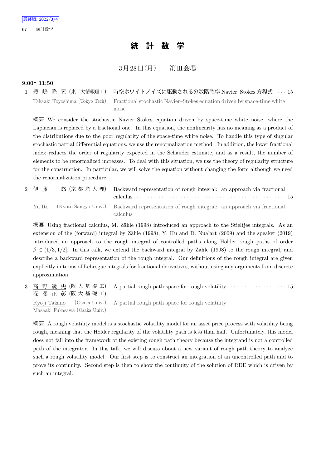## **統 計 数 学**

## $3 \cancel{\text{F} 128}$   $\text{H}$  (月) 第Ⅲ会場

#### **9:00~11:50**

1 豊 嶋 隆 晃 (東工大情報理工) 時空ホワイトノイズに駆動される分数階確率 Navier–Stokes 方程式 *· · · ·* 15 Takaaki Toyoshima (Tokyo Tech) Fractional stochastic Navier–Stokes equation driven by space-time white noise

概 要 We consider the stochastic Navier–Stokes equation driven by space-time white noise, where the Laplacian is replaced by a fractional one. In this equation, the nonlinearity has no meaning as a product of the distributions due to the poor regularity of the space-time white noise. To handle this type of singular stochastic partial differential equations, we use the renormalization method. In addition, the lower fractional index reduces the order of regularity expected in the Schauder estimate, and as a result, the number of elements to be renormalized increases. To deal with this situation, we use the theory of regularity structure for the construction. In particular, we will solve the equation without changing the form although we need the renormalization procedure.

| 2 伊藤 | 悠 (京都産大理) Backward representation of rough integral: an approach via fractional                               |  |
|------|---------------------------------------------------------------------------------------------------------------|--|
|      | Yu Ito (Kyoto Sangyo Univ.) Backward representation of rough integral: an approach via fractional<br>calculus |  |

概要 Using fractional calculus, M. Zähle (1998) introduced an approach to the Stieltjes integrals. As an extension of the (forward) integral by Zähle (1998), Y. Hu and D. Nualart (2009) and the speaker (2019) introduced an approach to the rough integral of controlled paths along Hölder rough paths of order  $\beta \in (1/3, 1/2]$ . In this talk, we extend the backward integral by Zähle (1998) to the rough integral, and describe a backward representation of the rough integral. Our definitions of the rough integral are given explicitly in terms of Lebesgue integrals for fractional derivatives, without using any arguments from discrete approximation.

3 高 野 凌 史 (阪 大 基 礎 工) 深 澤 正 彰 (阪 大 基 礎 工) A partial rough path space for rough volatility  $\cdots$   $\cdots$   $\cdots$   $\cdots$   $\cdots$   $\cdots$  15 Ryoji Takano (Osaka Univ.) Masaaki Fukasawa (Osaka Univ.) A partial rough path space for rough volatility

概 要 A rough volatility model is a stochastic volatility model for an asset price process with volatility being rough, meaning that the Holder regularity of the volatility path is less than half. Unfortunately, this model does not fall into the framework of the existing rough path theory because the integrand is not a controlled path of the integrator. In this talk, we will discuss about a new variant of rough path theory to analyze such a rough volatility model. Our first step is to construct an integration of an uncontrolled path and to prove its continuity. Second step is then to show the continuity of the solution of RDE which is driven by such an integral.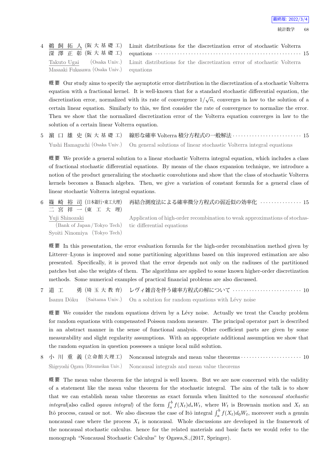|                                          | 4 鵜 飼 拓 人 (阪 大 基 礎 工) Limit distributions for the discretization error of stochastic Volterra     |
|------------------------------------------|---------------------------------------------------------------------------------------------------|
|                                          | 深 澤 正 彰 (阪大基礎工) equations ………………………………………………… 15                                                  |
|                                          | Takuto Ugai (Osaka Univ.) Limit distributions for the discretization error of stochastic Volterra |
| Masaaki Fukasawa (Osaka Univ.) equations |                                                                                                   |

概 要 Our study aims to specify the asymptotic error distribution in the discretization of a stochastic Volterra equation with a fractional kernel. It is well-known that for a standard stochastic differential equation, the discretization error, normalized with its rate of convergence  $1/\sqrt{n}$ , converges in law to the solution of a certain linear equation. Similarly to this, we first consider the rate of convergence to normalize the error. Then we show that the normalized discretization error of the Volterra equation converges in law to the solution of a certain linear Volterra equation.

5 濵 口 雄 史 (阪 大 基 礎 工) 線形な確率 Volterra 積分方程式の一般解法 *· · · · · · · · · · · · · · · · · · · · · · · · ·* 15 Yushi Hamaguchi (Osaka Univ.) On general solutions of linear stochastic Volterra integral equations

概 要 We provide a general solution to a linear stochastic Volterra integral equation, which includes a class of fractional stochastic differential equations. By means of the chaos expansion technique, we introduce a notion of the product generalizing the stochastic convolutions and show that the class of stochastic Volterra kernels becomes a Banach algebra. Then, we give a variation of constant formula for a general class of linear stochastic Volterra integral equations.

| 6  篠 崎 裕 司(日本銀行・東工大理)<br>二宮祥一(東工大理)                                                   | 再結合測度法による確率微分方程式の弱近似の効率化 ·············· 15                                 |
|---------------------------------------------------------------------------------------|----------------------------------------------------------------------------|
| Yuji Shinozaki                                                                        | Application of high-order recombination to weak approximations of stochas- |
| (Bank of Japan/Tokyo Tech) tic differential equations<br>Syoiti Ninomiya (Tokyo Tech) |                                                                            |

概 要 In this presentation, the error evaluation formula for the high-order recombination method given by Litterer–Lyons is improved and some partitioning algorithms based on this improved estimation are also presented. Specifically, it is proved that the error depends not only on the radiuses of the partitioned patches but also the weights of them. The algorithms are applied to some known higher-order discretization methods. Some numerical examples of practical financial problems are also discussed.

7 道 工 勇 (埼 玉 大 教 育) レヴィ雑音を伴う確率方程式の解について *· · · · · · · · · · · · · · · · · · · · · · · · ·* 10 Isamu Dôku (Saitama Univ.) On a solution for random equations with Lévy noise

概要 We consider the random equations driven by a Lévy noise. Actually we treat the Cauchy problem for random equations with compensated Poisson random measure. The principal operator part is described in an abstract manner in the sense of functional analysis. Other coefficient parts are given by some measurability and slight regularity assumptions. With an appropriate additional assumption we show that the random equation in question possesses a unique local mild solution.

8 小 川 重 義 (立 命 館 大 理 工) Noncausal integrals and mean value theorems *· · · · · · · · · · · · · · · · · · · · · ·* 10 Shigeyoshi Ogawa (Ritsumeikan Univ.) Noncausal integrals and mean value theorems

概 要 The mean value theorem for the integral is well known. But we are now concerned with the validity of a statement like the mean value theorem for the stochastic integral. The aim of the talk is to show that we can establish mean value theorems as exact formula when limitted to the *noncausal stochastic integral*(also called *ogawa integral*) of the form  $\int_a^b f(X_t) d_* W_t$ , where  $W_t$  is Brownain motion and  $X_t$  and Itô process, causal or not. We also discsuss the case of Itô integral  $\int_a^b f(X_t) d_0W_t$ , moreover such a genuin noncausal case where the process  $X_t$  is noncausal. Whole discussions are developed in the framework of the noncausal stochastic calculus. hence for the related materials and basic facts we would refer to the monograph "Noncausal Stochastic Calculus" by Ogawa,S.,(2017, Springer).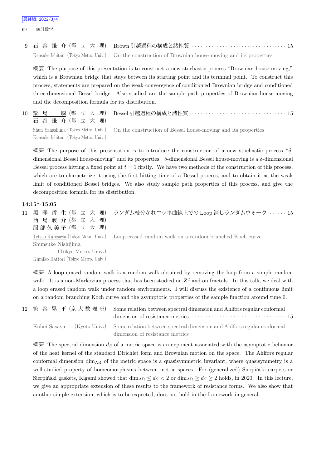9 石 谷 謙 介 (都 立 大 理) Brown 引越過程の構成と諸性質 *· · · · · · · · · · · · · · · · · · · · · · · · · · · · · · · · · ·* 15 Kensuke Ishitani (Tokyo Metro. Univ.) On the construction of Brownian house-moving and its properties

概 要 The purpose of this presentation is to construct a new stochastic process "Brownian house-moving," which is a Brownian bridge that stays between its starting point and its terminal point. To construct this process, statements are prepared on the weak convergence of conditioned Brownian bridge and conditioned three-dimensional Bessel bridge. Also studied are the sample path properties of Brownian house-moving and the decomposition formula for its distribution.

10 簗 島 瞬 (都 立 大 理) 石 谷 謙 介 (都 立 大 理) Bessel 引越過程の構成と諸性質 *· · · · · · · · · · · · · · · · · · · · · · · · · · · · · · · · · · ·* 15 Shun Yanashima (Tokyo Metro. Univ.) Kensuke Ishitani (Tokyo Metro. Univ.) On the construction of Bessel house-moving and its properties

概 要 The purpose of this presentation is to introduce the construction of a new stochastic process "*δ*dimensional Bessel house-moving" and its properties. *δ*-dimensional Bessel house-moving is a *δ*-dimensional Bessel process hitting a fixed point at  $t = 1$  firstly. We have two methods of the construction of this process, which are to characterize it using the first hitting time of a Bessel process, and to obtain it as the weak limit of conditioned Bessel bridges. We also study sample path properties of this process, and give the decomposition formula for its distribution.

#### **14:15~15:05**

11 黒 澤 哲 生 (都 立 大 理) 西 島 駿 介 (都 立 大 理) 服部久美子 (都 立 大 理) ランダム枝分かれコッホ曲線上での Loop 消しランダムウォーク *· · · · · ·* 15 Tetsuo Kurosawa (Tokyo Metro. Univ.) Shunsuke Nishijima (Tokyo Metro. Univ.) Kumiko Hattori (Tokyo Metro. Univ.) Loop erased random walk on a random branched Koch curve

概 要 A loop erased random walk is a random walk obtained by removing the loop from a simple random walk. It is a non-Markovian process that has been studied on  $\mathbb{Z}^d$  and on fractals. In this talk, we deal with a loop erased random walk under random environments. I will discuss the existence of a continuous limit on a random branching Koch curve and the asymptotic properties of the sample function around time 0.

|  | 12 笹 谷 晃 平 (京 大 数 理 研) Some relation between spectral dimension and Ahlfors regular conformal     |  |
|--|---------------------------------------------------------------------------------------------------|--|
|  | Kohei Sasaya (Kyoto Univ.) Some relation between spectral dimension and Ahlfors regular conformal |  |
|  | dimension of resistance metrics                                                                   |  |

概 要 The spectral dimension *d<sup>S</sup>* of a metric space is an exponent associated with the asymptotic behavior of the heat kernel of the standard Dirichlet form and Brownian motion on the space. The Ahlfors regular conformal dimension  $\dim_{AR}$  of the metric space is a quasisymmetric invariant, where quasisymmetry is a well-studied property of homeomorphisms between metric spaces. For (generalized) Sierpiński carpets or Sierpiński gaskets, Kigami showed that  $\dim_{AR} \leq d_S < 2$  or  $\dim_{AR} \geq d_S \geq 2$  holds, in 2020. In this lecture, we give an appropriate extension of these results to the framework of resistance forms. We also show that another simple extension, which is to be expected, does not hold in the framework in general.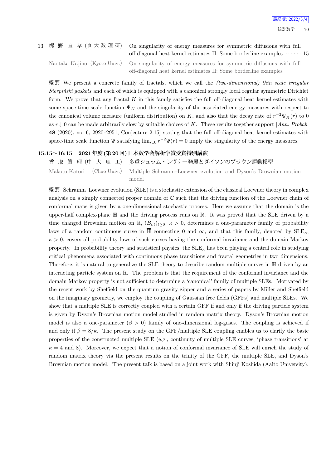13 梶 野 直 孝 (京 大 数 理 研) On singularity of energy measures for symmetric diffusions with full off-diagonal heat kernel estimates II: Some borderline examples *· · · · · ·* 15

Naotaka Kajino (Kyoto Univ.) On singularity of energy measures for symmetric diffusions with full off-diagonal heat kernel estimates II: Some borderline examples

概 要 We present a concrete family of fractals, which we call the *(two-dimensional) thin scale irregular Sierpinski gaskets* and each of which is equipped with a canonical strongly local regular symmetric Dirichlet form. We prove that any fractal *K* in this family satisfies the full off-diagonal heat kernel estimates with some space-time scale function  $\Psi_K$  and the singularity of the associated energy measures with respect to the canonical volume measure (uniform distribution) on *K*, and also that the decay rate of  $r^{-2}\Psi_K(r)$  to 0 as *r ↓* 0 can be made arbitrarily slow by suitable choices of *K*. These results together support [*Ann. Probab.* **48** (2020), no. 6, 2920–2951, Conjecture 2.15] stating that the full off-diagonal heat kernel estimates with space-time scale function  $\Psi$  satisfying  $\lim_{r\downarrow 0} r^{-2}\Psi(r) = 0$  imply the singularity of the energy measures.

#### **15:15~16:15 2021年度(第20回)日本数学会解析学賞受賞特別講演**

香 取 眞 理 (中 大 理 工) 多重シュラム・レヴナー発展とダイソンのブラウン運動模型 Makoto Katori (Chuo Univ.) Multiple Schramm–Loewner evolution and Dyson's Brownian motion model

概 要 Schramm–Loewner evolution (SLE) is a stochastic extension of the classical Loewner theory in complex analysis on a simply connected proper domain of C such that the driving function of the Loewner chain of conformal maps is given by a one-dimensional stochastic process. Here we assume that the domain is the upper-half complex-plane  $\mathbb H$  and the driving process runs on  $\mathbb R$ . It was proved that the SLE driven by a time changed Brownian motion on  $\mathbb{R}$ ,  $(B_{\kappa t})_{t\geq0}$ ,  $\kappa>0$ , determines a one-parameter family of probability laws of a random continuous curve in  $\overline{\mathbb{H}}$  connecting 0 and  $\infty$ , and that this family, denoted by  $\text{SLE}_{\kappa}$ ,  $\kappa > 0$ , covers all probability laws of such curves having the conformal invariance and the domain Markov property. In probability theory and statistical physics, the  $SLE_{\kappa}$  has been playing a central role in studying critical phenomena associated with continuous phase transitions and fractal geometries in two dimensions. Therefore, it is natural to generalize the SLE theory to describe random multiple curves in H driven by an interacting particle system on R. The problem is that the requirement of the conformal invariance and the domain Markov property is not sufficient to determine a 'canonical' family of multiple SLEs. Motivated by the recent work by Sheffield on the quantum gravity zipper and a series of papers by Miller and Sheffield on the imaginary geometry, we employ the coupling of Gaussian free fields (GFFs) and multiple SLEs. We show that a multiple SLE is correctly coupled with a certain GFF if and only if the driving particle system is given by Dyson's Brownian motion model studied in random matrix theory. Dyson's Brownian motion model is also a one-parameter  $(\beta > 0)$  family of one-dimensional log-gases. The coupling is achieved if and only if  $\beta = 8/\kappa$ . The present study on the GFF/multiple SLE coupling enables us to clarify the basic properties of the constructed multiple SLE (e.g., continuity of multiple SLE curves, 'phase transitions' at  $\kappa = 4$  and 8). Moreover, we expect that a notion of conformal invariance of SLE will enrich the study of random matrix theory via the present results on the trinity of the GFF, the multiple SLE, and Dyson's Brownian motion model. The present talk is based on a joint work with Shinji Koshida (Aalto University).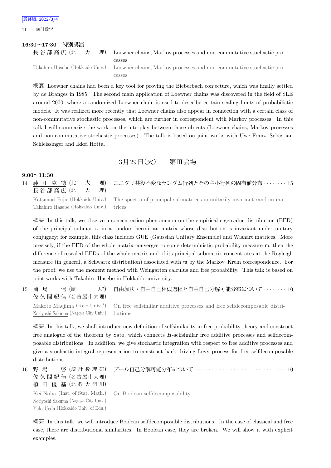71 統計数学

#### **16:30~17:30 特別講演**

|  |  |  | 長谷部高広(北 大 理) Loewner chains, Markov processes and non-commutative stochastic pro-                     |
|--|--|--|-------------------------------------------------------------------------------------------------------|
|  |  |  | cesses                                                                                                |
|  |  |  | Takahiro Hasebe (Hokkaido Univ.) Loewner chains, Markov processes and non-commutative stochastic pro- |
|  |  |  | cesses                                                                                                |

概 要 Loewner chains had been a key tool for proving the Bieberbach conjecture, which was finally settled by de Branges in 1985. The second main application of Loewner chains was discovered in the field of SLE around 2000, where a randomized Loewner chain is used to describe certain scaling limits of probabilistic models. It was realized more recently that Loewner chains also appear in connection with a certain class of non-commutative stochastic processes, which are further in correspondent with Markov processes. In this talk I will summarize the work on the interplay between those objects (Loewner chains, Markov processes and non-commutative stochastic processes). The talk is based on joint works with Uwe Franz, Sebastian Schleissinger and Ikkei Hotta.

## $3 \cancel{\text{F} 29}$ 日 $(\cancel{\text{K}})$  第Ⅲ会場

#### **9:00~11:30**

| 長谷部高広 (北 大 理)                           | 14 藤 江 克 徳 (北 大 理) ユニタリ共役不変なランダム行列とその主小行列の固有値分布 ……… 15                                                  |
|-----------------------------------------|---------------------------------------------------------------------------------------------------------|
| Takahiro Hasebe (Hokkaido Univ.) trices | Katsunori Fujie (Hokkaido Univ.) The spectra of principal submatrices in unitarily invariant random ma- |

概 要 In this talk, we observe a concentration phenomenon on the empirical eigenvalue distribution (EED) of the principal submatrix in a random hermitian matrix whose distribution is invariant under unitary conjugacy; for example, this class includes GUE (Gaussian Unitary Ensemble) and Wishart matrices. More precisely, if the EED of the whole matrix converges to some deterministic probability measure m, then the difference of rescaled EEDs of the whole matrix and of its principal submatrix concentrates at the Rayleigh measure (in general, a Schwartz distribution) associated with m by the Markov–Krein correspondence. For the proof, we use the moment method with Weingarten calculus and free probability. This talk is based on joint works with Takahiro Hasebe in Hokkaido university.

15 前 島 信 (慶  $\pm^{\star}$ 佐 久 間 紀 佳 (名 古 屋 市 大 理) 自由加法・自由自己相似過程と自由自己分解可能分布について *· · · · · · · ·* 10 Makoto Maejima (Keio Univ.*<sup>⋆</sup>* ) Noriyoshi Sakuma (Nagoya City Univ.) On free selfsimilar additive processes and free selfdecomposable distributions

概 要 In this talk, we shall introduce new definition of selfsimilarity in free probability theory and construct free analogue of the theorem by Sato, which connects *H*-selfsimilar free additive processes and selfdecomposable distributions. In addition, we give stochastic integration with respect to free additive processes and give a stochastic integral representation to construct back driving L´evy process for free selfdecomposable distributions.

16 野 場 啓 (統 計 数 理 研) 佐 久 間 紀 佳 (名 古 屋 市 大 理) 植 田 優 基 (北 教 大 旭 川) ブール自己分解可能分布について *· · · · · · · · · · · · · · · · · · · · · · · · · · · · · · · · ·* 10 Kei Noba (Inst. of Stat. Math.) Noriyoshi Sakuma (Nagoya City Univ.) Yuki Ueda (Hokkaido Univ. of Edu.) On Boolean selfdecomposability

概 要 In this talk, we will introduce Boolean selfdecomposable distributions. In the case of classical and free case, there are distributional similarities. In Boolean case, they are broken. We will show it with explicit examples.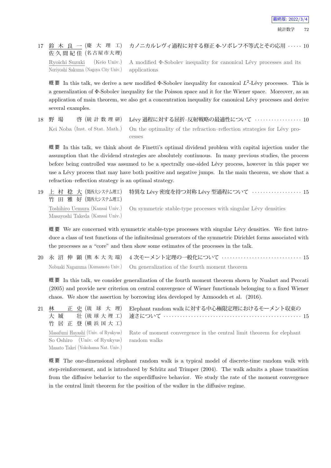#### 17 鈴 木 良 一 (慶 大 理 工) 佐 久 間 紀 佳 (名古屋市大理) カノニカルレヴィ過程に対する修正 Φ-ソボレフ不等式とその応用 *· · · · ·* 10 Ryoichi Suzuki (Keio Univ.) Noriyoshi Sakuma (Nagoya City Univ.) applications

A modified  $\Phi$ -Sobolev inequality for canonical Lévy processes and its

概要 In this talk, we derive a new modified  $\Phi$ -Sobolev inequality for canonical  $L^2$ -Lévy processes. This is a generalization of Φ-Sobolev inequality for the Poisson space and it for the Wiener space. Moreover, as an application of main theorem, we also get a concentration inequality for canonical Lévy processes and derive several examples.

18 野 場 啓 (統 計 数 理 研) L´evy 過程に対する屈折–反射戦略の最適性について *· · · · · · · · · · · · · · · · ·* 10 Kei Noba (Inst. of Stat. Math.) On the optimality of the refraction–reflection strategies for Lévy processes

概 要 In this talk, we think about de Finetti's optimal dividend problem with capital injection under the assumption that the dividend strategies are absolutely continuous. In many previous studies, the process before being controlled was assumed to be a spectrally one-sided Lévy process, however in this paper we use a Lévy process that may have both positive and negative jumps. In the main theorem, we show that a refraction–reflection strategy is an optimal strategy.

19 上 村 稔 大 (関西大システム理工) 竹 田 雅 好 (関西大システム理工) 特異な Lévy 密度を持つ対称 Lévy 型過程について ·················· 15 Toshihiro Uemura (Kansai Univ.) Masayoshi Takeda (Kansai Univ.) On symmetric stable-type processes with singular Lévy densities

概要 We are concerned with symmetric stable-type processes with singular Lévy densities. We first introduce a class of test functions of the infinitesimal generators of the symmetric Dirichlet forms associated with the processes as a "core" and then show some estimates of the processes in the talk.

20 永 沼 伸 顕 (熊 本 大 先 端) 4 次モーメント定理の一般化について *· · · · · · · · · · · · · · · · · · · · · · · · · · · · ·* 15 Nobuaki Naganuma (Kumamoto Univ.) On generalization of the fourth moment theorem

概 要 In this talk, we consider generalization of the fourth moment theorem shown by Nualart and Peccati (2005) and provide new criterion on central convergence of Wiener functionals belonging to a fixed Wiener chaos. We show the assertion by borrowing idea developed by Azmoodeh et al. (2016).

| 21 林<br>正 史 (琉 球 大 理)<br>大城<br>竹 居 正 登 (横浜国大工)                                  | Elephant random walk に対する中心極限定理におけるモーメント収束の<br>──壮(琉 球 大 理 工) 速さについて ‥‥‥‥‥‥‥‥‥‥‥‥‥‥‥‥‥‥‥‥‥‥‥‥‥‥‥ 15      |
|---------------------------------------------------------------------------------|----------------------------------------------------------------------------------------------------------|
| So Oshiro (Univ. of Ryukyus) random walks<br>Masato Takei (Yokohama Nat. Univ.) | Masafumi Hayashi (Univ. of Ryukyus) Rate of moment convergence in the central limit theorem for elephant |

概 要 The one-dimensional elephant random walk is a typical model of discrete-time random walk with step-reinforcement, and is introduced by Schütz and Trimper (2004). The walk admits a phase transition from the diffusive behavior to the superdiffusive behavior. We study the rate of the moment convergence in the central limit theorem for the position of the walker in the diffusive regime.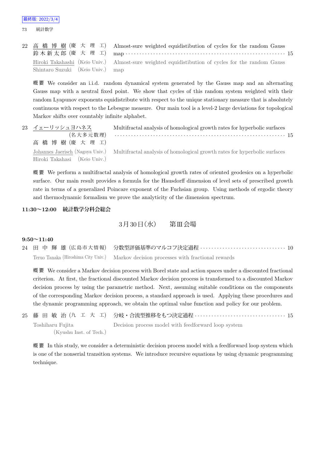73 統計数学

|                                  | 22 高橋博樹(慶大理工) Almost-sure weighted equidistibution of cycles for the random Gauss                 |
|----------------------------------|---------------------------------------------------------------------------------------------------|
|                                  | 鈴木新太郎 (慶 大 理 工) map ………………………………………………………… 15                                                     |
|                                  | Hiroki Takahashi (Keio Univ.) Almost-sure weighted equidistibution of cycles for the random Gauss |
| Shintaro Suzuki (Keio Univ.) map |                                                                                                   |

概 要 We consider an i.i.d. random dynamical system generated by the Gauss map and an alternating Gauss map with a neutral fixed point. We show that cycles of this random system weighted with their random Lyapunov exponents equidistribute with respect to the unique stationary measure that is absolutely continuous with respect to the Lebesgue measure. Our main tool is a level-2 large deviations for topological Markov shifts over countably infinite alphabet.

| 23 イェーリッシュヨハネス               | Multifractal analysis of homological growth rates for hyperbolic surfaces<br>(名大多元数理) ………………………………………………………………… 15 |
|------------------------------|--------------------------------------------------------------------------------------------------------------------|
| 高橋博樹(慶大理工)                   |                                                                                                                    |
|                              | Johannes Jaerisch (Nagoya Univ.) Multifractal analysis of homological growth rates for hyperbolic surfaces         |
| Hiroki Takahasi (Keio Univ.) |                                                                                                                    |

概 要 We perform a multifractal analysis of homological growth rates of oriented geodesics on a hyperbolic surface. Our main result provides a formula for the Hausdorff dimension of level sets of prescribed growth rate in terms of a generalized Poincare exponent of the Fuchsian group. Using methods of ergodic theory and thermodynamic formalism we prove the analyticity of the dimension spectrum.

## **11:30~12:00 統計数学分科会総会**

## 3月30日 (水) 第Ⅲ会場

#### **9:50~11:40**

24 田 中 輝 雄 (広 島 市 大 情 報) 分数型評価基準のマルコフ決定過程 *· · · · · · · · · · · · · · · · · · · · · · · · · · · · · · ·* 10 Teruo Tanaka (Hiroshima City Univ.) Markov decision processes with fractional rewards

概 要 We consider a Markov decision process with Borel state and action spaces under a discounted fractional criterion. At first, the fractional discounted Markov decision process is transformed to a discounted Markov decision process by using the parametric method. Next, assuming suitable conditions on the components of the corresponding Markov decision process, a standard approach is used. Applying these procedures and the dynamic programming approach, we obtain the optimal value function and policy for our problem.

```
25 藤 田 敏 治 (九 工 大 工) 分岐・合流型推移をもつ決定過程 · · · · · · · · · · · · · · · · · · · · · · · · · · · · · · · · · 15
    Toshiharu Fujita
            (Kyushu Inst. of Tech.)
                                    Decision process model with feedforward loop system
```
概要 In this study, we consider a deterministic decision process model with a feedforward loop system which is one of the nonserial transition systems. We introduce recursive equations by using dynamic programming technique.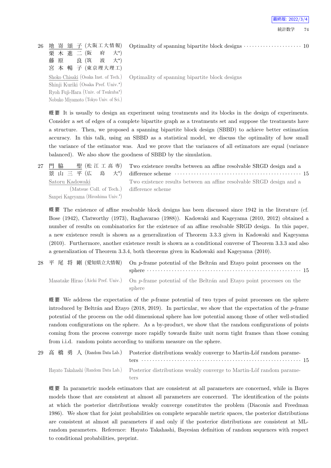26 地 嵜 頌 子 (大阪工大情報) 栗 木 進 二 (阪 府 大*<sup>⋆</sup>* 大\*) 藤 原 良 (筑 波  $\pm$ \*) 宮 本 暢 子 (東京理大理工) Shoko Chisaki (Osaka Inst. of Tech.) Shinji Kuriki (Osaka Pref. Univ.*<sup>⋆</sup>* ) Ryoh Fuji-Hara (Univ. of Tsukuba*<sup>⋆</sup>* ) Nobuko Miyamoto (Tokyo Univ. of Sci.)

Optimality of spanning bipartite block designs *· · · · · · · · · · · · · · · · · · · · ·* 10

Optimality of spanning bipartite block designs

概 要 It is usually to design an experiment using treatments and its blocks in the design of experiments. Consider a set of edges of a complete bipartite graph as a treatments set and suppose the treatments have a structure. Then, we proposed a spanning bipartite block design (SBBD) to achieve better estimation accuracy. In this talk, using an SBBD as a statistical model, we discuss the optimality of how small the variance of the estimator was. And we prove that the variances of all estimators are equal (variance balanced). We also show the goodness of SBBD by the simulation.

27 門 脇 聖 (松 江 工 高 専) 景 山 三 平 (広 島  $\pm\star$ ) Satoru Kadowaki

> (Matsue Coll. of Tech.) Sanpei Kageyama (Hiroshima Univ.*<sup>⋆</sup>* )

Two existence results between an affine resolvable SRGD design and a difference scheme *· · · · · · · · · · · · · · · · · · · · · · · · · · · · · · · · · · · · · · · · · · · · · ·* 15 Two existence results between an affine resolvable SRGD design and a difference scheme

概 要 The existence of affine resolvable block designs has been discussed since 1942 in the literature (cf. Bose (1942), Clatworthy (1973), Raghavarao (1988)). Kadowaki and Kageyama (2010, 2012) obtained a number of results on combinatorics for the existence of an affine resolvable SRGD design. In this paper, a new existence result is shown as a generalization of Theorem 3.3.3 given in Kadowaki and Kageyama (2010). Furthermore, another existence result is shown as a conditional converse of Theorem 3.3.3 and also a generalization of Theorem 3.3.4, both theorems given in Kadowaki and Kageyama (2010).

28 平 尾 将 剛 (愛知県立大情報) On *p*-frame potential of the Beltran and Etayo point processes on the sphere *· · · · · · · · · · · · · · · · · · · · · · · · · · · · · · · · · · · · · · · · · · · · · · · · · · · · · · · ·* 15 Masatake Hirao (Aichi Pref. Univ.) On p-frame potential of the Beltrán and Etayo point processes on the sphere

概 要 We address the expectation of the *p*-frame potential of two types of point processes on the sphere introduced by Beltrán and Etayo (2018, 2019). In particular, we show that the expectation of the *p*-frame potential of the process on the odd dimensional sphere has low potential among those of other well-studied random configurations on the sphere. As a by-product, we show that the random configurations of points coming from the process converge more rapidly towards finite unit norm tight frames than those coming from i.i.d. random points according to uniform measure on the sphere.

29 高橋勇人 (Random Data Lab.) Posterior distributions weakly converge to Martin-Löf random parameters *· · · · · · · · · · · · · · · · · · · · · · · · · · · · · · · · · · · · · · · · · · · · · · · · · · · · · · · · · ·* 15 Hayato Takahashi (Random Data Lab.) Posterior distributions weakly converge to Martin-Löf random parameters

概 要 In parametric models estimators that are consistent at all parameters are concerned, while in Bayes models those that are consistent at almost all parameters are concerned. The identification of the points at which the posterior distributions weakly converge constitutes the problem (Diaconis and Freedman 1986). We show that for joint probabilities on complete separable metric spaces, the posterior distributions are consistent at almost all parameters if and only if the posterior distributions are consistent at MLrandom parameters. Reference: Hayato Takahashi, Bayesian definition of random sequences with respect to conditional probabilities, preprint.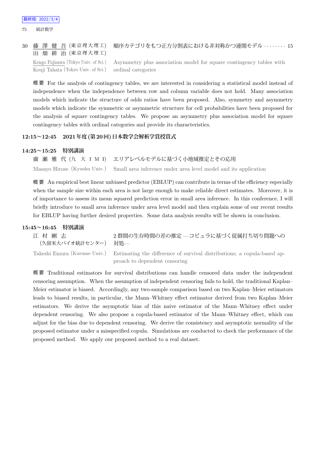#### 30 藤 澤 健 吾 (東京理大理工) 田 畑 耕 治 (東京理大理工) 順序カテゴリをもつ正方分割表における非対称かつ連関モデル *· · · · · · · ·* 15 Kengo Fujisawa (Tokyo Univ. of Sci.) Kouji Tahata (Tokyo Univ. of Sci.) Asymmetry plus association model for square contingency tables with ordinal categories

概 要 For the analysis of contingency tables, we are interested in considering a statistical model instead of independence when the independence between row and column variable does not hold. Many association models which indicate the structure of odds ratios have been proposed. Also, symmetry and asymmetry models which indicate the symmetric or asymmetric structure for cell probabilities have been proposed for the analysis of square contingency tables. We propose an asymmetry plus association model for square contingency tables with ordinal categories and provide its characteristics.

## **12:15~12:45 2021年度(第20回)日本数学会解析学賞授賞式**

## **14:25~15:25 特別講演**

廣 瀬 雅 代 (九 大 I M I) エリアレベルモデルに基づく小地域推定とその応用 Masayo Hirose (Kyushu Univ.) Small area inference under area level model and its application

概要 An empirical best linear unbiased predictor (EBLUP) can contribute in terms of the efficiency especially when the sample size within each area is not large enough to make reliable direct estimates. Moreover, it is of importance to assess its mean squared prediction error in small area inference. In this conference, I will briefly introduce to small area inference under area level model and then explain some of our recent results for EBLUP having further desired properties. Some data analysis results will be shown in conclusion.

#### **15:45~16:45 特別講演**

| 江村剛志<br>(久留米大バイオ統計センター) 対処–– | 2群間の生存時間の差の推定 —コピュラに基づく従属打ち切り問題への                                                                    |
|------------------------------|------------------------------------------------------------------------------------------------------|
|                              | Takeshi Emura (Kurume Univ.) Estimating the difference of survival distributions; a copula-based ap- |

proach to dependent censoring

概 要 Traditional estimators for survival distributions can handle censored data under the independent censoring assumption. When the assumption of independent censoring fails to hold, the traditional Kaplan– Meier estimator is biased. Accordingly, any two-sample comparison based on two Kaplan–Meier estimators leads to biased results, in particular, the Mann–Whitney effect estimator derived from two Kaplan–Meier estimators. We derive the asymptotic bias of this naive estimator of the Mann–Whitney effect under dependent censoring. We also propose a copula-based estimator of the Mann–Whitney effect, which can adjust for the bias due to dependent censoring. We derive the consistency and asymptotic normality of the proposed estimator under a misspecified copula. Simulations are conducted to check the performance of the proposed method. We apply our proposed method to a real dataset.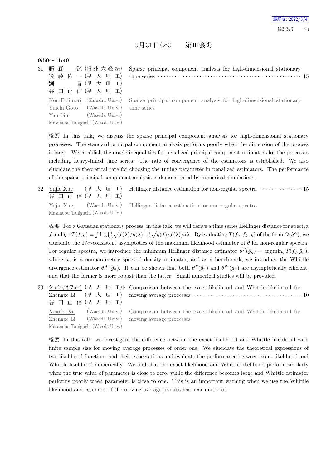## $3$ 月 $31$ 日 $(\pi)$  第Ⅲ会場

#### **9:50~11:40**

| 31 |                                                                  | 森       |  |  | 洸 (信州大経法)                         |  |  |  |  |
|----|------------------------------------------------------------------|---------|--|--|-----------------------------------|--|--|--|--|
|    |                                                                  | 後 藤     |  |  | 佑 一 (早 大 理 工)                     |  |  |  |  |
|    | 劉                                                                |         |  |  | 言(早 大 理 工)                        |  |  |  |  |
|    |                                                                  |         |  |  | 谷口正信(早大理工)                        |  |  |  |  |
|    | (Shinshu Univ.)<br>Kou Fujimori<br>(Waseda Univ.)<br>Yuichi Goto |         |  |  |                                   |  |  |  |  |
|    |                                                                  |         |  |  |                                   |  |  |  |  |
|    |                                                                  | Yan Liu |  |  | (Waseda Univ.)                    |  |  |  |  |
|    |                                                                  |         |  |  | Masanobu Taniguchi (Waseda Univ.) |  |  |  |  |

Sparse principal component analysis for high-dimensional stationary time series *· · · · · · · · · · · · · · · · · · · · · · · · · · · · · · · · · · · · · · · · · · · · · · · · · · · ·* 15

Sparse principal component analysis for high-dimensional stationary time series

概 要 In this talk, we discuss the sparse principal component analysis for high-dimensional stationary processes. The standard principal component analysis performs poorly when the dimension of the process is large. We establish the oracle inequalities for penalized principal component estimators for the processes including heavy-tailed time series. The rate of convergence of the estimators is established. We also elucidate the theoretical rate for choosing the tuning parameter in penalized estimators. The performance of the sparse principal component analysis is demonstrated by numerical simulations.

32 Yujie Xue (早 大 理 工) 谷 口 正 信 (早 大 理 工) Hellinger distance estimation for non-regular spectra *· · · · · · · · · · · · · · ·* 15 Yujie Xue (Waseda Univ.) Masanobu Taniguchi (Waseda Univ.) Hellinger distance estimation for non-regular spectra

概 要 For a Gaussian stationary process, in this talk, we will derive a time series Hellinger distance for spectra f and g:  $T(f,g) = \int \log\left\{\frac{1}{2}\sqrt{f(\lambda)/g(\lambda)} + \frac{1}{2}\sqrt{g(\lambda)/f(\lambda)}\right\}d\lambda$ . By evaluating  $T(f_{\theta}, f_{\theta+h})$  of the form  $O(h^{\alpha})$ , we elucidate the  $1/\alpha$ -consistent asymptotics of the maximum likelihood estimator of  $\theta$  for non-regular spectra. For regular spectra, we introduce the minimum Hellinger distance estimator  $\theta^T(\hat{g}_n) = \arg \min_{\theta} T(f_{\theta}, \hat{g}_n)$ , where  $\hat{g}_n$  is a nonparametric spectral density estimator, and as a benchmark, we introduce the Whittle divergence estimator  $\theta^W(\hat{g}_n)$ . It can be shown that both  $\theta^T(\hat{g}_n)$  and  $\theta^W(\hat{g}_n)$  are asymptotically efficient, and that the former is more robust than the latter. Small numerical studies will be provided.

33 シュシャオフェイ (早 大 理 工) Zhengze Li (早 大 理 工) 谷 口 正 信 (早 大 理 工) Comparison between the exact likelihood and Whittle likelihood for moving average processes  $\cdots \cdots \cdots \cdots \cdots \cdots \cdots \cdots \cdots \cdots \cdots 10$ Xiaofei Xu (Waseda Univ.) Zhengze Li (Waseda Univ.) Masanobu Taniguchi (Waseda Univ.) Comparison between the exact likelihood and Whittle likelihood for moving average processes

概 要 In this talk, we investigate the difference between the exact likelihood and Whittle likelihood with finite sample size for moving average processes of order one. We elucidate the theoretical expressions of two likelihood functions and their expectations and evaluate the performance between exact likelihood and Whittle likelihood numerically. We find that the exact likelihood and Whittle likelihood perform similarly when the true value of parameter is close to zero, while the difference becomes large and Whittle estimator performs poorly when parameter is close to one. This is an important warning when we use the Whittle likelihood and estimator if the moving average process has near unit root.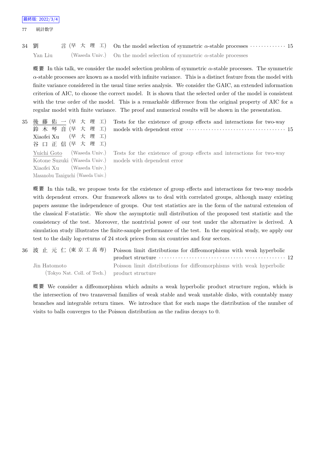77 統計数学

34 劉 言 (早 大 理 工) On the model selection of symmetric *α*-stable processes *· · · · · · · · · · · ·* · *·* 15 Yan Liu (Waseda Univ.) On the model selection of symmetric *α*-stable processes

概 要 In this talk, we consider the model selection problem of symmetric *α*-stable processes. The symmetric *α*-stable processes are known as a model with infinite variance. This is a distinct feature from the model with finite variance considered in the usual time series analysis. We consider the GAIC, an extended information criterion of AIC, to choose the correct model. It is shown that the selected order of the model is consistent with the true order of the model. This is a remarkable difference from the original property of AIC for a regular model with finite variance. The proof and numerical results will be shown in the presentation.

35 後 藤 佑 一 (早 大 理 工) 鈴 木 琴 音 (早 大 理 工) Xiaofei Xu (早 大 理 工) 谷 口 正 信 (早 大 理 工) Tests for the existence of group effects and interactions for two-way models with dependent error *· · · · · · · · · · · · · · · · · · · · · · · · · · · · · · · · · · · ·* 15 Yuichi Goto (Waseda Univ.) Kotone Suzuki (Waseda Univ.) Xiaofei Xu (Waseda Univ.) Masanobu Taniguchi (Waseda Univ.) Tests for the existence of group effects and interactions for two-way models with dependent error

概 要 In this talk, we propose tests for the existence of group effects and interactions for two-way models with dependent errors. Our framework allows us to deal with correlated groups, although many existing papers assume the independence of groups. Our test statistics are in the form of the natural extension of the classical F-statistic. We show the asymptotic null distribution of the proposed test statistic and the consistency of the test. Moreover, the nontrivial power of our test under the alternative is derived. A simulation study illustrates the finite-sample performance of the test. In the empirical study, we apply our test to the daily log-returns of 24 stock prices from six countries and four sectors.

```
36 波 止 元 仁 (東 京 工 高 専) Poisson limit distributions for diffeomorphisms with weak hyperbolic
                                        product structure · · · · · · · · · · · · · · · · · · · · · · · · · · · · · · · · · · · · · · · · · · · · · · 12
    Jin Hatomoto
          (Tokyo Nat. Coll. of Tech.)
                                        Poisson limit distributions for diffeomorphisms with weak hyperbolic
                                       product structure
```
概 要 We consider a diffeomorphism which admits a weak hyperbolic product structure region, which is the intersection of two transversal families of weak stable and weak unstable disks, with countably many branches and integrable return times. We introduce that for such maps the distribution of the number of visits to balls converges to the Poisson distribution as the radius decays to 0.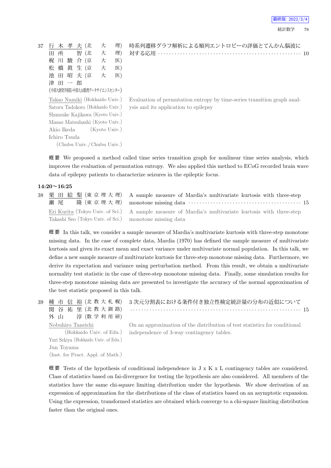| 37 |   | 行 木 孝 夫 (北 |          |     | 大                                | 理) |  |
|----|---|------------|----------|-----|----------------------------------|----|--|
|    | ⊞ | 所          |          | 智(北 | 大                                | 理) |  |
|    |   | 梶 川 駿 介 (京 |          |     | 大                                | 医) |  |
|    | 松 | 橋 眞 生 (京   |          |     | 大                                | 医) |  |
|    | 池 |            | 田 昭 夫 (京 |     | 大                                | 医) |  |
|    | 津 | 田          | 一郎       |     |                                  |    |  |
|    |   |            |          |     | (中部大創発学術院·中部大AI数理データサイエンスセンター)   |    |  |
|    |   |            |          |     | Takao Namiki (Hokkaido Univ.)    |    |  |
|    |   |            |          |     | Satoru Tadokoro (Hokkaido Univ.) |    |  |
|    |   |            |          |     | - -- -- /-- -- \                 |    |  |

時系列遷移グラフ解析による順列エントロピーの評価とてんかん脳波に 対する応用 *· · · · · · · · · · · · · · · · · · · · · · · · · · · · · · · · · · · · · · · · · · · · · · · · · · · ·* 10

Evaluation of permutation entropy by time-series transition graph analysis and its application to epilepsy

Shunsuke Kajikawa (Kyoto Univ.) Masao Matsuhashi (Kyoto Univ.) Akio Ikeda (Kyoto Univ.) Ichiro Tsuda (Chubu Univ. /Chubu Univ.)

improves the evaluation of permutation entropy. We also applied this method to ECoG recorded brain wave data of epilepsy patients to characterize seizures in the epileptic focus.

概 要 We proposed a method called time series transition graph for nonlinear time series analysis, which

#### **14:20~16:25**

38 栗 田 絵 梨 (東 京 理 大 理) 瀬尾 隆 (東 京 理 大 理) Eri Kurita (Tokyo Univ. of Sci.) Takashi Seo (Tokyo Univ. of Sci.) A sample measure of Mardia's multivariate kurtosis with three-step monotone missing data *· · · · · · · · · · · · · · · · · · · · · · · · · · · · · · · · · · · · · · · · ·* 15 A sample measure of Mardia's multivariate kurtosis with three-step monotone missing data

概 要 In this talk, we consider a sample measure of Mardia's multivariate kurtosis with three-step monotone missing data. In the case of complete data, Mardia (1970) has defined the sample measure of multivariate kurtosis and given its exact mean and exact variance under multivariate normal population. In this talk, we define a new sample measure of multivariate kurtosis for three-step monotone missing data. Furthermore, we derive its expectation and variance using perturbation method. From this result, we obtain a multivariate normality test statistic in the case of three-step monotone missing data. Finally, some simulation results for three-step monotone missing data are presented to investigate the accuracy of the normal approximation of the test statistic proposed in this talk.

| 39 | 種 市 信 裕 (北 教 大 札 幌)                  | 3次元分割表における条件付き独立性検定統計量の分布の近似について                                           |
|----|--------------------------------------|----------------------------------------------------------------------------|
|    | 関 谷 祐 里 (北 教 大 釧 路)                  |                                                                            |
|    | 淳 (数 学 利 用 研)<br>外 山                 |                                                                            |
|    | Nobuhiro Taneichi                    | On an approximation of the distribution of test statistics for conditional |
|    | (Hokkaido Univ. of Edu.)             | independence of 3-way contingency tables.                                  |
|    | Yuri Sekiya (Hokkaido Univ. of Edu.) |                                                                            |
|    | Jun Toyama                           |                                                                            |
|    | (Inst. for Pract. Appl. of Math.)    |                                                                            |

概要 Tests of the hypothesis of conditional independence in  $J \times K \times L$  contingency tables are considered. Class of statistics based on fai-divergence for testing the hypothesis are also considered. All members of the statistics have the same chi-square limiting distribution under the hypothesis. We show derivation of an expression of approximation for the distributions of the class of statistics based on an asymptotic expansion. Using the expression, transformed statistics are obtained which converge to a chi-square limiting distribution faster than the original ones.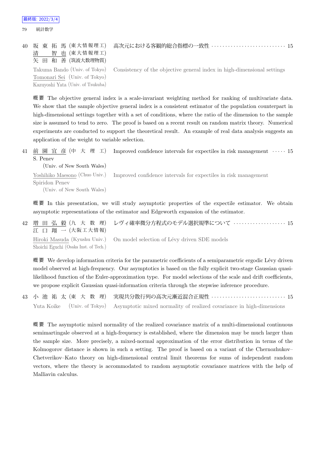#### 79 統計数学

| 40 坂 東 拓 馬 (東大情報理工)               | 高次元における客観的総合指標の一致性  15                                                                                |
|-----------------------------------|-------------------------------------------------------------------------------------------------------|
| 智 也 (東大情報理工)<br>清                 |                                                                                                       |
| 矢 田 和 善 (筑波大数理物質)                 |                                                                                                       |
|                                   | Takuma Bando (Univ. of Tokyo) Consistency of the objective general index in high-dimensional settings |
| Tomonari Sei (Univ. of Tokyo)     |                                                                                                       |
| Kazuyoshi Yata (Univ. of Tsukuba) |                                                                                                       |

概 要 The objective general index is a scale-invariant weighting method for ranking of multivariate data. We show that the sample objective general index is a consistent estimator of the population counterpart in high-dimensional settings together with a set of conditions, where the ratio of the dimension to the sample size is assumed to tend to zero. The proof is based on a recent result on random matrix theory. Numerical experiments are conducted to support the theoretical result. An example of real data analysis suggests an application of the weight to variable selection.

41 前 園 宜 彦 (中 大 理 工) S. Penev Improved confidence intervals for expectiles in risk management *· · · · ·* 15

(Univ. of New South Wales) Yoshihiko Maesono (Chuo Univ.) Spiridon Penev (Univ. of New South Wales) Improved confidence intervals for expectiles in risk management

概 要 In this presentation, we will study asymptotic properties of the expectile estimator. We obtain asymptotic representations of the estimator and Edgeworth expansion of the estimator.

42 増 田 弘 毅 (九 大 数 理) 江 口 翔 一 (大阪工大情報) レヴィ確率微分方程式のモデル選択規準について *· · · · · · · · · · · · · · · · · · ·* 15 Hiroki Masuda (Kyushu Univ.) Shoichi Eguchi (Osaka Inst. of Tech.) On model selection of Lévy driven SDE models

概要 We develop information criteria for the parametric coefficients of a semiparametric ergodic Lévy driven model observed at high-frequency. Our asymptotics is based on the fully explicit two-stage Gaussian quasilikelihood function of the Euler-approximation type. For model selections of the scale and drift coefficients, we propose explicit Gaussian quasi-information criteria through the stepwise inference procedure.

43 小 池 祐 太 (東 大 数 理) 実現共分散行列の高次元漸近混合正規性 *· · · · · · · · · · · · · · · · · · · · · · · · · · ·* 15 Yuta Koike (Univ. of Tokyo) Asymptotic mixed normality of realized covariance in high-dimensions

概 要 The asymptotic mixed normality of the realized covariance matrix of a multi-dimensional continuous semimartingale observed at a high-frequency is established, where the dimension may be much larger than the sample size. More precisely, a mixed-normal approximation of the error distribution in terms of the Kolmogorov distance is shown in such a setting. The proof is based on a variant of the Chernozhukov– Chetverikov–Kato theory on high-dimensional central limit theorems for sums of independent random vectors, where the theory is accommodated to random asymptotic covariance matrices with the help of Malliavin calculus.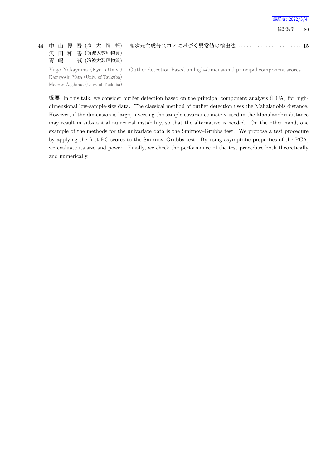## 44 中 山 優 吾 (京 大 情 報) 矢 田 和 善 (筑波大数理物質) 青 嶋 誠 (筑波大数理物質)

高次元主成分スコアに基づく異常値の検出法 *· · · · · · · · · · · · · · · · · · · · · · ·* 15

Yugo Nakayama (Kyoto Univ.) Kazuyoshi Yata (Univ. of Tsukuba) Makoto Aoshima (Univ. of Tsukuba)

Outlier detection based on high-dimensional principal component scores

概要 In this talk, we consider outlier detection based on the principal component analysis (PCA) for highdimensional low-sample-size data. The classical method of outlier detection uses the Mahalanobis distance. However, if the dimension is large, inverting the sample covariance matrix used in the Mahalanobis distance may result in substantial numerical instability, so that the alternative is needed. On the other hand, one example of the methods for the univariate data is the Smirnov–Grubbs test. We propose a test procedure by applying the first PC scores to the Smirnov–Grubbs test. By using asymptotic properties of the PCA, we evaluate its size and power. Finally, we check the performance of the test procedure both theoretically and numerically.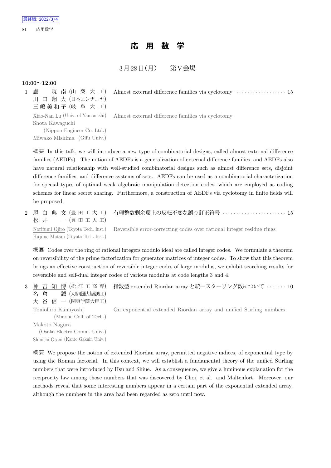## **応 用 数 学**

## $3 \cancel{\theta} 128 \cancel{\theta}$ (月) 第 $\text{V}\hat{\ominus}$ 場

#### **10:00~12:00**

| 暁 南 (山 梨 大 工)<br>盧          | Almost external difference families via cyclotomy $\dots\dots\dots\dots\dots\dots$ 15 |  |
|-----------------------------|---------------------------------------------------------------------------------------|--|
| 川 口 翔 大 (日本エンヂニヤ)           |                                                                                       |  |
| 三嶋美和子 (岐 阜 大 工)             |                                                                                       |  |
|                             | Xiao-Nan Lu (Univ. of Yamanashi) Almost external difference families via cyclotomy    |  |
| Shota Kawaguchi             |                                                                                       |  |
| (Nippon-Engineer Co. Ltd.)  |                                                                                       |  |
| Miwako Mishima (Gifu Univ.) |                                                                                       |  |

概 要 In this talk, we will introduce a new type of combinatorial designs, called almost external difference families (AEDFs). The notion of AEDFs is a generalization of external difference families, and AEDFs also have natural relationship with well-studied combinatorial designs such as almost difference sets, disjoint difference families, and difference systems of sets. AEDFs can be used as a combinatorial characterization for special types of optimal weak algebraic manipulation detection codes, which are employed as coding schemes for linear secret sharing. Furthermore, a construction of AEDFs via cyclotomy in finite fields will be proposed.

| 松井 一(豊田工大工)                        | 2 尾 白 典 文(豊 田 工 大 工) 有理整数剰余環上の反転不変な誤り訂正符号 ‥‥‥‥‥‥‥‥‥‥‥‥‥‥15                                                |
|------------------------------------|-----------------------------------------------------------------------------------------------------------|
| Hajime Matsui (Toyota Tech. Inst.) | Norifumi Ojiro (Toyota Tech. Inst.) Reversible error-correcting codes over rational integer residue rings |

概 要 Codes over the ring of rational integers modulo ideal are called integer codes. We formulate a theorem on reversibility of the prime factorization for generator matrices of integer codes. To show that this theorem brings an effective construction of reversible integer codes of large modulus, we exhibit searching results for reversible and self-dual integer codes of various modulus at code lengths 3 and 4.

3 神 吉 知 博 (松 江 工 高 専) 名 倉 誠 (大阪電通大基礎理工) 大 谷 信 一 (関東学院大理工) 指数型 extended Riordan array と統一スターリング数について *· · · · · · ·* 10 Tomohiro Kamiyoshi (Matsue Coll. of Tech.) Makoto Nagura (Osaka Electro-Comm. Univ.) On exponential extended Riordan array and unified Stirling numbers

Shinichi Otani (Kanto Gakuin Univ.)

概 要 We propose the notion of extended Riordan array, permitted negative indices, of exponential type by using the Roman factorial. In this context, we will establish a fundamental theory of the unified Stirling numbers that were introduced by Hsu and Shiue. As a consequence, we give a luminous explanation for the reciprocity law among those numbers that was discovered by Choi, et al. and Maltenfort. Moreover, our methods reveal that some interesting numbers appear in a certain part of the exponential extended array, although the numbers in the area had been regarded as zero until now.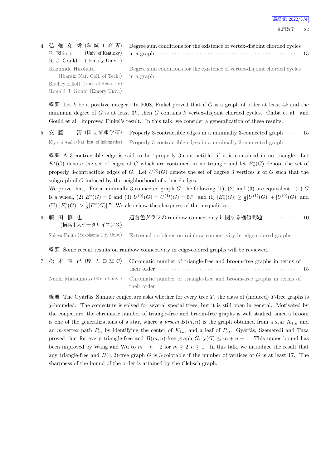最終版: 2022/3/4

4 弘 畑 和 秀 (茨 城 工 高 専) B. Elliott (Univ. of Kentucky) R. J. Gould ( Emory Univ. ) Kazuhide Hirohata (Ibaraki Nat. Coll. of Tech.) Bradley Elliott (Univ. of Kentucky)

Ronald J. Gould (Emory Univ.)

Degree sum conditions for the existence of vertex-disjoint chorded cycles in a graph *· · · · · · · · · · · · · · · · · · · · · · · · · · · · · · · · · · · · · · · · · · · · · · · · · · · ·* 15

Degree sum conditions for the existence of vertex-disjoint chorded cycles in a graph

概 要 Let *k* be a positive integer. In 2008, Finkel proved that if *G* is a graph of order at least 4*k* and the minimum degree of *G* is at least 3*k*, then *G* contains *k* vertex-disjoint chorded cycles. Chiba et al. and Gould et al. improved Finkel's result. In this talk, we consider a generalization of these results.

5 安 藤 清 (国 立 情 報 学 研) Properly 3-contractible edges in a minimally 3-connected graph *· · · · · ·* 15 Kiyoshi Ando (Nat. Inst. of Informatics) Properly 3-contractible edges in a minimally 3-connected graph

概 要 A 3-contractible edge is said to be "properly 3-contractible" if it is contained in no triangle. Let  $E^*(G)$  denote the set of edges of *G* which are contained in no triangle and let  $E_c^*(G)$  denote the set of properly 3-contractible edges of *G*. Let  $U^{(i)}(G)$  denote the set of degree 3 vertices *x* of *G* such that the subgraph of *G* induced by the neighborhood of *x* has *i* edges.

We prove that, "For a minimally 3-connected graph  $G$ , the following  $(1)$ ,  $(2)$  and  $(3)$  are equivalent.  $(1)$   $G$ is a wheel, (2)  $E^*(G) = \emptyset$  and (3)  $U^{(0)}(G) = U^{(1)}(G) = \emptyset$ ." and (I)  $|E_c^*(G)| \geq \frac{1}{2}|U^{(1)}(G)| + |U^{(0)}(G)|$  and (II)  $|E_c^*(G)| > \frac{1}{2}|E^*(G)|$ ." We also show the sharpness of the inequalities.

6 藤 田 慎 也 (横浜市大データサイエンス) 辺着色グラフの rainbow connectivity に関する極値問題 *· · · · · · · · · · · · ·* 10 Shinya Fujita (Yokohama City Univ.) Extremal problems on rainbow connectivity in edge-colored graphs

概 要 Some recent results on rainbow connectivity in edge-colored graphs will be reviewed.

7 松 本 直 己 (慶 大 D M C) Chromatic number of triangle-free and broom-free graphs in terms of their order *· · · · · · · · · · · · · · · · · · · · · · · · · · · · · · · · · · · · · · · · · · · · · · · · · · · ·* 15 Naoki Matsumoto (Keio Univ.) Chromatic number of triangle-free and broom-free graphs in terms of their order

概 要 The Gyárfás–Sumner conjecture asks whether for every tree  $T$ , the class of (induced)  $T$ -free graphs is *χ*-bounded. The conjecture is solved for several special trees, but it is still open in general. Motivated by the conjecture, the chromatic number of triangle-free and broom-free graphs is well studied, since a broom is one of the generalizations of a star, where a *broom*  $B(m, n)$  is the graph obtained from a star  $K_{1,n}$  and an *m*-vertex path  $P_m$  by identifying the center of  $K_{1,n}$  and a leaf of  $P_m$ . Gyárfás, Szemeredi and Tuza proved that for every triangle-free and  $B(m, n)$ -free graph  $G$ ,  $\chi(G) \leq m + n - 1$ . This upper bound has been improved by Wang and Wu to  $m + n - 2$  for  $m \geq 2, n \geq 1$ . In this talk, we introduce the result that any triangle-free and *B*(4*,* 2)-free graph *G* is 3-colorable if the number of vertices of *G* is at least 17. The sharpness of the bound of the order is attained by the Clebsch graph.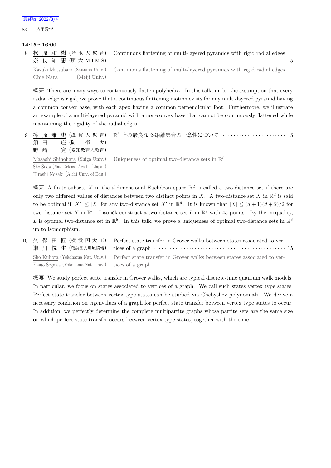#### **14:15~16:00**

|                            | 8 松 原 和 樹 (埼玉大教育) Continuous flattening of multi-layered pyramids with rigid radial edges                |  |
|----------------------------|----------------------------------------------------------------------------------------------------------|--|
|                            | 奈良知惠(明大MIMS) ………………………………………………………………… 15                                                                |  |
|                            | Kazuki Matsubara (Saitama Univ.) Continuous flattening of multi-layered pyramids with rigid radial edges |  |
| (Meiji Univ.)<br>Chie Nara |                                                                                                          |  |

概 要 There are many ways to continuously flatten polyhedra. In this talk, under the assumption that every radial edge is rigid, we prove that a continuous flattening motion exists for any multi-layered pyramid having a common convex base, with each apex having a common perpendicular foot. Furthermore, we illustrate an example of a multi-layered pyramid with a non-convex base that cannot be continuously flattened while maintaining the rigidity of the radial edges.

```
9 篠 原 雅 史 (滋 賀 大 教 育)
   須 田 庄 (防 衛 大)
   野 崎 寛 (愛知教育大教育)
                                  R
8 上の最良な 2-距離集合の一意性について · · · · · · · · · · · · · · · · · · · · · · · 15
   Masashi Shinohara (Shiga Univ.)
   Sho Suda (Nat. Defense Acad. of Japan)
   Hiroshi Nozaki (Aichi Univ. of Edu.)
                                  Uniqueness of optimal two-distance sets in \mathbb{R}^8
```
概要 A finite subsets X in the *d*-dimensional Euclidean space  $\mathbb{R}^d$  is called a two-distance set if there are only two different values of distances between two distinct points in *X*. A two-distance set *X* in  $\mathbb{R}^d$  is said to be optimal if  $|X'| \leq |X|$  for any two-distance set X' in  $\mathbb{R}^d$ . It is known that  $|X| \leq (d+1)(d+2)/2$  for two-distance set X in  $\mathbb{R}^d$ . Lisoněk construct a two-distance set L in  $\mathbb{R}^8$  with 45 points. By the inequality, L is optimal two-distance set in  $\mathbb{R}^8$ . In this talk, we prove a uniqueness of optimal two-distance sets in  $\mathbb{R}^8$ up to isomorphism.

10 久 保 田 匠 (横 浜 国 大 工) 瀬 川 悦 生 (横浜国大環境情報) Perfect state transfer in Grover walks between states associated to vertices of a graph *· · · · · · · · · · · · · · · · · · · · · · · · · · · · · · · · · · · · · · · · · · · · · · · ·* 15 Sho Kubota (Yokohama Nat. Univ.) Etsuo Segawa (Yokohama Nat. Univ.) Perfect state transfer in Grover walks between states associated to vertices of a graph

概要 We study perfect state transfer in Grover walks, which are typical discrete-time quantum walk models. In particular, we focus on states associated to vertices of a graph. We call such states vertex type states. Perfect state transfer between vertex type states can be studied via Chebyshev polynomials. We derive a necessary condition on eigenvalues of a graph for perfect state transfer between vertex type states to occur. In addition, we perfectly determine the complete multipartite graphs whose partite sets are the same size on which perfect state transfer occurs between vertex type states, together with the time.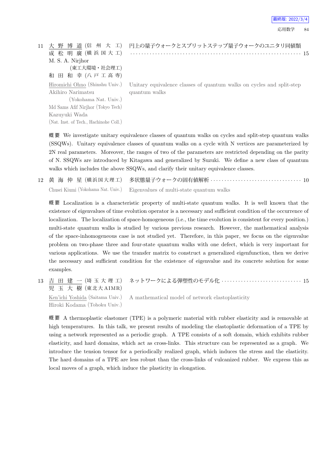| 最終版: 2022/3/4 |
|---------------|
|---------------|

| 11 |                                        | 大 野 博 道 (信 州 大 工) 円上の量子ウォークとスプリットステップ量子ウォークのユニタリ同値類                                                  |
|----|----------------------------------------|------------------------------------------------------------------------------------------------------|
|    | 成 松 明 廣 (横浜国大工)                        |                                                                                                      |
|    | M. S. A. Nirjhor                       |                                                                                                      |
|    | (東工大環境·社会理工)                           |                                                                                                      |
|    | 和田和幸(八戸工高専)                            |                                                                                                      |
|    |                                        | Hiromichi Ohno (Shinshu Univ.) Unitary equivalence classes of quantum walks on cycles and split-step |
|    | Akihiro Narimatsu                      | quantum walks                                                                                        |
|    | (Yokohama Nat. Univ.)                  |                                                                                                      |
|    | Md Sams Afif Nirjhor (Tokyo Tech)      |                                                                                                      |
|    | Kazuyuki Wada                          |                                                                                                      |
|    | (Nat. Inst. of Tech., Hachinohe Coll.) |                                                                                                      |
|    |                                        |                                                                                                      |

概 要 We investigate unitary equivalence classes of quantum walks on cycles and split-step quantum walks (SSQWs). Unitary equivalence classes of quantum walks on a cycle with N vertices are parameterized by 2N real parameters. Moreover, the ranges of two of the parameters are restricted depending on the parity of N. SSQWs are introduced by Kitagawa and generalized by Suzuki. We define a new class of quantum walks which includes the above SSQWs, and clarify their unitary equivalence classes.

12 黄 海 仲 星 (横 浜 国 大 理 工) 多状態量子ウォークの固有値解析 *· · · · · · · · · · · · · · · · · · · · · · · · · · · · · · · · ·* 10 Chusei Kiumi (Yokohama Nat. Univ.) Eigenvalues of multi-state quantum walks

概 要 Localization is a characteristic property of multi-state quantum walks. It is well known that the existence of eigenvalues of time evolution operator is a necessary and sufficient condition of the occurrence of localization. The localization of space-homogeneous (i.e., the time evolution is consistent for every position.) multi-state quantum walks is studied by various previous research. However, the mathematical analysis of the space-inhomogeneous case is not studied yet. Therefore, in this paper, we focus on the eigenvalue problem on two-phase three and four-state quantum walks with one defect, which is very important for various applications. We use the transfer matrix to construct a generalized eigenfunction, then we derive the necessary and sufficient condition for the existence of eigenvalue and its concrete solution for some examples.

13 吉 田 建 一 (埼 玉 大 理 工) 児 玉 大 樹 (東北大 AIMR) ネットワークによる弾塑性のモデル化 *· · · · · · · · · · · · · · · · · · · · · · · · · · · · ·* 15

Ken'ichi Yoshida (Saitama Univ.) Hiroki Kodama (Tohoku Univ.) A mathematical model of network elastoplasticity

概 要 A thermoplastic elastomer (TPE) is a polymeric material with rubber elasticity and is removable at high temperatures. In this talk, we present results of modeling the elastoplastic deformation of a TPE by using a network represented as a periodic graph. A TPE consists of a soft domain, which exhibits rubber elasticity, and hard domains, which act as cross-links. This structure can be represented as a graph. We introduce the tension tensor for a periodically realized graph, which induces the stress and the elasticity. The hard domains of a TPE are less robust than the cross-links of vulcanized rubber. We express this as local moves of a graph, which induce the plasticity in elongation.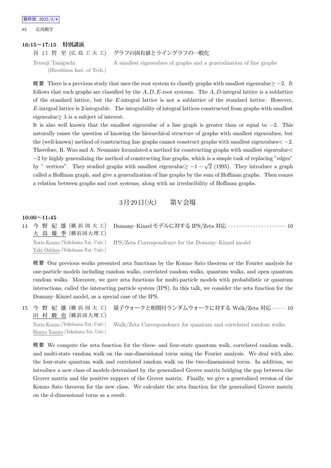#### **16:15~17:15 特別講演**

谷 口 哲 至 (広 島 工 大 工) グラフの固有値とライングラフの一般化

Tetsuji Taniguchi (Hiroshima Inst. of Tech.) A smallest eigenvalues of graphs and a generalization of line graphs

概 要 There is a previous study that uses the root system to classify graphs with smallest eigenvalue*≥ −*2. It follows that such graphs are classified by the *A, D, E*-root systems. The *A, D*-integral lattice is a sublattice of the standard lattice, but the *E*-integral lattice is not a sublattice of the standard lattice. However, *E*-integral lattice is 2-integrable. The integrability of integral lattices constructed from graphs with smallest eigenvalue $\geq \lambda$  is a subject of interest.

It is also well known that the smallest eigenvalue of a line graph is greater than or equal to *−*2. This naturally raises the question of knowing the hierarchical structure of graphs with smallest eigenvalues, but the (well-known) method of constructing line graphs cannot construct graphs with smallest eigenvalues*< −*2. Therefore, R. Woo and A. Neumaier formulated a method for constructing graphs with smallest eigenvalue*<*  $-2$  by highly generalizing the method of constructing line graphs, which is a simple task of replacing "edges" by " vertices". They studied graphs with smallest eigenvalue $\geq -1 - \sqrt{2}$  (1995). They introduce a graph called a Hoffman graph, and give a generalization of line graphs by the sum of Hoffman graphs. Then comes a relation between graphs and root systems, along with an irreducibility of Hoffman graphs.

## 3月29日 (火) 第V会場

### **10:00~11:45**

14 今 野 紀 雄 (横 浜 国 大 工) 大 島 優 季 (横浜国大理工) Domany–Kinzel モデルに対する IPS/Zeta 対応 *· · · · · · · · · · · · · · · · · · · · ·* 10 Norio Konno (Yokohama Nat. Univ.) Yuki Oshima (Yokohama Nat. Univ.) IPS/Zeta Correspondence for the Domany–Kinzel model

概 要 Our previous works presented zeta functions by the Konno–Sato theorem or the Fourier analysis for one-particle models including random walks, correlated random walks, quantum walks, and open quantum random walks. Moreover, we gave zeta functions for multi-particle models with probabilistic or quantum interactions, called the interacting particle system (IPS). In this talk, we consider the zeta function for the Domany–Kinzel model, as a special case of the IPS.

15 今 野 紀 雄 (横 浜 国 大 工) 田 村 駿 也 (横浜国大理工) 量子ウォークと相関付ランダムウォークに対する Walk/Zeta 対応 *· · · · ·* 10

Norio Konno (Yokohama Nat. Univ.) Shunya Tamura (Yokohama Nat. Univ.) Walk/Zeta Correspondence for quantum and correlated random walks

概 要 We compute the zeta function for the three- and four-state quantum walk, correlated random walk, and multi-state random walk on the one-dimensional torus using the Fourier analysis. We deal with also the four-state quantum walk and correlated random walk on the two-dimensional torus. In addition, we introduce a new class of models determined by the generalized Grover matrix bridging the gap between the Grover matrix and the positive support of the Grover matrix. Finally, we give a generalized version of the Konno–Sato theorem for the new class. We calculate the zeta function for the generalized Grover matrix on the d-dimensional torus as a result.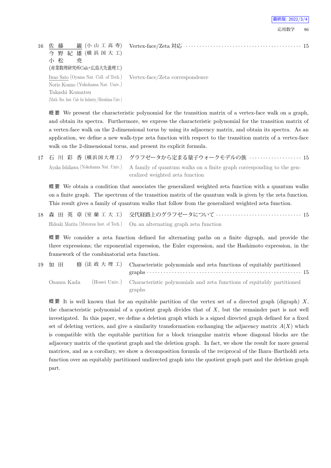| 16 | 巖 (小 山 工 高 専)<br>佐 藤<br>今 野 紀 雄 (横浜国大工)<br>小 松<br>尭<br>(産業数理研究所Calc·広島大先進理工) |                                                                       |
|----|------------------------------------------------------------------------------|-----------------------------------------------------------------------|
|    | Norio Konno (Yokohama Nat. Univ.)                                            | Iwao Sato (Oyama Nat. Coll. of Tech.) Vertex-face/Zeta correspondence |
|    | Takashi Komatsu<br>(Math. Res. Inst. Calc for Industry/Hiroshima Univ.)      |                                                                       |

最終版: 2022

概 要 We present the characteristic polynomial for the transition matrix of a vertex-face walk on a graph, and obtain its spectra. Furthermore, we express the characteristic polynomial for the transition matrix of a vertex-face walk on the 2-dimensional torus by using its adjacency matrix, and obtain its spectra. As an application, we define a new walk-type zeta function with respect to the transition matrix of a vertex-face walk on the 2-dimensional torus, and present its explicit formula.

|  | 17 石 川 彩 香 (横浜国大理工) グラフゼータから定まる量子ウォークモデルの族  15                                                             |
|--|------------------------------------------------------------------------------------------------------------|
|  | Ayaka Ishikawa (Yokohama Nat. Univ.) A family of quantum walks on a finite graph corresponding to the gen- |
|  | eralized weighted zeta function                                                                            |

概 要 We obtain a condition that associates the generalized weighted zeta function with a quantum walks on a finite graph. The spectrum of the transition matrix of the quantum walk is given by the zeta function. This result gives a family of quantum walks that follow from the generalized weighted zeta function.

18 森 田 英 章 (室 蘭 工 大 工) 交代経路上のグラフゼータについて *· · · · · · · · · · · · · · · · · · · · · · · · · · · · · · ·* 15 Hideaki Morita (Muroran Inst. of Tech.) On an alternating graph zeta function

概 要 We consider a zeta function defined for alternating paths on a finite digraph, and provide the three expressions; the exponential expression, the Euler expression, and the Hashimoto expression, in the framework of the combinatorial zeta function.

| 19 加 田     |  | 修 (法 政 大 理 工) Characteristic polynomials and zeta functions of equitably partitioned                                                 |
|------------|--|--------------------------------------------------------------------------------------------------------------------------------------|
|            |  | graphs $\cdots$ and $\cdots$ and $\cdots$ and $\cdots$ and $\cdots$ and $\cdots$ and $\cdots$ and $\cdots$ and $\cdots$ and $\cdots$ |
| Osamu Kada |  | (Hosei Univ.) Characteristic polynomials and zeta functions of equitably partitioned                                                 |
|            |  | graphs                                                                                                                               |

概 要 It is well known that for an equitable partition of the vertex set of a directed graph (digraph) *X*, the characteristic polynomial of a quotient graph divides that of *X*, but the remainder part is not well investigated. In this paper, we define a deletion graph which is a signed directed graph defined for a fixed set of deleting vertices, and give a similarity transformation exchanging the adjacency matrix  $A(X)$  which is compatible with the equitable partition for a block triangular matrix whose diagonal blocks are the adjacency matrix of the quotient graph and the deletion graph. In fact, we show the result for more general matrices, and as a corollary, we show a decomposition formula of the reciprocal of the Ihara–Bartholdi zeta function over an equitably partitioned undirected graph into the quotient graph part and the deletion graph part.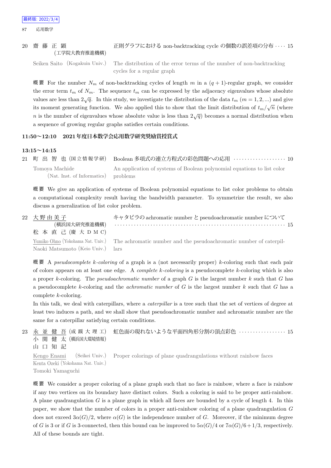#### 20 齋 藤 正 顕 (工学院大教育推進機構) 正則グラフにおける non-backtracking cycle の個数の誤差項の分布 *· · · ·* 15

Seiken Saito (Kogakuin Univ.) The distribution of the error terms of the number of non-backtracking cycles for a regular graph

概 要 For the number  $N_m$  of non-backtracking cycles of length  $m$  in a  $(q + 1)$ -regular graph, we consider the error term  $t_m$  of  $N_m$ . The sequence  $t_m$  can be expressed by the adjacency eigenvalues whose absolute values are less than  $2\sqrt{q}$ . In this study, we investigate the distribution of the data  $t_m$  ( $m = 1, 2, ...$ ) and give its moment generating function. We also applied this to show that the limit distribution of  $t_m/\sqrt{n}$  (where *n* is the number of eigenvalues whose absolute value is less than  $2\sqrt{q}$  becomes a normal distribution when a sequence of growing regular graphs satisfies certain conditions.

## **11:50~12:10 2021年度日本数学会応用数学研究奨励賞授賞式**

#### **13:15~14:15**

21 町 出 智 也 (国 立 情 報 学 研) Boolean 多項式の連立方程式の彩色問題への応用 *· · · · · · · · · · · · · · · · · · ·* 10 Tomoya Machide (Nat. Inst. of Informatics) An application of systems of Boolean polynomial equations to list color problems

概 要 We give an application of systems of Boolean polynomial equations to list color problems to obtain a computational complexity result having the bandwidth parameter. To symmetrize the result, we also discuss a generalization of list color problem.

| 22 大野由美子<br>(横浜国大研究推進機構)<br>松 本 直 己 (慶 大 D M C) | キャタピラの achromatic number と pseudoachromatic number について                                              |  |
|-------------------------------------------------|------------------------------------------------------------------------------------------------------|--|
| Naoki Matsumoto (Keio Univ.) lars               | Yumiko Ohno (Yokohama Nat. Univ.) The achromatic number and the pseudoachromatic number of caterpil- |  |

概 要 A *pseudocomplete k-coloring* of a graph is a (not necessarily proper) *k*-coloring such that each pair of colors appears on at least one edge. A *complete k-coloring* is a pseudocomplete *k*-coloring which is also a proper *k*-coloring. The *pseudoachromatic number* of a graph *G* is the largest number *k* such that *G* has a pseudocomplete *k*-coloring and the *achromatic number* of *G* is the largest number *k* such that *G* has a complete *k*-coloring.

In this talk, we deal with caterpillars, where a *caterpillar* is a tree such that the set of vertices of degree at least two induces a path, and we shall show that pseudoachromatic number and achromatic number are the same for a caterpillar satisfying certain conditions.

#### 23 永 並 健 吾 (成 蹊 大 理 工) 小 関 健 太 (横浜国大環境情報) 山 口 知 記 虹色面の現れないような平面四角形分割の頂点彩色 *· · · · · · · · · · · · · · · · ·* 15 Kengo Enami (Seikei Univ.) Proper colorings of plane quadrangulations without rainbow faces

Kenta Ozeki (Yokohama Nat. Univ.) Tomoki Yamaguchi

概 要 We consider a proper coloring of a plane graph such that no face is rainbow, where a face is rainbow if any two vertices on its boundary have distinct colors. Such a coloring is said to be proper anti-rainbow. A plane quadrangulation *G* is a plane graph in which all faces are bounded by a cycle of length 4. In this paper, we show that the number of colors in a proper anti-rainbow coloring of a plane quadrangulation *G* does not exceed  $3\alpha(G)/2$ , where  $\alpha(G)$  is the independence number of *G*. Moreover, if the minimum degree of *G* is 3 or if *G* is 3-connected, then this bound can be improved to  $5\alpha(G)/4$  or  $7\alpha(G)/6+1/3$ , respectively. All of these bounds are tight.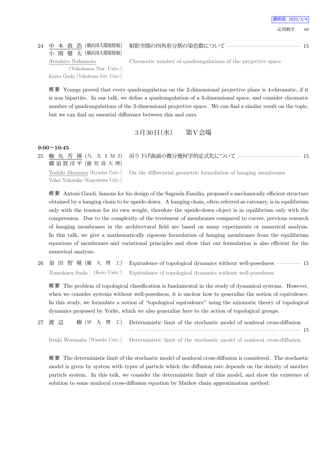#### 24 中 本 敦 浩 (横浜国大環境情報) 小 関 健 太 (横浜国大環境情報)

射影空間の四角形分割の染色数について *· · · · · · · · · · · · · · · · · · · · · · · · · · ·* 15

Atsuhiro Nakamoto (Yokohama Nat. Univ.) Kenta Ozeki (Yokohama Nat. Univ.) Chromatic number of quadrangulations of the projective space

概 要 Youngs proved that every quadrangulation on the 2-dimensional projective plane is 4-chromatic, if it is non bipartite. In our talk, we define a quadrangulation of a 3-dimensional space, and consider chromatic number of quadrangulations of the 3-dimensional projective space. We can find a similar result on the topic, but we can find an essential difference between this and ours.

 $3 \cancel{\text{F}} 30 \cancel{\text{F}} (\cancel{\text{r}})$  第V会場

### **9:00~10:45**

25 軸 丸 芳 揮 (九 大 I M I) 横 須 賀 洋 平 (鹿 児 島 大 理) 吊り下げ曲面の微分幾何学的定式化について *· · · · · · · · · · · · · · · · · · · · · · ·* 15

Yoshiki Jikumaru (Kyushu Univ.) Yohei Yokosuka (Kagoshima Univ.)

On the differential geometric formulation of hanging membranes

概 要 Antoni Gaudi, famous for his design of the Sagrada Familia, proposed a mechanically efficient structure obtained by a hanging chain to be upside-down. A hanging chain, often referred as catenary, is in equilibrium only with the tension for its own weight, therefore the upside-down object is in equilibrium only with the compression. Due to the complexity of the treatment of membranes compared to curves, previous research of hanging membranes in the architectural field are based on many experiments or numerical analysis. In this talk, we give a mathematically rigorous formulation of hanging membranes from the equilibrium equations of membranes and variational principles and show that our formulation is also efficient for the numerical analysis.

26 須 田 智 晴 (慶 大 理 工) Equivalence of topological dynamics without well-posedness *· · · · · · · · ·* 15 Tomoharu Suda (Keio Univ.) Equivalence of topological dynamics without well-posedness

概 要 The problem of topological classification is fundamental in the study of dynamical systems. However, when we consider systems without well-posedness, it is unclear how to generalize the notion of equivalence. In this study, we formulate a notion of "topological equivalence" using the axiomatic theory of topological dynamics proposed by Yorke, which we also generalize here to the action of topological groups.

27 渡 辺 樹 (早 大 理 工) Deterministic limit of the stochastic model of nonlocal cross-diffusion *· · · · · · · · · · · · · · · · · · · · · · · · · · · · · · · · · · · · · · · · · · · · · · · · · · · · · · · · · · · · · ·* 15 Itsuki Watanabe (Waseda Univ.) Deterministic limit of the stochastic model of nonlocal cross-diffusion

概 要 The deterministic limit of the stochastic model of nonlocal cross-diffusion is considered. The stochastic model is given by system with types of particle which the diffusion rate depends on the density of another particle system. In this talk, we consider the deterministic limit of this model, and show the existence of solution to some nonlocal cross-diffusion equation by Markov chain approximation method.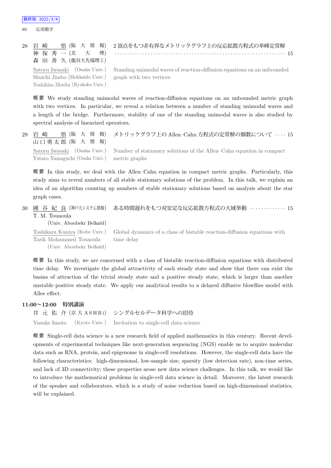|                                                        | 28 岩 崎   悟(阪 大 情 報) 2 頂点をもつ非有界なメトリックグラフ上の反応拡散方程式の単峰定常解                                               |
|--------------------------------------------------------|------------------------------------------------------------------------------------------------------|
|                                                        |                                                                                                      |
| 森田善久 (龍谷大先端理工)                                         |                                                                                                      |
|                                                        | Satoru Iwasaki (Osaka Univ.) Standing unimodal waves of reaction-diffusion equations on an unbounded |
| Shuichi Jimbo (Hokkaido Univ.) graph with two vertices |                                                                                                      |
| Yoshihisa Morita (Ryukoku Univ.)                       |                                                                                                      |

概 要 We study standing unimodal waves of reaction-diffusion equations on an unbounded metric graph with two vertices. In particular, we reveal a relation between a number of standing unimodal waves and a length of the bridge. Furthermore, stability of one of the standing unimodal waves is also studied by spectral analysis of linearized operators.

| 29 岩 崎<br>山口勇太郎 (阪 大 情 報)                    | 悟(阪 大 情 報) メトリックグラフ上の Allen-Cahn 方程式の定常解の個数について ‥‥ 15                                             |
|----------------------------------------------|---------------------------------------------------------------------------------------------------|
|                                              | Satoru Iwasaki (Osaka Univ.) Number of stationary solutions of the Allen–Cahn equation in compact |
| Yutaro Yamaguchi (Osaka Univ.) metric graphs |                                                                                                   |

概 要 In this study, we deal with the Allen–Cahn equation in compact metric graphs. Particularly, this study aims to reveal numbers of all stable stationary solutions of the problem. In this talk, we explain an idea of an algorithm counting up numbers of stable stationary solutions based on analysis about the star graph cases.

30 國 谷 紀 良 (神戸大システム情報) T. M. Touaoula ある時間遅れをもつ双安定な反応拡散方程式の大域挙動 *· · · · · · · · · · · · ·* 15

(Univ. Aboubekr Belka¨ıd)

Toshikazu Kuniya (Kobe Univ.) Tarik Mohammed Touaoula (Univ. Aboubekr Belka¨ıd) Global dynamics of a class of bistable reaction-diffusion equations with time delay

概 要 In this study, we are concerned with a class of bistable reaction-diffusion equations with distributed time delay. We investigate the global attractivity of each steady state and show that there can exist the basins of attraction of the trivial steady state and a positive steady state, which is larger than another unstable positive steady state. We apply our analytical results to a delayed diffusive blowflies model with Allee effect.

### **11:00~12:00 特別講演**

井 元 佑 介 (京 大 A S H B i) シングルセルデータ科学への招待 Yusuke Imoto (Kyoto Univ.) Invitation to single-cell data science

概 要 Single-cell data science is a new research field of applied mathematics in this century. Recent developments of experimental techniques like next-generation sequencing (NGS) enable us to acquire molecular data such as RNA, protein, and epigenome in single-cell resolutions. However, the single-cell data have the following characteristics: high-dimensional, low-sample size, sparsity (low detection rate), non-time series, and lack of 3D connectivity; these properties arose new data science challenges. In this talk, we would like to introduce the mathematical problems in single-cell data science in detail. Moreover, the latest research of the speaker and collaborators, which is a study of noise reduction based on high-dimensional statistics, will be explained.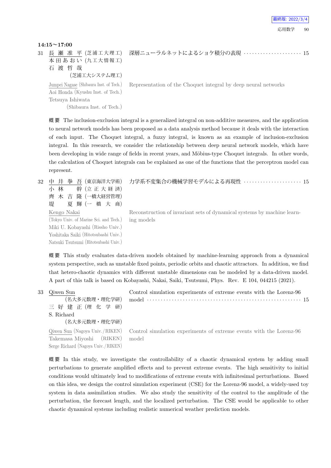#### **14:15~17:00**

31 長 瀬 准 平 (芝浦工大理工) 本田あおい (九工大情報工) 石 渡 哲 哉 (芝浦工大システム理工) 深層ニューラルネットによるショケ積分の表現 *· · · · · · · · · · · · · · · · · · · · ·* 15 Jumpei Nagase (Shibaura Inst. of Tech.) Aoi Honda (Kyushu Inst. of Tech.) Tetsuya Ishiwata (Shibaura Inst. of Tech.) Representation of the Choquet integral by deep neural networks

概 要 The inclusion-exclusion integral is a generalized integral on non-additive measures, and the application to neural network models has been proposed as a data analysis method because it deals with the interaction of each input. The Choquet integral, a fuzzy integral, is known as an example of inclusion-exclusion integral. In this research, we consider the relationship between deep neural network models, which have been developing in wide range of fields in recent years, and Möbius-type Choquet integrals. In other words, the calculation of Choquet integrals can be explained as one of the functions that the perceptron model can represent.

32 中 井 拳 吾 (東京海洋大学術) 小 林 幹 (立正大経済) 齊 木 吉 隆 (一橋大経営管理) 堤 夏 輝 (一 橋 大 商) Kengo Nakai (Tokyo Univ. of Marine Sci. and Tech.) Miki U. Kobayashi (Rissho Univ.) Yoshitaka Saiki (Hitotsubashi Univ.) Natsuki Tsutsumi (Hitotsubashi Univ.) 力学系不変集合の機械学習モデルによる再現性 *· · · · · · · · · · · · · · · · · · · · ·* 15

Reconstruction of invariant sets of dynamical systems by machine learning models

概 要 This study evaluates data-driven models obtained by machine-learning approach from a dynamical system perspective, such as unstable fixed points, periodic orbits and chaotic attractors. In addition, we find that hetero-chaotic dynamics with different unstable dimensions can be modeled by a data-driven model. A part of this talk is based on Kobayashi, Nakai, Saiki, Tsutsumi, Phys. Rev. E 104, 044215 (2021).

33 Qiwen Sun (名大多元数理・理化学研) 三 好 建 正 (理 化 学 研) S. Richard (名大多元数理・理化学研) Control simulation experiments of extreme events with the Lorenz-96 model *· · · · · · · · · · · · · · · · · · · · · · · · · · · · · · · · · · · · · · · · · · · · · · · · · · · · · · · ·* 15 Qiwen Sun (Nagoya Univ. /RIKEN) Takemasa Miyoshi (RIKEN) Serge Richard (Nagoya Univ. /RIKEN) Control simulation experiments of extreme events with the Lorenz-96 model

概 要 In this study, we investigate the controllability of a chaotic dynamical system by adding small perturbations to generate amplified effects and to prevent extreme events. The high sensitivity to initial conditions would ultimately lead to modifications of extreme events with infinitesimal perturbations. Based on this idea, we design the control simulation experiment (CSE) for the Lorenz-96 model, a widely-used toy system in data assimilation studies. We also study the sensitivity of the control to the amplitude of the perturbation, the forecast length, and the localized perturbation. The CSE would be applicable to other chaotic dynamical systems including realistic numerical weather prediction models.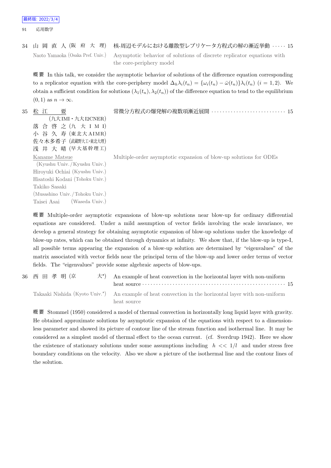34 山 岡 直 人 (阪 府 大 理) 核-周辺モデルにおける離散型レプリケータ方程式の解の漸近挙動 *· · · · ·* 15 Naoto Yamaoka (Osaka Pref. Univ.) Asymptotic behavior of solutions of discrete replicator equations with the core-periphery model

概 要 In this talk, we consider the asymptotic behavior of solutions of the difference equation corresponding to a replicator equation with the core-periphery model  $\Delta_h \lambda_i(t_n) = {\omega_i(t_n) - \bar{\omega}(t_n)}\lambda_i(t_n)$  (i = 1,2). We obtain a sufficient condition for solutions  $(\lambda_1(t_n), \lambda_2(t_n))$  of the difference equation to tend to the equilibrium  $(0, 1)$  as  $n \to \infty$ .

| 35 | 松 江<br>要                                       | 常微分方程式の爆発解の複数項漸近展開  15                                            |
|----|------------------------------------------------|-------------------------------------------------------------------|
|    | $(\uparrow \uparrow \uparrow$ IMI · 九大 I2CNER) |                                                                   |
|    | 落合啓之(九大 I M I)                                 |                                                                   |
|    | 小 谷 久 寿 (東北大 AIMR)                             |                                                                   |
|    | 佐々木多希子 (武蔵野大工·東北大理)                            |                                                                   |
|    | 浅 井 大 晴 (早大基幹理工)                               |                                                                   |
|    | Kaname Matsue                                  | Multiple-order asymptotic expansion of blow-up solutions for ODEs |
|    | (Kyushu Univ. / Kyushu Univ.)                  |                                                                   |
|    | Hiroyuki Ochiai (Kyushu Univ.)                 |                                                                   |
|    | Hisatoshi Kodani (Tohoku Univ.)                |                                                                   |
|    | Takiko Sasaki                                  |                                                                   |
|    | (Musashino Univ./Tohoku Univ.)                 |                                                                   |
|    | (Waseda Univ.)<br>Taisei Asai                  |                                                                   |

概 要 Multiple-order asymptotic expansions of blow-up solutions near blow-up for ordinary differential equations are considered. Under a mild assumption of vector fields involving the scale invariance, we develop a general strategy for obtaining asymptotic expansion of blow-up solutions under the knowledge of blow-up rates, which can be obtained through dynamics at infinity. We show that, if the blow-up is type-I, all possible terms appearing the expansion of a blow-up solution are determined by "eigenvalues" of the matrix associated with vector fields near the principal term of the blow-up and lower order terms of vector fields. The "eigenvalues" provide some algebraic aspects of blow-ups.

| 36 西 田 孝 明 (京 | $\star$ <sup>*</sup> ) An example of heat convection in the horizontal layer with non-uniform                                     |  |
|---------------|-----------------------------------------------------------------------------------------------------------------------------------|--|
|               | Takaaki Nishida (Kyoto Univ. <sup>*</sup> ) An example of heat convection in the horizontal layer with non-uniform<br>heat source |  |

概 要 Stommel (1950) considered a model of thermal convection in horizontally long liquid layer with gravity. He obtained approximate solutions by asymptotic expansion of the equations with respect to a dimensionless parameter and showed its picture of contour line of the stream function and isothermal line. It may be considered as a simplest model of thermal effect to the ocean current. (cf. Sverdrup 1942). Here we show the existence of stationary solutions under some assumptions including  $h \ll 1/l$  and under stress free boundary conditions on the velocity. Also we show a picture of the isothermal line and the contour lines of the solution.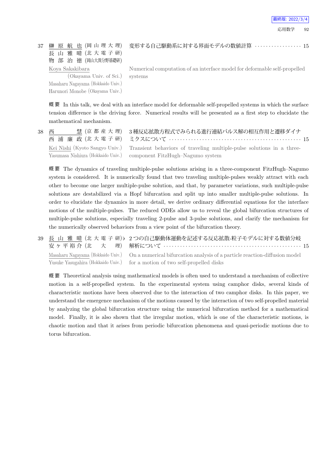37 榊 原 航 也 (岡 山 理 大 理) 長 山 雅 晴 (北 大 電 子 研) 物 部 治 徳 (岡山大異分野基礎研) Koya Sakakibara

(Okayama Univ. of Sci.) Masaharu Nagayama (Hokkaido Univ.) Harunori Monobe (Okayama Univ.) 変形する自己駆動系に対する界面モデルの数値計算 *· · · · · · · · · · · · · · · · ·* 15

Numerical computation of an interface model for deformable self-propelled systems

概 要 In this talk, we deal with an interface model for deformable self-propelled systems in which the surface tension difference is the driving force. Numerical results will be presented as a first step to elucidate the mathematical mechanism.

| 38 西 | 慧 (京 都 産 大 理) 3種反応拡散方程式でみられる進行連結パルス解の相互作用と遷移ダイナ                                                      |
|------|------------------------------------------------------------------------------------------------------|
|      | Kei Nishi (Kyoto Sangyo Univ.) Transient behaviors of traveling multiple-pulse solutions in a three- |
|      | Yasumasa Nishiura (Hokkaido Univ.) component FitzHugh-Nagumo system                                  |

概 要 The dynamics of traveling multiple-pulse solutions arising in a three-component FitzHugh–Nagumo system is considered. It is numerically found that two traveling multiple-pulses weakly attract with each other to become one larger multiple-pulse solution, and that, by parameter variations, such multiple-pulse solutions are destabilized via a Hopf bifurcation and split up into smaller multiple-pulse solutions. In order to elucidate the dynamics in more detail, we derive ordinary differential equations for the interface motions of the multiple-pulses. The reduced ODEs allow us to reveal the global bifurcation structures of multiple-pulse solutions, especially traveling 2-pulse and 3-pulse solutions, and clarify the mechanism for the numerically observed behaviors from a view point of the bifurcation theory.

39 長 山 雅 晴 (北 大 電 子 研) *♭* 2 つの自己駆動体運動を記述する反応拡散-粒子モデルに対する数値分岐 安ヶ平裕介 (北 大 理) 解析について *· · · · · · · · · · · · · · · · · · · · · · · · · · · · · · · · · · · · · · · · · · · · · · · · · ·* 15 Masaharu Nagayama (Hokkaido Univ.) Yusuke Yasugahira (Hokkaido Univ.) On a numerical bifurcation analysis of a particle reaction-diffusion model for a motion of two self-propelled disks

概 要 Theoretical analysis using mathematical models is often used to understand a mechanism of collective motion in a self-propelled system. In the experimental system using camphor disks, several kinds of characteristic motions have been observed due to the interaction of two camphor disks. In this paper, we understand the emergence mechanism of the motions caused by the interaction of two self-propelled material by analyzing the global bifurcation structure using the numerical bifurcation method for a mathematical model. Finally, it is also shown that the irregular motion, which is one of the characteristic motions, is chaotic motion and that it arises from periodic bifurcation phenomena and quasi-periodic motions due to torus bifurcation.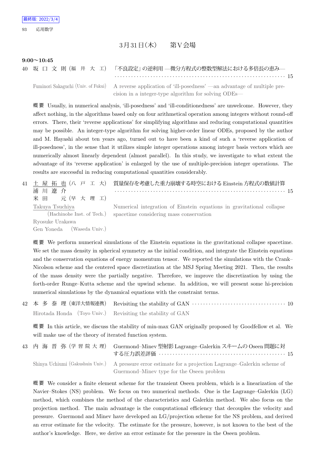## 3月31日(木) 第V会場

#### **9:00~10:45**

40 坂 口 文 則 (福 井 大 工) 「不良設定」の逆利用 —微分方程式の整数型解法における多倍長の恵み—

*· · · · · · · · · · · · · · · · · · · · · · · · · · · · · · · · · · · · · · · · · · · · · · · · · · · · · · · · · · · · · ·* 15 Fuminori Sakaguchi (Univ. of Fukui) A reverse application of 'ill-posedness' —an advantage of multiple pre-

cision in a integer-type algorithm for solving ODEs—

概 要 Usually, in numerical analysis, 'ill-posedness' and 'ill-conditionedness' are unwelcome. However, they affect nothing, in the algorithms based only on four arithmetical operation among integers without round-off errors. There, their 'reverse applications' for simplifying algorithms and reducing computational quantities may be possible. An integer-type algorithm for solving higher-order linear ODEs, proposed by the author and M. Hayashi about ten years ago, turned out to have been a kind of such a 'reverse application of ill-posedness', in the sense that it utilizes simple integer operations among integer basis vectors which are numerically almost linearly dependent (almost parallel). In this study, we investigate to what extent the advantage of its 'reverse application' is enlarged by the use of multiple-precision integer operations. The results are successful in reducing computational quantities considerably.

|                                               | 41 土 屋 拓 也 (八 戸 工 大) 質量保存を考慮した重力崩壊する時空における Einstein 方程式の数値計算                                                     |
|-----------------------------------------------|------------------------------------------------------------------------------------------------------------------|
| 浦川遼介                                          |                                                                                                                  |
| 米田 元(早大理工)                                    |                                                                                                                  |
| Takuya Tsuchiya<br>(Hachinohe Inst. of Tech.) | Numerical integration of Einstein equations in gravitational collapse<br>spacetime considering mass conservation |
| Ryosuke Urakawa<br>Gen Yoneda (Waseda Univ.)  |                                                                                                                  |

概 要 We perform numerical simulations of the Einstein equations in the gravitational collapse spacetime. We set the mass density in spherical symmetry as the initial condition, and integrate the Einstein equations and the conservation equations of energy momentum tensor. We reported the simulations with the Crank– Nicolson scheme and the centered space discretization at the MSJ Spring Meeting 2021. Then, the results of the mass density were the partially negative. Therefore, we improve the discretization by using the forth-order Runge–Kutta scheme and the upwind scheme. In addition, we will present some hi-precision numerical simulations by the dynamical equations with the constraint terms.

|  | 42 本 多 泰 理 (東洋大情報連携) Revisiting the stability of GAN …………………………………… 10 |
|--|------------------------------------------------------------------------|
|  | Hirotada Honda (Toyo Univ.) Revisiting the stability of GAN            |

概 要 In this article, we discuss the stability of min-max GAN originally proposed by Goodfellow et al. We will make use of the theory of iterated function system.

| 43 内 海 晋 弥 (学 習 院 大 理) Guermond-Minev 型射影 Lagrange-Galerkin スキームの Oseen 問題に対                                                                         |
|------------------------------------------------------------------------------------------------------------------------------------------------------|
| Shinya Uchiumi (Gakushuin Univ.) A pressure error estimate for a projection Lagrange–Galerkin scheme of<br>Guermond–Minev type for the Oseen problem |

概 要 We consider a finite element scheme for the transient Oseen problem, which is a linearization of the Navier–Stokes (NS) problem. We focus on two numerical methods. One is the Lagrange–Galerkin (LG) method, which combines the method of the characteristics and Galerkin method. We also focus on the projection method. The main advantage is the computational efficiency that decouples the velocity and pressure. Guermond and Minev have developed an LG/projection scheme for the NS problem, and derived an error estimate for the velocity. The estimate for the pressure, however, is not known to the best of the author's knowledge. Here, we derive an error estimate for the pressure in the Oseen problem.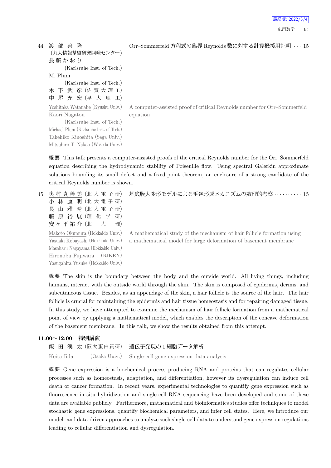```
44 渡 部 善 隆
    (九大情報基盤研究開発センター)
    長 藤 か お り
          (Karlsruhe Inst. of Tech.)
    M. Plum
          (Karlsruhe Inst. of Tech.)
    木 下 武 彦 (佐 賀 大 理 工)
    中 尾 充 宏 (早 大 理 工)
    Yoshitaka Watanabe (Kyushu Univ.)
    Kaori Nagatou
          (Karlsruhe Inst. of Tech.)
    Michael Plum (Karlsruhe Inst. of Tech.)
    Takehiko Kinoshita (Saga Univ.)
    Mitsuhiro T. Nakao (Waseda Univ.)
```
Orr–Sommerfeld 方程式の臨界 Reynolds 数に対する計算機援用証明 *· · ·* 15

A computer-assisted proof of critical Reynolds number for Orr–Sommerfeld equation

概 要 This talk presents a computer-assisted proofs of the critical Reynolds number for the Orr–Sommerfeld equation describing the hydrodynamic stability of Poiseuille flow. Using spectral Galerkin approximate solutions bounding its small defect and a fixed-point theorem, an enclosure of a strong candidate of the critical Reynolds number is shown.

45 奥 村 真 善 美 (北 大 電 子 研) 小 林 康 明 (北 大 電 子 研) 長 山 雅 晴 (北 大 電 子 研) 藤 原 裕 展 (理 化 学 研) 安ヶ平祐介(北 大 理) Makoto Okumura (Hokkaido Univ.) Yasuaki Kobayashi (Hokkaido Univ.) Masaharu Nagayama (Hokkaido Univ.) Hironobu Fujiwara (RIKEN) Yasugahira Yusuke (Hokkaido Univ.) 基底膜大変形モデルによる毛包形成メカニズムの数理的考察 *· · · · · · · · · ·* 15

A mathematical study of the mechanism of hair follicle formation using a mathematical model for large deformation of basement membrane

概 要 The skin is the boundary between the body and the outside world. All living things, including humans, interact with the outside world through the skin. The skin is composed of epidermis, dermis, and subcutaneous tissue. Besides, as an appendage of the skin, a hair follicle is the source of the hair. The hair follicle is crucial for maintaining the epidermis and hair tissue homeostasis and for repairing damaged tissue. In this study, we have attempted to examine the mechanism of hair follicle formation from a mathematical point of view by applying a mathematical model, which enables the description of the concave deformation of the basement membrane. In this talk, we show the results obtained from this attempt.

#### **11:00~12:00 特別講演**

```
飯 田 渓 太 (阪大蛋白質研) 遺伝子発現の1細胞データ解析
Keita Iida (Osaka Univ.) Single-cell gene expression data analysis
```
概 要 Gene expression is a biochemical process producing RNA and proteins that can regulates cellular processes such as homeostasis, adaptation, and differentiation, however its dysregulation can induce cell death or cancer formation. In recent years, experimental technologies to quantify gene expression such as fluorescence in situ hybridization and single-cell RNA sequencing have been developed and some of these data are available publicly. Furthermore, mathematical and bioinformatics studies offer techniques to model stochastic gene expressions, quantify biochemical parameters, and infer cell states. Here, we introduce our model- and data-driven approaches to analyze such single-cell data to understand gene expression regulations leading to cellular differentiation and dysregulation.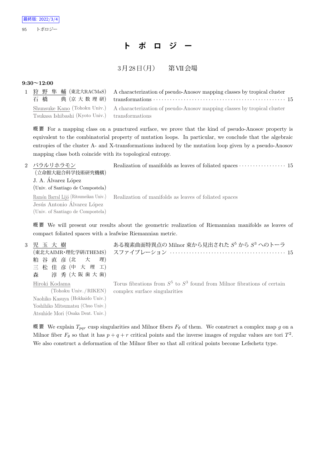# **ト ポ ロ ジ ー**

## $3 \cancel{\text{F} 28}$ 日 $( \cancel{\text{F} })$  第VII会場

### **9:30~12:00**

|                                                 | 1 狩 野 隼 輔 (東北大RACMaS) A characterization of pseudo-Anosov mapping classes by tropical cluster        |  |
|-------------------------------------------------|------------------------------------------------------------------------------------------------------|--|
| Tsukasa Ishibashi (Kyoto Univ.) transformations | Shunsuke Kano (Tohoku Univ.) A characterization of pseudo-Anosov mapping classes by tropical cluster |  |

概 要 For a mapping class on a punctured surface, we prove that the kind of pseudo-Anosov property is equivalent to the combinatorial property of mutation loops. In particular, we conclude that the algebraic entropies of the cluster A- and X-transformations induced by the mutation loop given by a pseudo-Anosov mapping class both coincide with its topological entropy.

| 2 バラルリホラモン                            | Realization of manifolds as leaves of foliated spaces $\cdots \cdots \cdots \cdots 15$ |
|---------------------------------------|----------------------------------------------------------------------------------------|
| (立命館大総合科学技術研究機構)                      |                                                                                        |
| J. A. Álvarez López                   |                                                                                        |
| (Univ. of Santiago de Compostela)     |                                                                                        |
| Ramón Barral Lijó (Ritsumeikan Univ.) | Realization of manifolds as leaves of foliated spaces                                  |
| Jesús Antonio Álvarez López           |                                                                                        |
| (Univ. of Santiago de Compostela)     |                                                                                        |
|                                       |                                                                                        |

概 要 We will present our results about the geometric realization of Riemannian manifolds as leaves of compact foliated spaces with a leafwise Riemannian metric.

| 3 児 玉 大 樹                         | ある複素曲面特異点の Milnor 束から見出された $S^5$ から $S^3$ へのトーラ                              |
|-----------------------------------|------------------------------------------------------------------------------|
|                                   | (東北大AIMR・理化学研iTHEMS) スファイブレーション ‥‥‥‥‥‥‥‥‥‥‥‥‥‥‥‥‥‥‥‥‥‥‥ 15                   |
| 粕谷直彦(北大理)                         |                                                                              |
| 三 松 佳 彦 (中 大 理 工)                 |                                                                              |
| 森 淳秀(大阪歯大歯)                       |                                                                              |
|                                   |                                                                              |
| Hiroki Kodama                     | Torus fibrations from $S^5$ to $S^3$ found from Milnor fibrations of certain |
|                                   | (Tohoku Univ./RIKEN) complex surface singularities                           |
| Naohiko Kasuya (Hokkaido Univ.)   |                                                                              |
| Yoshihiko Mitsumatsu (Chuo Univ.) |                                                                              |

概 要 We explain  $T_{pqr}$  cusp singularities and Milnor fibers  $F_{\theta}$  of them. We construct a complex map *g* on a Milnor fiber  $F_{\theta}$  so that it has  $p + q + r$  critical points and the inverse images of regular values are tori  $T^2$ . We also construct a deformation of the Milnor fiber so that all critical points become Lefschetz type.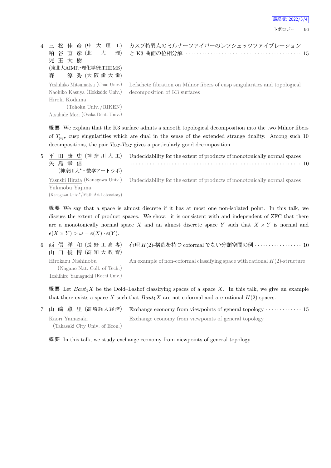

と K3 曲面の位相分解 *· · · · · · · · · · · · · · · · · · · · · · · · · · · · · · · · · · · · · · · · · ·* 15

|                                                              | 4 三 松 佳 彦 (中 大 理 工) カスプ特異点のミルナーファイバーのレフシェッツファイブレーション                       |
|--------------------------------------------------------------|----------------------------------------------------------------------------|
|                                                              |                                                                            |
| 児玉大樹                                                         |                                                                            |
| (東北大AIMR·理化学研iTHEMS)                                         |                                                                            |
| 森 淳秀(大阪歯大歯)                                                  |                                                                            |
| Yoshihiko Mitsumatsu (Chuo Univ.)                            | Lefschetz fibration on Milnor fibers of cusp singularities and topological |
| Naohiko Kasuya (Hokkaido Univ.) decomposition of K3 surfaces |                                                                            |
| Hiroki Kodama                                                |                                                                            |
| (Tohoku Univ./RIKEN)                                         |                                                                            |
| Atsuhide Mori (Osaka Dent. Univ.)                            |                                                                            |

概 要 We explain that the K3 surface admits a smooth topological decomposition into the two Milnor fibers of  $T_{\textit{pqr}}$  cusp singularities which are dual in the sense of the extended strange duality. Among such 10 decompositions, the pair  $T_{237} - T_{237}$  gives a particularly good decomposition.

5 平 田 康 史 (神奈川大工) Undecidability for the extent of products of monotonically normal spaces 矢 島 幸 信 (神奈川大*⋆*・数学アートラボ) *· · · · · · · · · · · · · · · · · · · · · · · · · · · · · · · · · · · · · · · · · · · · · · · · · · · · · · · · · · · · · ·* 10 Yasushi Hirata (Kanagawa Univ.) Yukinobu Yajima (Kanagawa Univ.*<sup>⋆</sup>*/Math Art Laboratory) Undecidability for the extent of products of monotonically normal spaces

概 要 We say that a space is almost discrete if it has at most one non-isolated point. In this talk, we discuss the extent of product spaces. We show: it is consistent with and independent of ZFC that there are a monotonically normal space *X* and an almost discrete space *Y* such that  $X \times Y$  is normal and  $e(X \times Y) > \omega = e(X) \cdot e(Y).$ 

6 西 信 洋 和 (長 野 工 高 専) 山 口 俊 博 (高 知 大 教 育) 有理 *H*(2)-構造を持つ coformal でない分類空間の例 *· · · · · · · · · · · · · · · · ·* 10

Hirokazu Nishinobu (Nagano Nat. Coll. of Tech.) Toshihiro Yamaguchi (Kochi Univ.) An example of non-coformal classifying space with rational  $H(2)$ -structure

概 要 Let  $Baut<sub>1</sub>X$  be the Dold–Lashof classifying spaces of a space X. In this talk, we give an example that there exists a space X such that  $Baut_1X$  are not coformal and are rational  $H(2)$ -spaces.

7 山 﨑 薫 里 (高 崎 経 大 経 済) Exchange economy from viewpoints of general topology *· · · · · · · · · · · · ·* 15 Kaori Yamazaki (Takasaki City Univ. of Econ.) Exchange economy from viewpoints of general topology

概 要 In this talk, we study exchange economy from viewpoints of general topology.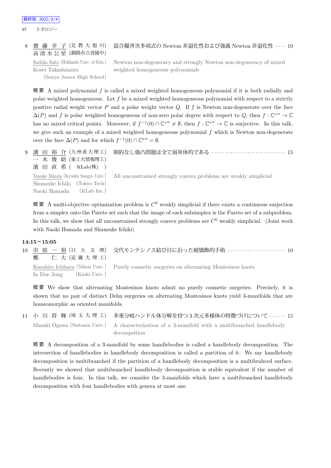97 トポロジー

#### 8 齋 藤 幸 子 (北 教 大 旭 川) 混合擬斉次多項式の Newton 非退化性および強義 Newton 非退化性 *· · · ·* 10

高 清 水 公 星 (釧路市立青陵中) Sachiko Saito (Hokkaido Univ. of Edu.) Kosei Takashimizu

(Seiryo Junior High School)

Newton non-degeneracy and strongly Newton non-degeneracy of mixed weighted homogeneous polynomials

概 要 A mixed polynomial *f* is called a mixed weighted homogeneous polynomial if it is both radially and polar weighted homogeneous. Let *f* be a mixed weighted homogeneous polynomial with respect to a strictly positive radial weight vector *P* and a polar weight vector *Q*. If *f* is Newton non-degenerate over the face  $\Delta(P)$  and *f* is polar weighted homogeneous of non-zero polar degree with respect to *Q*, then  $f: \mathbb{C}^{*n} \to \mathbb{C}$ has no mixed critical points. Moreover, if  $f^{-1}(0) \cap \mathbb{C}^{*n} \neq \emptyset$ , then  $f: \mathbb{C}^{*n} \to \mathbb{C}$  is surjective. In this talk, we give such an example of a mixed weighted homogeneous polynomial *f* which is Newton non-degenerate over the face  $\Delta(P)$  and for which  $f^{-1}(0) \cap \mathbb{C}^{*n} = \emptyset$ .

9 溝 田 裕 介 (九州産大理工) 一 木 俊 助 (東工大情報理工) 濱 田 直 希 ( KLab(株) ) 制約なし強凸問題は全て弱単体的である *· · · · · · · · · · · · · · · · · · · · · · · · · · ·* 15 Yusuke Mizota (Kyushu Sangyo Univ.) Shunsuke Ichiki (Tokyo Tech) Naoki Hamada (KLab Inc.) All unconstrained strongly convex problems are weakly simplicial

概 要 A multi-objective optimization problem is *C* <sup>0</sup> weakly simplicial if there exists a continuous surjection from a simplex onto the Pareto set such that the image of each subsimplex is the Pareto set of a subproblem. In this talk, we show that all unconstrained strongly convex problems are  $C^0$  weakly simplicial. (Joint work with Naoki Hamada and Shunsuke Ichiki)

#### **14:15~15:05**

10 市 原 一 裕 (日 大 文 理) 鄭 仁 大 (近 畿 大 理 工) 交代モンテシノス結び目に沿った純矯飾的手術 *· · · · · · · · · · · · · · · · · · · · ·* 10

Kazuhiro Ichihara (Nihon Univ.) In Dae Jong (Kinki Univ.) Purely cosmetic surgeries on alternating Montesinos knots

概 要 We show that alternating Montesinos knots admit no purely cosmetic surgeries. Precisely, it is shown that no pair of distinct Dehn surgeries on alternating Montesinos knots yield 3-manifolds that are homeomorphic as oriented manifolds.

11 小 川 将 輝 (埼 玉 大 理 工) 多重分岐ハンドル体分解を持つ 3 次元多様体の特徴づけについて *· · · · · ·* 15 Masaki Ogawa (Saitama Univ.) A characterization of a 3-manifold with a multibranched handlebody decompsition

概 要 A decomposition of a 3-manifold by some handlebodies is called a handlebody decomposition. The intersection of handlebodies in handlebody decomposition is called a partition of it. We say handlebody decomposition is multibranched if the partition of a handlebody decomposition is a multibrahced surface. Recently we showed that multibranched handlebody decomposition is stable equivalent if the number of handlebodies is four. In this talk, we consider the 3-manifolds which have a multibranched handlebody decomposition with four handlebodies with genera at most one.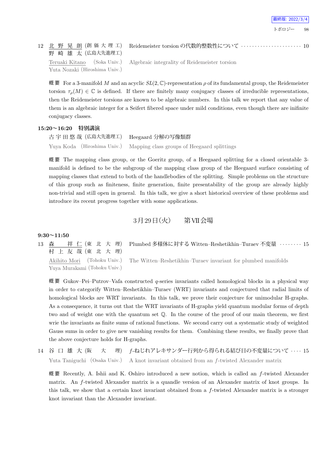|  |  |                   | 北 野 晃 朗 (創 価 大 理 工) Reidemeister torsion の代数的整数性について ………………………… 10 |  |
|--|--|-------------------|--------------------------------------------------------------------|--|
|  |  | 野 崎 雄 太 (広島大先進理工) |                                                                    |  |

Teruaki Kitano (Soka Univ.) Yuta Nozaki (Hiroshima Univ.)

 $12$  北野晃朗(創価大理

Algebraic integrality of Reidemeister torsion

概 要 For a 3-manifold *M* and an acyclic  $SL(2, \mathbb{C})$ -representation  $ρ$  of its fundamental group, the Reidemeister torsion  $\tau_{\rho}(M) \in \mathbb{C}$  is defined. If there are finitely many conjugacy classes of irreducible representations, then the Reidemeister torsions are known to be algebraic numbers. In this talk we report that any value of them is an algebraic integer for a Seifert fibered space under mild conditions, even though there are inifinite conjugacy classes.

#### **15:20~16:20 特別講演**

古 宇 田 悠 哉 (広島大先進理工) Heegaard 分解の写像類群 Yuya Koda (Hiroshima Univ.) Mapping class groups of Heegaard splittings

概 要 The mapping class group, or the Goeritz group, of a Heegaard splitting for a closed orientable 3 manifold is defined to be the subgroup of the mapping class group of the Heegaard surface consisting of mapping classes that extend to both of the handlebodies of the splitting. Simple problems on the structure of this group such as finiteness, finite generation, finite presentability of the group are already highly non-trivial and still open in general. In this talk, we give a short historical overview of these problems and introduce its recent progress together with some applications.

3月29日 (火) 第VII会場

#### **9:30~11:50**

13 森 祥 仁 (東 北 大 理) 村 上 友 哉 (東 北 大 理) Plumbed 多様体に対する Witten–Reshetikhin–Turaev 不変量 *· · · · · · · ·* 15 Akihito Mori (Tohoku Univ.) The Witten–Reshetikhin–Turaev invariant for plumbed manifolds

Yuya Murakami (Tohoku Univ.)

概 要 Gukov–Pei–Putrov–Vafa constructed *q*-series invariants called homological blocks in a physical way in order to categorify Witten–Reshetikhin–Turaev (WRT) invariants and conjectured that radial limits of homological blocks are WRT invariants. In this talk, we prove their conjecture for unimodular H-graphs. As a consequence, it turns out that the WRT invariants of H-graphs yield quantum modular forms of depth two and of weight one with the quantum set Q. In the course of the proof of our main theorem, we first wrie the invariants as finite sums of rational functions. We second carry out a systematic study of weighted Gauss sums in order to give new vanishing results for them. Combining these results, we finally prove that the above conjecture holds for H-graphs.

14 谷 口 雄 大 (阪 大 理) *f*-ねじれアレキサンダー行列から得られる結び目の不変量について *· · · ·* 15 Yuta Taniguchi (Osaka Univ.) A knot invariant obtained from an *f*-twisted Alexander matrix

概 要 Recently, A. Ishii and K. Oshiro introduced a new notion, which is called an *f*-twisted Alexander matrix. An *f*-twisted Alexander matrix is a quandle version of an Alexander matrix of knot groups. In this talk, we show that a certain knot invariant obtained from a *f*-twisted Alexander matrix is a stronger knot invariant than the Alexander invariant.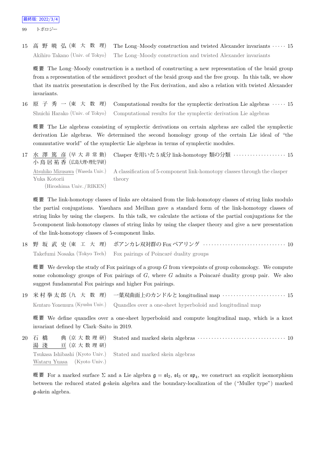99 トポロジー

15 高 野 暁 弘 (東 大 数 理) The Long–Moody construction and twisted Alexander invariants *· · · · ·* 15 Akihiro Takano (Univ. of Tokyo) The Long–Moody construction and twisted Alexander invariants

概 要 The Long–Moody construction is a method of constructing a new representation of the braid group from a representation of the semidirect product of the braid group and the free group. In this talk, we show that its matrix presentation is described by the Fox derivation, and also a relation with twisted Alexander invariants.

16 原 子 秀 一 (東 大 数 理) Computational results for the symplectic derivation Lie algebras *· · · · ·* 15 Shuichi Harako (Univ. of Tokyo) Computational results for the symplectic derivation Lie algebras

概 要 The Lie algebras consisting of symplectic derivations on certain algebras are called the symplectic derivation Lie algebras. We determined the second homology group of the certain Lie ideal of "the commutative world" of the symplectic Lie algebras in terms of symplectic modules.

17 水 澤 篤 彦 (早 大 非 常 勤) 小 鳥 居 祐 香 (広島大理・理化学研) Clasper を用いた 5 成分 link-homotopy 類の分類 *· · · · · · · · · · · · · · · · · · ·* 15 Atsuhiko Mizusawa (Waseda Univ.) Yuka Kotorii (Hiroshima Univ. /RIKEN) A classification of 5-component link-homotopy classes through the clasper theory

概 要 The link-homotopy classes of links are obtained from the link-homotopy classes of string links modulo the partial conjugations. Yasuhara and Meilhan gave a standard form of the link-homotopy classes of string links by using the claspers. In this talk, we calculate the actions of the partial conjugations for the 5-component link-homotopy classes of string links by using the clasper theory and give a new presentation of the link-homotopy classes of 5-component links.

18 野 坂 武 史 (東 工 大 理) ポアンカレ双対群の Fox ペアリング *· · · · · · · · · · · · · · · · · · · · · · · · · · · · · ·* 10 Takefumi Nosaka (Tokyo Tech) Fox pairings of Poincaré duality groups

概 要 We develop the study of Fox pairings of a group *G* from viewpoints of group cohomology. We compute some cohomology groups of Fox pairings of  $G$ , where  $G$  admits a Poincaré duality group pair. We also suggest fundamental Fox pairings and higher Fox pairings.

19 米 村 拳 太 郎 (九 大 数 理) 一葉双曲面上のカンドルと longitudinal map *· · · · · · · · · · · · · · · · · · · · · · ·* 15 Kentaro Yonemura (Kyushu Univ.) Quandles over a one-sheet hyperboloid and longitudinal map

概 要 We define quandles over a one-sheet hyperboloid and compute longitudinal map, which is a knot invariant defined by Clark–Saito in 2019.

20 石 橋 典 (京 大 数 理 研) 湯 淺 亘 (京 大 数 理 研) Stated and marked skein algebras  $\cdots \cdots \cdots \cdots \cdots \cdots \cdots \cdots \cdots \cdots \cdots 10$ Tsukasa Ishibashi (Kyoto Univ.) Wataru Yuasa (Kyoto Univ.) Stated and marked skein algebras

概要 For a marked surface  $\Sigma$  and a Lie algebra  $\mathfrak{g} = \mathfrak{sl}_2$ ,  $\mathfrak{sl}_3$  or  $\mathfrak{sp}_4$ , we construct an explicit isomorphism between the reduced stated g-skein algebra and the boundary-localization of the ("Muller type") marked g-skein algebra.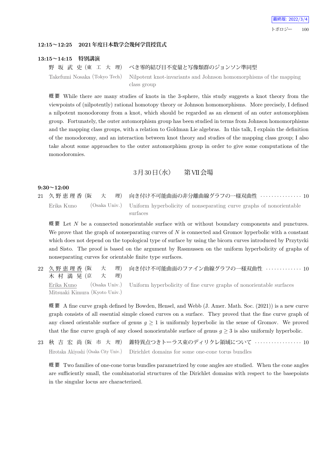

#### **12:15~12:25 2021年度日本数学会幾何学賞授賞式**

#### **13:15~14:15 特別講演**

野 坂 武 史 (東 工 大 理) べき零的結び目不変量と写像類群のジョンソン準同型 Takefumi Nosaka (Tokyo Tech) Nilpotent knot-invariants and Johnson homomorphisms of the mapping

class group

概 要 While there are many studies of knots in the 3-sphere, this study suggests a knot theory from the viewpoints of (nilpotently) rational homotopy theory or Johnson homomorphisms. More precisely, I defined a nilpotent monodoromy from a knot, which should be regarded as an element of an outer automorphism group. Fortunately, the outer automorphism group has been studied in terms from Johnson homomorphisms and the mapping class groups, with a relation to Goldman Lie algebras. In this talk, I explain the definition of the monodoromy, and an interaction between knot theory and studies of the mapping class group; I also take about some approaches to the outer automorphism group in order to give some computations of the monodoromies.

## 3月30日 (水) 第VII会場

### **9:30~12:00**

21 久 野 恵 理 香 (阪 大 理) 向き付け不可能曲面の非分離曲線グラフの一様双曲性 *· · · · · · · · · · · · · · ·* 10 Erika Kuno (Osaka Univ.) Uniform hyperbolicity of nonseparating curve graphs of nonorientable surfaces

概 要 Let *N* be a connected nonorientable surface with or without boundary components and punctures. We prove that the graph of nonseparating curves of *N* is connected and Gromov hyperbolic with a constant which does not depend on the topological type of surface by using the bicorn curves introduced by Przytycki and Sisto. The proof is based on the argument by Rasmussen on the uniform hyperbolicity of graphs of nonseparating curves for orientable finite type surfaces.

22 久 野 恵 理 香 (阪 大 理) 木 村 満 晃 (京 大 理) 向き付け不可能曲面のファイン曲線グラフの一様双曲性 *· · · · · · · · · · · · ·* 10 Erika Kuno (Osaka Univ.) Mitsuaki Kimura (Kyoto Univ.) Uniform hyperbolicity of fine curve graphs of nonorientable surfaces

概 要 A fine curve graph defined by Bowden, Hensel, and Webb (J. Amer. Math. Soc. (2021)) is a new curve graph consists of all essential simple closed curves on a surface. They proved that the fine curve graph of any closed orientable surface of genus  $g \geq 1$  is uniformly hyperbolic in the sense of Gromov. We proved that the fine curve graph of any closed nonorientable surface of genus  $g \geq 3$  is also uniformly hyperbolic.

23 秋 吉 宏 尚 (阪 市 大 理) 錐特異点つきトーラス束のディリクレ領域について *· · · · · · · · · · · · · · · · ·* 10 Hirotaka Akiyoshi (Osaka City Univ.) Dirichlet domains for some one-cone torus bundles

概 要 Two families of one-cone torus bundles parametrized by cone angles are studied. When the cone angles are sufficiently small, the combinatorial structures of the Dirichlet domains with respect to the basepoints in the singular locus are characterized.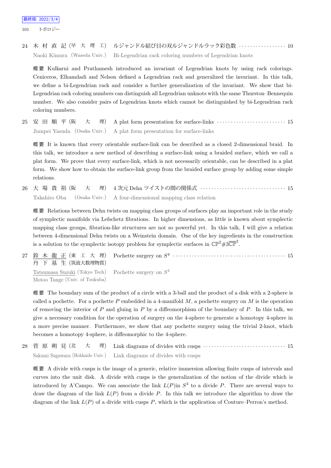101 トポロジー

24 木 村 直 記 (早 大 理 工) ルジャンドル結び目の双ルジャンドルラック彩色数 *· · · · · · · · · · · · · · · · ·* 10 Naoki Kimura (Waseda Univ.) Bi-Legendrian rack coloring numbers of Legendrian knots

概 要 Kulkarni and Prathamesh introduced an invariant of Legendrian knots by using rack colorings. Ceniceros, Elhamdadi and Nelson defined a Legendrian rack and generalized the invariant. In this talk, we define a bi-Legendrian rack and consider a further generalization of the invariant. We show that bi-Legendrian rack coloring numbers can distinguish all Legendrian unknots with the same Thurston–Bennequin number. We also consider pairs of Legendrian knots which cannot be distinguished by bi-Legendrian rack coloring numbers.

25 安 田 順 平 (阪 大 理) A plat form presentation for surface-links *· · · · · · · · · · · · · · · · · · · · · · · · ·* 15 Jumpei Yasuda (Osaka Univ.) A plat form presentation for surface-links

概 要 It is known that every orientable surface-link can be described as a closed 2-dimensional braid. In this talk, we introduce a new method of describing a surface-link using a braided surface, which we call a plat form. We prove that every surface-link, which is not necessarily orientable, can be described in a plat form. We show how to obtain the surface-link group from the braided surface group by adding some simple relations.

26 大 場 貴 裕 (阪 大 理) 4 次元 Dehn ツイストの間の関係式 *· · · · · · · · · · · · · · · · · · · · · · · · · · · · · · ·* 15 Takahiro Oba (Osaka Univ.) A four-dimensional mapping class relation

概 要 Relations between Dehn twists on mapping class groups of surfaces play an important role in the study of symplectic manifolds via Lefschetz fibrations. In higher dimensions, as little is known about symplectic mapping class groups, fibration-like structures are not so powerful yet. In this talk, I will give a relation between 4-dimensional Dehn twists on a Weinstein domain. One of the key ingredients in the construction is a solution to the symplectic isotopy problem for symplectic surfaces in  $\mathbb{CP}^2 \# 3\overline{\mathbb{CP}}^2$ .

27 鈴 木 龍 正 (東 工 大 理) 丹 下 基 生 (筑波大数理物質) Pochette surgery on  $S^4$   $\cdots$   $\cdots$   $\cdots$   $\cdots$   $\cdots$   $\cdots$   $\cdots$   $\cdots$   $\cdots$   $\cdots$   $\cdots$   $\cdots$   $\cdots$   $\cdots$   $\cdots$ Tatsumasa Suzuki (Tokyo Tech) Motoo Tange (Univ. of Tsukuba) Pochette surgery on *S* 4

概 要 The boundary sum of the product of a circle with a 3-ball and the product of a disk with a 2-sphere is called a pochette. For a pochette *P* embedded in a 4-manifold *M*, a pochette surgery on *M* is the operation of removing the interior of *P* and gluing in *P* by a diffeomorphism of the boundary of *P*. In this talk, we give a necessary condition for the operation of surgery on the 4-sphere to generate a homotopy 4-sphere in a more precise manner. Furthermore, we show that any pochette surgery using the trivial 2-knot, which becomes a homotopy 4-sphere, is diffeomorphic to the 4-sphere.

28 菅 原 朔 見 (北 大 理) Link diagrams of divides with cusps *· · · · · · · · · · · · · · · · · · · · · · · · · · · · · ·* 15 Sakumi Sugawara (Hokkaido Univ.) Link diagrams of divides with cusps

概 要 A divide with cusps is the image of a generic, relative immersion allowing finite cusps of intervals and curves into the unit disk. A divide with cusps is the generalization of the notion of the divide which is introduced by A'Campo. We can associate the link  $L(P)$  in  $S^3$  to a divide P. There are several ways to draw the diagram of the link *L*(*P*) from a divide *P*. In this talk we introduce the algorithm to draw the diagram of the link *L*(*P*) of a divide with cusps *P*, which is the application of Couture–Perron's method.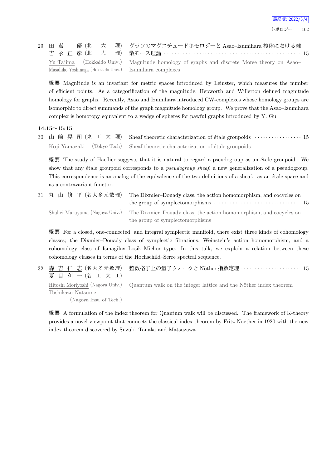

|  |  | 29 田 嶌 優 (北 大 理) グラフのマグニチュードホモロジーと Asao-Izumihara 複体における離                                                                                             |
|--|--|-------------------------------------------------------------------------------------------------------------------------------------------------------|
|  |  | Yu Tajima (Hokkaido Univ.) Magnitude homology of graphs and discrete Morse theory on Asao-<br>Masahiko Yoshinaga (Hokkaido Univ.) Izumihara complexes |

概 要 Magnitude is an invariant for metric spaces introduced by Leinster, which measures the number of efficient points. As a categorification of the magnitude, Hepworth and Willerton defined magnitude homology for graphs. Recently, Asao and Izumihara introduced CW-complexes whose homology groups are isomorphic to direct summands of the graph magnitude homology group. We prove that the Asao–Izumihara complex is homotopy equivalent to a wedge of spheres for pawful graphs introduced by Y. Gu.

#### **14:15~15:15**

30 山 﨑 晃 司 (東 工 大 理) Sheaf theoretic characterization of étale groupoids · · · · · · · · · · · · · · · · · · 15 Koji Yamazaki (Tokyo Tech) Sheaf theoretic characterization of étale groupoids

概 要 The study of Haeflier suggests that it is natural to regard a pseudogroup as an ´etale groupoid. We show that any *étale groupoid corresponds to a <i>pseudogroup sheaf*, a new generalization of a *pseudogroup*. This correspondence is an analog of the equivalence of the two definitions of a sheaf: as an étale space and as a contravariant functor.

31 丸 山 修 平 (名大多元数理) The Dixmier-Douady class, the action homomorphism, and cocycles on the group of symplectomorphisms *· · · · · · · · · · · · · · · · · · · · · · · · · · · · · · · ·* 15 Shuhei Maruyama (Nagoya Univ.) The Dixmier–Douady class, the action homomorphism, and cocycles on the group of symplectomorphisms

概 要 For a closed, one-connected, and integral symplectic manifold, there exist three kinds of cohomology classes; the Dixmier–Douady class of symplectic fibrations, Weinstein's action homomorphism, and a cohomology class of Ismagilov–Losik–Michor type. In this talk, we explain a relation between these cohomology classes in terms of the Hochschild–Serre spectral sequence.

32 森 吉 仁 志 (名大多元数理) 夏 目 利 一 (名 工 大 工) 整数格子上の量子ウォークと N¨other 指数定理 *· · · · · · · · · · · · · · · · · · · · · ·* 15 Hitoshi Moriyoshi (Nagoya Univ.) Toshikazu Natsume (Nagoya Inst. of Tech.) Quantum walk on the integer lattice and the Nöther index theorem

概 要 A formulation of the index theorem for Quantum walk will be discussed. The framework of K-theory provides a novel viewpoint that connects the classical index theorem by Fritz Noether in 1920 with the new index theorem discovered by Suzuki–Tanaka and Matsuzawa.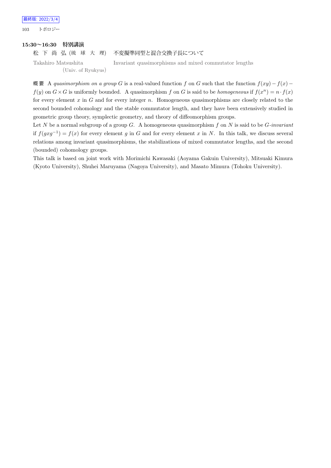最終版: 2022/3/4 103 トポロジー

#### **15:30~16:30 特別講演**

松 下 尚 弘 (琉 球 大 理) 不変擬準同型と混合交換子長について

Takahiro Matsushita (Univ. of Ryukyus) Invariant quasimorphisms and mixed commutator lengths

概 要 A *quasimorphism on a group G* is a real-valued function *f* on *G* such that the function  $f(xy) - f(x)$  $f(y)$  on  $G \times G$  is uniformly bounded. A quasimorphism *f* on *G* is said to be *homogeneous* if  $f(x^n) = n \cdot f(x)$ for every element *x* in *G* and for every integer *n*. Homogeneous quasimorphisms are closely related to the second bounded cohomology and the stable commutator length, and they have been extensively studied in geometric group theory, symplectic geometry, and theory of diffeomorphism groups.

Let *N* be a normal subgroup of a group *G*. A homogeneous quasimorphism *f* on *N* is said to be *G-invariant* if  $f(gxg^{-1}) = f(x)$  for every element *g* in *G* and for every element *x* in *N*. In this talk, we discuss several relations among invariant quasimorphisms, the stabilizations of mixed commutator lengths, and the second (bounded) cohomology groups.

This talk is based on joint work with Morimichi Kawasaki (Aoyama Gakuin University), Mitsuaki Kimura (Kyoto University), Shuhei Maruyama (Nagoya University), and Masato Mimura (Tohoku University).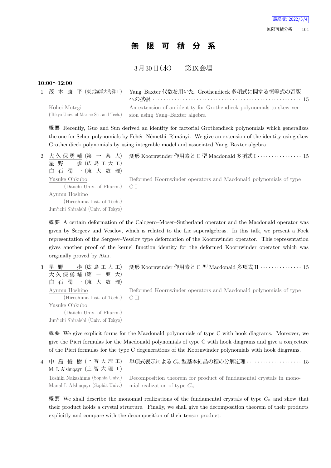# **無 限 可 積 分 系**

 $3 \cancel{\text{F}} 30 \cancel{\text{F}} (\cancel{\text{r}})$  第 $\cancel{\text{R}} \times \cancel{\text{r}}$ 場

#### **10:00~12:00**

| 1 茂 木 康 平(東京海洋大海洋工)                                    | Yang-Baxter 代数を用いた、Grothendieck 多項式に関する恒等式の歪版                                                           |  |
|--------------------------------------------------------|---------------------------------------------------------------------------------------------------------|--|
| Kohei Motegi<br>(Tokyo Univ. of Marine Sci. and Tech.) | An extension of an identity for Grothendieck polynomials to skew ver-<br>sion using Yang-Baxter algebra |  |

概 要 Recently, Guo and Sun derived an identity for factorial Grothendieck polynomials which generalizes the one for Schur polynomials by Fehér–Némethi–Rimányi. We give an extension of the identity using skew Grothendieck polynomials by using integrable model and associated Yang–Baxter algebra.

| 2 大久保勇輔 (第 一 薬 大)<br>歩 (広島工大工)<br>星野<br>白石潤一(東大数理)                                 | 変形 Koornwinder 作用素と C 型 Macdonald 多項式 I ‥‥‥‥‥‥‥‥‥ 15             |
|------------------------------------------------------------------------------------|------------------------------------------------------------------|
| Yusuke Ohkubo<br>(Daiichi Univ. of Pharm.) C I                                     | Deformed Koornwinder operators and Macdonald polynomials of type |
| Ayumu Hoshino<br>(Hiroshima Inst. of Tech.)<br>Jun'ichi Shiraishi (Univ. of Tokyo) |                                                                  |

概 要 A certain deformation of the Calogero–Moser–Sutherland operator and the Macdonald operator was given by Sergeev and Veselov, which is related to the Lie superalgebras. In this talk, we present a Fock representation of the Sergeev–Veselov type deformation of the Koornwinder operator. This representation gives another proof of the kernel function identity for the deformed Koornwinder operator which was originally proved by Atai.

3 星 野 歩 (広 島 工 大 工) 大 久 保 勇 輔 (第 一 薬 大) 白 石 潤 一 (東 大 数 理) Ayumu Hoshino (Hiroshima Inst. of Tech.) Yusuke Ohkubo (Daiichi Univ. of Pharm.) Jun'ichi Shiraishi (Univ. of Tokyo)

変形 Koornwinder 作用素と C 型 Macdonald 多項式 II *· · · · · · · · · · · · · · ·* 15

Deformed Koornwinder operators and Macdonald polynomials of type C II

概 要 We give explicit forms for the Macdonald polynomials of type C with hook diagrams. Moreover, we give the Pieri formulas for the Macdonald polynomials of type C with hook diagrams and give a conjecture of the Pieri formulas for the type C degenerations of the Koornwinder polynomials with hook diagrams.

4 中 島 俊 樹 (上 智 大 理 工) M. I. Alshuqayr (上 智 大 理 工) 単項式表示による *C<sup>n</sup>* 型基本結晶の積の分解定理 *· · · · · · · · · · · · · · · · · · · ·* 15 Toshiki Nakashima (Sophia Univ.) Manal I. Alshuqayr (Sophia Univ.) Decomposition theorem for product of fundamental crystals in monomial realization of type *C<sup>n</sup>*

概要 We shall describe the monomial realizations of the fundamental crystals of type  $C_n$  and show that their product holds a crystal structure. Finally, we shall give the decomposition theorem of their products explicitly and compare with the decomposition of their tensor product.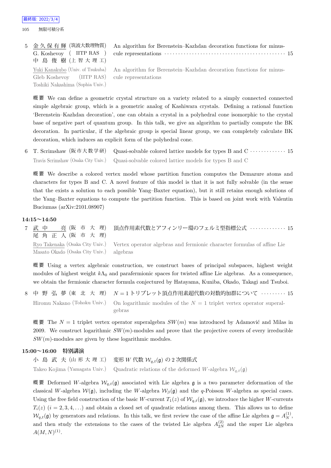105 無限可積分系

| 5 金久保有輝 (筑波大数理物質)                | An algorithm for Berenstein–Kazhdan decoration functions for minus-                                  |  |
|----------------------------------|------------------------------------------------------------------------------------------------------|--|
| G. Koshevoy ( IITP RAS )         |                                                                                                      |  |
| 中 島 俊 樹 (上智大理工)                  |                                                                                                      |  |
|                                  | Yuki Kanakubo (Univ. of Tsukuba) An algorithm for Berenstein–Kazhdan decoration functions for minus- |  |
| Gleb Koshevoy (IITP RAS)         | cule representations                                                                                 |  |
| Toshiki Nakashima (Sophia Univ.) |                                                                                                      |  |

概 要 We can define a geometric crystal structure on a variety related to a simply connected connected simple algebraic group, which is a geometric analog of Kashiwara crystals. Defining a rational function 'Berenstein–Kazhdan decoration', one can obtain a crystal in a polyhedral cone isomorphic to the crystal base of negative part of quantum group. In this talk, we give an algorithm to partially compute the BK decoration. In particular, if the algebraic group is special linear group, we can completely calculate BK decoration, which induces an explicit form of the polyhedral cone.

6 T. Scrimshaw (阪 市 大 数 学 研) Quasi-solvable colored lattice models for types B and C *· · · · · · · · · · · · ·* 15 Travis Scrimshaw (Osaka City Univ.) Quasi-solvable colored lattice models for types B and C

概 要 We describe a colored vertex model whose partition function computes the Demazure atoms and characters for types B and C. A novel feature of this model is that it is not fully solvable (in the sense that the exists a solution to each possible Yang–Baxter equation), but it still retains enough solutions of the Yang–Baxter equations to compute the partition function. This is based on joint work with Valentin Buciumas (arXiv:2101.08907)

#### **14:15~14:50**

| 7 武中 亮(阪市大理)<br>尾角正人(阪市大理)               | □頂点作用素代数とアフィンリー環のフェルミ型指標公式 ‥‥‥‥‥‥‥ 15                                                                   |
|------------------------------------------|---------------------------------------------------------------------------------------------------------|
| Masato Okado (Osaka City Univ.) algebras | Ryo Takenaka (Osaka City Univ.) Vertex operator algebras and fermionic character formulas of affine Lie |

概 要 Using a vertex algebraic construction, we construct bases of principal subspaces, highest weight modules of highest weight  $k\Lambda_0$  and parafermionic spaces for twisted affine Lie algebras. As a consequence, we obtain the fermionic character formula conjectured by Hatayama, Kuniba, Okado, Takagi and Tsuboi.

8 中 野 弘 夢 (東 北 大 理) *N* = 1 トリプレット頂点作用素超代数の対数的加群について *· · · · · · · · ·* 15 Hiromu Nakano (Tohoku Univ.) On logarithmic modules of the *N* = 1 triplet vertex operator superalgebras

概要 The  $N = 1$  triplet vertex operator superalgebra  $SW(m)$  was introduced by Adamovic and Milas in 2009. We construct logarithmic *SW*(*m*)-modules and prove that the projective covers of every irreducible *SW*(*m*)-modules are given by these logarithmic modules.

#### **15:00~16:00 特別講演**

小 島 武 夫 (山 形 大 理 工) 変形 *W* 代数 *Wq,t*(g) の 2 次関係式 Takeo Kojima (Yamagata Univ.) Quadratic relations of the deformed *W*-algebra  $W_{a,t}(\mathfrak{g})$ 

概要 Deformed *W*-algebra  $W_{q,t}(\mathfrak{g})$  associated with Lie algebra **g** is a two parameter deformation of the classical *W*-algebra  $W(\mathfrak{g})$ , including the *W*-algebra  $W_\beta(\mathfrak{g})$  and the *q*-Poisson *W*-algebra as special cases. Using the free field construction of the basic *W*-current  $T_1(z)$  of  $W_{q,t}(\mathfrak{g})$ , we introduce the higher *W*-currents  $T_i(z)$  ( $i = 2, 3, 4, \ldots$ ) and obtain a closed set of quadratic relations among them. This allows us to define  $W_{q,t}(\mathfrak{g})$  by generators and relations. In this talk, we first review the case of the affine Lie algebra  $\mathfrak{g} = A_N^{(1)}$ , and then study the extensions to the cases of the twisted Lie algebra  $A_{2N}^{(2)}$  and the super Lie algebra  $A(M, N)^{(1)}$ .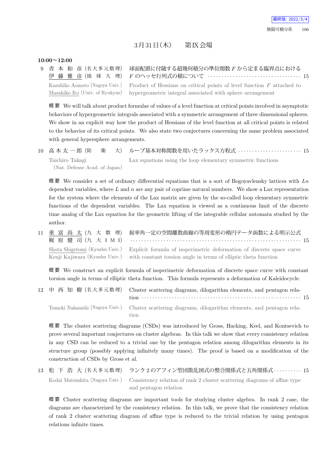## $3\overline{5}31\overline{5}$  (木) 第 $K$ 会場

#### **10:00~12:00**

9 青 本 和 彦 (名大多元数理) 伊 藤 雅 彦 (琉 球 大 理) 球面配置に付随する超幾何積分の準位関数 *F* から定まる臨界点における *F* のヘッセ行列式の積について *· · · · · · · · · · · · · · · · · · · · · · · · · · · · · · · · · ·* 15 Kazuhiko Aomoto (Nagoya Univ.) Masahiko Ito (Univ. of Ryukyus) Product of Hessians on critical points of level function *F* attached to hypergeometric integral associated with sphere arrangement

概 要 We will talk about product formulae of values of a level function at critical points involved in asymptotic behaviors of hypergeometric integrals associated with a symmetric arrangement of three dimensional spheres. We show in an explicit way how the product of Hessians of the level function at all critical points is related to the behavior of its critical points. We also state two conjectures concerning the same problem associated with general hypersphere arrangements.

10 高 木 太 一 郎 (防 衛 大) ループ基本対称関数を用いたラックス方程式 *· · · · · · · · · · · · · · · · · · · · · · ·* 15 Taichiro Takagi (Nat. Defense Acad. of Japan) Lax equations using the loop elementary symmetric functions

概 要 We consider a set of ordinary differential equations that is a sort of Bogoyavlensky lattices with *Ln* dependent variables, where *L* and *n* are any pair of coprime natural numbers. We show a Lax representation for the system where the elements of the Lax matrix are given by the so-called loop elementary symmetric functions of the dependent variables. The Lax equation is viewed as a continuous limit of the discrete time analog of the Lax equation for the geometric lifting of the integrable cellular automata studied by the author.

11 重 富 尚 太 (九 大 数 理) 梶 原 健 司 (九 大 I M I) 捩率角一定の空間離散曲線の等周変形の楕円テータ函数による明示公式 *· · · · · · · · · · · · · · · · · · · · · · · · · · · · · · · · · · · · · · · · · · · · · · · · · · · · · · · · · · · · · ·* 15 Shota Shigetomi (Kyushu Univ.) Kenji Kajiwara (Kyushu Univ.) Explicit formula of isoperimetric deformation of discrete space curve with constant torsion angle in terms of elliptic theta function

概 要 We construct an explicit formula of isoperimetric deformation of discrete space curve with constant torsion angle in terms of elliptic theta function. This formula represents a deformation of Kaleidocycle.

12 中 西 知 樹 (名 大 多 元 数 理) Cluster scattering diagrams, dilogarithm elements, and pentagon relation *· · · · · · · · · · · · · · · · · · · · · · · · · · · · · · · · · · · · · · · · · · · · · · · · · · · · · · · · · ·* 15 Tomoki Nakanishi (Nagoya Univ.) Cluster scattering diagrams, dilogarithm elements, and pentagon relation

概 要 The cluster scattering diagrams (CSDs) was introduced by Gross, Hacking, Keel, and Kontsevich to prove several important conjectures on cluster algebras. In this talk we show that every consistency relation in any CSD can be reduced to a trivial one by the pentagon relation among dilogarithm elements in its structure group (possibly applying infinitely many times). The proof is based on a modification of the construction of CSDs by Gross et al.

13 松 下 浩 大 (名 大 多 元 数 理) ランク 2 のアフィン型団散乱図式の整合関係式と五角関係式 *· · · · · · · · · ·* 15 Kodai Matsushita (Nagoya Univ.) Consistency relation of rank 2 cluster scattering diagrams of affine type and pentagon relation

概 要 Cluster scattering diagrams are important tools for studying cluster algebra. In rank 2 case, the diagrams are characterized by the consistency relation. In this talk, we prove that the consistency relation of rank 2 cluster scattering diagram of affine type is reduced to the trivial relation by using pentagon relations infinite times.